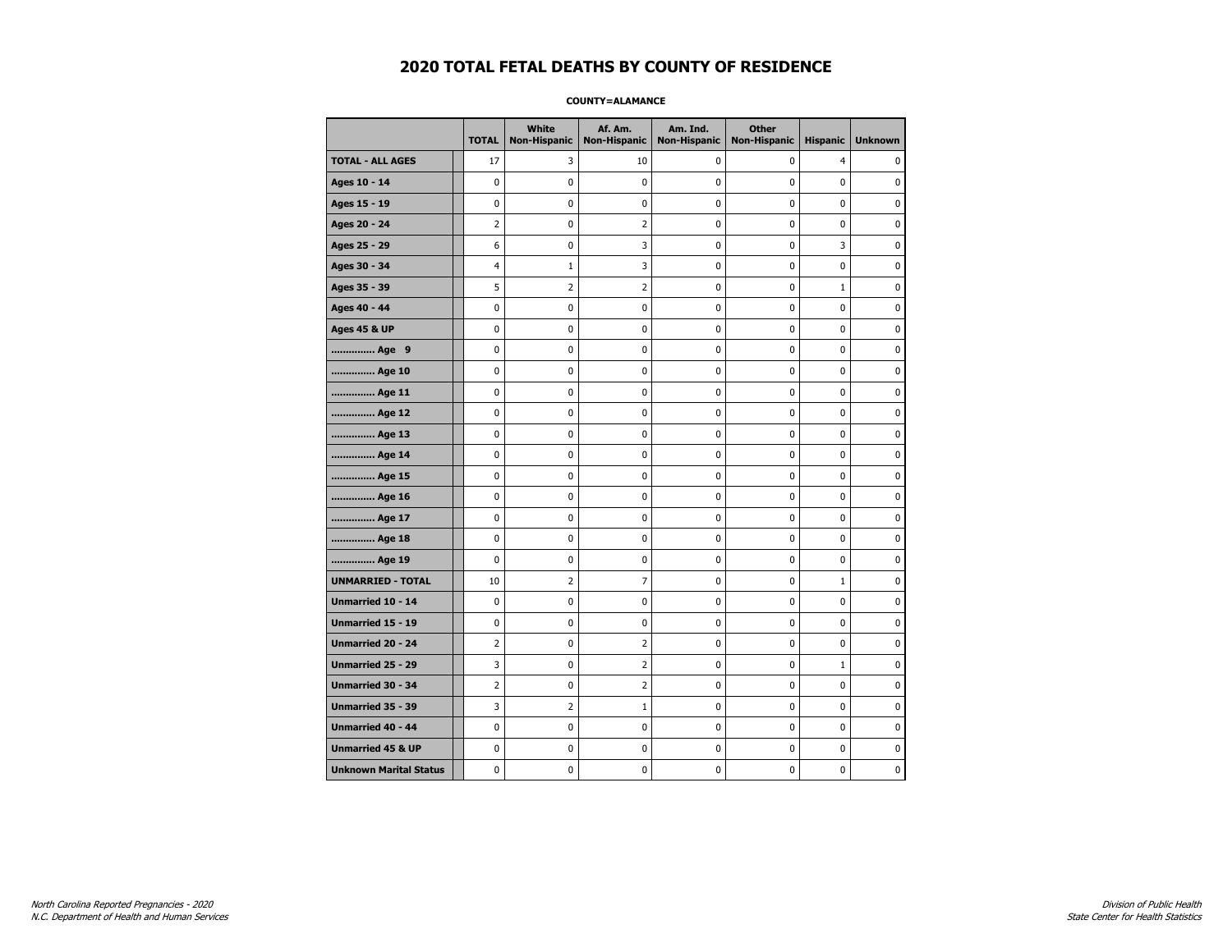### **COUNTY=ALAMANCE**

|                               | <b>TOTAL</b>   | White<br><b>Non-Hispanic</b> | Af. Am.<br><b>Non-Hispanic</b> | Am. Ind.<br><b>Non-Hispanic</b> | <b>Other</b><br><b>Non-Hispanic</b> | <b>Hispanic</b> | <b>Unknown</b> |
|-------------------------------|----------------|------------------------------|--------------------------------|---------------------------------|-------------------------------------|-----------------|----------------|
| <b>TOTAL - ALL AGES</b>       | 17             | 3                            | 10                             | 0                               | 0                                   | 4               | 0              |
| Ages 10 - 14                  | 0              | 0                            | 0                              | 0                               | 0                                   | 0               | $\mathbf 0$    |
| Ages 15 - 19                  | 0              | 0                            | 0                              | 0                               | $\pmb{0}$                           | 0               | $\pmb{0}$      |
| Ages 20 - 24                  | $\overline{2}$ | 0                            | $\overline{2}$                 | 0                               | $\pmb{0}$                           | 0               | $\pmb{0}$      |
| Ages 25 - 29                  | 6              | 0                            | 3                              | 0                               | 0                                   | 3               | 0              |
| Ages 30 - 34                  | 4              | 1                            | 3                              | 0                               | $\pmb{0}$                           | 0               | 0              |
| Ages 35 - 39                  | 5              | 2                            | 2                              | 0                               | 0                                   | $\mathbf{1}$    | $\mathbf 0$    |
| Ages 40 - 44                  | 0              | 0                            | 0                              | 0                               | $\pmb{0}$                           | 0               | 0              |
| <b>Ages 45 &amp; UP</b>       | 0              | 0                            | 0                              | 0                               | $\pmb{0}$                           | 0               | 0              |
| Age 9                         | 0              | 0                            | 0                              | 0                               | 0                                   | 0               | 0              |
| Age 10                        | 0              | 0                            | 0                              | 0                               | $\mathbf 0$                         | 0               | $\mathbf 0$    |
| Age 11                        | 0              | $\mathbf 0$                  | 0                              | 0                               | $\pmb{0}$                           | 0               | $\mathbf 0$    |
| Age 12                        | 0              | 0                            | 0                              | 0                               | 0                                   | 0               | 0              |
| Age 13                        | 0              | 0                            | 0                              | 0                               | 0                                   | 0               | 0              |
| Age 14                        | 0              | 0                            | 0                              | 0                               | 0                                   | 0               | 0              |
| Age 15                        | 0              | 0                            | 0                              | 0                               | 0                                   | 0               | 0              |
| Age 16                        | 0              | 0                            | 0                              | 0                               | $\mathbf 0$                         | 0               | $\mathbf 0$    |
| Age 17                        | 0              | 0                            | 0                              | 0                               | $\pmb{0}$                           | 0               | 0              |
| Age 18                        | 0              | 0                            | 0                              | 0                               | 0                                   | 0               | 0              |
| Age 19                        | 0              | 0                            | 0                              | 0                               | 0                                   | 0               | 0              |
| <b>UNMARRIED - TOTAL</b>      | 10             | 2                            | 7                              | 0                               | $\pmb{0}$                           | $\mathbf 1$     | 0              |
| Unmarried 10 - 14             | 0              | 0                            | 0                              | 0                               | $\mathbf 0$                         | 0               | $\mathbf 0$    |
| Unmarried 15 - 19             | 0              | $\pmb{0}$                    | 0                              | 0                               | $\pmb{0}$                           | 0               | 0              |
| <b>Unmarried 20 - 24</b>      | 2              | 0                            | 2                              | 0                               | 0                                   | 0               | 0              |
| Unmarried 25 - 29             | 3              | $\mathbf 0$                  | 2                              | 0                               | 0                                   | $\mathbf 1$     | 0              |
| <b>Unmarried 30 - 34</b>      | $\overline{2}$ | 0                            | $\overline{2}$                 | 0                               | $\pmb{0}$                           | 0               | $\mathbf 0$    |
| <b>Unmarried 35 - 39</b>      | 3              | $\overline{2}$               | $\mathbf{1}$                   | 0                               | 0                                   | 0               | $\mathbf 0$    |
| <b>Unmarried 40 - 44</b>      | $\mathbf 0$    | 0                            | 0                              | 0                               | $\pmb{0}$                           | 0               | $\pmb{0}$      |
| <b>Unmarried 45 &amp; UP</b>  | 0              | 0                            | 0                              | 0                               | 0                                   | 0               | 0              |
| <b>Unknown Marital Status</b> | 0              | 0                            | 0                              | 0                               | 0                                   | 0               | 0              |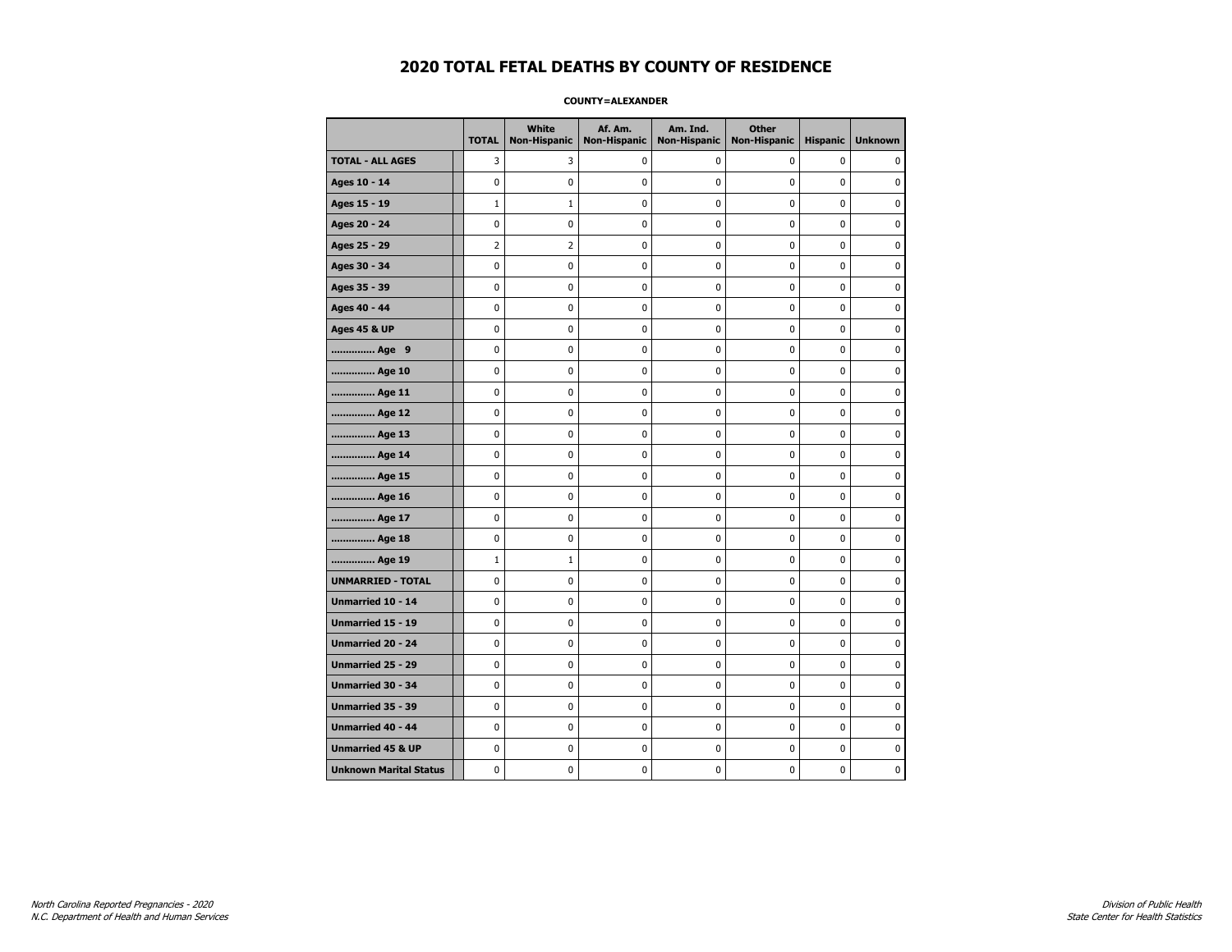### **COUNTY=ALEXANDER**

|                               | <b>TOTAL</b>   | White<br>Non-Hispanic | Af. Am.<br><b>Non-Hispanic</b> | Am. Ind.<br><b>Non-Hispanic</b> | <b>Other</b><br><b>Non-Hispanic</b> | <b>Hispanic</b> | <b>Unknown</b> |
|-------------------------------|----------------|-----------------------|--------------------------------|---------------------------------|-------------------------------------|-----------------|----------------|
| <b>TOTAL - ALL AGES</b>       | 3              | 3                     | 0                              | 0                               | 0                                   | 0               | 0              |
| Ages 10 - 14                  | 0              | $\mathbf 0$           | 0                              | $\mathbf 0$                     | 0                                   | 0               | 0              |
| Ages 15 - 19                  | $\mathbf{1}$   | $\mathbf{1}$          | 0                              | $\mathbf 0$                     | $\mathbf 0$                         | 0               | 0              |
| Ages 20 - 24                  | $\mathbf 0$    | $\mathbf 0$           | $\mathbf 0$                    | $\mathbf 0$                     | $\mathbf 0$                         | 0               | 0              |
| Ages 25 - 29                  | $\overline{2}$ | $\overline{2}$        | 0                              | 0                               | $\pmb{0}$                           | 0               | 0              |
| Ages 30 - 34                  | $\mathbf 0$    | 0                     | 0                              | 0                               | 0                                   | 0               | 0              |
| Ages 35 - 39                  | $\mathbf 0$    | 0                     | 0                              | 0                               | 0                                   | 0               | 0              |
| Ages 40 - 44                  | $\mathbf 0$    | 0                     | 0                              | 0                               | 0                                   | 0               | 0              |
| <b>Ages 45 &amp; UP</b>       | 0              | 0                     | 0                              | 0                               | 0                                   | 0               | 0              |
| Age 9                         | 0              | 0                     | 0                              | $\mathbf 0$                     | $\mathbf 0$                         | 0               | 0              |
| Age 10                        | $\mathbf 0$    | 0                     | 0                              | $\mathbf 0$                     | $\mathbf 0$                         | 0               | $\mathbf 0$    |
| Age 11                        | $\pmb{0}$      | 0                     | 0                              | 0                               | $\pmb{0}$                           | 0               | 0              |
| Age 12                        | 0              | 0                     | 0                              | 0                               | $\pmb{0}$                           | 0               | 0              |
| Age 13                        | $\mathbf 0$    | 0                     | 0                              | $\mathbf 0$                     | $\mathbf 0$                         | $\mathbf 0$     | 0              |
| Age 14                        | 0              | 0                     | 0                              | 0                               | 0                                   | 0               | 0              |
| Age 15                        | 0              | 0                     | 0                              | 0                               | 0                                   | 0               | 0              |
| Age 16                        | 0              | 0                     | 0                              | 0                               | 0                                   | 0               | 0              |
| Age 17                        | $\mathbf 0$    | 0                     | 0                              | 0                               | 0                                   | 0               | 0              |
| Age 18                        | $\pmb{0}$      | 0                     | $\pmb{0}$                      | 0                               | $\pmb{0}$                           | 0               | $\pmb{0}$      |
| Age 19                        | $\mathbf{1}$   | $1\,$                 | 0                              | 0                               | $\pmb{0}$                           | 0               | 0              |
| <b>UNMARRIED - TOTAL</b>      | 0              | 0                     | 0                              | 0                               | 0                                   | 0               | 0              |
| Unmarried 10 - 14             | $\mathbf 0$    | 0                     | 0                              | 0                               | 0                                   | 0               | $\mathbf 0$    |
| Unmarried 15 - 19             | $\mathbf 0$    | 0                     | 0                              | 0                               | $\mathbf 0$                         | 0               | 0              |
| Unmarried 20 - 24             | $\mathbf 0$    | 0                     | 0                              | 0                               | 0                                   | 0               | 0              |
| <b>Unmarried 25 - 29</b>      | 0              | 0                     | 0                              | $\mathbf 0$                     | 0                                   | 0               | 0              |
| Unmarried 30 - 34             | $\pmb{0}$      | $\pmb{0}$             | $\bf{0}$                       | $\pmb{0}$                       | $\pmb{0}$                           | 0               | $\pmb{0}$      |
| Unmarried 35 - 39             | $\pmb{0}$      | 0                     | 0                              | $\pmb{0}$                       | $\pmb{0}$                           | 0               | 0              |
| <b>Unmarried 40 - 44</b>      | 0              | 0                     | 0                              | 0                               | 0                                   | 0               | $\mathbf 0$    |
| <b>Unmarried 45 &amp; UP</b>  | 0              | 0                     | 0                              | 0                               | 0                                   | 0               | 0              |
| <b>Unknown Marital Status</b> | 0              | 0                     | 0                              | 0                               | 0                                   | 0               | 0              |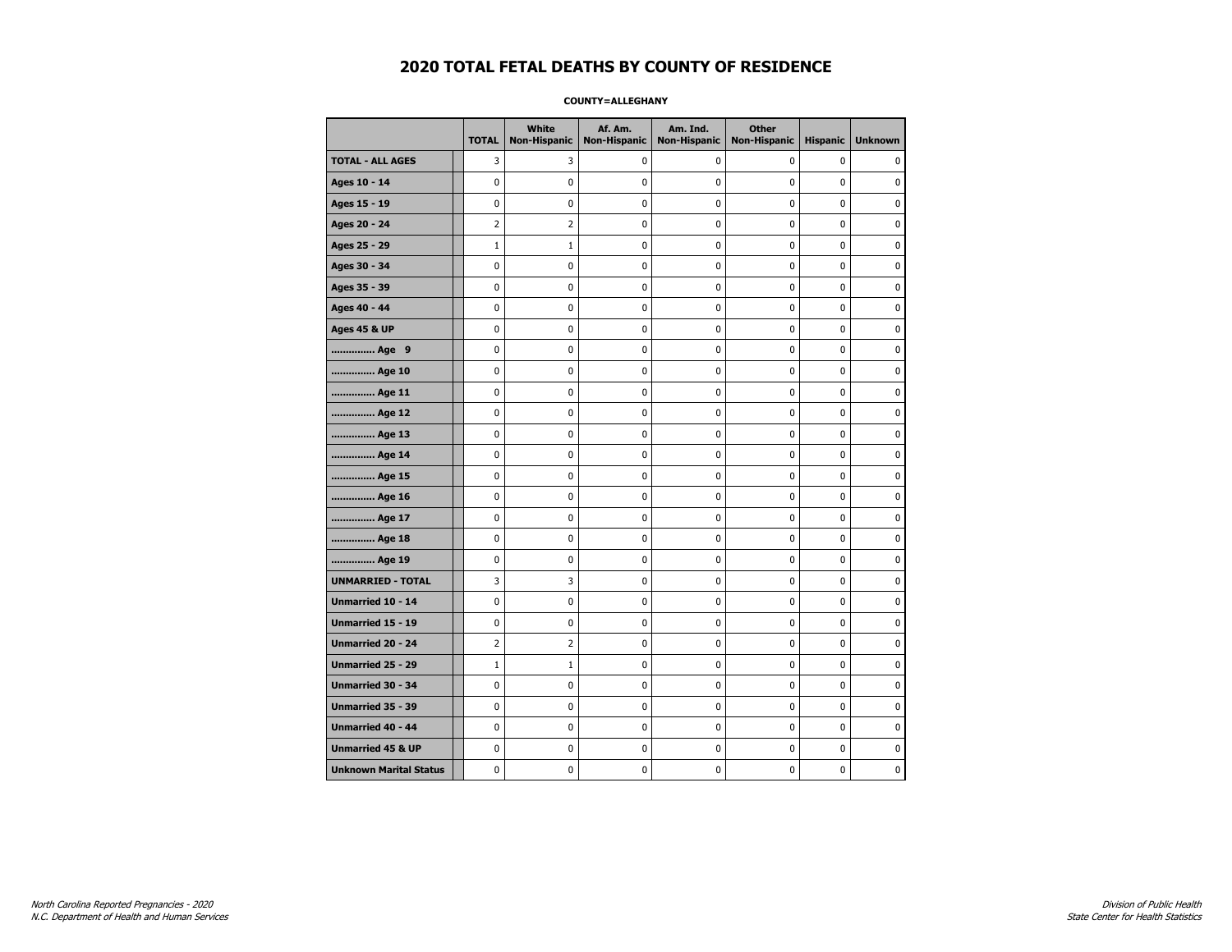### **COUNTY=ALLEGHANY**

|                               | <b>TOTAL</b>   | White<br>Non-Hispanic | Af. Am.<br><b>Non-Hispanic</b> | Am. Ind.<br><b>Non-Hispanic</b> | <b>Other</b><br><b>Non-Hispanic</b> | <b>Hispanic</b> | <b>Unknown</b> |
|-------------------------------|----------------|-----------------------|--------------------------------|---------------------------------|-------------------------------------|-----------------|----------------|
| <b>TOTAL - ALL AGES</b>       | 3              | 3                     | 0                              | 0                               | 0                                   | 0               | 0              |
| Ages 10 - 14                  | 0              | 0                     | 0                              | $\mathbf 0$                     | 0                                   | 0               | 0              |
| Ages 15 - 19                  | 0              | 0                     | 0                              | $\mathbf 0$                     | $\mathbf 0$                         | 0               | 0              |
| Ages 20 - 24                  | $\overline{2}$ | $\overline{2}$        | $\mathbf 0$                    | $\mathbf 0$                     | $\mathbf 0$                         | 0               | 0              |
| Ages 25 - 29                  | $\mathbf{1}$   | $1\,$                 | 0                              | 0                               | $\pmb{0}$                           | 0               | 0              |
| Ages 30 - 34                  | $\mathbf 0$    | 0                     | 0                              | 0                               | 0                                   | 0               | 0              |
| Ages 35 - 39                  | $\mathbf 0$    | 0                     | 0                              | 0                               | 0                                   | 0               | 0              |
| Ages 40 - 44                  | $\mathbf 0$    | 0                     | 0                              | 0                               | 0                                   | 0               | 0              |
| <b>Ages 45 &amp; UP</b>       | 0              | 0                     | 0                              | 0                               | 0                                   | 0               | 0              |
| Age 9                         | 0              | 0                     | 0                              | $\mathbf 0$                     | $\mathbf 0$                         | 0               | 0              |
| Age 10                        | $\mathbf 0$    | 0                     | 0                              | $\mathbf 0$                     | $\mathbf 0$                         | 0               | $\mathbf 0$    |
| Age 11                        | $\pmb{0}$      | 0                     | 0                              | 0                               | $\pmb{0}$                           | 0               | 0              |
| Age 12                        | 0              | 0                     | 0                              | 0                               | $\pmb{0}$                           | 0               | 0              |
| Age 13                        | $\mathbf 0$    | 0                     | 0                              | $\mathbf 0$                     | $\mathbf 0$                         | $\mathbf 0$     | 0              |
| Age 14                        | 0              | 0                     | 0                              | 0                               | 0                                   | 0               | 0              |
| Age 15                        | 0              | 0                     | 0                              | 0                               | 0                                   | 0               | 0              |
| Age 16                        | 0              | 0                     | 0                              | 0                               | 0                                   | 0               | 0              |
| Age 17                        | $\mathbf 0$    | 0                     | 0                              | 0                               | 0                                   | 0               | 0              |
| Age 18                        | $\pmb{0}$      | 0                     | $\pmb{0}$                      | 0                               | $\pmb{0}$                           | 0               | $\pmb{0}$      |
| Age 19                        | $\pmb{0}$      | 0                     | 0                              | 0                               | $\pmb{0}$                           | 0               | 0              |
| <b>UNMARRIED - TOTAL</b>      | 3              | 3                     | 0                              | 0                               | 0                                   | 0               | 0              |
| Unmarried 10 - 14             | $\mathbf 0$    | 0                     | 0                              | 0                               | 0                                   | 0               | $\mathbf 0$    |
| Unmarried 15 - 19             | $\mathbf 0$    | 0                     | 0                              | 0                               | $\mathbf 0$                         | 0               | 0              |
| Unmarried 20 - 24             | $\overline{2}$ | $\overline{2}$        | 0                              | 0                               | 0                                   | 0               | 0              |
| <b>Unmarried 25 - 29</b>      | $\mathbf{1}$   | $\mathbf{1}$          | 0                              | $\mathbf 0$                     | 0                                   | 0               | 0              |
| Unmarried 30 - 34             | $\pmb{0}$      | $\pmb{0}$             | $\bf{0}$                       | $\pmb{0}$                       | $\pmb{0}$                           | 0               | $\pmb{0}$      |
| Unmarried 35 - 39             | 0              | 0                     | 0                              | $\pmb{0}$                       | $\pmb{0}$                           | 0               | 0              |
| <b>Unmarried 40 - 44</b>      | 0              | 0                     | 0                              | 0                               | 0                                   | 0               | $\mathbf 0$    |
| <b>Unmarried 45 &amp; UP</b>  | 0              | 0                     | 0                              | 0                               | 0                                   | 0               | 0              |
| <b>Unknown Marital Status</b> | 0              | 0                     | 0                              | 0                               | 0                                   | 0               | 0              |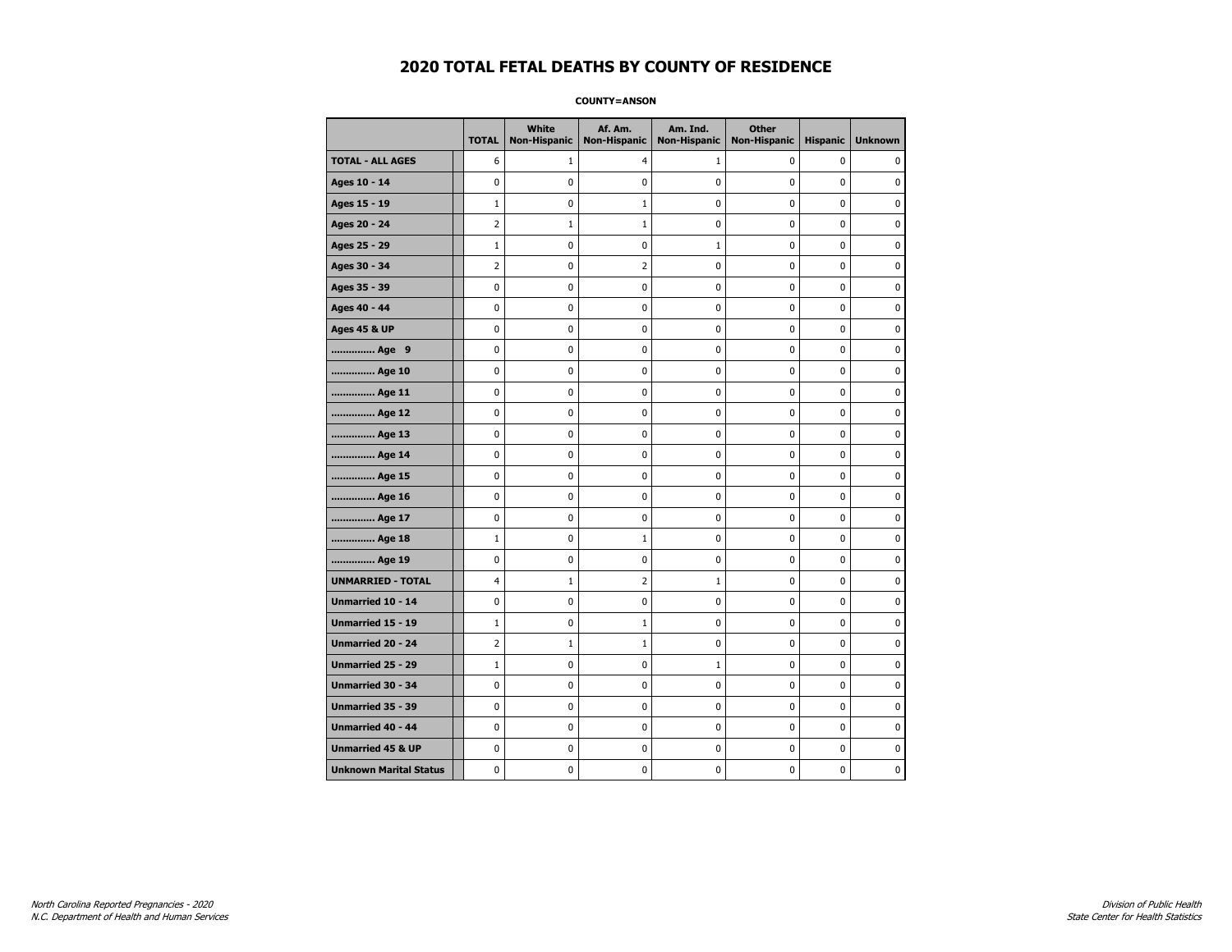**COUNTY=ANSON** 

|                               | <b>TOTAL</b>   | White<br><b>Non-Hispanic</b> | Af. Am.<br><b>Non-Hispanic</b> | Am. Ind.<br><b>Non-Hispanic</b> | <b>Other</b><br><b>Non-Hispanic</b> | <b>Hispanic</b> | <b>Unknown</b> |
|-------------------------------|----------------|------------------------------|--------------------------------|---------------------------------|-------------------------------------|-----------------|----------------|
| <b>TOTAL - ALL AGES</b>       | 6              | $\mathbf{1}$                 | 4                              | 1                               | 0                                   | 0               | 0              |
| Ages 10 - 14                  | 0              | 0                            | 0                              | 0                               | 0                                   | 0               | 0              |
| Ages 15 - 19                  | $\mathbf{1}$   | 0                            | $1\,$                          | 0                               | $\pmb{0}$                           | 0               | 0              |
| Ages 20 - 24                  | $\overline{2}$ | $\mathbf{1}$                 | $\mathbf 1$                    | 0                               | $\pmb{0}$                           | 0               | 0              |
| Ages 25 - 29                  | $\mathbf{1}$   | 0                            | 0                              | $\mathbf{1}$                    | 0                                   | 0               | $\mathbf 0$    |
| Ages 30 - 34                  | $\overline{2}$ | 0                            | $\overline{2}$                 | 0                               | $\pmb{0}$                           | 0               | $\mathbf 0$    |
| Ages 35 - 39                  | 0              | 0                            | 0                              | 0                               | 0                                   | 0               | $\mathbf 0$    |
| Ages 40 - 44                  | 0              | 0                            | $\pmb{0}$                      | 0                               | $\pmb{0}$                           | 0               | $\mathbf 0$    |
| <b>Ages 45 &amp; UP</b>       | 0              | 0                            | 0                              | 0                               | 0                                   | 0               | $\mathbf 0$    |
| Age 9                         | 0              | 0                            | 0                              | 0                               | 0                                   | 0               | $\mathbf 0$    |
| Age 10                        | 0              | 0                            | 0                              | 0                               | $\mathbf 0$                         | 0               | $\mathbf 0$    |
| Age 11                        | 0              | 0                            | $\pmb{0}$                      | 0                               | $\pmb{0}$                           | 0               | $\mathbf 0$    |
| Age 12                        | 0              | 0                            | 0                              | 0                               | 0                                   | 0               | 0              |
| Age 13                        | 0              | 0                            | 0                              | 0                               | 0                                   | 0               | $\mathbf 0$    |
| Age 14                        | 0              | 0                            | 0                              | 0                               | $\mathbf 0$                         | 0               | $\mathbf 0$    |
| Age 15                        | 0              | 0                            | $\pmb{0}$                      | 0                               | $\pmb{0}$                           | 0               | $\pmb{0}$      |
| Age 16                        | 0              | 0                            | 0                              | 0                               | 0                                   | 0               | 0              |
| Age 17                        | 0              | 0                            | 0                              | 0                               | 0                                   | 0               | 0              |
| Age 18                        | $\mathbf{1}$   | 0                            | $1\,$                          | 0                               | $\mathbf 0$                         | 0               | $\mathbf 0$    |
| Age 19                        | 0              | 0                            | $\pmb{0}$                      | 0                               | $\pmb{0}$                           | 0               | $\pmb{0}$      |
| <b>UNMARRIED - TOTAL</b>      | 4              | $\mathbf{1}$                 | $\overline{2}$                 | $\mathbf 1$                     | 0                                   | 0               | 0              |
| Unmarried 10 - 14             | 0              | 0                            | $\pmb{0}$                      | 0                               | $\pmb{0}$                           | 0               | $\mathbf 0$    |
| <b>Unmarried 15 - 19</b>      | $\mathbf{1}$   | 0                            | $\mathbf{1}$                   | 0                               | 0                                   | 0               | $\mathbf 0$    |
| Unmarried 20 - 24             | $\overline{2}$ | $1\,$                        | $1\,$                          | 0                               | $\pmb{0}$                           | 0               | $\pmb{0}$      |
| <b>Unmarried 25 - 29</b>      | $\mathbf{1}$   | 0                            | 0                              | $\mathbf 1$                     | 0                                   | 0               | 0              |
| Unmarried 30 - 34             | 0              | 0                            | 0                              | 0                               | 0                                   | 0               | $\mathbf 0$    |
| Unmarried 35 - 39             | 0              | 0                            | $\pmb{0}$                      | 0                               | $\pmb{0}$                           | 0               | $\mathbf 0$    |
| Unmarried 40 - 44             | 0              | 0                            | 0                              | 0                               | $\pmb{0}$                           | 0               | 0              |
| <b>Unmarried 45 &amp; UP</b>  | 0              | 0                            | 0                              | 0                               | $\pmb{0}$                           | 0               | $\mathbf 0$    |
| <b>Unknown Marital Status</b> | 0              | 0                            | 0                              | 0                               | 0                                   | 0               | $\mathbf 0$    |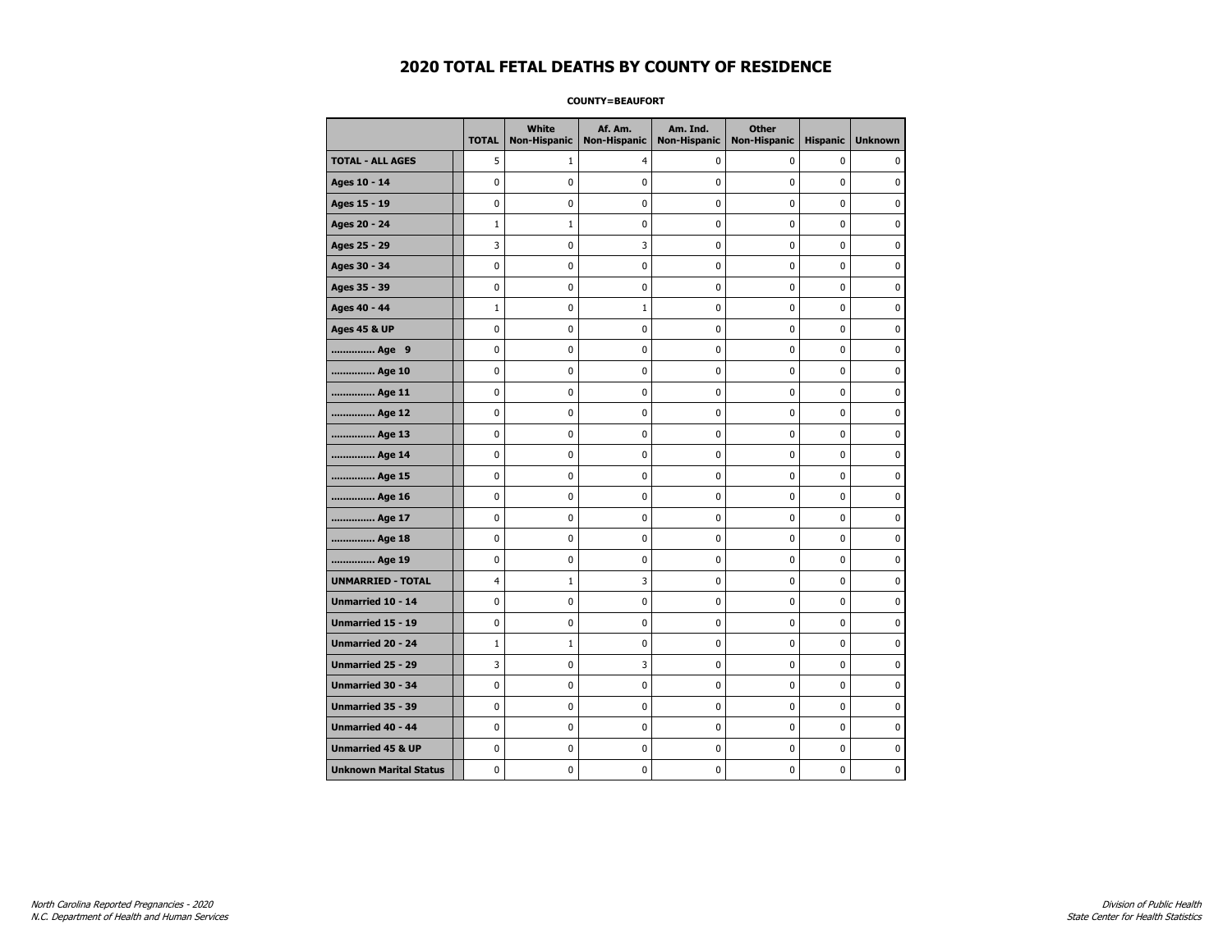### **COUNTY=BEAUFORT**

|                               | <b>TOTAL</b>   | White<br><b>Non-Hispanic</b> | Af. Am.<br><b>Non-Hispanic</b> | Am. Ind.<br><b>Non-Hispanic</b> | <b>Other</b><br><b>Non-Hispanic</b> | <b>Hispanic</b> | <b>Unknown</b> |
|-------------------------------|----------------|------------------------------|--------------------------------|---------------------------------|-------------------------------------|-----------------|----------------|
| <b>TOTAL - ALL AGES</b>       | 5              | 1                            | 4                              | 0                               | 0                                   | 0               | 0              |
| Ages 10 - 14                  | 0              | 0                            | $\pmb{0}$                      | 0                               | 0                                   | 0               | 0              |
| Ages 15 - 19                  | 0              | 0                            | $\mathbf 0$                    | $\mathbf 0$                     | 0                                   | $\mathbf 0$     | 0              |
| Ages 20 - 24                  | $\mathbf 1$    | $\mathbf{1}$                 | $\mathbf 0$                    | 0                               | 0                                   | 0               | 0              |
| Ages 25 - 29                  | 3              | 0                            | 3                              | $\mathbf 0$                     | 0                                   | $\mathbf 0$     | $\mathbf 0$    |
| Ages 30 - 34                  | 0              | 0                            | $\mathbf 0$                    | $\mathbf 0$                     | 0                                   | $\mathbf 0$     | 0              |
| Ages 35 - 39                  | $\mathbf 0$    | 0                            | 0                              | $\pmb{0}$                       | 0                                   | 0               | 0              |
| Ages 40 - 44                  | $\mathbf 1$    | 0                            | $1\,$                          | 0                               | $\pmb{0}$                           | $\pmb{0}$       | 0              |
| <b>Ages 45 &amp; UP</b>       | 0              | 0                            | 0                              | 0                               | 0                                   | 0               | 0              |
| Age 9                         | 0              | 0                            | 0                              | 0                               | 0                                   | 0               | 0              |
| Age 10                        | 0              | 0                            | $\mathbf 0$                    | $\mathbf 0$                     | 0                                   | $\mathbf 0$     | 0              |
| Age 11                        | 0              | 0                            | 0                              | 0                               | 0                                   | $\mathbf 0$     | 0              |
| Age 12                        | 0              | 0                            | 0                              | 0                               | 0                                   | 0               | 0              |
| Age 13                        | 0              | 0                            | $\mathbf 0$                    | $\mathbf 0$                     | 0                                   | $\mathbf 0$     | $\mathbf 0$    |
| Age 14                        | $\mathbf 0$    | 0                            | $\mathbf 0$                    | $\mathbf 0$                     | 0                                   | $\mathbf 0$     | 0              |
| Age 15                        | 0              | 0                            | $\mathbf 0$                    | $\pmb{0}$                       | 0                                   | $\pmb{0}$       | $\pmb{0}$      |
| Age 16                        | 0              | 0                            | 0                              | $\pmb{0}$                       | 0                                   | 0               | 0              |
| Age 17                        | 0              | 0                            | $\mathbf 0$                    | 0                               | 0                                   | $\mathbf 0$     | 0              |
| Age 18                        | 0              | 0                            | 0                              | 0                               | 0                                   | 0               | 0              |
| Age 19                        | 0              | 0                            | 0                              | 0                               | 0                                   | $\pmb{0}$       | 0              |
| <b>UNMARRIED - TOTAL</b>      | $\overline{4}$ | $\mathbf{1}$                 | 3                              | 0                               | 0                                   | 0               | 0              |
| Unmarried 10 - 14             | 0              | 0                            | $\mathbf 0$                    | $\mathbf 0$                     | $\mathbf 0$                         | $\mathbf 0$     | 0              |
| Unmarried 15 - 19             | 0              | 0                            | $\mathbf 0$                    | 0                               | 0                                   | $\mathbf 0$     | 0              |
| <b>Unmarried 20 - 24</b>      | $\mathbf{1}$   | $\mathbf{1}$                 | $\mathbf 0$                    | 0                               | 0                                   | $\mathbf 0$     | 0              |
| <b>Unmarried 25 - 29</b>      | 3              | $\bf{0}$                     | 3                              | $\pmb{0}$                       | 0                                   | $\pmb{0}$       | $\bf{0}$       |
| Unmarried 30 - 34             | $\mathbf 0$    | 0                            | $\mathbf 0$                    | $\pmb{0}$                       | 0                                   | 0               | 0              |
| Unmarried 35 - 39             | 0              | 0                            | 0                              | 0                               | 0                                   | 0               | 0              |
| Unmarried 40 - 44             | 0              | 0                            | 0                              | 0                               | 0                                   | 0               | 0              |
| <b>Unmarried 45 &amp; UP</b>  | 0              | 0                            | 0                              | 0                               | 0                                   | 0               | 0              |
| <b>Unknown Marital Status</b> | 0              | 0                            | $\pmb{0}$                      | 0                               | 0                                   | 0               | 0              |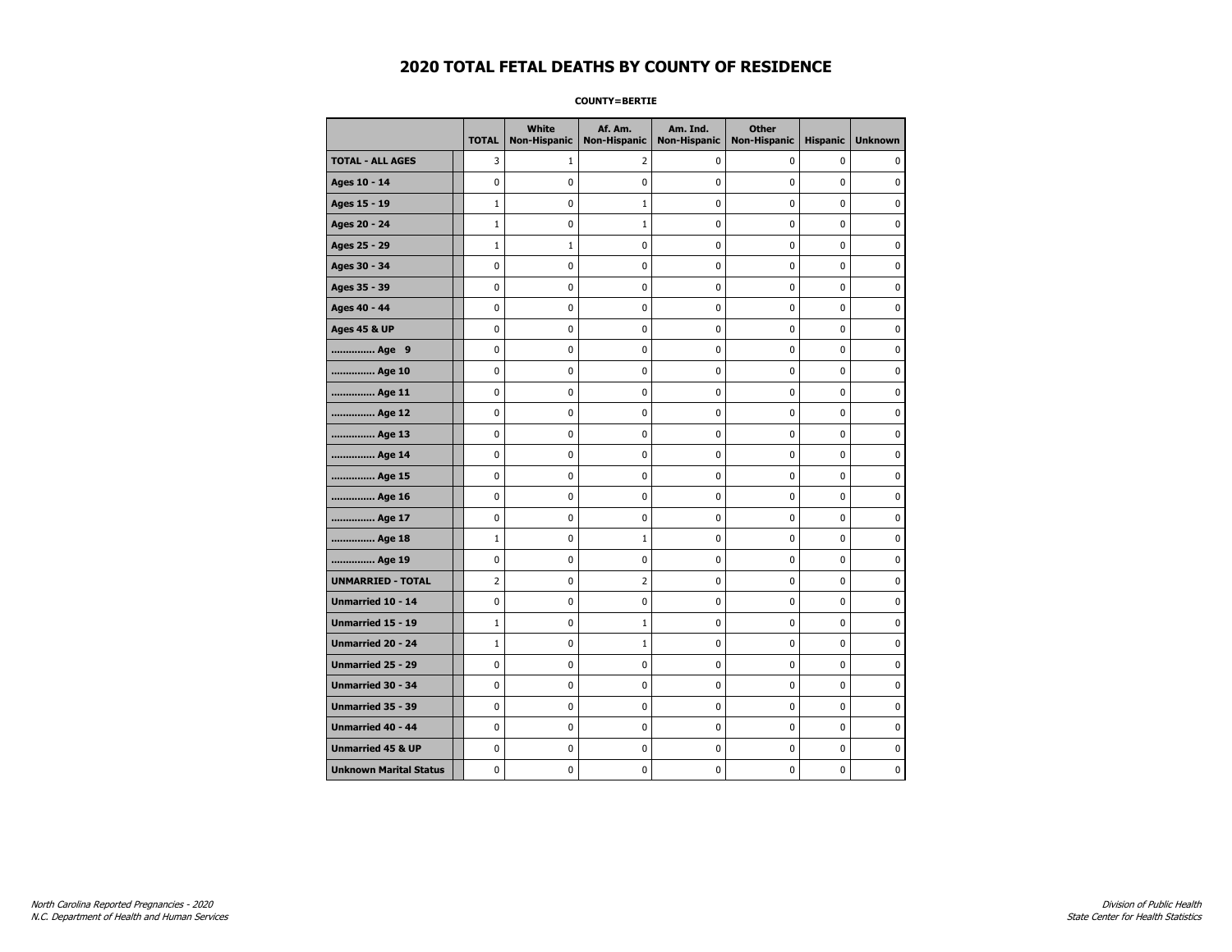**COUNTY=BERTIE** 

|                               | <b>TOTAL</b> | White<br><b>Non-Hispanic</b> | Af. Am.<br><b>Non-Hispanic</b> | Am. Ind.<br><b>Non-Hispanic</b> | <b>Other</b><br><b>Non-Hispanic</b> | <b>Hispanic</b> | <b>Unknown</b> |
|-------------------------------|--------------|------------------------------|--------------------------------|---------------------------------|-------------------------------------|-----------------|----------------|
| <b>TOTAL - ALL AGES</b>       | 3            | $\mathbf{1}$                 | 2                              | 0                               | 0                                   | 0               | 0              |
| Ages 10 - 14                  | 0            | 0                            | 0                              | 0                               | 0                                   | 0               | 0              |
| Ages 15 - 19                  | $\mathbf{1}$ | 0                            | $1\,$                          | 0                               | $\pmb{0}$                           | 0               | 0              |
| Ages 20 - 24                  | $\mathbf{1}$ | 0                            | $\mathbf 1$                    | 0                               | $\pmb{0}$                           | 0               | 0              |
| Ages 25 - 29                  | $\mathbf{1}$ | $\mathbf{1}$                 | 0                              | 0                               | 0                                   | 0               | $\mathbf 0$    |
| Ages 30 - 34                  | 0            | 0                            | 0                              | 0                               | $\pmb{0}$                           | 0               | $\mathbf 0$    |
| Ages 35 - 39                  | 0            | 0                            | 0                              | 0                               | 0                                   | 0               | $\mathbf 0$    |
| Ages 40 - 44                  | 0            | 0                            | $\pmb{0}$                      | 0                               | $\pmb{0}$                           | 0               | $\pmb{0}$      |
| <b>Ages 45 &amp; UP</b>       | 0            | 0                            | 0                              | 0                               | 0                                   | 0               | $\mathbf 0$    |
| Age 9                         | 0            | 0                            | 0                              | 0                               | 0                                   | 0               | $\mathbf 0$    |
| Age 10                        | 0            | 0                            | 0                              | 0                               | $\mathbf 0$                         | 0               | $\mathbf 0$    |
| Age 11                        | 0            | 0                            | $\pmb{0}$                      | 0                               | $\pmb{0}$                           | 0               | $\mathbf 0$    |
| Age 12                        | 0            | 0                            | 0                              | 0                               | 0                                   | 0               | 0              |
| Age 13                        | 0            | 0                            | 0                              | 0                               | 0                                   | 0               | $\mathbf 0$    |
| Age 14                        | 0            | 0                            | 0                              | 0                               | $\mathbf 0$                         | 0               | $\mathbf 0$    |
| Age 15                        | 0            | 0                            | $\pmb{0}$                      | 0                               | $\pmb{0}$                           | 0               | $\pmb{0}$      |
| Age 16                        | 0            | 0                            | 0                              | 0                               | 0                                   | 0               | 0              |
| Age 17                        | 0            | 0                            | 0                              | 0                               | 0                                   | 0               | 0              |
| Age 18                        | $\mathbf{1}$ | 0                            | $1\,$                          | 0                               | $\mathbf 0$                         | 0               | $\mathbf 0$    |
| Age 19                        | 0            | 0                            | $\pmb{0}$                      | 0                               | $\pmb{0}$                           | 0               | $\pmb{0}$      |
| <b>UNMARRIED - TOTAL</b>      | 2            | 0                            | $\overline{2}$                 | 0                               | 0                                   | 0               | 0              |
| Unmarried 10 - 14             | 0            | 0                            | $\pmb{0}$                      | 0                               | $\pmb{0}$                           | 0               | $\mathbf 0$    |
| <b>Unmarried 15 - 19</b>      | $\mathbf{1}$ | 0                            | $\mathbf{1}$                   | 0                               | 0                                   | 0               | $\mathbf 0$    |
| Unmarried 20 - 24             | $\mathbf{1}$ | 0                            | $1\,$                          | 0                               | $\pmb{0}$                           | 0               | $\pmb{0}$      |
| <b>Unmarried 25 - 29</b>      | 0            | 0                            | 0                              | 0                               | 0                                   | 0               | 0              |
| Unmarried 30 - 34             | 0            | 0                            | 0                              | 0                               | 0                                   | 0               | 0              |
| Unmarried 35 - 39             | 0            | 0                            | $\pmb{0}$                      | 0                               | $\pmb{0}$                           | 0               | $\mathbf 0$    |
| Unmarried 40 - 44             | 0            | 0                            | 0                              | 0                               | $\pmb{0}$                           | 0               | 0              |
| <b>Unmarried 45 &amp; UP</b>  | 0            | 0                            | 0                              | 0                               | $\pmb{0}$                           | 0               | $\pmb{0}$      |
| <b>Unknown Marital Status</b> | 0            | 0                            | 0                              | 0                               | 0                                   | 0               | $\mathbf 0$    |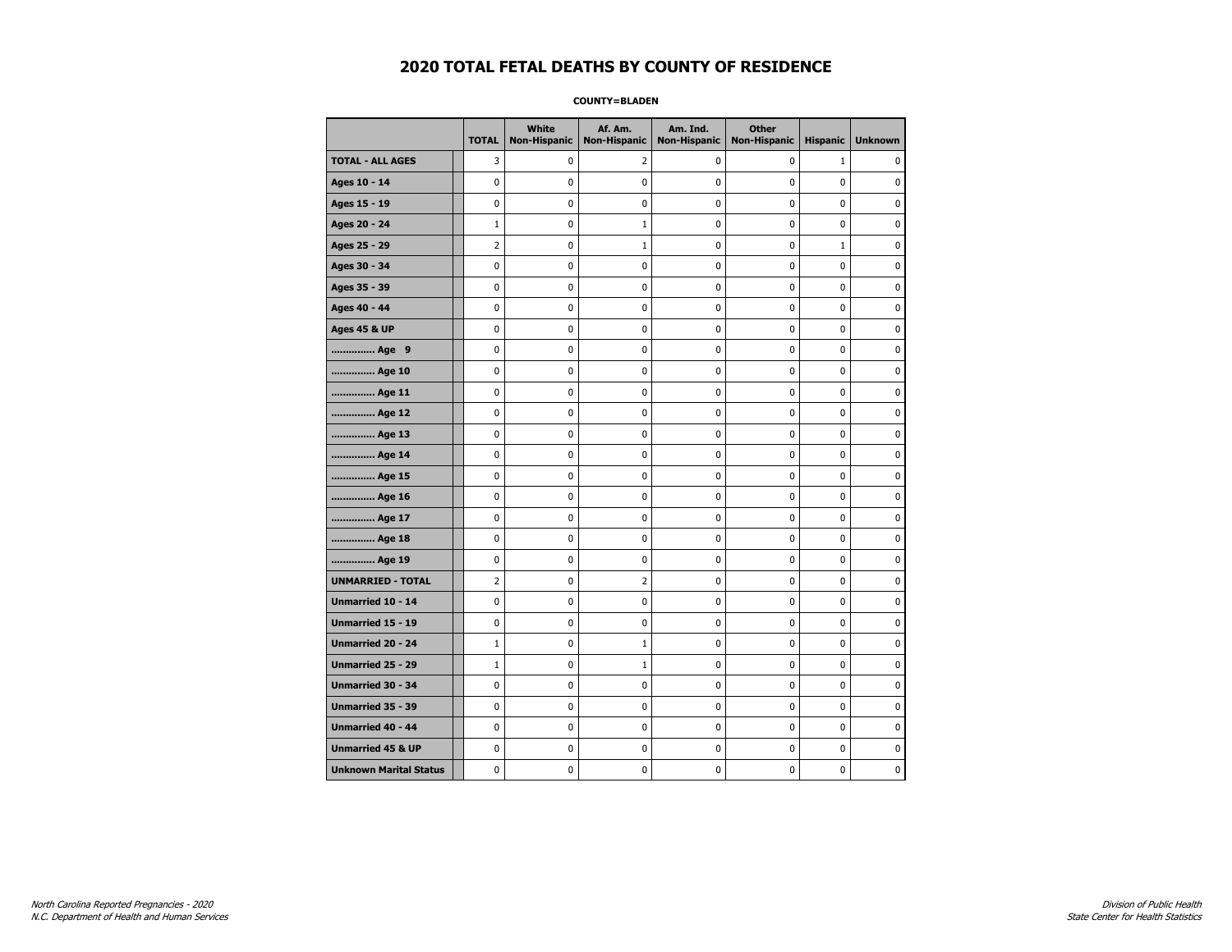**COUNTY=BLADEN** 

|                               | <b>TOTAL</b> | White<br>Non-Hispanic | Af. Am.<br><b>Non-Hispanic</b> | Am. Ind.<br><b>Non-Hispanic</b> | <b>Other</b><br>Non-Hispanic | <b>Hispanic</b> | <b>Unknown</b> |
|-------------------------------|--------------|-----------------------|--------------------------------|---------------------------------|------------------------------|-----------------|----------------|
| <b>TOTAL - ALL AGES</b>       | 3            | 0                     | 2                              | 0                               | 0                            | $\mathbf{1}$    | 0              |
| Ages 10 - 14                  | $\mathbf 0$  | 0                     | 0                              | $\pmb{0}$                       | $\mathbf 0$                  | $\mathbf 0$     | $\mathbf 0$    |
| Ages 15 - 19                  | 0            | 0                     | 0                              | $\mathbf 0$                     | $\mathbf 0$                  | 0               | 0              |
| Ages 20 - 24                  | $\mathbf{1}$ | 0                     | 1                              | 0                               | 0                            | 0               | $\pmb{0}$      |
| Ages 25 - 29                  | 2            | 0                     | 1                              | 0                               | $\mathbf 0$                  | $\mathbf{1}$    | 0              |
| Ages 30 - 34                  | $\mathbf 0$  | 0                     | 0                              | 0                               | $\mathbf 0$                  | 0               | 0              |
| Ages 35 - 39                  | 0            | 0                     | 0                              | 0                               | 0                            | 0               | 0              |
| Ages 40 - 44                  | $\mathbf{0}$ | $\mathbf{0}$          | 0                              | $\mathbf 0$                     | 0                            | $\mathbf{0}$    | $\mathbf 0$    |
| <b>Ages 45 &amp; UP</b>       | $\pmb{0}$    | 0                     | 0                              | 0                               | $\pmb{0}$                    | 0               | 0              |
| Age 9                         | $\mathbf 0$  | 0                     | 0                              | 0                               | 0                            | 0               | 0              |
| Age 10                        | 0            | 0                     | 0                              | 0                               | 0                            | 0               | 0              |
| Age 11                        | 0            | 0                     | 0                              | 0                               | 0                            | 0               | 0              |
| Age 12                        | $\mathbf 0$  | 0                     | $\mathbf 0$                    | $\mathbf 0$                     | $\mathbf 0$                  | 0               | $\mathbf 0$    |
| Age 13                        | $\pmb{0}$    | 0                     | $\pmb{0}$                      | 0                               | 0                            | 0               | 0              |
| Age 14                        | 0            | 0                     | 0                              | 0                               | 0                            | 0               | 0              |
| Age 15                        | $\mathbf 0$  | 0                     | 0                              | 0                               | $\mathbf 0$                  | 0               | $\mathbf 0$    |
| Age 16                        | $\mathbf 0$  | 0                     | 0                              | $\mathbf 0$                     | $\mathbf 0$                  | $\mathbf 0$     | $\mathbf 0$    |
| Age 17                        | 0            | 0                     | 0                              | 0                               | $\mathbf 0$                  | 0               | 0              |
| Age 18                        | 0            | $\mathbf 0$           | 0                              | $\pmb{0}$                       | $\mathbf 0$                  | 0               | $\mathbf 0$    |
| Age 19                        | 0            | 0                     | 0                              | 0                               | 0                            | 0               | 0              |
| <b>UNMARRIED - TOTAL</b>      | 2            | 0                     | 2                              | 0                               | 0                            | 0               | 0              |
| Unmarried 10 - 14             | 0            | 0                     | 0                              | 0                               | 0                            | 0               | $\mathbf 0$    |
| Unmarried 15 - 19             | $\pmb{0}$    | 0                     | 0                              | 0                               | 0                            | 0               | 0              |
| <b>Unmarried 20 - 24</b>      | $\mathbf{1}$ | 0                     | $\mathbf{1}$                   | 0                               | 0                            | 0               | 0              |
| Unmarried 25 - 29             | $\mathbf{1}$ | 0                     | 1                              | 0                               | 0                            | 0               | 0              |
| <b>Unmarried 30 - 34</b>      | 0            | 0                     | 0                              | 0                               | 0                            | 0               | 0              |
| <b>Unmarried 35 - 39</b>      | $\mathbf 0$  | 0                     | $\mathbf 0$                    | 0                               | $\mathbf 0$                  | 0               | $\mathbf 0$    |
| Unmarried 40 - 44             | $\pmb{0}$    | 0                     | 0                              | 0                               | $\pmb{0}$                    | 0               | 0              |
| <b>Unmarried 45 &amp; UP</b>  | 0            | 0                     | 0                              | 0                               | 0                            | 0               | 0              |
| <b>Unknown Marital Status</b> | 0            | 0                     | 0                              | 0                               | 0                            | 0               | 0              |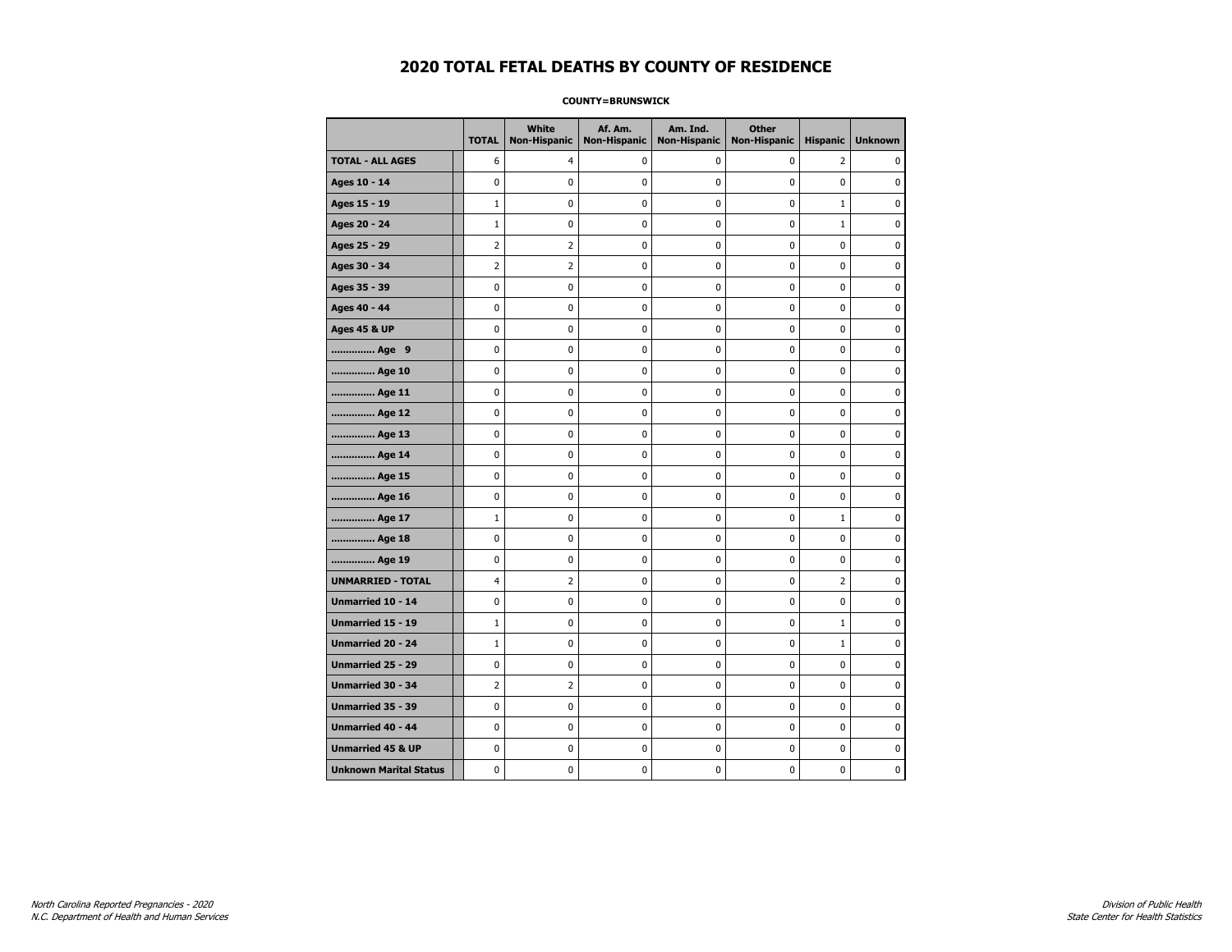### **COUNTY=BRUNSWICK**

|                               | <b>TOTAL</b>   | <b>White</b><br><b>Non-Hispanic</b> | Af. Am.<br><b>Non-Hispanic</b> | Am. Ind.<br><b>Non-Hispanic</b> | <b>Other</b><br><b>Non-Hispanic</b> | <b>Hispanic</b> | <b>Unknown</b> |
|-------------------------------|----------------|-------------------------------------|--------------------------------|---------------------------------|-------------------------------------|-----------------|----------------|
| <b>TOTAL - ALL AGES</b>       | 6              | 4                                   | 0                              | 0                               | 0                                   | $\overline{2}$  | 0              |
| Ages 10 - 14                  | 0              | 0                                   | 0                              | 0                               | 0                                   | 0               | $\mathbf 0$    |
| Ages 15 - 19                  | $\mathbf{1}$   | 0                                   | 0                              | 0                               | $\mathbf 0$                         | $\mathbf{1}$    | $\mathbf 0$    |
| Ages 20 - 24                  | $1\,$          | $\mathbf 0$                         | 0                              | 0                               | $\pmb{0}$                           | $\mathbf 1$     | $\mathbf 0$    |
| Ages 25 - 29                  | $\overline{2}$ | 2                                   | 0                              | 0                               | $\pmb{0}$                           | 0               | 0              |
| Ages 30 - 34                  | $\overline{2}$ | 2                                   | 0                              | 0                               | $\mathbf 0$                         | 0               | 0              |
| Ages 35 - 39                  | 0              | 0                                   | 0                              | 0                               | 0                                   | 0               | 0              |
| Ages 40 - 44                  | 0              | 0                                   | 0                              | 0                               | 0                                   | 0               | 0              |
| <b>Ages 45 &amp; UP</b>       | 0              | 0                                   | 0                              | 0                               | 0                                   | 0               | 0              |
| Age 9                         | 0              | 0                                   | 0                              | 0                               | 0                                   | 0               | $\mathbf 0$    |
| Age 10                        | 0              | 0                                   | 0                              | 0                               | $\mathbf 0$                         | 0               | $\mathbf 0$    |
| Age 11                        | 0              | 0                                   | 0                              | 0                               | $\pmb{0}$                           | 0               | 0              |
| Age 12                        | 0              | 0                                   | 0                              | 0                               | 0                                   | 0               | 0              |
| Age 13                        | 0              | 0                                   | 0                              | 0                               | 0                                   | 0               | 0              |
| Age 14                        | 0              | 0                                   | 0                              | 0                               | 0                                   | 0               | 0              |
| Age 15                        | 0              | 0                                   | 0                              | 0                               | 0                                   | 0               | 0              |
| Age 16                        | 0              | 0                                   | 0                              | 0                               | $\mathbf 0$                         | 0               | $\mathbf 0$    |
| Age 17                        | $\mathbf{1}$   | 0                                   | 0                              | 0                               | $\mathbf 0$                         | $\mathbf{1}$    | $\mathbf 0$    |
| Age 18                        | 0              | 0                                   | 0                              | 0                               | $\pmb{0}$                           | 0               | 0              |
| Age 19                        | 0              | 0                                   | 0                              | 0                               | $\pmb{0}$                           | 0               | 0              |
| <b>UNMARRIED - TOTAL</b>      | 4              | 2                                   | 0                              | 0                               | 0                                   | 2               | 0              |
| Unmarried 10 - 14             | 0              | 0                                   | 0                              | 0                               | 0                                   | 0               | $\mathbf 0$    |
| Unmarried 15 - 19             | $\mathbf{1}$   | 0                                   | 0                              | 0                               | $\pmb{0}$                           | $\mathbf{1}$    | 0              |
| Unmarried 20 - 24             | $\mathbf{1}$   | 0                                   | 0                              | 0                               | 0                                   | $\mathbf{1}$    | 0              |
| <b>Unmarried 25 - 29</b>      | 0              | 0                                   | 0                              | 0                               | 0                                   | 0               | $\mathbf 0$    |
| Unmarried 30 - 34             | $\overline{2}$ | $\overline{2}$                      | 0                              | 0                               | $\pmb{0}$                           | 0               | $\pmb{0}$      |
| Unmarried 35 - 39             | 0              | 0                                   | 0                              | 0                               | $\pmb{0}$                           | 0               | 0              |
| <b>Unmarried 40 - 44</b>      | 0              | 0                                   | 0                              | 0                               | $\pmb{0}$                           | 0               | $\mathbf 0$    |
| <b>Unmarried 45 &amp; UP</b>  | 0              | 0                                   | 0                              | 0                               | 0                                   | 0               | 0              |
| <b>Unknown Marital Status</b> | 0              | 0                                   | 0                              | 0                               | $\mathbf 0$                         | 0               | 0              |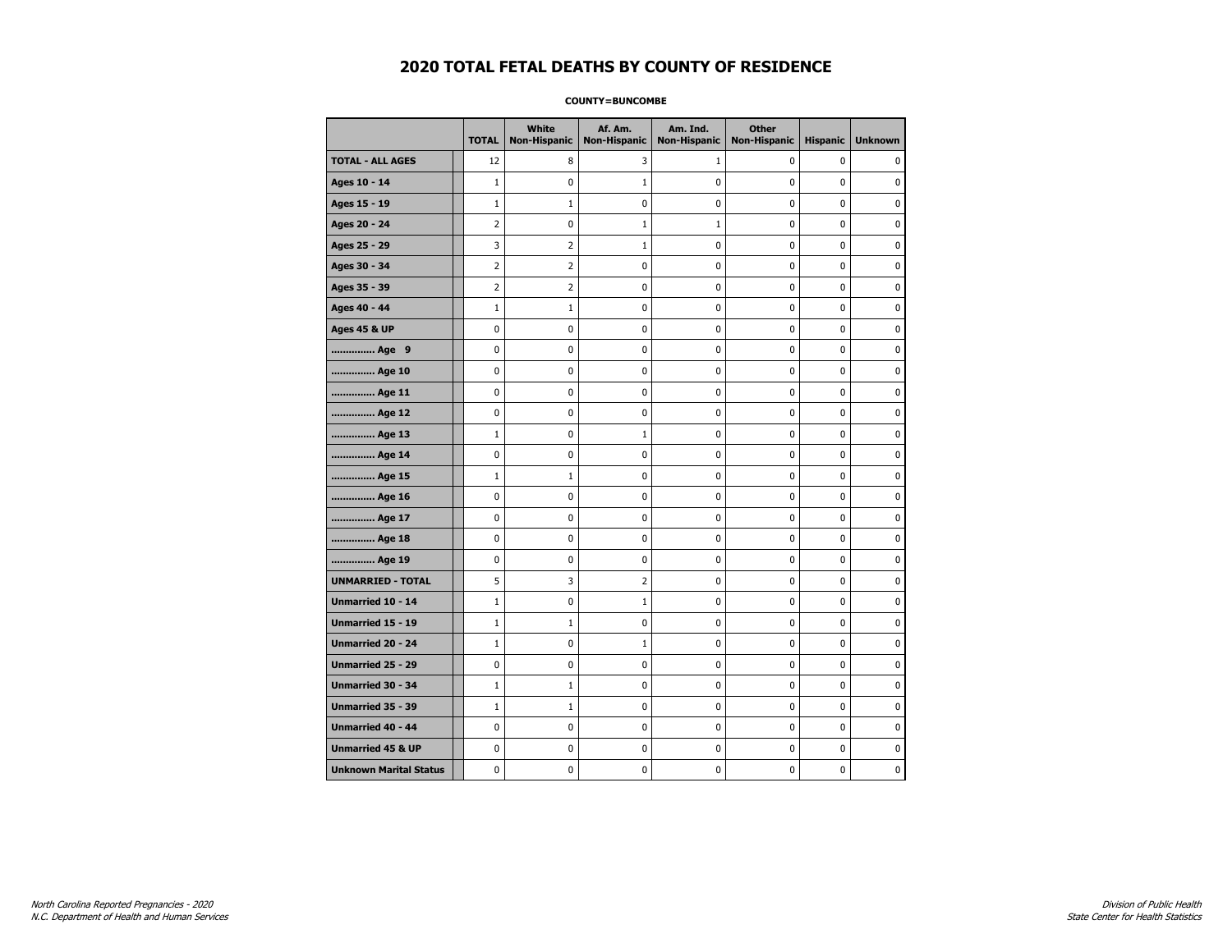#### **COUNTY=BUNCOMBE**

|                               | <b>TOTAL</b>   | White          | Af. Am.<br>Non-Hispanic   Non-Hispanic | Am. Ind.<br><b>Non-Hispanic</b> | <b>Other</b><br><b>Non-Hispanic</b> | <b>Hispanic</b> | <b>Unknown</b> |
|-------------------------------|----------------|----------------|----------------------------------------|---------------------------------|-------------------------------------|-----------------|----------------|
| <b>TOTAL - ALL AGES</b>       | 12             | 8              | 3                                      | $\mathbf{1}$                    | 0                                   | 0               | 0              |
| Ages 10 - 14                  | $\mathbf{1}$   | 0              | 1                                      | $\mathbf 0$                     | 0                                   | 0               | 0              |
| Ages 15 - 19                  | $\mathbf{1}$   | $\mathbf{1}$   | 0                                      | $\mathbf 0$                     | $\mathbf 0$                         | 0               | 0              |
| Ages 20 - 24                  | $\overline{2}$ | 0              | $\mathbf{1}$                           | $\mathbf{1}$                    | $\mathbf 0$                         | $\mathbf 0$     | 0              |
| Ages 25 - 29                  | 3              | $\overline{2}$ | $\mathbf{1}$                           | 0                               | $\pmb{0}$                           | 0               | 0              |
| Ages 30 - 34                  | $\overline{2}$ | 2              | 0                                      | 0                               | 0                                   | 0               | 0              |
| Ages 35 - 39                  | 2              | 2              | 0                                      | 0                               | 0                                   | 0               | 0              |
| Ages 40 - 44                  | $\mathbf{1}$   | 1              | 0                                      | 0                               | 0                                   | 0               | 0              |
| <b>Ages 45 &amp; UP</b>       | 0              | 0              | 0                                      | 0                               | 0                                   | 0               | 0              |
| Age 9                         | $\mathbf 0$    | 0              | 0                                      | $\mathbf 0$                     | $\mathbf 0$                         | 0               | 0              |
| Age 10                        | $\mathbf 0$    | 0              | 0                                      | $\mathbf 0$                     | $\mathbf 0$                         | 0               | $\mathbf 0$    |
| Age 11                        | $\pmb{0}$      | 0              | 0                                      | 0                               | $\pmb{0}$                           | 0               | 0              |
| Age 12                        | $\pmb{0}$      | 0              | 0                                      | 0                               | $\pmb{0}$                           | 0               | 0              |
| Age 13                        | $\mathbf{1}$   | 0              | 1                                      | $\mathbf 0$                     | $\mathbf 0$                         | $\mathbf 0$     | 0              |
| Age 14                        | 0              | 0              | 0                                      | 0                               | 0                                   | 0               | 0              |
| Age 15                        | $\mathbf{1}$   | $\mathbf{1}$   | 0                                      | 0                               | 0                                   | 0               | 0              |
| Age 16                        | $\mathbf 0$    | 0              | 0                                      | 0                               | 0                                   | $\mathbf 0$     | 0              |
| Age 17                        | $\mathbf 0$    | 0              | 0                                      | 0                               | 0                                   | 0               | 0              |
| Age 18                        | $\pmb{0}$      | 0              | $\pmb{0}$                              | 0                               | $\pmb{0}$                           | 0               | $\pmb{0}$      |
| Age 19                        | $\pmb{0}$      | 0              | 0                                      | 0                               | $\pmb{0}$                           | 0               | 0              |
| <b>UNMARRIED - TOTAL</b>      | 5              | 3              | 2                                      | 0                               | 0                                   | 0               | 0              |
| Unmarried 10 - 14             | $\mathbf{1}$   | 0              | 1                                      | 0                               | 0                                   | 0               | $\mathbf 0$    |
| Unmarried 15 - 19             | $\mathbf{1}$   | $\mathbf{1}$   | 0                                      | 0                               | $\mathbf 0$                         | 0               | 0              |
| Unmarried 20 - 24             | $\mathbf{1}$   | 0              | 1                                      | 0                               | 0                                   | 0               | 0              |
| <b>Unmarried 25 - 29</b>      | 0              | 0              | 0                                      | $\mathbf 0$                     | 0                                   | 0               | 0              |
| Unmarried 30 - 34             | $\mathbf 1$    | $\mathbf 1$    | $\bf{0}$                               | $\pmb{0}$                       | $\pmb{0}$                           | 0               | $\pmb{0}$      |
| Unmarried 35 - 39             | $\mathbf{1}$   | $1\,$          | 0                                      | $\pmb{0}$                       | $\pmb{0}$                           | 0               | 0              |
| <b>Unmarried 40 - 44</b>      | 0              | 0              | 0                                      | 0                               | 0                                   | 0               | $\mathbf 0$    |
| <b>Unmarried 45 &amp; UP</b>  | 0              | 0              | 0                                      | 0                               | 0                                   | 0               | 0              |
| <b>Unknown Marital Status</b> | 0              | 0              | 0                                      | 0                               | 0                                   | 0               | 0              |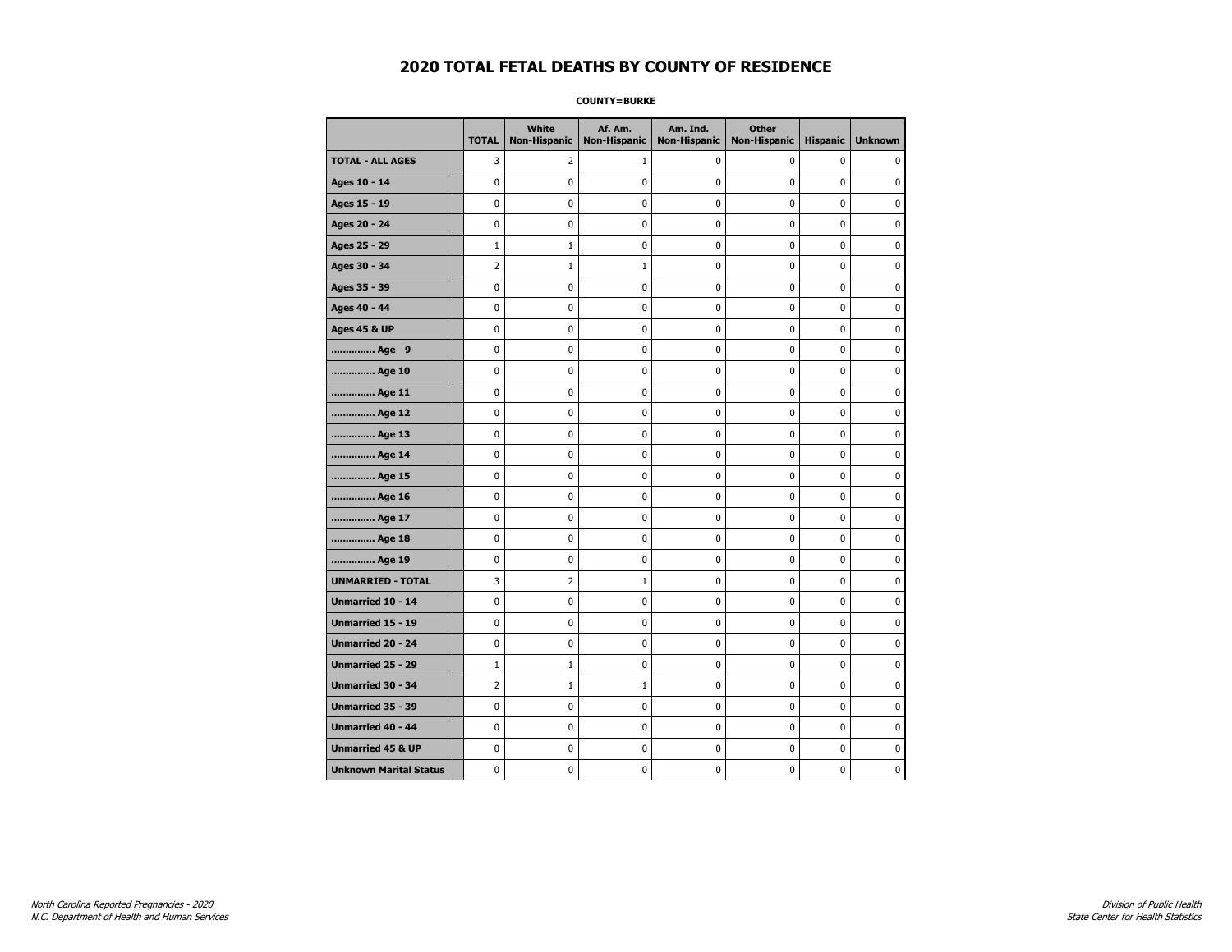**COUNTY=BURKE** 

|                               | <b>TOTAL</b>   | White<br><b>Non-Hispanic</b> | Af. Am.<br><b>Non-Hispanic</b> | Am. Ind.<br><b>Non-Hispanic</b> | <b>Other</b><br><b>Non-Hispanic</b> | <b>Hispanic</b> | <b>Unknown</b> |
|-------------------------------|----------------|------------------------------|--------------------------------|---------------------------------|-------------------------------------|-----------------|----------------|
| <b>TOTAL - ALL AGES</b>       | 3              | 2                            | 1                              | 0                               | 0                                   | 0               | 0              |
| Ages 10 - 14                  | 0              | 0                            | 0                              | $\mathbf 0$                     | 0                                   | 0               | 0              |
| Ages 15 - 19                  | 0              | 0                            | 0                              | 0                               | $\pmb{0}$                           | 0               | 0              |
| Ages 20 - 24                  | 0              | 0                            | 0                              | 0                               | 0                                   | 0               | 0              |
| Ages 25 - 29                  | $\mathbf{1}$   | 1                            | 0                              | 0                               | 0                                   | 0               | $\mathbf 0$    |
| Ages 30 - 34                  | $\overline{2}$ | $\mathbf{1}$                 | 1                              | 0                               | $\pmb{0}$                           | 0               | $\mathbf 0$    |
| Ages 35 - 39                  | 0              | 0                            | 0                              | 0                               | 0                                   | 0               | $\mathbf 0$    |
| Ages 40 - 44                  | 0              | 0                            | 0                              | 0                               | $\pmb{0}$                           | 0               | $\pmb{0}$      |
| <b>Ages 45 &amp; UP</b>       | 0              | 0                            | 0                              | 0                               | 0                                   | 0               | 0              |
| Age 9                         | 0              | 0                            | 0                              | 0                               | 0                                   | 0               | $\mathbf 0$    |
| Age 10                        | 0              | 0                            | 0                              | 0                               | $\mathbf 0$                         | 0               | $\mathbf 0$    |
| Age 11                        | 0              | 0                            | 0                              | 0                               | $\pmb{0}$                           | 0               | 0              |
| Age 12                        | 0              | 0                            | 0                              | 0                               | 0                                   | 0               | 0              |
| Age 13                        | 0              | 0                            | 0                              | 0                               | 0                                   | 0               | $\mathbf 0$    |
| Age 14                        | 0              | 0                            | 0                              | 0                               | $\pmb{0}$                           | 0               | $\mathbf 0$    |
| Age 15                        | 0              | 0                            | 0                              | 0                               | $\pmb{0}$                           | 0               | 0              |
| Age 16                        | 0              | 0                            | 0                              | 0                               | 0                                   | 0               | 0              |
| Age 17                        | 0              | 0                            | 0                              | 0                               | 0                                   | 0               | 0              |
| Age 18                        | 0              | 0                            | 0                              | 0                               | $\mathbf 0$                         | 0               | $\mathbf 0$    |
| Age 19                        | 0              | 0                            | 0                              | 0                               | $\pmb{0}$                           | 0               | 0              |
| <b>UNMARRIED - TOTAL</b>      | 3              | $\overline{2}$               | 1                              | 0                               | 0                                   | 0               | 0              |
| Unmarried 10 - 14             | 0              | 0                            | 0                              | 0                               | $\pmb{0}$                           | 0               | $\mathbf 0$    |
| <b>Unmarried 15 - 19</b>      | 0              | 0                            | 0                              | 0                               | 0                                   | 0               | $\mathbf 0$    |
| Unmarried 20 - 24             | 0              | 0                            | 0                              | 0                               | $\pmb{0}$                           | 0               | 0              |
| Unmarried 25 - 29             | $\mathbf{1}$   | $\mathbf{1}$                 | 0                              | 0                               | 0                                   | 0               | 0              |
| Unmarried 30 - 34             | $\overline{2}$ | 1                            | $\mathbf{1}$                   | 0                               | 0                                   | 0               | 0              |
| Unmarried 35 - 39             | 0              | $\mathbf 0$                  | 0                              | 0                               | $\pmb{0}$                           | 0               | $\mathbf 0$    |
| Unmarried 40 - 44             | 0              | 0                            | 0                              | 0                               | $\pmb{0}$                           | 0               | 0              |
| <b>Unmarried 45 &amp; UP</b>  | 0              | 0                            | 0                              | 0                               | $\pmb{0}$                           | 0               | 0              |
| <b>Unknown Marital Status</b> | 0              | 0                            | 0                              | 0                               | 0                                   | 0               | 0              |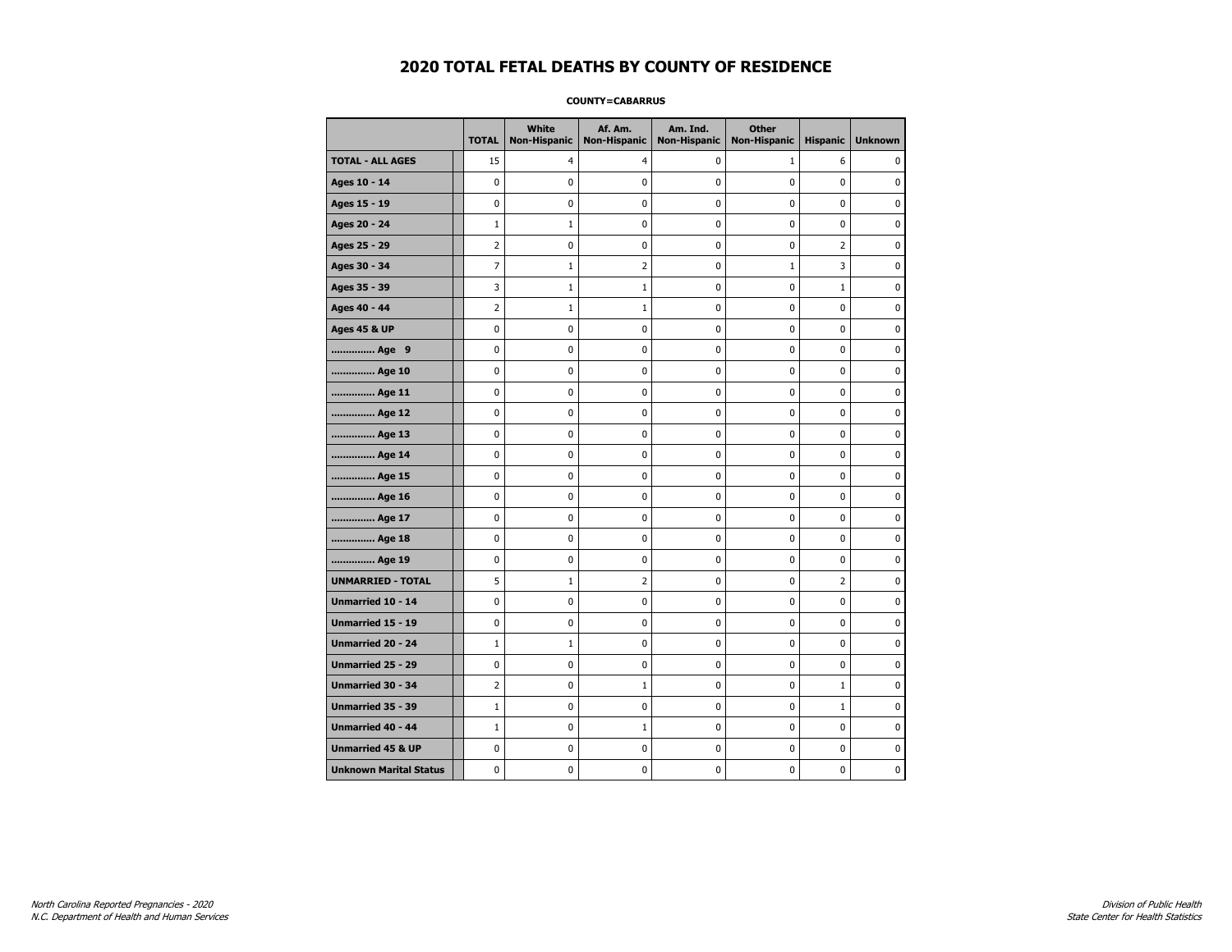### **COUNTY=CABARRUS**

|                               | <b>TOTAL</b>   | White<br><b>Non-Hispanic</b> | Af. Am.<br><b>Non-Hispanic</b> | Am. Ind.<br><b>Non-Hispanic</b> | <b>Other</b><br><b>Non-Hispanic</b> | <b>Hispanic</b> | <b>Unknown</b> |
|-------------------------------|----------------|------------------------------|--------------------------------|---------------------------------|-------------------------------------|-----------------|----------------|
| <b>TOTAL - ALL AGES</b>       | 15             | 4                            | 4                              | 0                               | $\mathbf{1}$                        | 6               | 0              |
| Ages 10 - 14                  | 0              | $\mathbf 0$                  | 0                              | 0                               | 0                                   | 0               | $\mathbf 0$    |
| Ages 15 - 19                  | 0              | $\Omega$                     | 0                              | 0                               | 0                                   | 0               | $\mathbf 0$    |
| Ages 20 - 24                  | $\mathbf 1$    | $\mathbf 1$                  | 0                              | 0                               | 0                                   | 0               | 0              |
| Ages 25 - 29                  | 2              | 0                            | 0                              | 0                               | 0                                   | $\overline{2}$  | 0              |
| Ages 30 - 34                  | 7              | $\mathbf{1}$                 | 2                              | 0                               | $1\,$                               | 3               | 0              |
| Ages 35 - 39                  | 3              | $1\,$                        | $\mathbf{1}$                   | 0                               | 0                                   | $\mathbf 1$     | $\mathbf 0$    |
| Ages 40 - 44                  | $\overline{2}$ | $\mathbf{1}$                 | 1                              | 0                               | 0                                   | 0               | $\mathbf 0$    |
| <b>Ages 45 &amp; UP</b>       | 0              | $\mathbf 0$                  | 0                              | 0                               | 0                                   | 0               | $\mathbf 0$    |
| Age 9                         | 0              | 0                            | $\pmb{0}$                      | 0                               | 0                                   | 0               | $\pmb{0}$      |
| Age 10                        | 0              | 0                            | 0                              | 0                               | 0                                   | 0               | 0              |
| Age 11                        | 0              | 0                            | 0                              | 0                               | 0                                   | 0               | $\mathbf 0$    |
| Age 12                        | 0              | 0                            | 0                              | 0                               | 0                                   | 0               | 0              |
| Age 13                        | 0              | $\mathbf 0$                  | 0                              | 0                               | 0                                   | 0               | $\mathbf 0$    |
| Age 14                        | 0              | $\mathbf 0$                  | 0                              | 0                               | 0                                   | 0               | $\mathbf 0$    |
| Age 15                        | 0              | 0                            | 0                              | 0                               | 0                                   | 0               | 0              |
| Age 16                        | 0              | 0                            | 0                              | 0                               | 0                                   | 0               | 0              |
| Age 17                        | 0              | $\mathbf 0$                  | 0                              | 0                               | 0                                   | 0               | $\mathbf 0$    |
| Age 18                        | 0              | 0                            | 0                              | 0                               | 0                                   | 0               | 0              |
| Age 19                        | 0              | $\mathbf 0$                  | 0                              | 0                               | 0                                   | 0               | $\mathbf 0$    |
| <b>UNMARRIED - TOTAL</b>      | 5              | $1\,$                        | $\overline{2}$                 | 0                               | 0                                   | $\overline{2}$  | $\pmb{0}$      |
| Unmarried 10 - 14             | 0              | 0                            | $\pmb{0}$                      | 0                               | 0                                   | 0               | $\pmb{0}$      |
| Unmarried 15 - 19             | 0              | 0                            | 0                              | 0                               | 0                                   | 0               | 0              |
| Unmarried 20 - 24             | $\mathbf{1}$   | $\mathbf{1}$                 | 0                              | 0                               | 0                                   | 0               | 0              |
| Unmarried 25 - 29             | 0              | $\mathbf 0$                  | 0                              | 0                               | 0                                   | 0               | $\mathbf 0$    |
| <b>Unmarried 30 - 34</b>      | $\overline{2}$ | $\mathbf 0$                  | $\mathbf{1}$                   | 0                               | 0                                   | $\mathbf 1$     | $\mathbf 0$    |
| Unmarried 35 - 39             | $1\,$          | 0                            | 0                              | 0                               | 0                                   | $\mathbf 1$     | 0              |
| Unmarried 40 - 44             | $1\,$          | 0                            | $\mathbf{1}$                   | 0                               | 0                                   | 0               | 0              |
| <b>Unmarried 45 &amp; UP</b>  | 0              | 0                            | 0                              | 0                               | 0                                   | 0               | 0              |
| <b>Unknown Marital Status</b> | 0              | 0                            | 0                              | 0                               | 0                                   | 0               | 0              |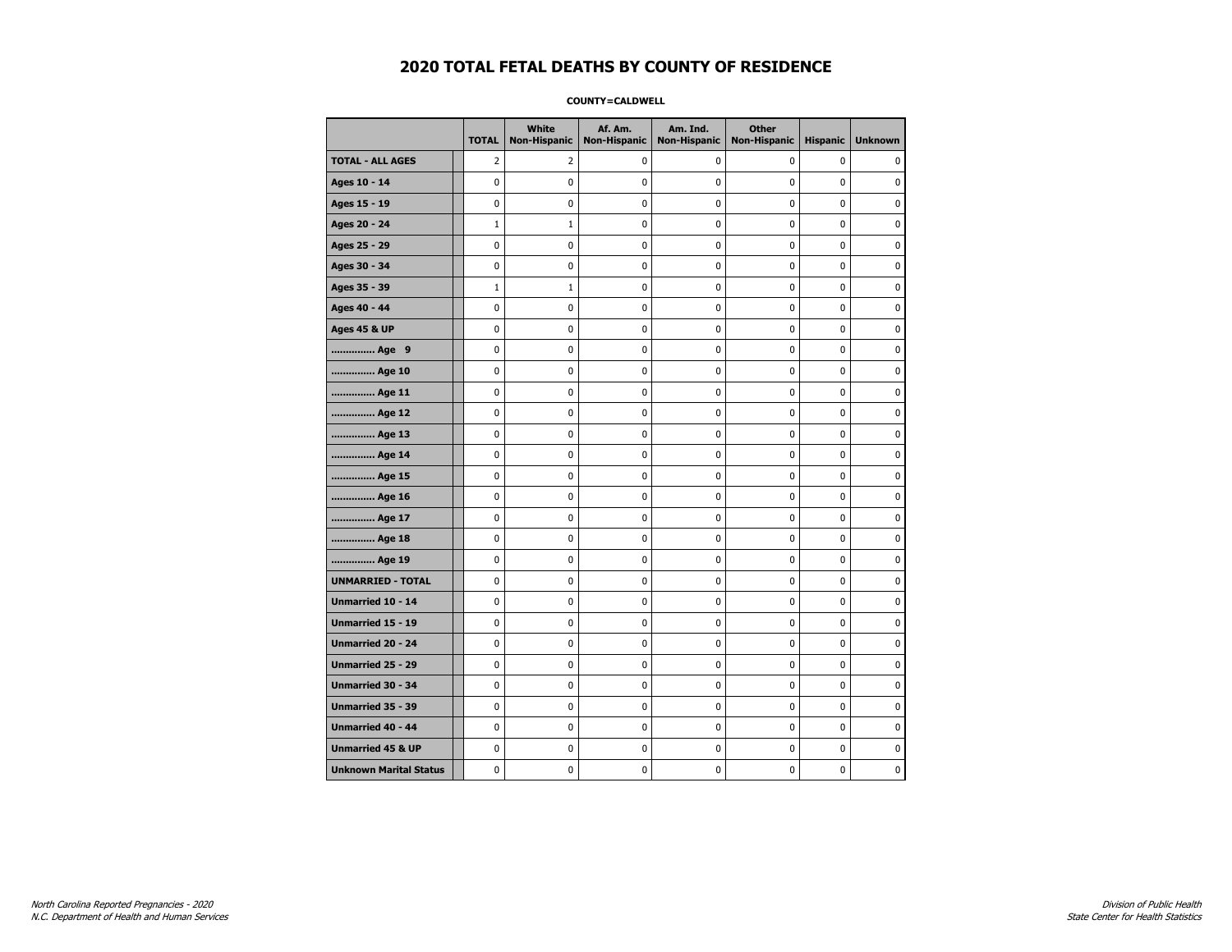### **COUNTY=CALDWELL**

|                               | <b>TOTAL</b>   | White<br><b>Non-Hispanic</b> | Af. Am.<br><b>Non-Hispanic</b> | Am. Ind.<br><b>Non-Hispanic</b> | <b>Other</b><br><b>Non-Hispanic</b> | <b>Hispanic</b> | <b>Unknown</b> |
|-------------------------------|----------------|------------------------------|--------------------------------|---------------------------------|-------------------------------------|-----------------|----------------|
| <b>TOTAL - ALL AGES</b>       | $\overline{2}$ | 2                            | 0                              | 0                               | 0                                   | 0               | 0              |
| Ages 10 - 14                  | 0              | 0                            | $\mathbf 0$                    | 0                               | 0                                   | $\mathbf 0$     | 0              |
| Ages 15 - 19                  | 0              | 0                            | $\mathbf 0$                    | $\mathbf 0$                     | 0                                   | $\mathbf 0$     | $\mathbf 0$    |
| Ages 20 - 24                  | $\mathbf 1$    | $\mathbf 1$                  | 0                              | 0                               | $\pmb{0}$                           | $\pmb{0}$       | 0              |
| Ages 25 - 29                  | 0              | 0                            | $\pmb{0}$                      | 0                               | 0                                   | 0               | 0              |
| Ages 30 - 34                  | 0              | 0                            | 0                              | 0                               | 0                                   | 0               | 0              |
| Ages 35 - 39                  | $\mathbf 1$    | $1\,$                        | $\mathbf 0$                    | 0                               | 0                                   | $\mathbf 0$     | 0              |
| Ages 40 - 44                  | 0              | 0                            | $\mathbf 0$                    | 0                               | 0                                   | $\mathbf 0$     | $\mathbf 0$    |
| <b>Ages 45 &amp; UP</b>       | 0              | 0                            | $\mathbf 0$                    | $\mathbf 0$                     | 0                                   | $\mathbf 0$     | 0              |
| Age 9                         | 0              | 0                            | $\mathbf 0$                    | $\pmb{0}$                       | 0                                   | 0               | $\pmb{0}$      |
| Age 10                        | 0              | 0                            | $\pmb{0}$                      | 0                               | 0                                   | 0               | 0              |
| Age 11                        | 0              | 0                            | 0                              | 0                               | 0                                   | $\mathbf 0$     | 0              |
| Age 12                        | 0              | 0                            | 0                              | 0                               | 0                                   | 0               | 0              |
| Age 13                        | 0              | 0                            | $\mathbf 0$                    | $\mathbf 0$                     | 0                                   | $\mathbf 0$     | $\mathbf 0$    |
| Age 14                        | 0              | 0                            | $\mathbf 0$                    | 0                               | $\mathbf 0$                         | $\mathbf 0$     | 0              |
| Age 15                        | 0              | 0                            | $\pmb{0}$                      | $\pmb{0}$                       | $\pmb{0}$                           | 0               | 0              |
| Age 16                        | 0              | 0                            | 0                              | 0                               | 0                                   | 0               | 0              |
| Age 17                        | 0              | 0                            | $\mathbf 0$                    | 0                               | 0                                   | $\mathbf 0$     | 0              |
| Age 18                        | 0              | 0                            | $\mathbf 0$                    | 0                               | 0                                   | 0               | 0              |
| Age 19                        | 0              | 0                            | $\mathbf 0$                    | $\mathbf 0$                     | 0                                   | $\mathbf 0$     | 0              |
| <b>UNMARRIED - TOTAL</b>      | $\mathbf 0$    | 0                            | 0                              | $\pmb{0}$                       | 0                                   | 0               | 0              |
| Unmarried 10 - 14             | 0              | 0                            | $\pmb{0}$                      | $\pmb{0}$                       | 0                                   | $\pmb{0}$       | $\pmb{0}$      |
| Unmarried 15 - 19             | 0              | 0                            | 0                              | 0                               | 0                                   | 0               | 0              |
| Unmarried 20 - 24             | 0              | 0                            | 0                              | 0                               | 0                                   | 0               | 0              |
| Unmarried 25 - 29             | 0              | 0                            | $\mathbf 0$                    | $\mathbf 0$                     | 0                                   | $\mathbf 0$     | 0              |
| <b>Unmarried 30 - 34</b>      | 0              | $\mathbf 0$                  | $\mathbf 0$                    | $\pmb{0}$                       | $\mathbf 0$                         | $\mathbf 0$     | 0              |
| Unmarried 35 - 39             | 0              | 0                            | 0                              | 0                               | 0                                   | 0               | 0              |
| Unmarried 40 - 44             | 0              | 0                            | 0                              | 0                               | 0                                   | 0               | $\mathbf 0$    |
| <b>Unmarried 45 &amp; UP</b>  | 0              | 0                            | 0                              | 0                               | 0                                   | 0               | 0              |
| <b>Unknown Marital Status</b> | 0              | $\mathbf 0$                  | $\mathbf 0$                    | $\mathbf 0$                     | 0                                   | $\mathbf 0$     | 0              |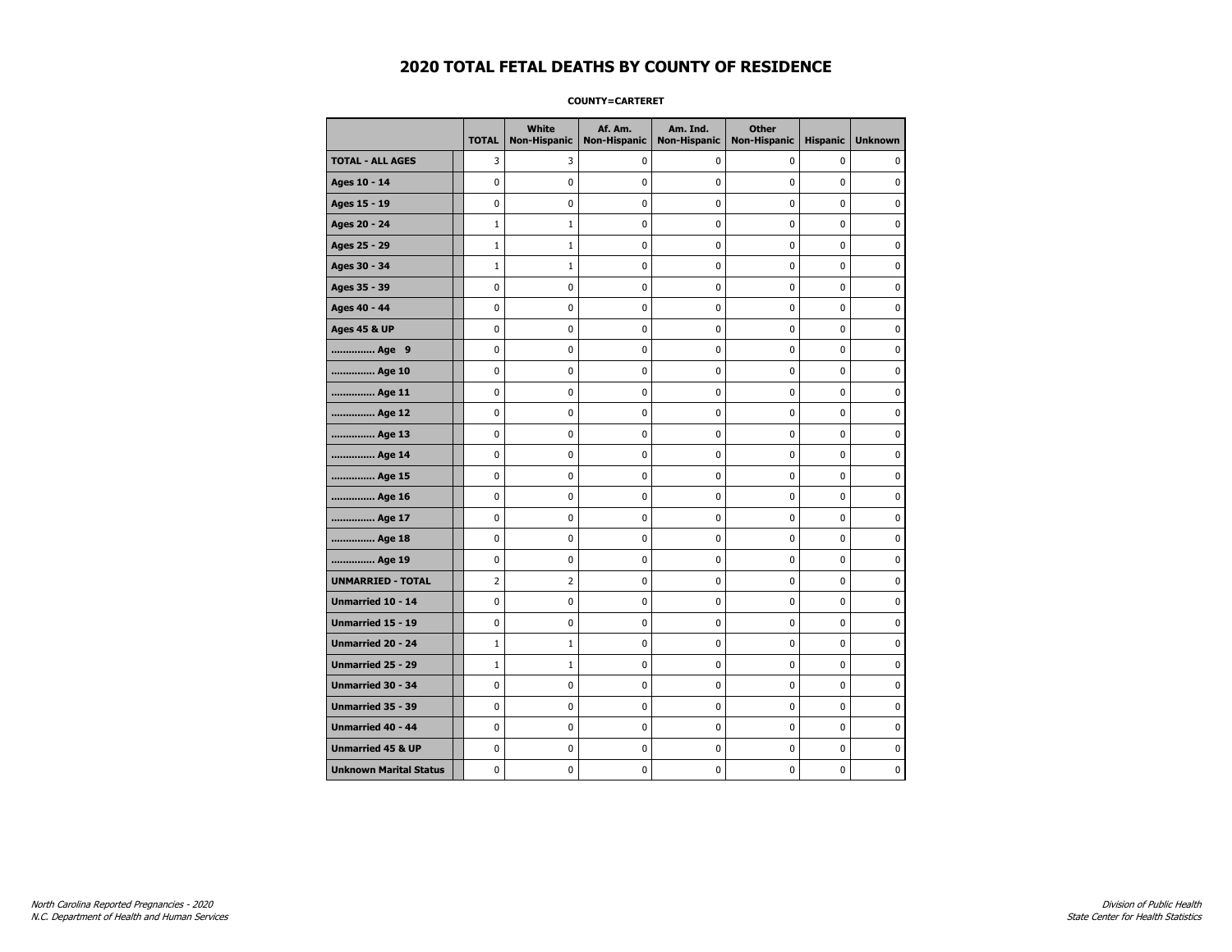### **COUNTY=CARTERET**

|                               | <b>TOTAL</b>   | White<br>Non-Hispanic | Af. Am.<br><b>Non-Hispanic</b> | Am. Ind.<br><b>Non-Hispanic</b> | <b>Other</b><br><b>Non-Hispanic</b> | <b>Hispanic</b> | <b>Unknown</b> |
|-------------------------------|----------------|-----------------------|--------------------------------|---------------------------------|-------------------------------------|-----------------|----------------|
| <b>TOTAL - ALL AGES</b>       | 3              | 3                     | $\mathbf 0$                    | 0                               | 0                                   | 0               | 0              |
| Ages 10 - 14                  | 0              | $\mathbf 0$           | $\pmb{0}$                      | 0                               | $\mathbf 0$                         | 0               | $\mathbf 0$    |
| Ages 15 - 19                  | 0              | 0                     | $\mathbf 0$                    | $\mathbf 0$                     | 0                                   | $\mathbf 0$     | 0              |
| Ages 20 - 24                  | $\mathbf{1}$   | $\mathbf{1}$          | $\mathbf 0$                    | $\mathbf 0$                     | 0                                   | $\mathbf 0$     | $\mathbf 0$    |
| Ages 25 - 29                  | $\mathbf 1$    | $\mathbf{1}$          | $\mathbf 0$                    | $\pmb{0}$                       | 0                                   | $\pmb{0}$       | $\pmb{0}$      |
| Ages 30 - 34                  | $\mathbf 1$    | $1\,$                 | $\pmb{0}$                      | $\pmb{0}$                       | 0                                   | 0               | 0              |
| Ages 35 - 39                  | 0              | 0                     | $\mathbf 0$                    | 0                               | 0                                   | 0               | 0              |
| Ages 40 - 44                  | 0              | 0                     | 0                              | 0                               | 0                                   | 0               | $\mathbf 0$    |
| <b>Ages 45 &amp; UP</b>       | 0              | 0                     | 0                              | 0                               | 0                                   | $\mathbf 0$     | 0              |
| Age 9                         | 0              | 0                     | 0                              | 0                               | 0                                   | 0               | 0              |
| Age 10                        | 0              | 0                     | $\mathbf 0$                    | $\mathbf 0$                     | 0                                   | 0               | $\mathbf 0$    |
| Age 11                        | 0              | 0                     | $\mathbf 0$                    | $\mathbf 0$                     | 0                                   | $\mathbf 0$     | 0              |
| Age 12                        | 0              | 0                     | $\pmb{0}$                      | 0                               | $\pmb{0}$                           | 0               | 0              |
| Age 13                        | 0              | 0                     | 0                              | 0                               | 0                                   | 0               | 0              |
| Age 14                        | 0              | 0                     | $\mathbf 0$                    | 0                               | 0                                   | $\mathbf 0$     | 0              |
| Age 15                        | 0              | 0                     | 0                              | 0                               | 0                                   | 0               | 0              |
| Age 16                        | 0              | 0                     | $\mathbf 0$                    | $\mathbf 0$                     | 0                                   | $\mathbf 0$     | 0              |
| Age 17                        | 0              | 0                     | $\mathbf 0$                    | $\mathbf 0$                     | 0                                   | 0               | 0              |
| Age 18                        | 0              | 0                     | $\mathbf 0$                    | $\mathbf 0$                     | 0                                   | $\mathbf 0$     | $\mathbf 0$    |
| Age 19                        | 0              | $\pmb{0}$             | $\mathbf 0$                    | $\pmb{0}$                       | $\pmb{0}$                           | $\pmb{0}$       | $\pmb{0}$      |
| <b>UNMARRIED - TOTAL</b>      | $\overline{2}$ | $\overline{2}$        | $\pmb{0}$                      | $\pmb{0}$                       | 0                                   | $\pmb{0}$       | 0              |
| Unmarried 10 - 14             | 0              | 0                     | $\mathbf 0$                    | $\mathbf 0$                     | 0                                   | 0               | 0              |
| Unmarried 15 - 19             | 0              | 0                     | 0                              | 0                               | 0                                   | 0               | 0              |
| Unmarried 20 - 24             | $\mathbf{1}$   | $\mathbf{1}$          | $\mathbf 0$                    | 0                               | 0                                   | 0               | 0              |
| Unmarried 25 - 29             | $\mathbf 1$    | $1\,$                 | $\mathbf 0$                    | $\mathbf 0$                     | 0                                   | 0               | $\pmb{0}$      |
| <b>Unmarried 30 - 34</b>      | $\mathbf 0$    | 0                     | $\mathbf 0$                    | $\mathbf 0$                     | 0                                   | 0               | 0              |
| Unmarried 35 - 39             | 0              | 0                     | $\mathbf 0$                    | $\pmb{0}$                       | 0                                   | $\pmb{0}$       | $\pmb{0}$      |
| Unmarried 40 - 44             | 0              | 0                     | 0                              | 0                               | 0                                   | 0               | 0              |
| <b>Unmarried 45 &amp; UP</b>  | 0              | 0                     | 0                              | 0                               | 0                                   | 0               | 0              |
| <b>Unknown Marital Status</b> | 0              | 0                     | 0                              | 0                               | 0                                   | 0               | 0              |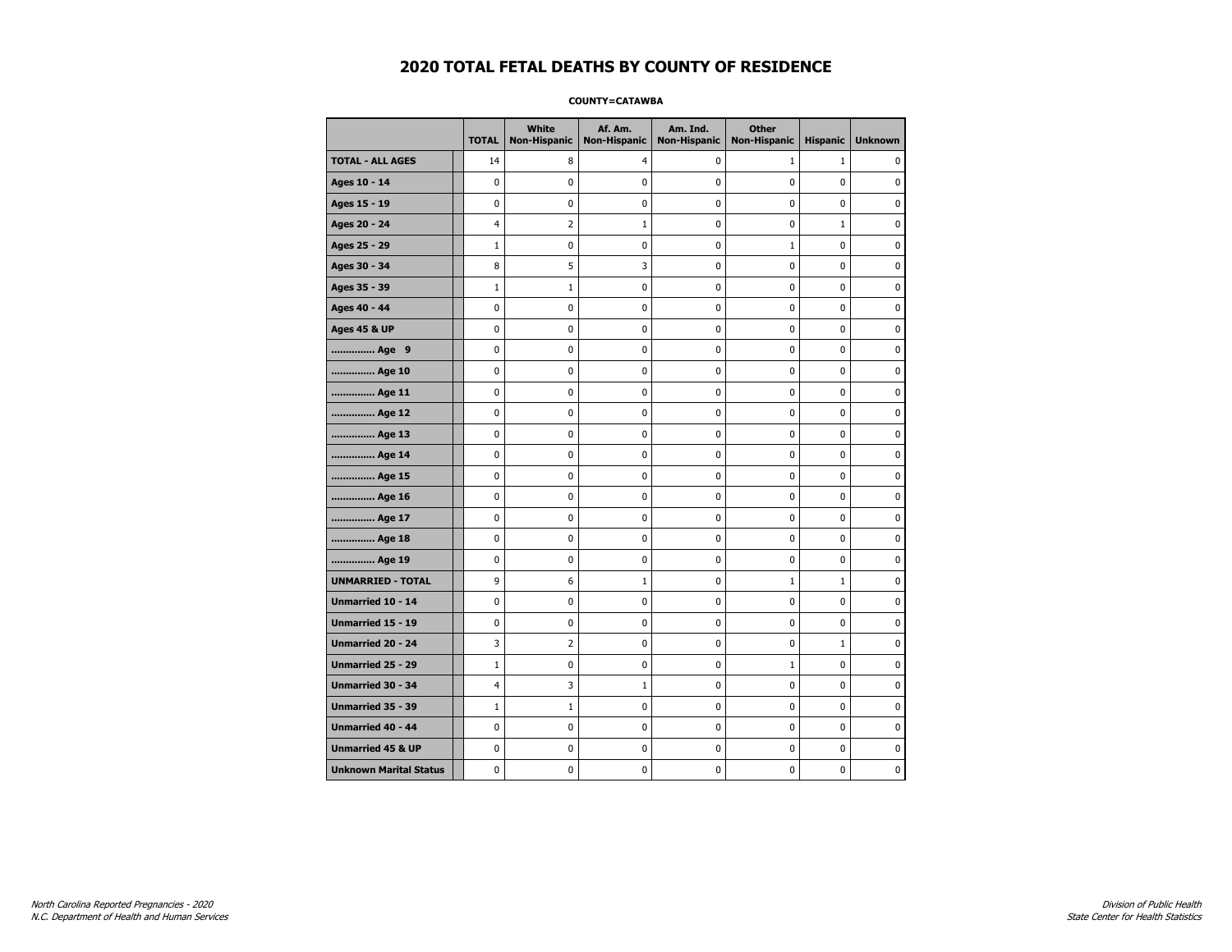### **COUNTY=CATAWBA**

|                               | <b>TOTAL</b>   | White<br><b>Non-Hispanic</b> | Af. Am.<br><b>Non-Hispanic</b> | Am. Ind.<br><b>Non-Hispanic</b> | <b>Other</b><br><b>Non-Hispanic</b> | <b>Hispanic</b> | <b>Unknown</b> |
|-------------------------------|----------------|------------------------------|--------------------------------|---------------------------------|-------------------------------------|-----------------|----------------|
| <b>TOTAL - ALL AGES</b>       | 14             | 8                            | 4                              | 0                               | 1                                   | $\mathbf{1}$    | 0              |
| Ages 10 - 14                  | $\mathbf 0$    | $\mathbf 0$                  | $\mathbf 0$                    | 0                               | $\mathbf 0$                         | $\mathbf 0$     | 0              |
| Ages 15 - 19                  | $\mathbf 0$    | 0                            | $\mathbf 0$                    | $\mathbf 0$                     | $\mathbf 0$                         | $\mathbf 0$     | 0              |
| Ages 20 - 24                  | $\overline{4}$ | $\overline{2}$               | $\mathbf{1}$                   | 0                               | $\mathbf 0$                         | $\mathbf 1$     | 0              |
| Ages 25 - 29                  | $\mathbf{1}$   | 0                            | $\pmb{0}$                      | 0                               | $\mathbf{1}$                        | 0               | 0              |
| Ages 30 - 34                  | 8              | 5                            | 3                              | 0                               | $\pmb{0}$                           | 0               | 0              |
| Ages 35 - 39                  | $\mathbf{1}$   | $\mathbf{1}$                 | 0                              | 0                               | $\mathbf 0$                         | $\mathbf 0$     | 0              |
| Ages 40 - 44                  | 0              | 0                            | 0                              | 0                               | 0                                   | 0               | 0              |
| <b>Ages 45 &amp; UP</b>       | $\mathbf 0$    | 0                            | $\mathbf 0$                    | 0                               | $\mathbf 0$                         | $\mathbf 0$     | 0              |
| Age 9                         | $\mathbf 0$    | 0                            | $\mathbf 0$                    | $\pmb{0}$                       | $\mathbf 0$                         | $\mathbf 0$     | 0              |
| Age 10                        | $\mathbf 0$    | 0                            | $\mathbf 0$                    | $\mathbf 0$                     | $\mathbf 0$                         | $\mathbf 0$     | 0              |
| Age 11                        | $\pmb{0}$      | $\pmb{0}$                    | $\pmb{0}$                      | $\pmb{0}$                       | $\pmb{0}$                           | $\pmb{0}$       | 0              |
| Age 12                        | $\pmb{0}$      | 0                            | $\pmb{0}$                      | 0                               | 0                                   | 0               | 0              |
| Age 13                        | $\mathbf 0$    | 0                            | $\mathbf 0$                    | 0                               | $\mathbf 0$                         | $\mathbf 0$     | 0              |
| Age 14                        | 0              | 0                            | $\pmb{0}$                      | 0                               | 0                                   | 0               | 0              |
| Age 15                        | $\mathbf 0$    | 0                            | $\pmb{0}$                      | 0                               | 0                                   | 0               | 0              |
| Age 16                        | $\mathbf 0$    | 0                            | $\mathbf 0$                    | $\mathbf 0$                     | $\mathbf 0$                         | $\mathbf 0$     | 0              |
| Age 17                        | $\mathbf 0$    | 0                            | $\mathbf 0$                    | $\mathbf 0$                     | $\mathbf 0$                         | $\mathbf 0$     | 0              |
| Age 18                        | $\mathbf 0$    | 0                            | $\mathbf 0$                    | $\mathbf 0$                     | $\mathbf 0$                         | $\mathbf 0$     | 0              |
| Age 19                        | $\pmb{0}$      | 0                            | $\pmb{0}$                      | $\pmb{0}$                       | $\pmb{0}$                           | 0               | 0              |
| <b>UNMARRIED - TOTAL</b>      | 9              | 6                            | $\mathbf{1}$                   | 0                               | $\mathbf{1}$                        | $\mathbf 1$     | 0              |
| Unmarried 10 - 14             | $\mathbf 0$    | 0                            | $\mathbf 0$                    | $\mathbf 0$                     | $\mathbf 0$                         | $\mathbf 0$     | 0              |
| Unmarried 15 - 19             | 0              | 0                            | 0                              | 0                               | 0                                   | 0               | 0              |
| Unmarried 20 - 24             | 3              | $\overline{2}$               | 0                              | 0                               | 0                                   | $\mathbf{1}$    | 0              |
| <b>Unmarried 25 - 29</b>      | $\mathbf{1}$   | 0                            | $\mathbf 0$                    | $\mathbf 0$                     | $\mathbf{1}$                        | $\mathbf 0$     | 0              |
| Unmarried 30 - 34             | $\overline{4}$ | 3                            | $\mathbf{1}$                   | $\pmb{0}$                       | $\pmb{0}$                           | 0               | 0              |
| Unmarried 35 - 39             | $1\,$          | $1\,$                        | $\pmb{0}$                      | $\pmb{0}$                       | $\pmb{0}$                           | $\pmb{0}$       | $\pmb{0}$      |
| Unmarried 40 - 44             | 0              | 0                            | 0                              | 0                               | 0                                   | 0               | 0              |
| <b>Unmarried 45 &amp; UP</b>  | $\mathbf 0$    | 0                            | 0                              | 0                               | $\mathbf 0$                         | $\mathbf 0$     | 0              |
| <b>Unknown Marital Status</b> | $\mathbf 0$    | 0                            | $\pmb{0}$                      | 0                               | $\mathbf 0$                         | 0               | 0              |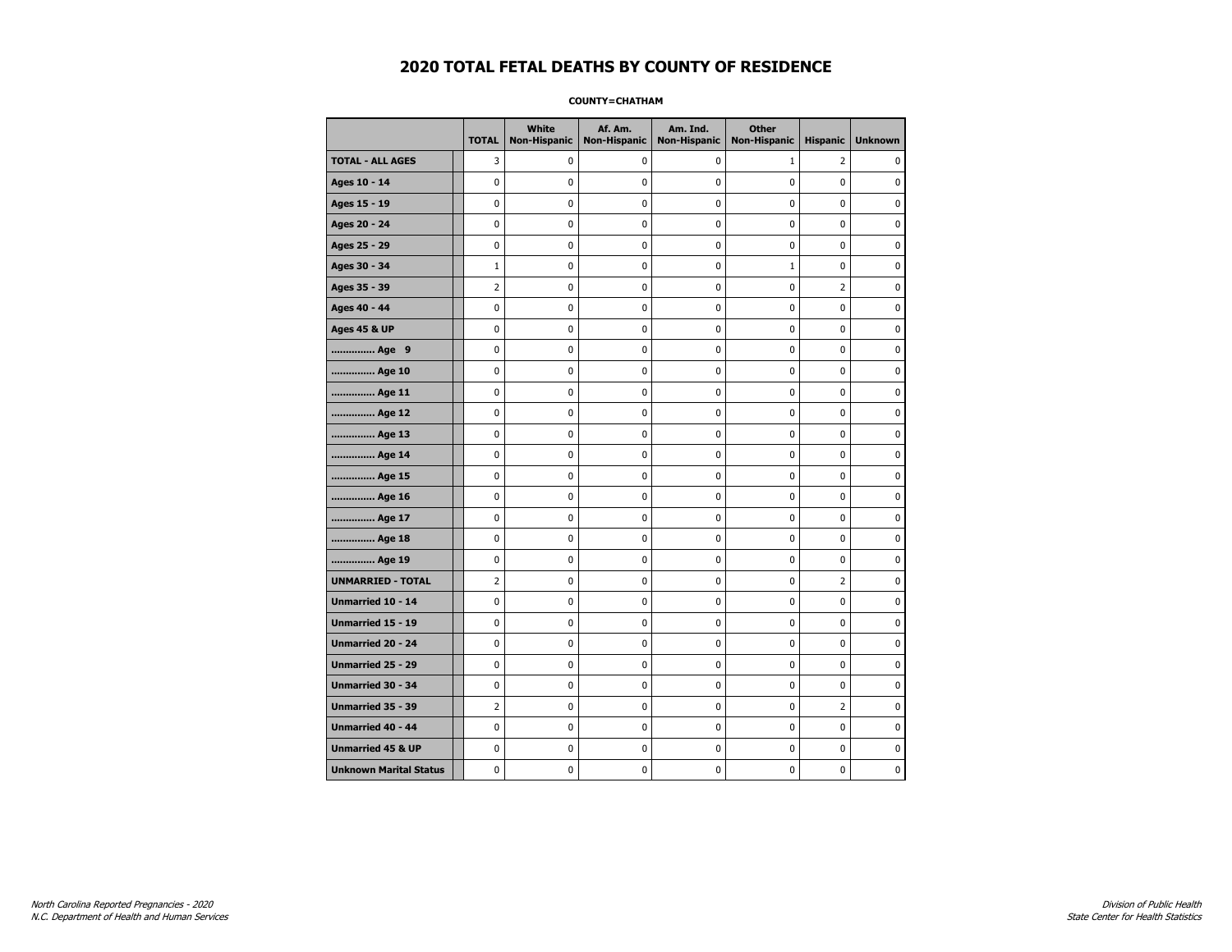### **COUNTY=CHATHAM**

|                               | <b>TOTAL</b>   | White<br><b>Non-Hispanic</b> | Af. Am.<br><b>Non-Hispanic</b> | Am. Ind.<br><b>Non-Hispanic</b> | <b>Other</b><br><b>Non-Hispanic</b> | <b>Hispanic</b> | <b>Unknown</b> |
|-------------------------------|----------------|------------------------------|--------------------------------|---------------------------------|-------------------------------------|-----------------|----------------|
| <b>TOTAL - ALL AGES</b>       | 3              | 0                            | 0                              | 0                               | 1                                   | 2               | 0              |
| Ages 10 - 14                  | $\mathbf 0$    | $\mathbf 0$                  | $\pmb{0}$                      | 0                               | $\mathbf 0$                         | 0               | 0              |
| Ages 15 - 19                  | $\mathbf 0$    | 0                            | $\mathbf 0$                    | $\mathbf 0$                     | $\mathbf 0$                         | $\mathbf 0$     | 0              |
| Ages 20 - 24                  | $\mathbf 0$    | 0                            | $\mathbf 0$                    | 0                               | $\mathbf 0$                         | $\mathbf 0$     | 0              |
| Ages 25 - 29                  | $\pmb{0}$      | 0                            | $\pmb{0}$                      | 0                               | $\pmb{0}$                           | 0               | 0              |
| Ages 30 - 34                  | $1\,$          | 0                            | $\pmb{0}$                      | 0                               | $\mathbf{1}$                        | 0               | 0              |
| Ages 35 - 39                  | $\overline{2}$ | 0                            | 0                              | 0                               | $\mathbf 0$                         | $\overline{2}$  | 0              |
| Ages 40 - 44                  | 0              | 0                            | 0                              | 0                               | 0                                   | 0               | 0              |
| <b>Ages 45 &amp; UP</b>       | $\mathbf 0$    | 0                            | $\mathbf 0$                    | 0                               | $\mathbf 0$                         | $\mathbf 0$     | 0              |
| Age 9                         | $\mathbf 0$    | 0                            | $\mathbf 0$                    | $\pmb{0}$                       | $\mathbf 0$                         | $\mathbf 0$     | 0              |
| Age 10                        | $\mathbf 0$    | 0                            | $\mathbf 0$                    | $\mathbf 0$                     | $\mathbf 0$                         | $\mathbf 0$     | 0              |
| Age 11                        | $\pmb{0}$      | $\pmb{0}$                    | $\pmb{0}$                      | $\pmb{0}$                       | $\pmb{0}$                           | $\pmb{0}$       | 0              |
| Age 12                        | $\pmb{0}$      | 0                            | $\pmb{0}$                      | 0                               | 0                                   | 0               | 0              |
| Age 13                        | $\mathbf 0$    | 0                            | $\mathbf 0$                    | 0                               | $\mathbf 0$                         | $\mathbf 0$     | 0              |
| Age 14                        | 0              | 0                            | $\pmb{0}$                      | 0                               | 0                                   | 0               | 0              |
| Age 15                        | $\mathbf 0$    | 0                            | $\pmb{0}$                      | 0                               | 0                                   | 0               | 0              |
| Age 16                        | $\mathbf 0$    | 0                            | $\mathbf 0$                    | $\mathbf 0$                     | $\mathbf 0$                         | $\mathbf 0$     | 0              |
| Age 17                        | $\mathbf 0$    | 0                            | $\mathbf 0$                    | $\mathbf 0$                     | $\mathbf 0$                         | $\mathbf 0$     | 0              |
| Age 18                        | $\mathbf 0$    | 0                            | $\mathbf 0$                    | $\mathbf 0$                     | $\mathbf 0$                         | $\mathbf 0$     | 0              |
| Age 19                        | $\pmb{0}$      | 0                            | $\pmb{0}$                      | $\pmb{0}$                       | $\pmb{0}$                           | 0               | 0              |
| <b>UNMARRIED - TOTAL</b>      | $\overline{2}$ | 0                            | $\pmb{0}$                      | 0                               | $\mathbf 0$                         | $\overline{2}$  | 0              |
| Unmarried 10 - 14             | $\mathbf 0$    | 0                            | $\mathbf 0$                    | $\mathbf 0$                     | $\mathbf 0$                         | $\mathbf 0$     | 0              |
| Unmarried 15 - 19             | 0              | 0                            | 0                              | 0                               | 0                                   | 0               | 0              |
| Unmarried 20 - 24             | $\mathbf 0$    | 0                            | 0                              | 0                               | 0                                   | 0               | 0              |
| <b>Unmarried 25 - 29</b>      | $\mathbf 0$    | 0                            | $\mathbf 0$                    | $\mathbf 0$                     | $\mathbf 0$                         | $\mathbf 0$     | 0              |
| Unmarried 30 - 34             | $\pmb{0}$      | 0                            | $\pmb{0}$                      | $\pmb{0}$                       | $\pmb{0}$                           | 0               | 0              |
| Unmarried 35 - 39             | $\overline{2}$ | $\pmb{0}$                    | $\pmb{0}$                      | $\pmb{0}$                       | $\pmb{0}$                           | $\overline{2}$  | $\pmb{0}$      |
| Unmarried 40 - 44             | 0              | 0                            | 0                              | 0                               | 0                                   | 0               | 0              |
| <b>Unmarried 45 &amp; UP</b>  | $\mathbf 0$    | 0                            | 0                              | 0                               | $\mathbf 0$                         | $\mathbf 0$     | 0              |
| <b>Unknown Marital Status</b> | $\mathbf 0$    | 0                            | $\pmb{0}$                      | 0                               | $\mathbf 0$                         | 0               | 0              |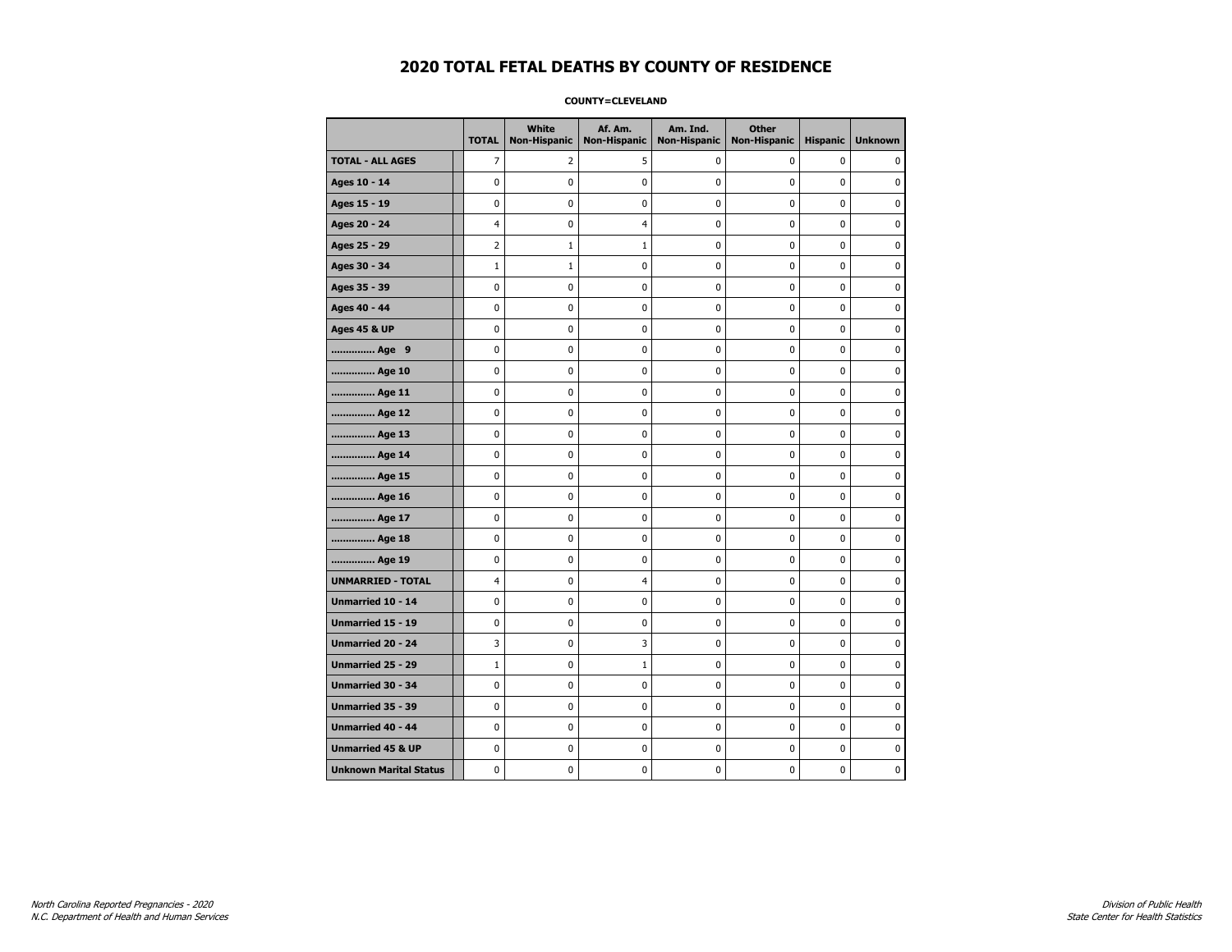### **COUNTY=CLEVELAND**

|                               | <b>TOTAL</b>   | White<br><b>Non-Hispanic</b> | Af. Am.<br><b>Non-Hispanic</b> | Am. Ind.<br><b>Non-Hispanic</b> | <b>Other</b><br><b>Non-Hispanic</b> | <b>Hispanic</b> | <b>Unknown</b> |
|-------------------------------|----------------|------------------------------|--------------------------------|---------------------------------|-------------------------------------|-----------------|----------------|
| <b>TOTAL - ALL AGES</b>       | $\overline{7}$ | 2                            | 5                              | 0                               | 0                                   | 0               | 0              |
| Ages 10 - 14                  | 0              | 0                            | $\mathbf 0$                    | $\mathbf 0$                     | 0                                   | $\mathbf 0$     | 0              |
| Ages 15 - 19                  | 0              | $\mathbf 0$                  | $\mathbf 0$                    | 0                               | 0                                   | $\mathbf 0$     | $\mathbf 0$    |
| Ages 20 - 24                  | 4              | 0                            | $\overline{4}$                 | 0                               | 0                                   | $\pmb{0}$       | 0              |
| Ages 25 - 29                  | 2              | 1                            | 1                              | 0                               | 0                                   | 0               | 0              |
| Ages 30 - 34                  | $\mathbf 1$    | $1\,$                        | $\mathbf 0$                    | $\mathbf 0$                     | 0                                   | 0               | 0              |
| Ages 35 - 39                  | $\mathbf 0$    | $\mathbf 0$                  | $\mathbf 0$                    | $\mathbf 0$                     | 0                                   | $\mathbf 0$     | 0              |
| Ages 40 - 44                  | 0              | 0                            | $\mathbf 0$                    | 0                               | $\mathbf 0$                         | 0               | $\pmb{0}$      |
| <b>Ages 45 &amp; UP</b>       | 0              | 0                            | 0                              | 0                               | 0                                   | 0               | 0              |
| Age 9                         | 0              | 0                            | 0                              | 0                               | 0                                   | $\mathbf 0$     | 0              |
| Age 10                        | 0              | 0                            | $\mathbf 0$                    | 0                               | 0                                   | $\mathbf 0$     | $\mathbf 0$    |
| Age 11                        | 0              | 0                            | $\mathbf 0$                    | $\mathbf 0$                     | $\mathbf 0$                         | $\mathbf 0$     | $\mathbf 0$    |
| Age 12                        | 0              | 0                            | 0                              | 0                               | 0                                   | 0               | 0              |
| Age 13                        | 0              | 0                            | $\mathbf 0$                    | $\mathbf 0$                     | 0                                   | 0               | 0              |
| Age 14                        | 0              | 0                            | 0                              | 0                               | 0                                   | 0               | 0              |
| Age 15                        | 0              | 0                            | $\mathbf 0$                    | 0                               | 0                                   | 0               | 0              |
| Age 16                        | 0              | 0                            | $\mathbf 0$                    | $\mathbf 0$                     | 0                                   | 0               | $\mathbf 0$    |
| Age 17                        | 0              | $\pmb{0}$                    | $\mathbf 0$                    | $\pmb{0}$                       | 0                                   | 0               | 0              |
| Age 18                        | 0              | 0                            | 0                              | 0                               | 0                                   | 0               | 0              |
| Age 19                        | 0              | 0                            | $\mathbf 0$                    | 0                               | 0                                   | 0               | 0              |
| <b>UNMARRIED - TOTAL</b>      | 4              | 0                            | $\overline{4}$                 | 0                               | 0                                   | $\mathbf 0$     | $\mathbf 0$    |
| Unmarried 10 - 14             | 0              | 0                            | $\mathbf 0$                    | $\mathbf 0$                     | 0                                   | $\mathbf 0$     | $\mathbf 0$    |
| Unmarried 15 - 19             | 0              | 0                            | 0                              | $\pmb{0}$                       | $\pmb{0}$                           | 0               | 0              |
| Unmarried 20 - 24             | 3              | 0                            | 3                              | 0                               | 0                                   | 0               | 0              |
| Unmarried 25 - 29             | $1\,$          | 0                            | 1                              | 0                               | 0                                   | $\pmb{0}$       | 0              |
| <b>Unmarried 30 - 34</b>      | 0              | 0                            | $\mathbf 0$                    | $\mathbf 0$                     | 0                                   | $\mathbf 0$     | 0              |
| Unmarried 35 - 39             | 0              | 0                            | 0                              | 0                               | 0                                   | 0               | 0              |
| Unmarried 40 - 44             | 0              | $\mathbf 0$                  | $\mathbf 0$                    | $\pmb{0}$                       | 0                                   | 0               | $\mathbf 0$    |
| <b>Unmarried 45 &amp; UP</b>  | 0              | 0                            | 0                              | 0                               | 0                                   | 0               | 0              |
| <b>Unknown Marital Status</b> | 0              | 0                            | $\pmb{0}$                      | 0                               | 0                                   | 0               | 0              |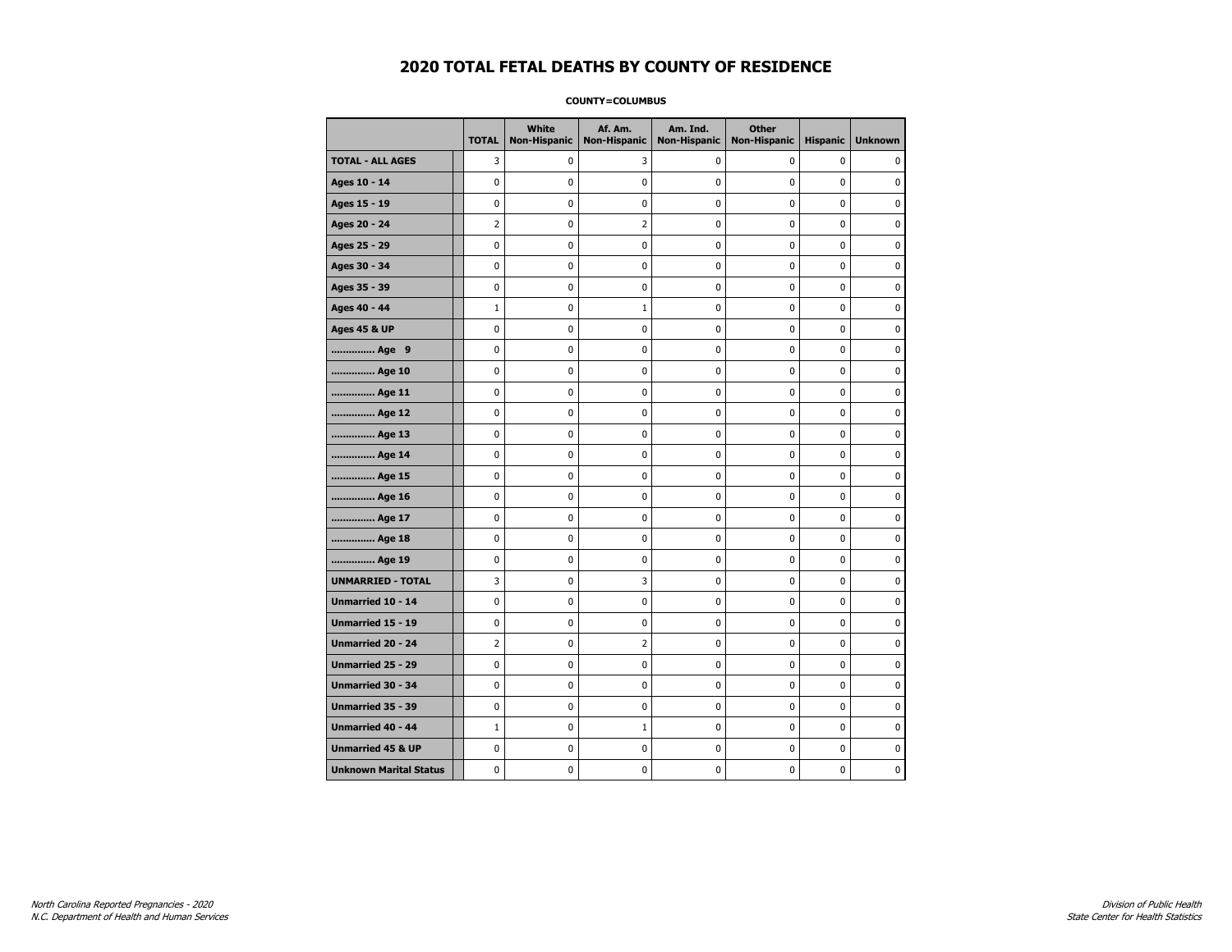### **COUNTY=COLUMBUS**

|                               | <b>TOTAL</b>   | White<br><b>Non-Hispanic</b> | Af. Am.<br><b>Non-Hispanic</b> | Am. Ind.<br><b>Non-Hispanic</b> | <b>Other</b><br><b>Non-Hispanic</b> | <b>Hispanic</b> | <b>Unknown</b> |
|-------------------------------|----------------|------------------------------|--------------------------------|---------------------------------|-------------------------------------|-----------------|----------------|
| <b>TOTAL - ALL AGES</b>       | 3              | 0                            | 3                              | 0                               | 0                                   | 0               | 0              |
| Ages 10 - 14                  | 0              | 0                            | 0                              | 0                               | 0                                   | 0               | 0              |
| Ages 15 - 19                  | 0              | $\mathbf{0}$                 | 0                              | 0                               | $\mathbf 0$                         | 0               | $\mathbf 0$    |
| Ages 20 - 24                  | $\overline{2}$ | 0                            | 2                              | 0                               | $\pmb{0}$                           | 0               | 0              |
| Ages 25 - 29                  | 0              | 0                            | 0                              | 0                               | 0                                   | 0               | 0              |
| Ages 30 - 34                  | 0              | 0                            | 0                              | 0                               | $\pmb{0}$                           | 0               | 0              |
| Ages 35 - 39                  | 0              | 0                            | 0                              | 0                               | 0                                   | 0               | $\mathbf 0$    |
| Ages 40 - 44                  | $1\,$          | 0                            | 1                              | 0                               | 0                                   | 0               | $\mathbf 0$    |
| <b>Ages 45 &amp; UP</b>       | 0              | 0                            | 0                              | 0                               | $\mathbf 0$                         | 0               | $\mathbf 0$    |
| Age 9                         | 0              | 0                            | 0                              | 0                               | $\pmb{0}$                           | 0               | $\pmb{0}$      |
| Age 10                        | 0              | 0                            | 0                              | 0                               | 0                                   | 0               | 0              |
| Age 11                        | 0              | 0                            | 0                              | 0                               | 0                                   | 0               | 0              |
| Age 12                        | 0              | 0                            | 0                              | 0                               | 0                                   | 0               | 0              |
| Age 13                        | 0              | 0                            | 0                              | 0                               | $\mathbf 0$                         | 0               | $\mathbf 0$    |
| Age 14                        | 0              | 0                            | 0                              | 0                               | $\pmb{0}$                           | 0               | $\mathbf 0$    |
| Age 15                        | 0              | 0                            | 0                              | 0                               | $\pmb{0}$                           | 0               | 0              |
| Age 16                        | 0              | 0                            | 0                              | 0                               | 0                                   | 0               | 0              |
| Age 17                        | 0              | 0                            | 0                              | 0                               | 0                                   | 0               | $\mathbf 0$    |
| Age 18                        | 0              | 0                            | 0                              | 0                               | 0                                   | 0               | 0              |
| Age 19                        | 0              | 0                            | 0                              | 0                               | $\pmb{0}$                           | 0               | $\mathbf 0$    |
| <b>UNMARRIED - TOTAL</b>      | 3              | 0                            | 3                              | 0                               | $\pmb{0}$                           | 0               | $\pmb{0}$      |
| Unmarried 10 - 14             | 0              | 0                            | 0                              | 0                               | $\pmb{0}$                           | 0               | $\pmb{0}$      |
| Unmarried 15 - 19             | 0              | 0                            | 0                              | 0                               | 0                                   | 0               | 0              |
| Unmarried 20 - 24             | 2              | 0                            | 2                              | 0                               | 0                                   | 0               | 0              |
| <b>Unmarried 25 - 29</b>      | 0              | 0                            | 0                              | 0                               | 0                                   | 0               | $\mathbf 0$    |
| <b>Unmarried 30 - 34</b>      | $\mathbf 0$    | $\mathbf 0$                  | 0                              | 0                               | $\pmb{0}$                           | 0               | $\mathbf 0$    |
| Unmarried 35 - 39             | 0              | 0                            | 0                              | 0                               | 0                                   | 0               | 0              |
| <b>Unmarried 40 - 44</b>      | $\mathbf{1}$   | 0                            | $\mathbf 1$                    | 0                               | $\pmb{0}$                           | 0               | $\mathbf 0$    |
| <b>Unmarried 45 &amp; UP</b>  | 0              | 0                            | 0                              | 0                               | 0                                   | 0               | 0              |
| <b>Unknown Marital Status</b> | 0              | 0                            | 0                              | 0                               | $\mathbf 0$                         | 0               | 0              |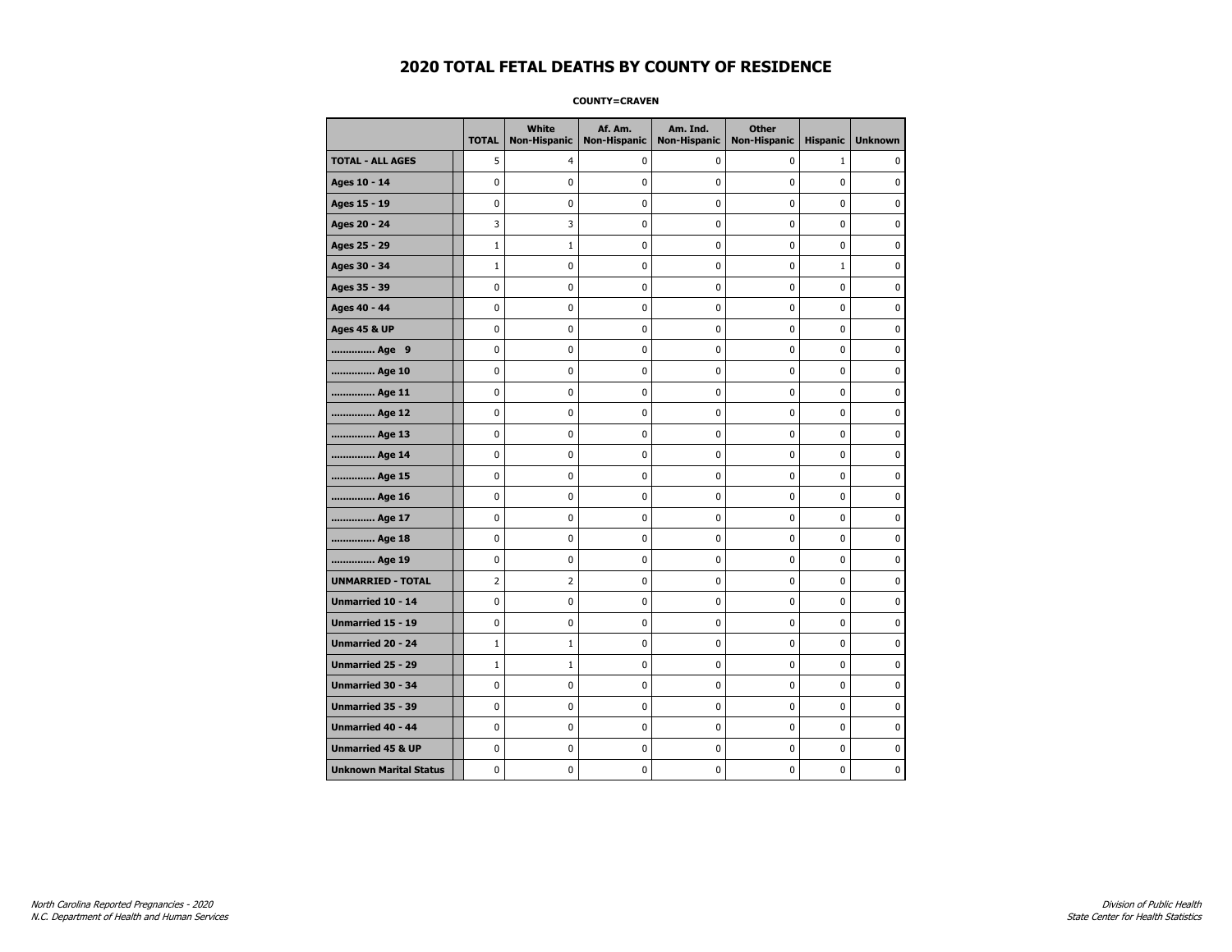**COUNTY=CRAVEN** 

|                               | <b>TOTAL</b>   | <b>White</b><br><b>Non-Hispanic</b> | Af. Am.<br><b>Non-Hispanic</b> | Am. Ind.<br><b>Non-Hispanic</b> | <b>Other</b><br><b>Non-Hispanic</b> | <b>Hispanic</b> | <b>Unknown</b> |
|-------------------------------|----------------|-------------------------------------|--------------------------------|---------------------------------|-------------------------------------|-----------------|----------------|
| <b>TOTAL - ALL AGES</b>       | 5              | $\overline{4}$                      | 0                              | 0                               | 0                                   | $\mathbf{1}$    | $\Omega$       |
| Ages 10 - 14                  | 0              | $\mathbf 0$                         | 0                              | 0                               | 0                                   | 0               | 0              |
| Ages 15 - 19                  | 0              | $\mathbf 0$                         | 0                              | 0                               | 0                                   | 0               | $\mathbf 0$    |
| Ages 20 - 24                  | 3              | 3                                   | 0                              | 0                               | 0                                   | 0               | $\mathbf 0$    |
| Ages 25 - 29                  | $\mathbf 1$    | $\mathbf{1}$                        | $\pmb{0}$                      | 0                               | 0                                   | 0               | $\pmb{0}$      |
| Ages 30 - 34                  | $1\,$          | 0                                   | 0                              | 0                               | 0                                   | $\mathbf 1$     | 0              |
| Ages 35 - 39                  | 0              | 0                                   | 0                              | 0                               | 0                                   | 0               | 0              |
| Ages 40 - 44                  | 0              | $\mathbf 0$                         | 0                              | 0                               | 0                                   | 0               | $\pmb{0}$      |
| <b>Ages 45 &amp; UP</b>       | 0              | $\mathbf 0$                         | 0                              | 0                               | 0                                   | 0               | $\mathbf 0$    |
| Age 9                         | 0              | $\mathbf 0$                         | 0                              | 0                               | 0                                   | 0               | $\mathbf 0$    |
| Age 10                        | 0              | 0                                   | 0                              | 0                               | 0                                   | 0               | 0              |
| Age 11                        | 0              | $\mathbf 0$                         | 0                              | 0                               | 0                                   | 0               | $\mathbf 0$    |
| Age 12                        | 0              | 0                                   | 0                              | 0                               | 0                                   | 0               | 0              |
| Age 13                        | 0              | $\mathbf 0$                         | 0                              | 0                               | 0                                   | 0               | $\mathbf 0$    |
| Age 14                        | 0              | $\mathbf 0$                         | 0                              | 0                               | 0                                   | 0               | $\mathbf 0$    |
| Age 15                        | 0              | 0                                   | $\pmb{0}$                      | 0                               | 0                                   | 0               | 0              |
| Age 16                        | 0              | $\pmb{0}$                           | $\pmb{0}$                      | 0                               | 0                                   | 0               | 0              |
| Age 17                        | 0              | 0                                   | 0                              | 0                               | 0                                   | 0               | 0              |
| Age 18                        | 0              | $\mathbf 0$                         | 0                              | 0                               | 0                                   | 0               | $\pmb{0}$      |
| Age 19                        | 0              | 0                                   | 0                              | 0                               | 0                                   | 0               | $\mathbf 0$    |
| <b>UNMARRIED - TOTAL</b>      | $\overline{2}$ | $\overline{2}$                      | 0                              | 0                               | 0                                   | 0               | $\mathbf 0$    |
| Unmarried 10 - 14             | 0              | 0                                   | 0                              | 0                               | 0                                   | 0               | 0              |
| Unmarried 15 - 19             | 0              | $\pmb{0}$                           | $\pmb{0}$                      | 0                               | 0                                   | 0               | $\pmb{0}$      |
| Unmarried 20 - 24             | $\mathbf{1}$   | $\mathbf{1}$                        | 0                              | 0                               | 0                                   | 0               | 0              |
| Unmarried 25 - 29             | $1\,$          | $\mathbf{1}$                        | 0                              | 0                               | 0                                   | 0               | 0              |
| <b>Unmarried 30 - 34</b>      | 0              | 0                                   | $\mathbf 0$                    | 0                               | 0                                   | 0               | $\mathbf 0$    |
| Unmarried 35 - 39             | 0              | $\mathbf 0$                         | 0                              | 0                               | 0                                   | 0               | $\mathbf 0$    |
| Unmarried 40 - 44             | 0              | $\pmb{0}$                           | $\pmb{0}$                      | 0                               | 0                                   | 0               | $\pmb{0}$      |
| <b>Unmarried 45 &amp; UP</b>  | 0              | 0                                   | 0                              | 0                               | 0                                   | 0               | 0              |
| <b>Unknown Marital Status</b> | 0              | 0                                   | 0                              | 0                               | 0                                   | 0               | $\mathbf 0$    |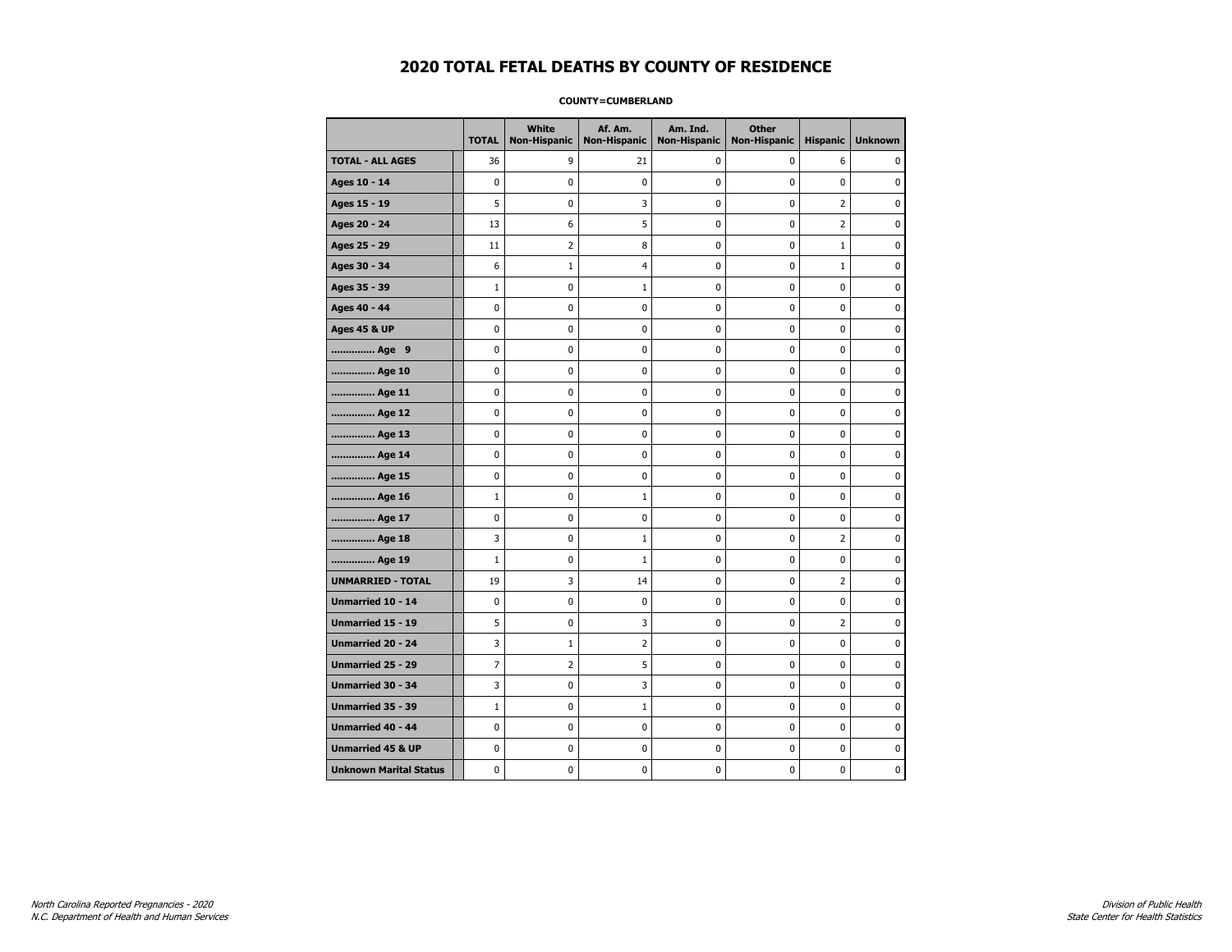### **COUNTY=CUMBERLAND**

|                               | <b>TOTAL</b> | White<br><b>Non-Hispanic</b> | Af. Am.<br><b>Non-Hispanic</b> | Am. Ind.<br><b>Non-Hispanic</b> | <b>Other</b><br><b>Non-Hispanic</b> | <b>Hispanic</b>         | <b>Unknown</b> |
|-------------------------------|--------------|------------------------------|--------------------------------|---------------------------------|-------------------------------------|-------------------------|----------------|
| <b>TOTAL - ALL AGES</b>       | 36           | 9                            | 21                             | 0                               | 0                                   | 6                       | $\Omega$       |
| Ages 10 - 14                  | 0            | $\mathbf 0$                  | 0                              | 0                               | 0                                   | 0                       | $\mathbf 0$    |
| Ages 15 - 19                  | 5            | $\pmb{0}$                    | 3                              | 0                               | 0                                   | $\overline{2}$          | $\pmb{0}$      |
| Ages 20 - 24                  | 13           | 6                            | 5                              | 0                               | 0                                   | $\overline{2}$          | $\pmb{0}$      |
| Ages 25 - 29                  | 11           | 2                            | 8                              | 0                               | 0                                   | $\mathbf 1$             | 0              |
| Ages 30 - 34                  | 6            | $\mathbf{1}$                 | 4                              | 0                               | 0                                   | $\mathbf 1$             | 0              |
| Ages 35 - 39                  | $\mathbf{1}$ | $\mathbf 0$                  | 1                              | 0                               | 0                                   | 0                       | $\mathbf 0$    |
| Ages 40 - 44                  | 0            | 0                            | 0                              | 0                               | 0                                   | 0                       | 0              |
| <b>Ages 45 &amp; UP</b>       | 0            | 0                            | 0                              | 0                               | 0                                   | 0                       | 0              |
| Age 9                         | 0            | 0                            | 0                              | 0                               | 0                                   | 0                       | 0              |
| Age 10                        | 0            | $\mathbf 0$                  | 0                              | 0                               | 0                                   | 0                       | $\mathbf 0$    |
| Age 11                        | 0            | $\mathbf 0$                  | 0                              | 0                               | 0                                   | 0                       | $\mathbf 0$    |
| Age 12                        | 0            | 0                            | 0                              | 0                               | 0                                   | 0                       | 0              |
| Age 13                        | 0            | $\mathbf 0$                  | 0                              | 0                               | 0                                   | 0                       | 0              |
| Age 14                        | 0            | 0                            | 0                              | 0                               | 0                                   | 0                       | 0              |
| Age 15                        | 0            | 0                            | 0                              | 0                               | 0                                   | 0                       | 0              |
| Age 16                        | $\mathbf{1}$ | $\mathbf 0$                  | 1                              | 0                               | 0                                   | 0                       | $\mathbf 0$    |
| Age 17                        | 0            | $\mathbf 0$                  | $\pmb{0}$                      | 0                               | 0                                   | 0                       | 0              |
| Age 18                        | 3            | 0                            | $\mathbf{1}$                   | 0                               | 0                                   | $\overline{2}$          | 0              |
| Age 19                        | $\mathbf{1}$ | $\mathbf 0$                  | $\mathbf{1}$                   | 0                               | 0                                   | 0                       | 0              |
| <b>UNMARRIED - TOTAL</b>      | 19           | 3                            | 14                             | 0                               | 0                                   | $\overline{2}$          | 0              |
| Unmarried 10 - 14             | 0            | $\mathbf 0$                  | 0                              | 0                               | 0                                   | 0                       | $\mathbf 0$    |
| Unmarried 15 - 19             | 5            | $\pmb{0}$                    | 3                              | 0                               | 0                                   | $\overline{\mathbf{c}}$ | 0              |
| Unmarried 20 - 24             | 3            | $\mathbf{1}$                 | 2                              | 0                               | 0                                   | 0                       | 0              |
| Unmarried 25 - 29             | 7            | $\overline{2}$               | 5                              | 0                               | 0                                   | 0                       | 0              |
| Unmarried 30 - 34             | 3            | $\pmb{0}$                    | 3                              | 0                               | 0                                   | 0                       | $\mathbf 0$    |
| <b>Unmarried 35 - 39</b>      | $\mathbf{1}$ | $\mathbf 0$                  | 1                              | 0                               | 0                                   | 0                       | $\mathbf 0$    |
| Unmarried 40 - 44             | 0            | $\pmb{0}$                    | $\bf{0}$                       | 0                               | 0                                   | $\mathbf 0$             | $\pmb{0}$      |
| <b>Unmarried 45 &amp; UP</b>  | 0            | 0                            | 0                              | 0                               | 0                                   | 0                       | 0              |
| <b>Unknown Marital Status</b> | 0            | 0                            | 0                              | 0                               | 0                                   | 0                       | 0              |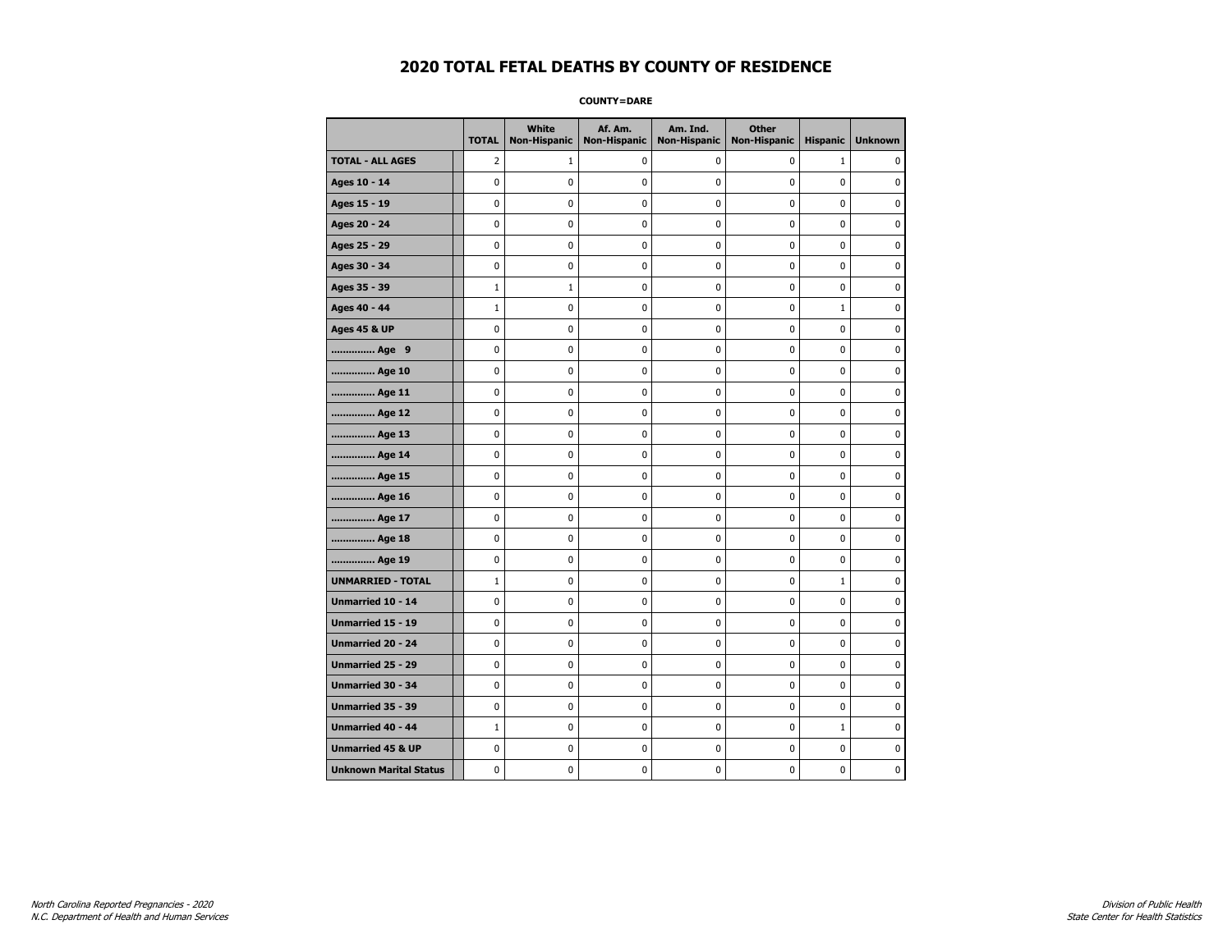**COUNTY=DARE** 

|                               | <b>TOTAL</b> | <b>White</b><br>Non-Hispanic | Af. Am.<br><b>Non-Hispanic</b> | Am. Ind.<br><b>Non-Hispanic</b> | <b>Other</b><br>Non-Hispanic | <b>Hispanic</b> | <b>Unknown</b> |
|-------------------------------|--------------|------------------------------|--------------------------------|---------------------------------|------------------------------|-----------------|----------------|
| <b>TOTAL - ALL AGES</b>       | 2            | 1                            | 0                              | 0                               | 0                            | $\mathbf{1}$    | 0              |
| Ages 10 - 14                  | $\mathbf 0$  | 0                            | 0                              | 0                               | $\mathbf 0$                  | $\mathbf 0$     | $\mathbf 0$    |
| Ages 15 - 19                  | 0            | 0                            | 0                              | $\mathbf 0$                     | $\mathbf 0$                  | 0               | 0              |
| Ages 20 - 24                  | 0            | 0                            | 0                              | 0                               | 0                            | $\mathbf{0}$    | 0              |
| Ages 25 - 29                  | $\mathbf 0$  | 0                            | $\pmb{0}$                      | 0                               | $\mathbf 0$                  | 0               | $\pmb{0}$      |
| Ages 30 - 34                  | 0            | 0                            | 0                              | 0                               | 0                            | 0               | 0              |
| Ages 35 - 39                  | $\mathbf{1}$ | $\mathbf{1}$                 | 0                              | 0                               | 0                            | 0               | 0              |
| Ages 40 - 44                  | $\mathbf{1}$ | 0                            | 0                              | $\mathbf 0$                     | $\mathbf 0$                  | $\mathbf{1}$    | $\mathbf 0$    |
| <b>Ages 45 &amp; UP</b>       | 0            | 0                            | 0                              | 0                               | 0                            | 0               | 0              |
| Age 9                         | $\mathbf 0$  | 0                            | 0                              | $\mathbf 0$                     | $\mathbf 0$                  | 0               | $\mathbf 0$    |
| Age 10                        | 0            | 0                            | 0                              | 0                               | 0                            | 0               | 0              |
| Age 11                        | $\mathbf 0$  | 0                            | 0                              | 0                               | $\mathbf 0$                  | 0               | 0              |
| Age 12                        | $\mathbf 0$  | 0                            | 0                              | 0                               | 0                            | 0               | 0              |
| Age 13                        | 0            | 0                            | 0                              | 0                               | 0                            | 0               | 0              |
| Age 14                        | 0            | 0                            | 0                              | 0                               | 0                            | 0               | 0              |
| Age 15                        | $\pmb{0}$    | 0                            | 0                              | 0                               | 0                            | 0               | $\pmb{0}$      |
| Age 16                        | $\mathbf 0$  | $\pmb{0}$                    | $\bf{0}$                       | $\pmb{0}$                       | $\mathbf 0$                  | 0               | $\pmb{0}$      |
| Age 17                        | $\mathbf 0$  | 0                            | 0                              | 0                               | 0                            | 0               | 0              |
| Age 18                        | 0            | 0                            | 0                              | $\mathbf 0$                     | $\mathbf 0$                  | $\mathbf 0$     | $\pmb{0}$      |
| Age 19                        | 0            | 0                            | 0                              | 0                               | 0                            | 0               | 0              |
| <b>UNMARRIED - TOTAL</b>      | $\mathbf{1}$ | 0                            | 0                              | 0                               | $\mathbf 0$                  | $\mathbf{1}$    | 0              |
| Unmarried 10 - 14             | 0            | 0                            | 0                              | 0                               | 0                            | 0               | 0              |
| Unmarried 15 - 19             | $\mathbf 0$  | $\mathbf 0$                  | 0                              | $\pmb{0}$                       | 0                            | 0               | $\mathbf 0$    |
| Unmarried 20 - 24             | $\mathbf 0$  | 0                            | 0                              | 0                               | 0                            | $\mathbf 0$     | 0              |
| Unmarried 25 - 29             | 0            | 0                            | 0                              | 0                               | 0                            | 0               | 0              |
| <b>Unmarried 30 - 34</b>      | 0            | 0                            | 0                              | 0                               | 0                            | 0               | $\mathbf 0$    |
| <b>Unmarried 35 - 39</b>      | 0            | 0                            | 0                              | $\mathbf 0$                     | $\mathbf 0$                  | 0               | $\mathbf 0$    |
| <b>Unmarried 40 - 44</b>      | $\mathbf{1}$ | $\pmb{0}$                    | $\pmb{0}$                      | $\pmb{0}$                       | $\pmb{0}$                    | $\mathbf{1}$    | $\pmb{0}$      |
| <b>Unmarried 45 &amp; UP</b>  | 0            | 0                            | 0                              | 0                               | 0                            | 0               | 0              |
| <b>Unknown Marital Status</b> | 0            | 0                            | 0                              | 0                               | 0                            | 0               | 0              |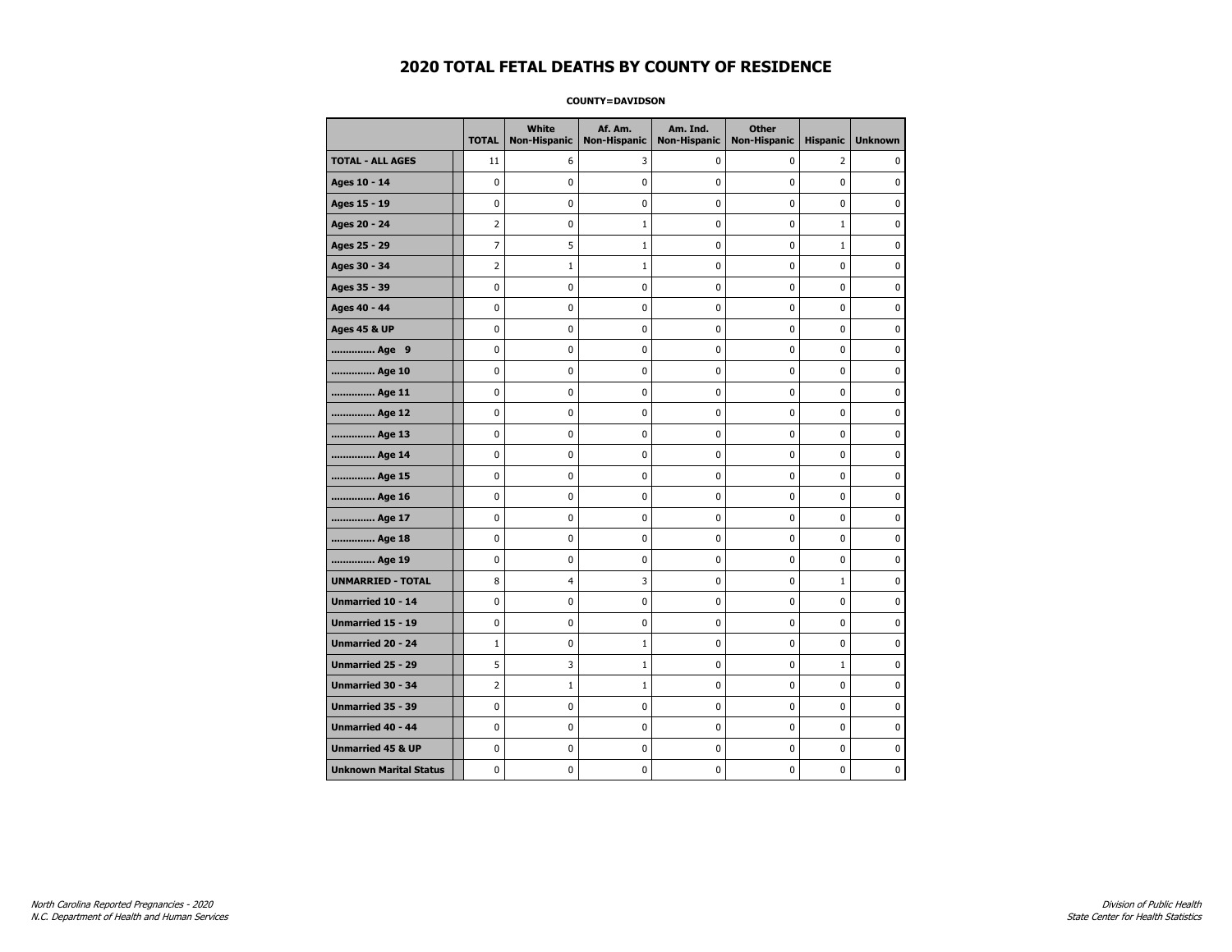### **COUNTY=DAVIDSON**

|                               | <b>TOTAL</b>   | White<br><b>Non-Hispanic</b> | Af. Am.<br><b>Non-Hispanic</b> | Am. Ind.<br><b>Non-Hispanic</b> | <b>Other</b><br><b>Non-Hispanic</b> | <b>Hispanic</b> | <b>Unknown</b> |
|-------------------------------|----------------|------------------------------|--------------------------------|---------------------------------|-------------------------------------|-----------------|----------------|
| <b>TOTAL - ALL AGES</b>       | 11             | 6                            | 3                              | 0                               | 0                                   | $\overline{2}$  | 0              |
| Ages 10 - 14                  | 0              | $\mathbf 0$                  | 0                              | 0                               | 0                                   | 0               | $\mathbf 0$    |
| Ages 15 - 19                  | 0              | $\Omega$                     | 0                              | 0                               | 0                                   | 0               | $\mathbf 0$    |
| Ages 20 - 24                  | $\overline{2}$ | 0                            | 1                              | 0                               | 0                                   | $\mathbf 1$     | 0              |
| Ages 25 - 29                  | 7              | 5                            | 1                              | 0                               | 0                                   | $\mathbf{1}$    | 0              |
| Ages 30 - 34                  | $\overline{2}$ | $\mathbf{1}$                 | 1                              | 0                               | 0                                   | 0               | 0              |
| Ages 35 - 39                  | 0              | $\mathbf 0$                  | 0                              | 0                               | 0                                   | 0               | $\mathbf 0$    |
| Ages 40 - 44                  | 0              | $\mathbf 0$                  | 0                              | 0                               | 0                                   | 0               | $\mathbf 0$    |
| <b>Ages 45 &amp; UP</b>       | 0              | $\mathbf 0$                  | 0                              | 0                               | 0                                   | 0               | $\mathbf 0$    |
| Age 9                         | 0              | 0                            | $\pmb{0}$                      | 0                               | 0                                   | 0               | $\pmb{0}$      |
| Age 10                        | 0              | 0                            | 0                              | 0                               | 0                                   | 0               | 0              |
| Age 11                        | 0              | 0                            | 0                              | 0                               | 0                                   | 0               | $\mathbf 0$    |
| Age 12                        | 0              | 0                            | 0                              | 0                               | 0                                   | 0               | 0              |
| Age 13                        | 0              | $\mathbf 0$                  | 0                              | 0                               | 0                                   | 0               | $\mathbf 0$    |
| Age 14                        | 0              | $\mathbf 0$                  | 0                              | 0                               | 0                                   | 0               | $\mathbf 0$    |
| Age 15                        | 0              | 0                            | 0                              | 0                               | 0                                   | 0               | 0              |
| Age 16                        | 0              | 0                            | 0                              | 0                               | 0                                   | 0               | 0              |
| Age 17                        | 0              | $\mathbf 0$                  | 0                              | 0                               | 0                                   | 0               | $\mathbf 0$    |
| Age 18                        | 0              | 0                            | 0                              | 0                               | 0                                   | 0               | 0              |
| Age 19                        | 0              | $\mathbf 0$                  | 0                              | 0                               | 0                                   | 0               | $\mathbf 0$    |
| <b>UNMARRIED - TOTAL</b>      | 8              | 4                            | 3                              | 0                               | 0                                   | $\mathbf 1$     | $\pmb{0}$      |
| Unmarried 10 - 14             | 0              | 0                            | $\pmb{0}$                      | 0                               | 0                                   | 0               | $\pmb{0}$      |
| Unmarried 15 - 19             | 0              | 0                            | 0                              | 0                               | 0                                   | 0               | 0              |
| Unmarried 20 - 24             | $\mathbf{1}$   | 0                            | 1                              | 0                               | 0                                   | 0               | 0              |
| Unmarried 25 - 29             | 5              | 3                            | $\mathbf{1}$                   | 0                               | 0                                   | $\mathbf{1}$    | $\mathbf 0$    |
| <b>Unmarried 30 - 34</b>      | $\overline{2}$ | $1\,$                        | 1                              | 0                               | 0                                   | 0               | $\mathbf 0$    |
| Unmarried 35 - 39             | 0              | 0                            | 0                              | 0                               | 0                                   | 0               | 0              |
| Unmarried 40 - 44             | 0              | 0                            | 0                              | 0                               | 0                                   | 0               | 0              |
| <b>Unmarried 45 &amp; UP</b>  | 0              | 0                            | 0                              | 0                               | 0                                   | 0               | 0              |
| <b>Unknown Marital Status</b> | 0              | 0                            | 0                              | 0                               | 0                                   | 0               | 0              |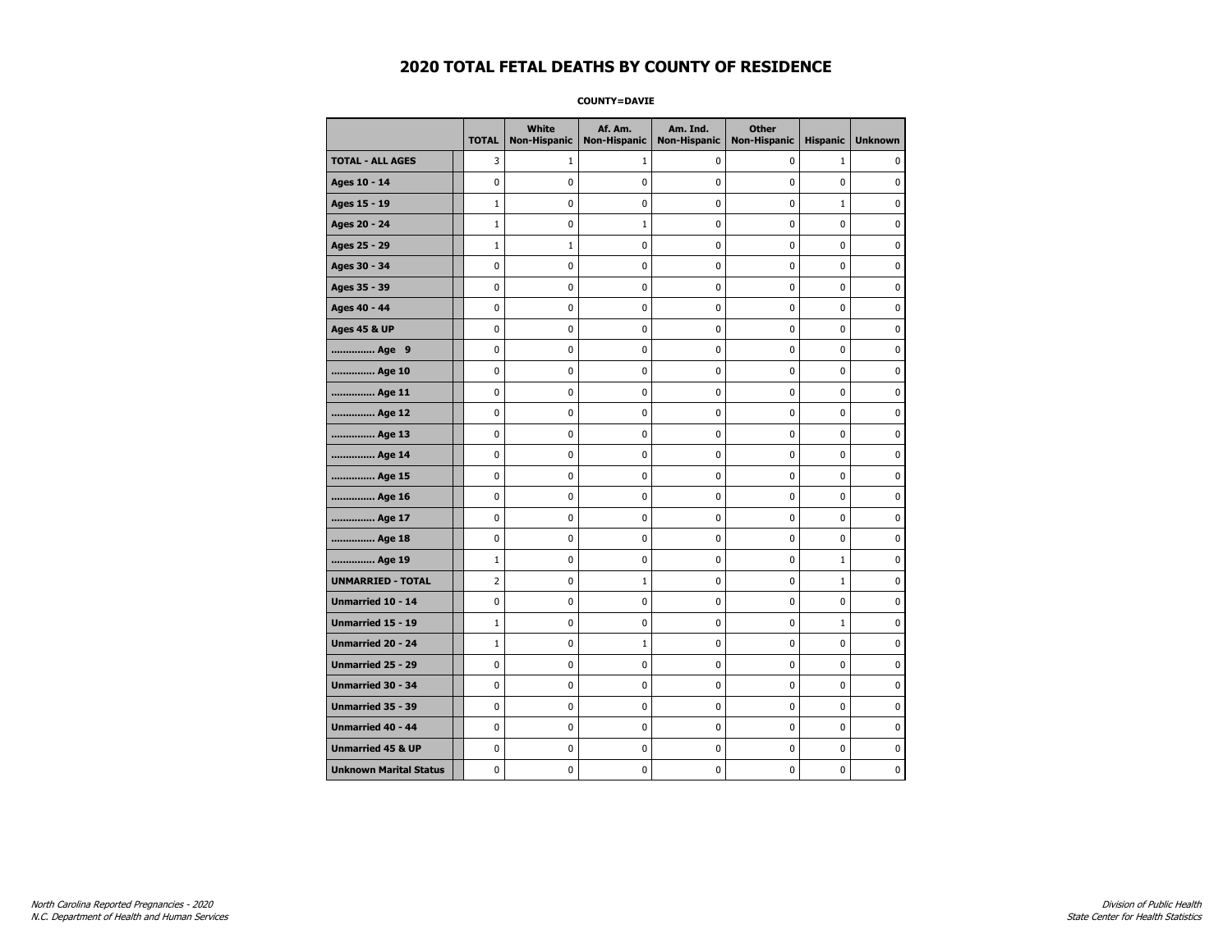**COUNTY=DAVIE** 

|                               | <b>TOTAL</b>   | <b>White</b><br>Non-Hispanic | Af. Am.<br><b>Non-Hispanic</b> | Am. Ind.<br><b>Non-Hispanic</b> | <b>Other</b><br><b>Non-Hispanic</b> | <b>Hispanic</b> | <b>Unknown</b> |
|-------------------------------|----------------|------------------------------|--------------------------------|---------------------------------|-------------------------------------|-----------------|----------------|
| <b>TOTAL - ALL AGES</b>       | 3              | 1                            | 1                              | 0                               | 0                                   | $\mathbf{1}$    | 0              |
| Ages 10 - 14                  | $\mathbf 0$    | 0                            | 0                              | $\pmb{0}$                       | 0                                   | $\mathbf 0$     | 0              |
| Ages 15 - 19                  | $\mathbf{1}$   | 0                            | 0                              | $\mathbf 0$                     | $\mathbf 0$                         | $\mathbf{1}$    | $\mathbf 0$    |
| Ages 20 - 24                  | $\mathbf{1}$   | 0                            | $\mathbf{1}$                   | $\pmb{0}$                       | $\pmb{0}$                           | 0               | 0              |
| Ages 25 - 29                  | $\mathbf{1}$   | $1\,$                        | 0                              | 0                               | $\mathbf 0$                         | 0               | 0              |
| Ages 30 - 34                  | 0              | 0                            | 0                              | 0                               | 0                                   | 0               | 0              |
| Ages 35 - 39                  | $\mathbf 0$    | 0                            | 0                              | 0                               | 0                                   | 0               | 0              |
| Ages 40 - 44                  | 0              | $\mathbf 0$                  | 0                              | $\mathbf 0$                     | 0                                   | 0               | $\mathbf 0$    |
| <b>Ages 45 &amp; UP</b>       | $\pmb{0}$      | 0                            | $\pmb{0}$                      | $\pmb{0}$                       | 0                                   | 0               | 0              |
| Age 9                         | 0              | 0                            | 0                              | 0                               | 0                                   | 0               | 0              |
| Age 10                        | $\mathbf 0$    | 0                            | 0                              | 0                               | 0                                   | 0               | 0              |
| Age 11                        | $\mathbf 0$    | 0                            | 0                              | 0                               | 0                                   | 0               | 0              |
| Age 12                        | $\mathbf 0$    | 0                            | 0                              | $\mathbf 0$                     | $\mathbf 0$                         | $\mathbf 0$     | $\mathbf 0$    |
| Age 13                        | $\pmb{0}$      | 0                            | 0                              | $\pmb{0}$                       | 0                                   | 0               | 0              |
| Age 14                        | 0              | 0                            | 0                              | 0                               | 0                                   | 0               | 0              |
| Age 15                        | $\mathbf 0$    | 0                            | 0                              | $\mathbf 0$                     | $\mathbf 0$                         | 0               | 0              |
| Age 16                        | $\mathbf 0$    | 0                            | 0                              | 0                               | 0                                   | 0               | 0              |
| Age 17                        | $\mathbf 0$    | 0                            | 0                              | $\mathbf 0$                     | 0                                   | 0               | 0              |
| Age 18                        | 0              | $\pmb{0}$                    | 0                              | 0                               | 0                                   | 0               | $\pmb{0}$      |
| Age 19                        | $\mathbf{1}$   | 0                            | 0                              | 0                               | 0                                   | $\mathbf{1}$    | 0              |
| <b>UNMARRIED - TOTAL</b>      | $\overline{2}$ | 0                            | 1                              | 0                               | $\mathbf 0$                         | 1               | 0              |
| Unmarried 10 - 14             | 0              | 0                            | 0                              | 0                               | 0                                   | 0               | 0              |
| <b>Unmarried 15 - 19</b>      | $\mathbf{1}$   | 0                            | 0                              | 0                               | 0                                   | $\mathbf{1}$    | 0              |
| Unmarried 20 - 24             | $\mathbf{1}$   | 0                            | 1                              | 0                               | $\pmb{0}$                           | $\pmb{0}$       | $\pmb{0}$      |
| Unmarried 25 - 29             | 0              | 0                            | 0                              | 0                               | 0                                   | 0               | 0              |
| <b>Unmarried 30 - 34</b>      | $\mathbf 0$    | 0                            | 0                              | 0                               | 0                                   | 0               | 0              |
| Unmarried 35 - 39             | $\mathbf 0$    | 0                            | 0                              | 0                               | $\mathbf 0$                         | 0               | 0              |
| <b>Unmarried 40 - 44</b>      | $\pmb{0}$      | $\pmb{0}$                    | $\pmb{0}$                      | $\pmb{0}$                       | $\pmb{0}$                           | $\pmb{0}$       | 0              |
| <b>Unmarried 45 &amp; UP</b>  | 0              | 0                            | 0                              | 0                               | 0                                   | 0               | 0              |
| <b>Unknown Marital Status</b> | 0              | 0                            | 0                              | 0                               | 0                                   | 0               | 0              |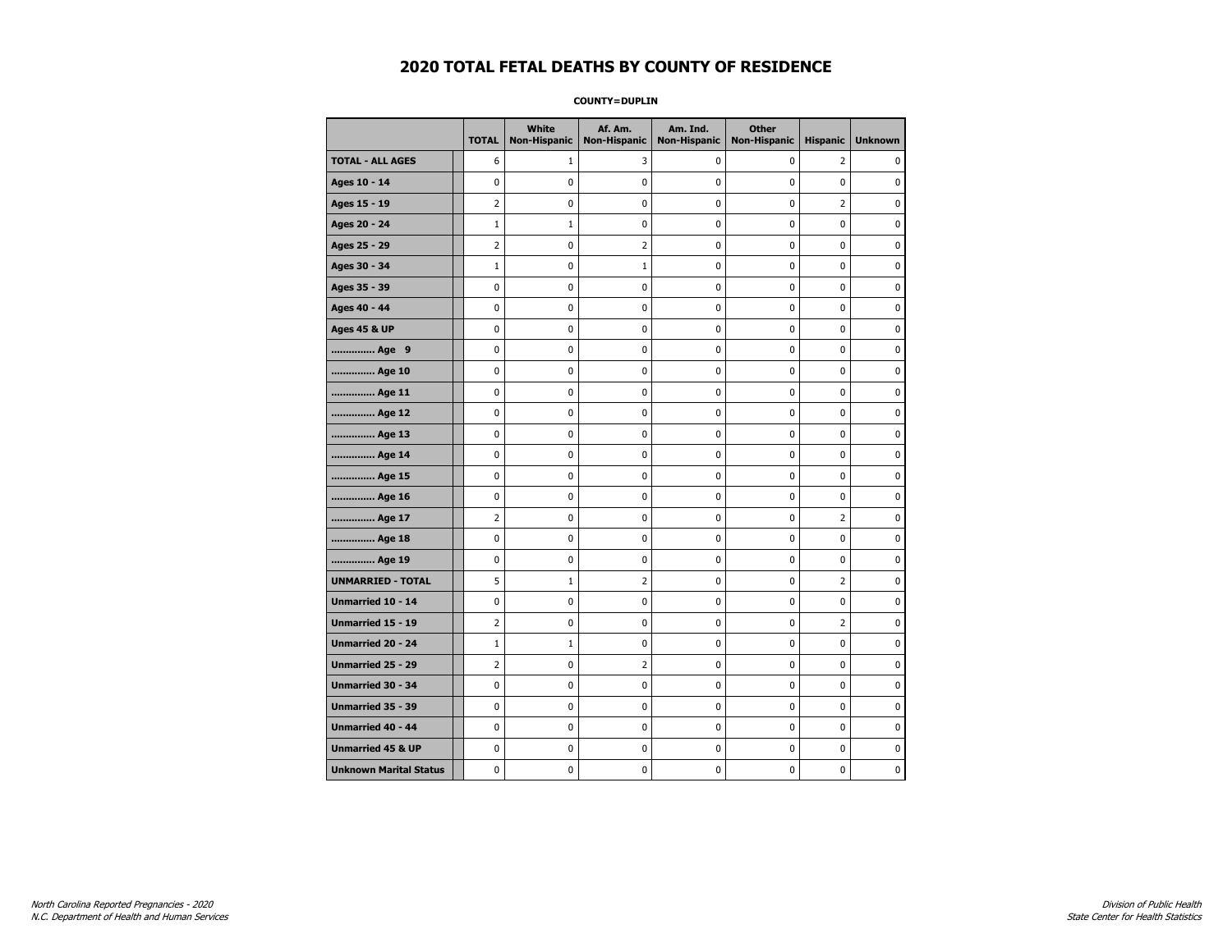**COUNTY=DUPLIN** 

|                               | <b>TOTAL</b>   | White<br><b>Non-Hispanic</b> | Af. Am.<br><b>Non-Hispanic</b> | Am. Ind.<br><b>Non-Hispanic</b> | <b>Other</b><br><b>Non-Hispanic</b> | <b>Hispanic</b> | <b>Unknown</b> |
|-------------------------------|----------------|------------------------------|--------------------------------|---------------------------------|-------------------------------------|-----------------|----------------|
| <b>TOTAL - ALL AGES</b>       | 6              | $\mathbf{1}$                 | 3                              | 0                               | 0                                   | $\overline{2}$  | 0              |
| Ages 10 - 14                  | 0              | 0                            | 0                              | 0                               | 0                                   | 0               | 0              |
| Ages 15 - 19                  | $\overline{2}$ | 0                            | $\pmb{0}$                      | 0                               | $\pmb{0}$                           | $\overline{2}$  | 0              |
| Ages 20 - 24                  | $\mathbf{1}$   | $\mathbf{1}$                 | 0                              | 0                               | 0                                   | $\pmb{0}$       | 0              |
| Ages 25 - 29                  | $\overline{2}$ | 0                            | $\overline{2}$                 | 0                               | 0                                   | 0               | $\mathbf 0$    |
| Ages 30 - 34                  | $\mathbf{1}$   | 0                            | $1\,$                          | 0                               | $\pmb{0}$                           | 0               | $\mathbf 0$    |
| Ages 35 - 39                  | 0              | 0                            | 0                              | 0                               | 0                                   | 0               | $\mathbf 0$    |
| Ages 40 - 44                  | 0              | 0                            | $\pmb{0}$                      | $\pmb{0}$                       | $\pmb{0}$                           | $\pmb{0}$       | $\mathbf 0$    |
| <b>Ages 45 &amp; UP</b>       | 0              | 0                            | 0                              | 0                               | 0                                   | 0               | $\mathbf 0$    |
| Age 9                         | 0              | 0                            | 0                              | 0                               | 0                                   | 0               | $\mathbf 0$    |
| Age 10                        | 0              | 0                            | 0                              | 0                               | $\mathbf 0$                         | $\mathbf 0$     | $\mathbf 0$    |
| Age 11                        | 0              | 0                            | $\pmb{0}$                      | $\pmb{0}$                       | $\pmb{0}$                           | $\mathbf 0$     | $\mathbf 0$    |
| Age 12                        | 0              | 0                            | 0                              | 0                               | 0                                   | 0               | 0              |
| Age 13                        | 0              | 0                            | 0                              | 0                               | 0                                   | 0               | $\mathbf 0$    |
| Age 14                        | 0              | 0                            | 0                              | $\pmb{0}$                       | $\mathbf 0$                         | $\mathbf 0$     | $\mathbf 0$    |
| Age 15                        | 0              | 0                            | $\pmb{0}$                      | $\pmb{0}$                       | $\pmb{0}$                           | $\mathbf 0$     | $\pmb{0}$      |
| Age 16                        | 0              | 0                            | 0                              | 0                               | 0                                   | 0               | 0              |
| Age 17                        | 2              | 0                            | 0                              | 0                               | 0                                   | 2               | 0              |
| Age 18                        | 0              | 0                            | 0                              | 0                               | $\mathbf 0$                         | 0               | $\mathbf 0$    |
| Age 19                        | 0              | 0                            | 0                              | 0                               | $\pmb{0}$                           | 0               | $\pmb{0}$      |
| <b>UNMARRIED - TOTAL</b>      | 5              | $\mathbf{1}$                 | $\overline{2}$                 | 0                               | 0                                   | 2               | 0              |
| Unmarried 10 - 14             | 0              | 0                            | $\pmb{0}$                      | 0                               | $\pmb{0}$                           | 0               | $\mathbf 0$    |
| <b>Unmarried 15 - 19</b>      | $\overline{2}$ | 0                            | 0                              | 0                               | 0                                   | $\overline{2}$  | $\mathbf 0$    |
| Unmarried 20 - 24             | $\mathbf{1}$   | $1\,$                        | $\pmb{0}$                      | 0                               | $\pmb{0}$                           | 0               | $\pmb{0}$      |
| Unmarried 25 - 29             | 2              | 0                            | $\overline{2}$                 | 0                               | 0                                   | 0               | 0              |
| Unmarried 30 - 34             | 0              | 0                            | 0                              | 0                               | 0                                   | 0               | $\mathbf 0$    |
| Unmarried 35 - 39             | 0              | 0                            | $\pmb{0}$                      | 0                               | $\pmb{0}$                           | 0               | $\mathbf 0$    |
| Unmarried 40 - 44             | 0              | 0                            | 0                              | 0                               | $\pmb{0}$                           | 0               | 0              |
| <b>Unmarried 45 &amp; UP</b>  | 0              | 0                            | 0                              | 0                               | $\pmb{0}$                           | 0               | $\pmb{0}$      |
| <b>Unknown Marital Status</b> | 0              | 0                            | 0                              | 0                               | 0                                   | 0               | $\mathbf 0$    |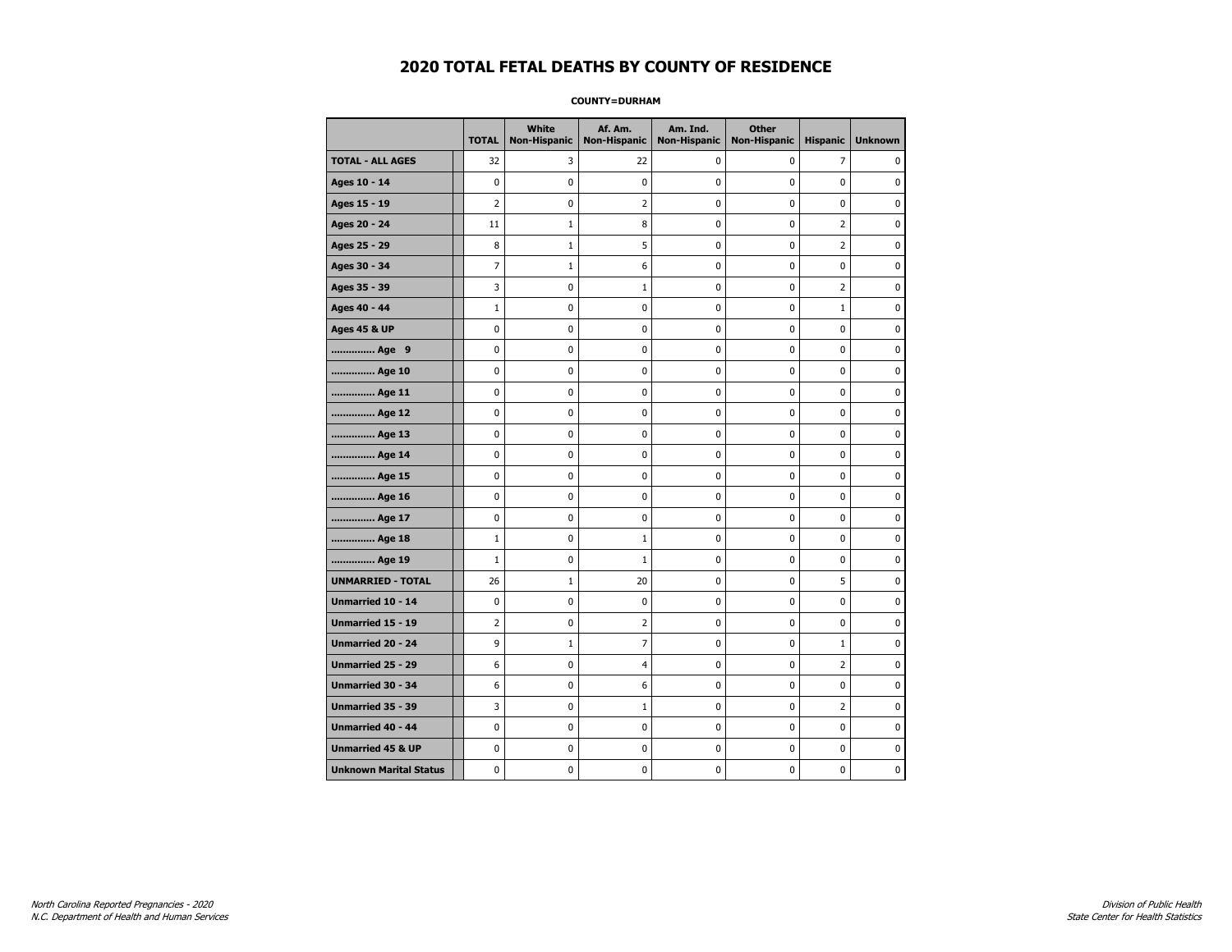### **COUNTY=DURHAM**

|                               | <b>TOTAL</b>   | White<br><b>Non-Hispanic</b> | Af. Am.<br><b>Non-Hispanic</b> | Am. Ind.<br><b>Non-Hispanic</b> | <b>Other</b><br><b>Non-Hispanic</b> | <b>Hispanic</b> | <b>Unknown</b> |
|-------------------------------|----------------|------------------------------|--------------------------------|---------------------------------|-------------------------------------|-----------------|----------------|
| <b>TOTAL - ALL AGES</b>       | 32             | 3                            | 22                             | 0                               | 0                                   | $\overline{7}$  | 0              |
| Ages 10 - 14                  | $\mathbf 0$    | 0                            | $\mathbf 0$                    | 0                               | $\mathbf 0$                         | $\mathbf 0$     | 0              |
| Ages 15 - 19                  | $\overline{2}$ | $\mathbf{0}$                 | $\overline{2}$                 | $\mathbf 0$                     | $\mathbf 0$                         | $\mathbf 0$     | 0              |
| Ages 20 - 24                  | 11             | $\mathbf 1$                  | 8                              | $\pmb{0}$                       | $\pmb{0}$                           | $\mathbf 2$     | 0              |
| Ages 25 - 29                  | 8              | $\mathbf{1}$                 | 5                              | 0                               | 0                                   | $\overline{2}$  | $\pmb{0}$      |
| Ages 30 - 34                  | 7              | $\mathbf{1}$                 | 6                              | 0                               | $\mathbf 0$                         | 0               | 0              |
| Ages 35 - 39                  | 3              | 0                            | 1                              | 0                               | $\mathbf 0$                         | 2               | 0              |
| Ages 40 - 44                  | $1\,$          | 0                            | $\mathbf 0$                    | 0                               | $\mathbf 0$                         | $\mathbf{1}$    | 0              |
| <b>Ages 45 &amp; UP</b>       | $\mathbf 0$    | 0                            | $\mathbf 0$                    | $\mathbf 0$                     | $\mathbf 0$                         | $\mathbf 0$     | 0              |
| Age 9                         | $\mathbf 0$    | 0                            | $\pmb{0}$                      | $\pmb{0}$                       | $\mathbf 0$                         | $\mathbf 0$     | 0              |
| Age 10                        | $\mathbf 0$    | 0                            | $\pmb{0}$                      | 0                               | 0                                   | 0               | 0              |
| Age 11                        | $\mathbf 0$    | 0                            | 0                              | 0                               | 0                                   | 0               | 0              |
| Age 12                        | 0              | 0                            | 0                              | 0                               | 0                                   | 0               | 0              |
| Age 13                        | $\mathbf 0$    | 0                            | $\mathbf 0$                    | $\mathbf 0$                     | $\mathbf 0$                         | $\mathbf 0$     | 0              |
| Age 14                        | $\mathbf 0$    | 0                            | $\mathbf 0$                    | $\pmb{0}$                       | $\mathbf 0$                         | $\mathbf 0$     | 0              |
| Age 15                        | $\pmb{0}$      | 0                            | $\pmb{0}$                      | 0                               | $\pmb{0}$                           | 0               | 0              |
| Age 16                        | $\mathbf 0$    | 0                            | 0                              | 0                               | 0                                   | 0               | 0              |
| Age 17                        | $\mathbf 0$    | 0                            | $\mathbf 0$                    | 0                               | $\mathbf 0$                         | $\mathbf 0$     | 0              |
| Age 18                        | $1\,$          | 0                            | $\mathbf{1}$                   | 0                               | 0                                   | 0               | 0              |
| Age 19                        | $\mathbf{1}$   | 0                            | $\mathbf{1}$                   | $\mathbf 0$                     | $\mathbf 0$                         | $\mathbf 0$     | 0              |
| <b>UNMARRIED - TOTAL</b>      | 26             | $\mathbf 1$                  | 20                             | $\pmb{0}$                       | $\mathbf 0$                         | 5               | 0              |
| Unmarried 10 - 14             | $\pmb{0}$      | 0                            | $\pmb{0}$                      | $\pmb{0}$                       | $\pmb{0}$                           | $\pmb{0}$       | 0              |
| Unmarried 15 - 19             | $\overline{2}$ | 0                            | $\overline{2}$                 | 0                               | 0                                   | 0               | 0              |
| Unmarried 20 - 24             | 9              | $\mathbf{1}$                 | $\overline{7}$                 | 0                               | 0                                   | $\mathbf{1}$    | 0              |
| Unmarried 25 - 29             | 6              | 0                            | $\overline{4}$                 | $\mathbf 0$                     | $\mathbf 0$                         | $\overline{2}$  | 0              |
| <b>Unmarried 30 - 34</b>      | 6              | $\mathbf 0$                  | 6                              | $\pmb{0}$                       | $\mathbf 0$                         | $\pmb{0}$       | 0              |
| Unmarried 35 - 39             | 3              | 0                            | $\mathbf{1}$                   | 0                               | 0                                   | $\overline{2}$  | $\pmb{0}$      |
| <b>Unmarried 40 - 44</b>      | $\mathbf 0$    | $\mathbf 0$                  | $\pmb{0}$                      | 0                               | $\mathbf 0$                         | $\mathbf 0$     | 0              |
| <b>Unmarried 45 &amp; UP</b>  | 0              | 0                            | 0                              | 0                               | 0                                   | 0               | 0              |
| <b>Unknown Marital Status</b> | $\mathbf 0$    | 0                            | $\mathbf 0$                    | 0                               | $\mathbf 0$                         | $\mathbf 0$     | 0              |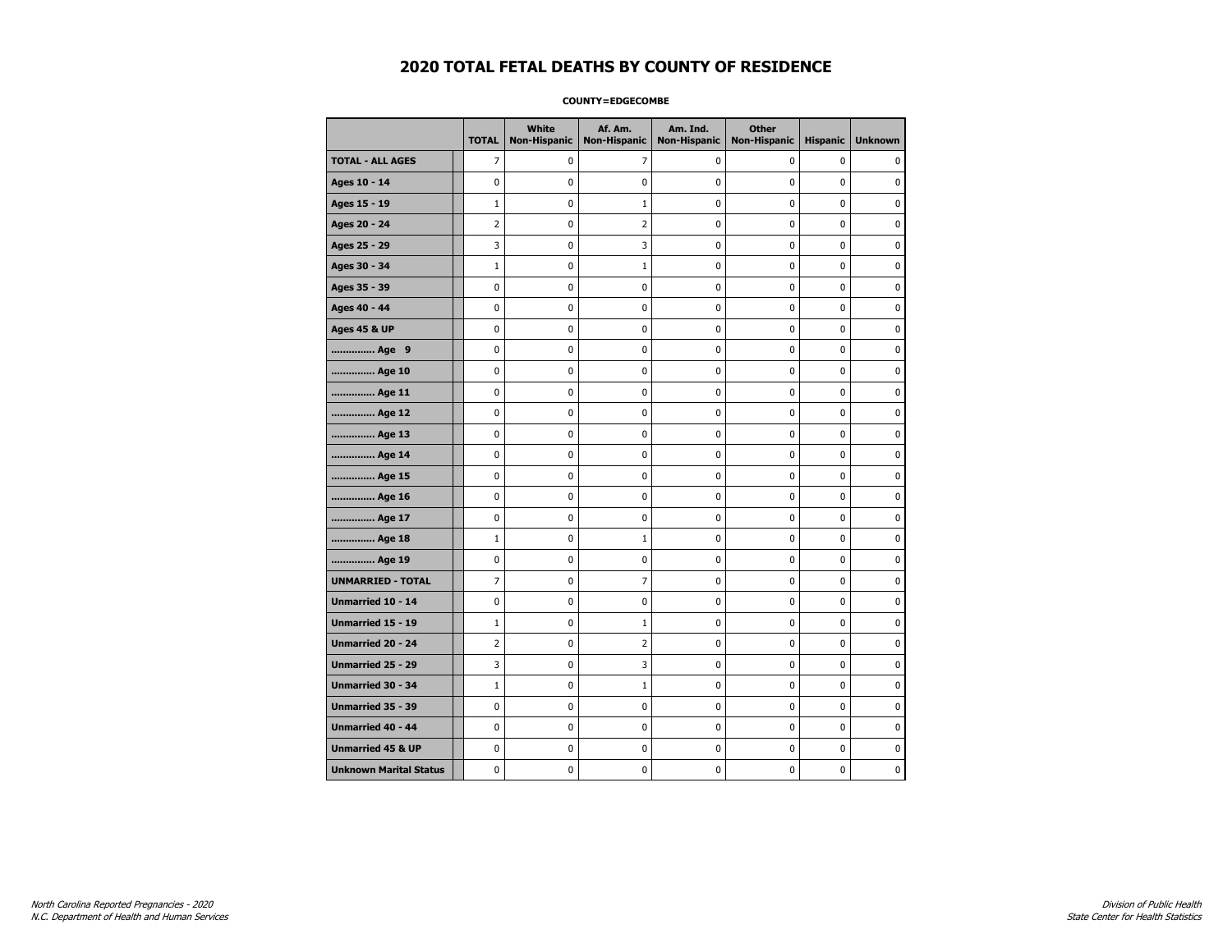### **COUNTY=EDGECOMBE**

|                               | <b>TOTAL</b>   | White<br>Non-Hispanic | Af. Am.<br><b>Non-Hispanic</b> | Am. Ind.<br><b>Non-Hispanic</b> | <b>Other</b><br><b>Non-Hispanic</b> | <b>Hispanic</b> | <b>Unknown</b> |
|-------------------------------|----------------|-----------------------|--------------------------------|---------------------------------|-------------------------------------|-----------------|----------------|
| <b>TOTAL - ALL AGES</b>       | $\overline{7}$ | 0                     | 7                              | 0                               | 0                                   | 0               | 0              |
| Ages 10 - 14                  | $\mathbf 0$    | 0                     | 0                              | 0                               | $\mathbf 0$                         | $\mathbf 0$     | $\mathbf 0$    |
| Ages 15 - 19                  | $\mathbf{1}$   | 0                     | $\mathbf{1}$                   | 0                               | $\pmb{0}$                           | 0               | $\mathbf 0$    |
| Ages 20 - 24                  | 2              | 0                     | 2                              | $\pmb{0}$                       | 0                                   | 0               | 0              |
| Ages 25 - 29                  | 3              | 0                     | 3                              | 0                               | 0                                   | 0               | 0              |
| Ages 30 - 34                  | $\mathbf{1}$   | 0                     | 1                              | $\mathbf 0$                     | 0                                   | 0               | 0              |
| Ages 35 - 39                  | $\mathbf 0$    | 0                     | 0                              | $\mathbf 0$                     | 0                                   | 0               | 0              |
| Ages 40 - 44                  | $\pmb{0}$      | 0                     | $\pmb{0}$                      | 0                               | $\pmb{0}$                           | $\mathbf 0$     | $\pmb{0}$      |
| <b>Ages 45 &amp; UP</b>       | 0              | 0                     | 0                              | 0                               | 0                                   | 0               | 0              |
| Age 9                         | $\mathbf 0$    | 0                     | 0                              | 0                               | 0                                   | 0               | 0              |
| Age 10                        | $\mathbf 0$    | 0                     | 0                              | 0                               | 0                                   | 0               | $\mathbf 0$    |
| Age 11                        | $\mathbf 0$    | 0                     | 0                              | $\mathbf 0$                     | $\mathbf 0$                         | $\mathbf 0$     | $\mathbf 0$    |
| Age 12                        | 0              | 0                     | 0                              | 0                               | 0                                   | 0               | 0              |
| Age 13                        | $\mathbf 0$    | 0                     | 0                              | 0                               | $\mathbf 0$                         | $\mathbf 0$     | 0              |
| Age 14                        | 0              | 0                     | 0                              | 0                               | 0                                   | 0               | 0              |
| Age 15                        | 0              | 0                     | 0                              | 0                               | $\mathbf 0$                         | 0               | 0              |
| Age 16                        | 0              | $\mathbf 0$           | 0                              | 0                               | 0                                   | $\overline{0}$  | $\mathbf 0$    |
| Age 17                        | $\pmb{0}$      | 0                     | $\pmb{0}$                      | $\pmb{0}$                       | 0                                   | 0               | 0              |
| Age 18                        | $\mathbf{1}$   | 0                     | 1                              | 0                               | 0                                   | 0               | 0              |
| Age 19                        | 0              | 0                     | 0                              | 0                               | 0                                   | 0               | 0              |
| <b>UNMARRIED - TOTAL</b>      | 7              | 0                     | 7                              | 0                               | $\mathbf 0$                         | 0               | 0              |
| Unmarried 10 - 14             | $\mathbf 0$    | 0                     | 0                              | $\mathbf 0$                     | $\mathbf 0$                         | 0               | $\mathbf 0$    |
| Unmarried 15 - 19             | $\mathbf{1}$   | 0                     | 1                              | 0                               | $\pmb{0}$                           | 0               | 0              |
| <b>Unmarried 20 - 24</b>      | $\overline{2}$ | 0                     | 2                              | 0                               | 0                                   | 0               | 0              |
| Unmarried 25 - 29             | 3              | 0                     | 3                              | $\pmb{0}$                       | 0                                   | $\mathbf 0$     | $\mathbf 0$    |
| <b>Unmarried 30 - 34</b>      | $\mathbf{1}$   | 0                     | $\mathbf{1}$                   | $\pmb{0}$                       | $\mathbf 0$                         | $\mathbf 0$     | 0              |
| Unmarried 35 - 39             | 0              | 0                     | 0                              | 0                               | 0                                   | 0               | 0              |
| Unmarried 40 - 44             | 0              | $\mathbf 0$           | 0                              | 0                               | 0                                   | 0               | $\mathbf 0$    |
| <b>Unmarried 45 &amp; UP</b>  | 0              | 0                     | 0                              | 0                               | 0                                   | 0               | 0              |
| <b>Unknown Marital Status</b> | 0              | 0                     | 0                              | 0                               | 0                                   | 0               | 0              |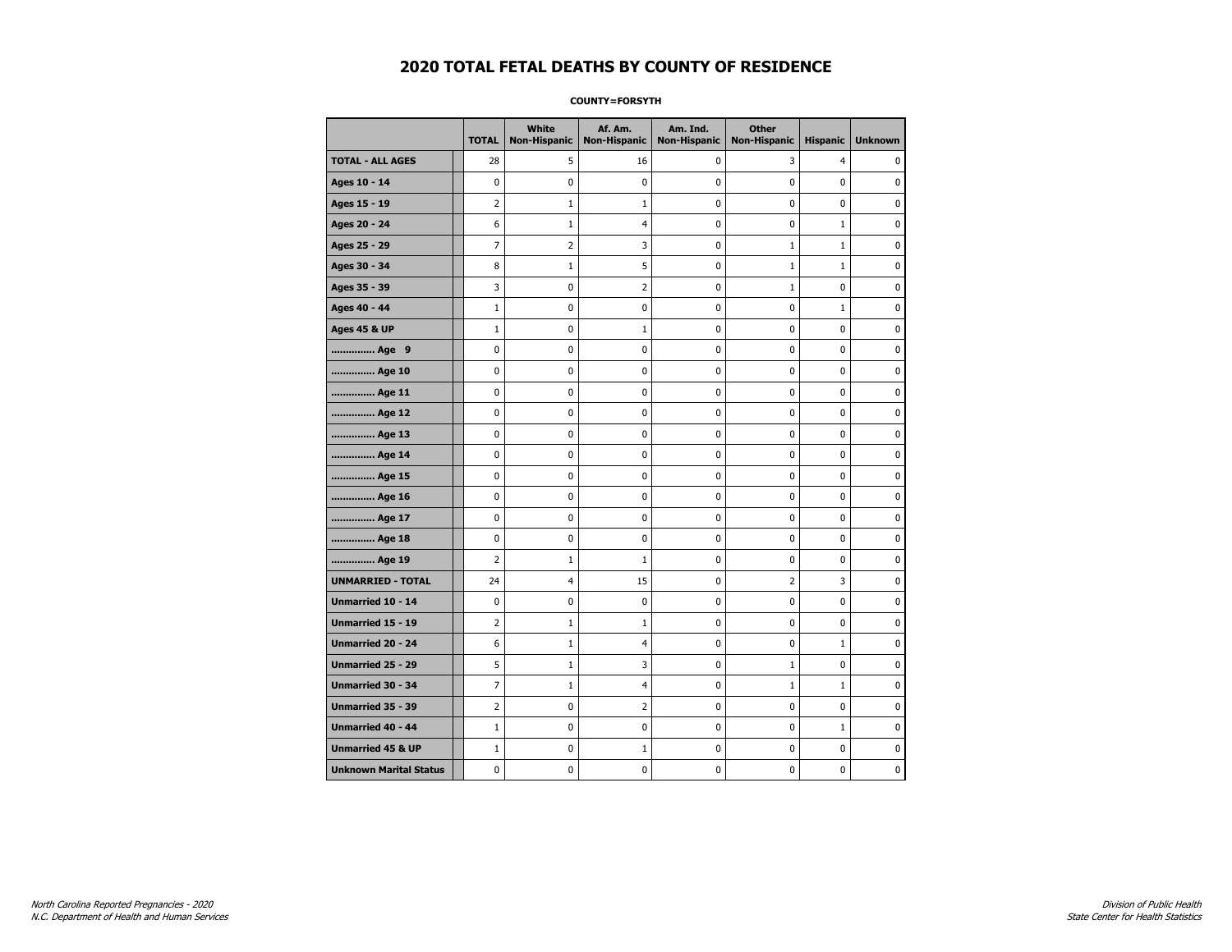### **COUNTY=FORSYTH**

|                               | <b>TOTAL</b>   | White<br>Non-Hispanic | Af. Am.<br><b>Non-Hispanic</b> | Am. Ind.<br><b>Non-Hispanic</b> | <b>Other</b><br><b>Non-Hispanic</b> | <b>Hispanic</b> | <b>Unknown</b> |
|-------------------------------|----------------|-----------------------|--------------------------------|---------------------------------|-------------------------------------|-----------------|----------------|
| <b>TOTAL - ALL AGES</b>       | 28             | 5                     | 16                             | 0                               | 3                                   | $\overline{4}$  | 0              |
| Ages 10 - 14                  | 0              | 0                     | $\mathbf 0$                    | 0                               | 0                                   | $\mathbf 0$     | 0              |
| Ages 15 - 19                  | $\overline{2}$ | $\mathbf{1}$          | $\mathbf{1}$                   | $\mathbf 0$                     | 0                                   | 0               | $\mathbf 0$    |
| Ages 20 - 24                  | 6              | $1\,$                 | $\overline{4}$                 | $\pmb{0}$                       | 0                                   | $\mathbf{1}$    | 0              |
| Ages 25 - 29                  | 7              | $\overline{2}$        | 3                              | $\pmb{0}$                       | $1\,$                               | $\mathbf 1$     | $\pmb{0}$      |
| Ages 30 - 34                  | 8              | $\mathbf{1}$          | 5                              | 0                               | $1\,$                               | $\mathbf{1}$    | 0              |
| Ages 35 - 39                  | 3              | 0                     | $\mathbf 2$                    | 0                               | 1                                   | $\mathbf 0$     | 0              |
| Ages 40 - 44                  | $1\,$          | 0                     | $\mathbf 0$                    | 0                               | 0                                   | $\mathbf{1}$    | $\mathbf 0$    |
| <b>Ages 45 &amp; UP</b>       | $\mathbf 1$    | 0                     | $\mathbf{1}$                   | $\mathbf 0$                     | 0                                   | $\mathbf 0$     | 0              |
| Age 9                         | 0              | 0                     | 0                              | 0                               | 0                                   | 0               | 0              |
| Age 10                        | 0              | 0                     | $\mathbf 0$                    | 0                               | 0                                   | $\mathbf 0$     | 0              |
| Age 11                        | 0              | 0                     | 0                              | 0                               | 0                                   | 0               | 0              |
| Age 12                        | 0              | 0                     | 0                              | 0                               | 0                                   | 0               | 0              |
| Age 13                        | 0              | 0                     | $\mathbf 0$                    | $\mathbf 0$                     | 0                                   | 0               | $\mathbf 0$    |
| Age 14                        | $\mathbf 0$    | $\mathbf 0$           | $\mathbf 0$                    | $\mathbf 0$                     | 0                                   | 0               | 0              |
| Age 15                        | 0              | 0                     | $\mathbf 0$                    | $\pmb{0}$                       | 0                                   | $\pmb{0}$       | $\pmb{0}$      |
| Age 16                        | 0              | 0                     | 0                              | 0                               | 0                                   | 0               | 0              |
| Age 17                        | 0              | 0                     | $\mathbf 0$                    | 0                               | 0                                   | $\mathbf 0$     | 0              |
| Age 18                        | 0              | 0                     | $\mathbf 0$                    | 0                               | 0                                   | 0               | $\mathbf 0$    |
| Age 19                        | $\overline{2}$ | $\mathbf{1}$          | 1                              | $\mathbf 0$                     | 0                                   | $\mathbf 0$     | 0              |
| <b>UNMARRIED - TOTAL</b>      | 24             | $\overline{4}$        | 15                             | 0                               | $\overline{2}$                      | 3               | 0              |
| Unmarried 10 - 14             | 0              | $\mathbf 0$           | $\bf{0}$                       | $\pmb{0}$                       | 0                                   | 0               | $\pmb{0}$      |
| Unmarried 15 - 19             | 2              | $\mathbf{1}$          | 1                              | 0                               | 0                                   | 0               | 0              |
| Unmarried 20 - 24             | 6              | $\mathbf{1}$          | 4                              | 0                               | 0                                   | $\mathbf{1}$    | 0              |
| <b>Unmarried 25 - 29</b>      | 5              | $\mathbf{1}$          | 3                              | $\mathbf 0$                     | $1\,$                               | $\mathbf 0$     | $\mathbf 0$    |
| <b>Unmarried 30 - 34</b>      | 7              | $1\,$                 | $\overline{4}$                 | 0                               | $1\,$                               | $\mathbf{1}$    | 0              |
| Unmarried 35 - 39             | $\overline{2}$ | 0                     | $\overline{2}$                 | $\pmb{0}$                       | $\pmb{0}$                           | $\pmb{0}$       | $\pmb{0}$      |
| Unmarried 40 - 44             | $\mathbf 1$    | 0                     | 0                              | 0                               | 0                                   | $\mathbf{1}$    | 0              |
| <b>Unmarried 45 &amp; UP</b>  | $\mathbf 1$    | 0                     | 1                              | 0                               | 0                                   | 0               | 0              |
| <b>Unknown Marital Status</b> | 0              | 0                     | $\pmb{0}$                      | 0                               | 0                                   | 0               | 0              |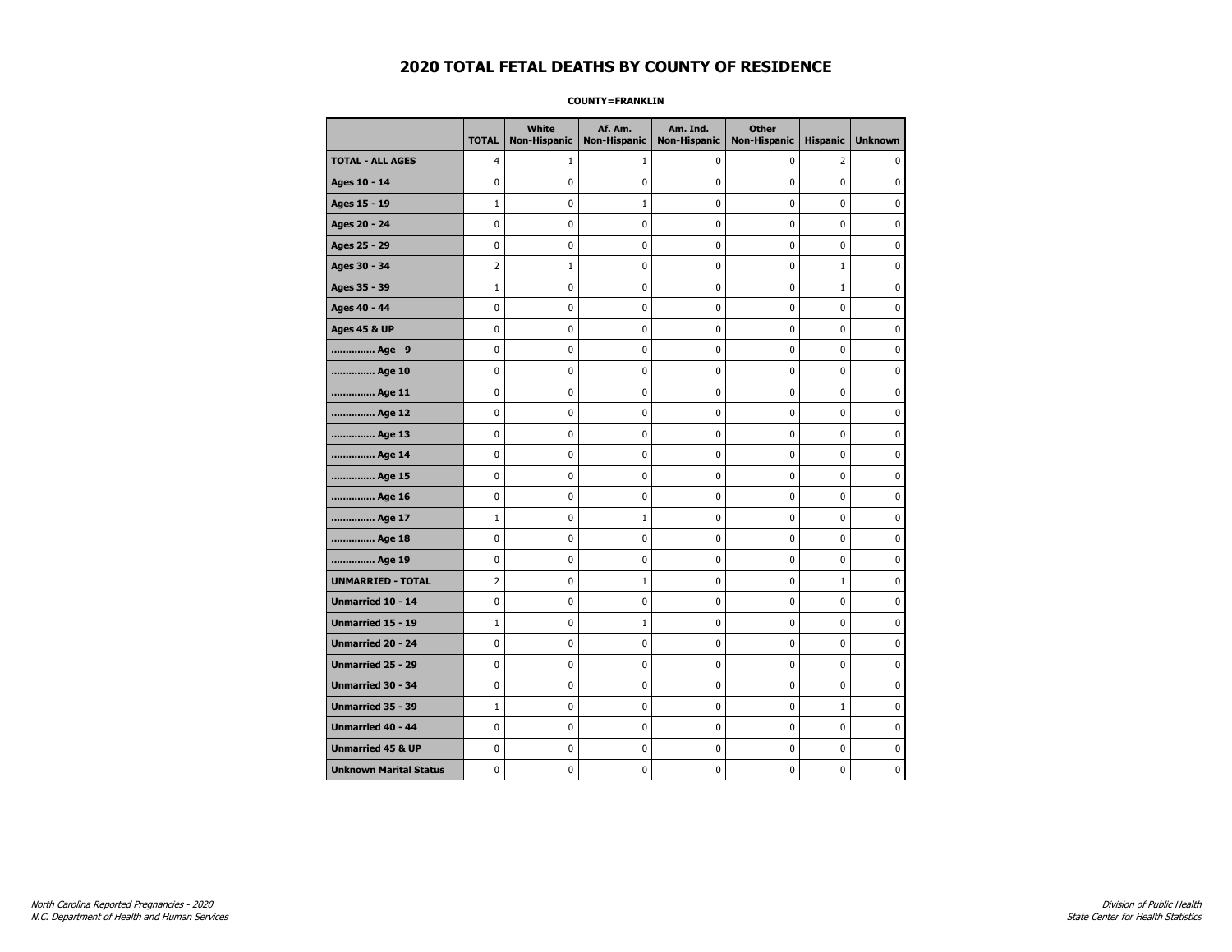### **COUNTY=FRANKLIN**

|                               | <b>TOTAL</b>   | White<br><b>Non-Hispanic</b> | Af. Am.<br><b>Non-Hispanic</b> | Am. Ind.<br><b>Non-Hispanic</b> | <b>Other</b><br><b>Non-Hispanic</b> | <b>Hispanic</b> | <b>Unknown</b> |
|-------------------------------|----------------|------------------------------|--------------------------------|---------------------------------|-------------------------------------|-----------------|----------------|
| <b>TOTAL - ALL AGES</b>       | 4              | 1                            | 1                              | 0                               | 0                                   | $\overline{2}$  | 0              |
| Ages 10 - 14                  | 0              | 0                            | $\mathbf 0$                    | 0                               | 0                                   | $\mathbf 0$     | 0              |
| Ages 15 - 19                  | $\mathbf{1}$   | 0                            | $\mathbf{1}$                   | $\mathbf 0$                     | 0                                   | $\mathbf 0$     | $\mathbf 0$    |
| Ages 20 - 24                  | 0              | 0                            | 0                              | 0                               | $\pmb{0}$                           | $\pmb{0}$       | 0              |
| Ages 25 - 29                  | 0              | 0                            | $\pmb{0}$                      | 0                               | 0                                   | 0               | 0              |
| Ages 30 - 34                  | $\overline{2}$ | $\mathbf{1}$                 | 0                              | 0                               | 0                                   | $\mathbf{1}$    | 0              |
| Ages 35 - 39                  | $\mathbf 1$    | 0                            | $\mathbf 0$                    | 0                               | 0                                   | $\mathbf{1}$    | 0              |
| Ages 40 - 44                  | 0              | 0                            | $\mathbf 0$                    | 0                               | 0                                   | $\mathbf 0$     | $\mathbf 0$    |
| <b>Ages 45 &amp; UP</b>       | 0              | 0                            | $\mathbf 0$                    | $\mathbf 0$                     | 0                                   | $\mathbf 0$     | 0              |
| Age 9                         | 0              | 0                            | $\mathbf 0$                    | $\pmb{0}$                       | 0                                   | 0               | $\pmb{0}$      |
| Age 10                        | 0              | 0                            | $\pmb{0}$                      | 0                               | 0                                   | 0               | 0              |
| Age 11                        | 0              | 0                            | 0                              | 0                               | 0                                   | $\mathbf 0$     | 0              |
| Age 12                        | 0              | 0                            | 0                              | 0                               | 0                                   | 0               | 0              |
| Age 13                        | 0              | 0                            | $\mathbf 0$                    | $\mathbf 0$                     | 0                                   | $\mathbf 0$     | $\mathbf 0$    |
| Age 14                        | 0              | 0                            | $\mathbf 0$                    | 0                               | $\mathbf 0$                         | $\mathbf 0$     | 0              |
| Age 15                        | 0              | 0                            | $\pmb{0}$                      | $\pmb{0}$                       | $\pmb{0}$                           | 0               | 0              |
| Age 16                        | 0              | 0                            | 0                              | 0                               | 0                                   | 0               | 0              |
| Age 17                        | $\mathbf 1$    | 0                            | $\mathbf{1}$                   | 0                               | 0                                   | $\mathbf 0$     | 0              |
| Age 18                        | 0              | 0                            | $\mathbf 0$                    | 0                               | 0                                   | 0               | 0              |
| Age 19                        | 0              | 0                            | $\mathbf 0$                    | $\mathbf 0$                     | 0                                   | $\mathbf 0$     | 0              |
| <b>UNMARRIED - TOTAL</b>      | $\overline{2}$ | 0                            | $\mathbf 1$                    | $\pmb{0}$                       | 0                                   | $\mathbf{1}$    | 0              |
| Unmarried 10 - 14             | 0              | 0                            | $\pmb{0}$                      | $\pmb{0}$                       | 0                                   | 0               | $\pmb{0}$      |
| Unmarried 15 - 19             | $\mathbf 1$    | 0                            | 1                              | 0                               | 0                                   | 0               | 0              |
| Unmarried 20 - 24             | 0              | 0                            | 0                              | 0                               | 0                                   | 0               | 0              |
| Unmarried 25 - 29             | 0              | 0                            | $\mathbf 0$                    | $\mathbf 0$                     | 0                                   | $\mathbf 0$     | 0              |
| <b>Unmarried 30 - 34</b>      | 0              | $\mathbf 0$                  | $\mathbf 0$                    | $\pmb{0}$                       | $\mathbf 0$                         | $\mathbf 0$     | 0              |
| Unmarried 35 - 39             | $\mathbf 1$    | 0                            | 0                              | 0                               | 0                                   | $\mathbf 1$     | 0              |
| Unmarried 40 - 44             | 0              | 0                            | 0                              | 0                               | 0                                   | 0               | $\mathbf 0$    |
| <b>Unmarried 45 &amp; UP</b>  | 0              | 0                            | 0                              | 0                               | 0                                   | 0               | 0              |
| <b>Unknown Marital Status</b> | 0              | $\mathbf 0$                  | $\mathbf 0$                    | $\mathbf 0$                     | 0                                   | $\mathbf 0$     | 0              |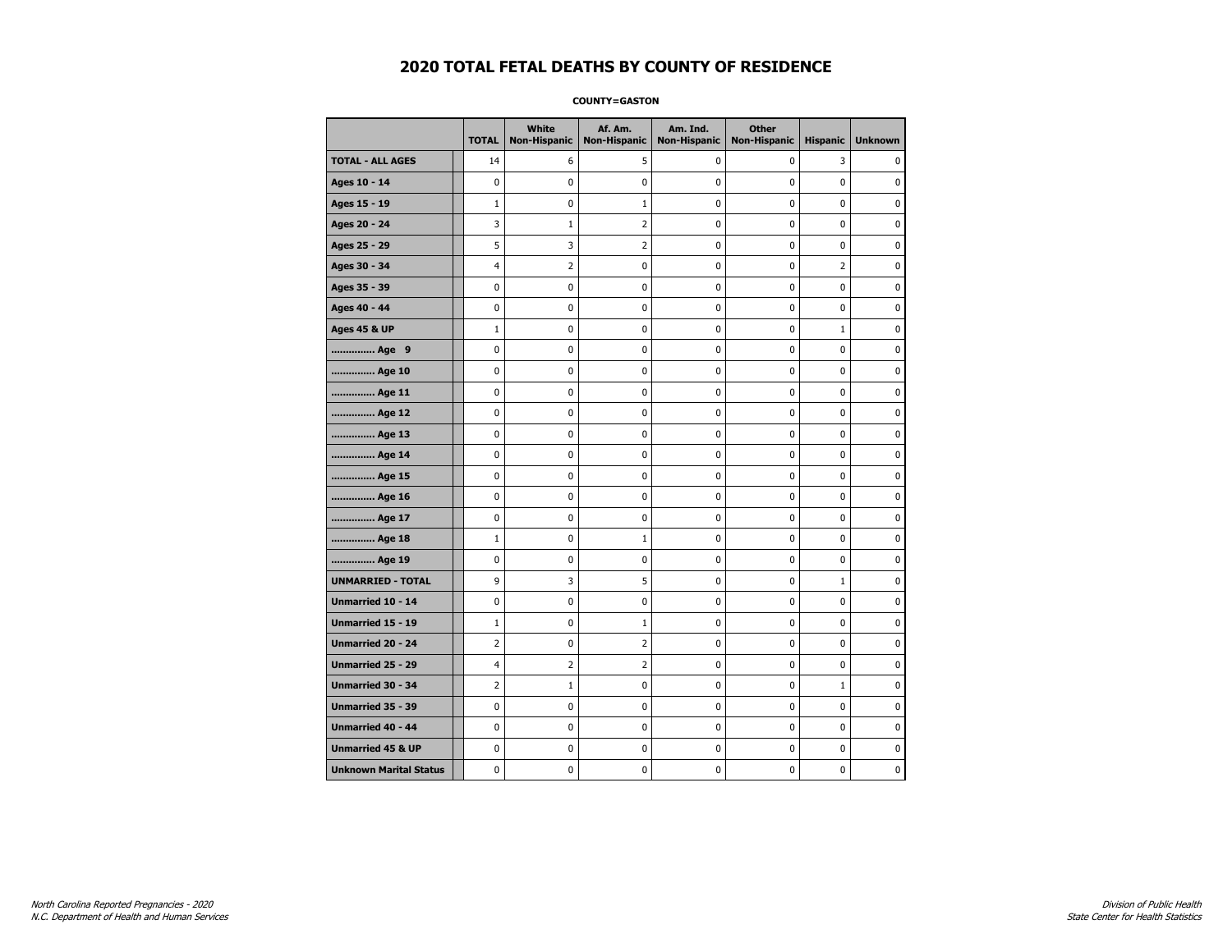**COUNTY=GASTON** 

|                               | <b>TOTAL</b>   | White<br>Non-Hispanic | Af. Am.<br><b>Non-Hispanic</b> | Am. Ind.<br><b>Non-Hispanic</b> | <b>Other</b><br>Non-Hispanic | <b>Hispanic</b> | <b>Unknown</b> |
|-------------------------------|----------------|-----------------------|--------------------------------|---------------------------------|------------------------------|-----------------|----------------|
| <b>TOTAL - ALL AGES</b>       | 14             | 6                     | 5                              | 0                               | 0                            | 3               | 0              |
| Ages 10 - 14                  | 0              | 0                     | $\mathbf 0$                    | 0                               | 0                            | $\mathbf 0$     | $\mathbf 0$    |
| Ages 15 - 19                  | $\mathbf{1}$   | 0                     | $\mathbf{1}$                   | $\mathbf 0$                     | 0                            | $\mathbf 0$     | 0              |
| Ages 20 - 24                  | 3              | $1\,$                 | 2                              | $\pmb{0}$                       | 0                            | 0               | 0              |
| Ages 25 - 29                  | 5              | 3                     | $\overline{2}$                 | 0                               | 0                            | 0               | 0              |
| Ages 30 - 34                  | 4              | $\overline{2}$        | 0                              | 0                               | 0                            | 2               | 0              |
| Ages 35 - 39                  | 0              | 0                     | $\mathbf 0$                    | 0                               | 0                            | 0               | 0              |
| Ages 40 - 44                  | 0              | 0                     | 0                              | $\mathbf 0$                     | 0                            | 0               | $\mathbf 0$    |
| <b>Ages 45 &amp; UP</b>       | $\mathbf 1$    | 0                     | 0                              | $\pmb{0}$                       | $\pmb{0}$                    | $\mathbf 1$     | 0              |
| Age 9                         | 0              | 0                     | $\pmb{0}$                      | 0                               | 0                            | 0               | 0              |
| Age 10                        | 0              | 0                     | $\mathbf 0$                    | 0                               | 0                            | 0               | 0              |
| Age 11                        | $\mathbf 0$    | 0                     | $\mathbf 0$                    | $\mathbf 0$                     | 0                            | 0               | 0              |
| Age 12                        | 0              | 0                     | $\mathbf 0$                    | $\mathbf 0$                     | 0                            | $\mathbf 0$     | $\mathbf 0$    |
| Age 13                        | 0              | 0                     | 0                              | $\pmb{0}$                       | 0                            | 0               | 0              |
| Age 14                        | 0              | 0                     | $\mathbf 0$                    | 0                               | 0                            | $\mathbf 0$     | 0              |
| Age 15                        | 0              | 0                     | $\mathbf 0$                    | 0                               | 0                            | $\mathbf 0$     | $\mathbf 0$    |
| Age 16                        | 0              | 0                     | $\mathbf 0$                    | $\mathbf 0$                     | $\mathbf 0$                  | $\mathbf 0$     | $\mathbf 0$    |
| Age 17                        | 0              | $\mathbf 0$           | $\mathbf 0$                    | $\mathbf 0$                     | 0                            | $\mathbf 0$     | 0              |
| Age 18                        | $\mathbf 1$    | 0                     | $\mathbf 1$                    | $\pmb{0}$                       | 0                            | $\mathbf 0$     | $\mathbf 0$    |
| Age 19                        | 0              | 0                     | 0                              | 0                               | 0                            | 0               | 0              |
| <b>UNMARRIED - TOTAL</b>      | 9              | 3                     | 5                              | 0                               | 0                            | $\mathbf{1}$    | 0              |
| Unmarried 10 - 14             | 0              | 0                     | $\mathbf 0$                    | $\mathbf 0$                     | 0                            | 0               | $\mathbf 0$    |
| Unmarried 15 - 19             | $\mathbf 1$    | $\pmb{0}$             | $\mathbf 1$                    | $\pmb{0}$                       | 0                            | 0               | 0              |
| Unmarried 20 - 24             | 2              | 0                     | $\overline{2}$                 | 0                               | 0                            | 0               | 0              |
| Unmarried 25 - 29             | 4              | $\overline{2}$        | $\overline{2}$                 | 0                               | 0                            | 0               | 0              |
| Unmarried 30 - 34             | $\overline{2}$ | $\mathbf{1}$          | $\mathbf 0$                    | 0                               | 0                            | $\mathbf{1}$    | 0              |
| <b>Unmarried 35 - 39</b>      | 0              | 0                     | $\mathbf 0$                    | 0                               | $\mathbf 0$                  | $\mathbf 0$     | $\mathbf 0$    |
| Unmarried 40 - 44             | 0              | 0                     | 0                              | 0                               | 0                            | 0               | 0              |
| <b>Unmarried 45 &amp; UP</b>  | 0              | 0                     | 0                              | 0                               | 0                            | 0               | 0              |
| <b>Unknown Marital Status</b> | 0              | 0                     | 0                              | 0                               | 0                            | 0               | 0              |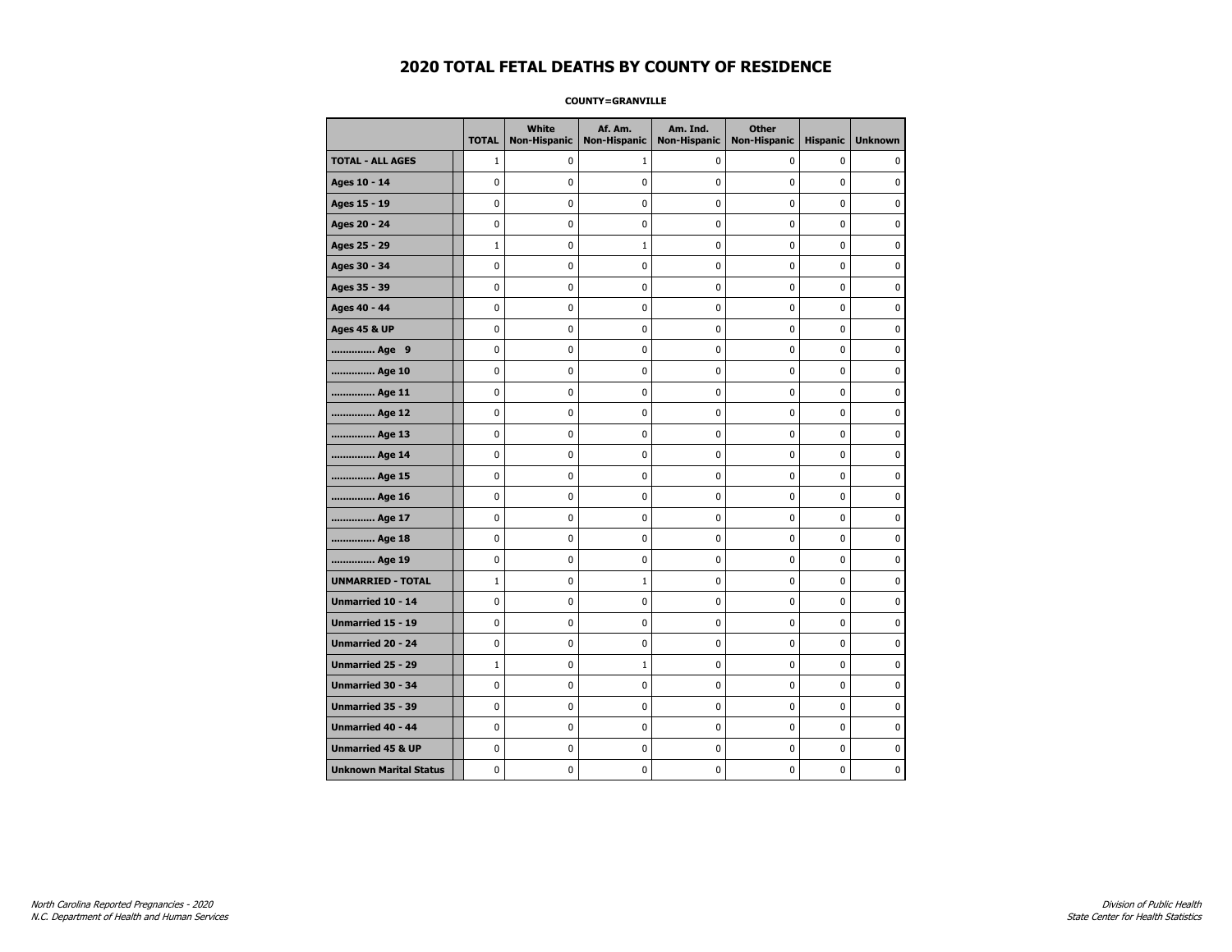**COUNTY=GRANVILLE** 

|                               | <b>TOTAL</b> | White<br>Non-Hispanic | Af. Am.<br><b>Non-Hispanic</b> | Am. Ind.<br><b>Non-Hispanic</b> | <b>Other</b><br>Non-Hispanic | <b>Hispanic</b> | <b>Unknown</b> |
|-------------------------------|--------------|-----------------------|--------------------------------|---------------------------------|------------------------------|-----------------|----------------|
| <b>TOTAL - ALL AGES</b>       | $\mathbf{1}$ | 0                     | $\mathbf{1}$                   | 0                               | 0                            | 0               | $\Omega$       |
| Ages 10 - 14                  | 0            | 0                     | 0                              | 0                               | 0                            | 0               | 0              |
| Ages 15 - 19                  | 0            | 0                     | 0                              | 0                               | 0                            | 0               | $\mathbf 0$    |
| Ages 20 - 24                  | 0            | 0                     | 0                              | 0                               | 0                            | 0               | $\mathbf 0$    |
| Ages 25 - 29                  | $\mathbf{1}$ | 0                     | $\mathbf{1}$                   | 0                               | $\mathbf 0$                  | 0               | $\mathbf 0$    |
| Ages 30 - 34                  | 0            | 0                     | $\pmb{0}$                      | 0                               | $\pmb{0}$                    | 0               | 0              |
| Ages 35 - 39                  | 0            | 0                     | 0                              | 0                               | 0                            | 0               | 0              |
| Ages 40 - 44                  | 0            | 0                     | 0                              | 0                               | 0                            | 0               | $\mathbf 0$    |
| <b>Ages 45 &amp; UP</b>       | 0            | 0                     | 0                              | 0                               | 0                            | 0               | 0              |
| Age 9                         | 0            | 0                     | 0                              | 0                               | 0                            | 0               | 0              |
| Age 10                        | 0            | 0                     | 0                              | 0                               | $\mathbf 0$                  | 0               | $\mathbf 0$    |
| Age 11                        | 0            | 0                     | 0                              | 0                               | $\mathbf 0$                  | 0               | $\mathbf 0$    |
| Age 12                        | 0            | 0                     | $\pmb{0}$                      | 0                               | $\pmb{0}$                    | 0               | $\pmb{0}$      |
| Age 13                        | 0            | 0                     | $\pmb{0}$                      | 0                               | $\pmb{0}$                    | 0               | 0              |
| Age 14                        | 0            | 0                     | 0                              | 0                               | 0                            | 0               | 0              |
| Age 15                        | 0            | 0                     | 0                              | 0                               | 0                            | 0               | $\mathbf 0$    |
| Age 16                        | 0            | 0                     | 0                              | 0                               | $\pmb{0}$                    | 0               | $\mathbf 0$    |
| Age 17                        | 0            | 0                     | 0                              | 0                               | 0                            | 0               | 0              |
| Age 18                        | 0            | 0                     | 0                              | 0                               | $\mathbf 0$                  | 0               | $\mathbf 0$    |
| Age 19                        | 0            | 0                     | $\pmb{0}$                      | 0                               | $\pmb{0}$                    | 0               | $\pmb{0}$      |
| <b>UNMARRIED - TOTAL</b>      | $\mathbf{1}$ | 0                     | $\mathbf{1}$                   | 0                               | $\pmb{0}$                    | 0               | $\pmb{0}$      |
| Unmarried 10 - 14             | 0            | 0                     | 0                              | 0                               | 0                            | 0               | 0              |
| <b>Unmarried 15 - 19</b>      | 0            | 0                     | 0                              | 0                               | 0                            | 0               | $\mathbf 0$    |
| <b>Unmarried 20 - 24</b>      | 0            | 0                     | 0                              | 0                               | 0                            | 0               | $\mathbf 0$    |
| <b>Unmarried 25 - 29</b>      | $\mathbf{1}$ | 0                     | $1\,$                          | 0                               | $\pmb{0}$                    | 0               | $\mathbf 0$    |
| <b>Unmarried 30 - 34</b>      | 0            | 0                     | 0                              | $\mathbf 0$                     | $\mathbf 0$                  | $\mathbf 0$     | $\mathbf 0$    |
| Unmarried 35 - 39             | 0            | 0                     | 0                              | 0                               | $\pmb{0}$                    | 0               | 0              |
| Unmarried 40 - 44             | 0            | $\pmb{0}$             | $\pmb{0}$                      | $\pmb{0}$                       | $\pmb{0}$                    | $\pmb{0}$       | 0              |
| <b>Unmarried 45 &amp; UP</b>  | 0            | 0                     | 0                              | 0                               | 0                            | 0               | 0              |
| <b>Unknown Marital Status</b> | 0            | 0                     | 0                              | 0                               | 0                            | 0               | $\mathbf 0$    |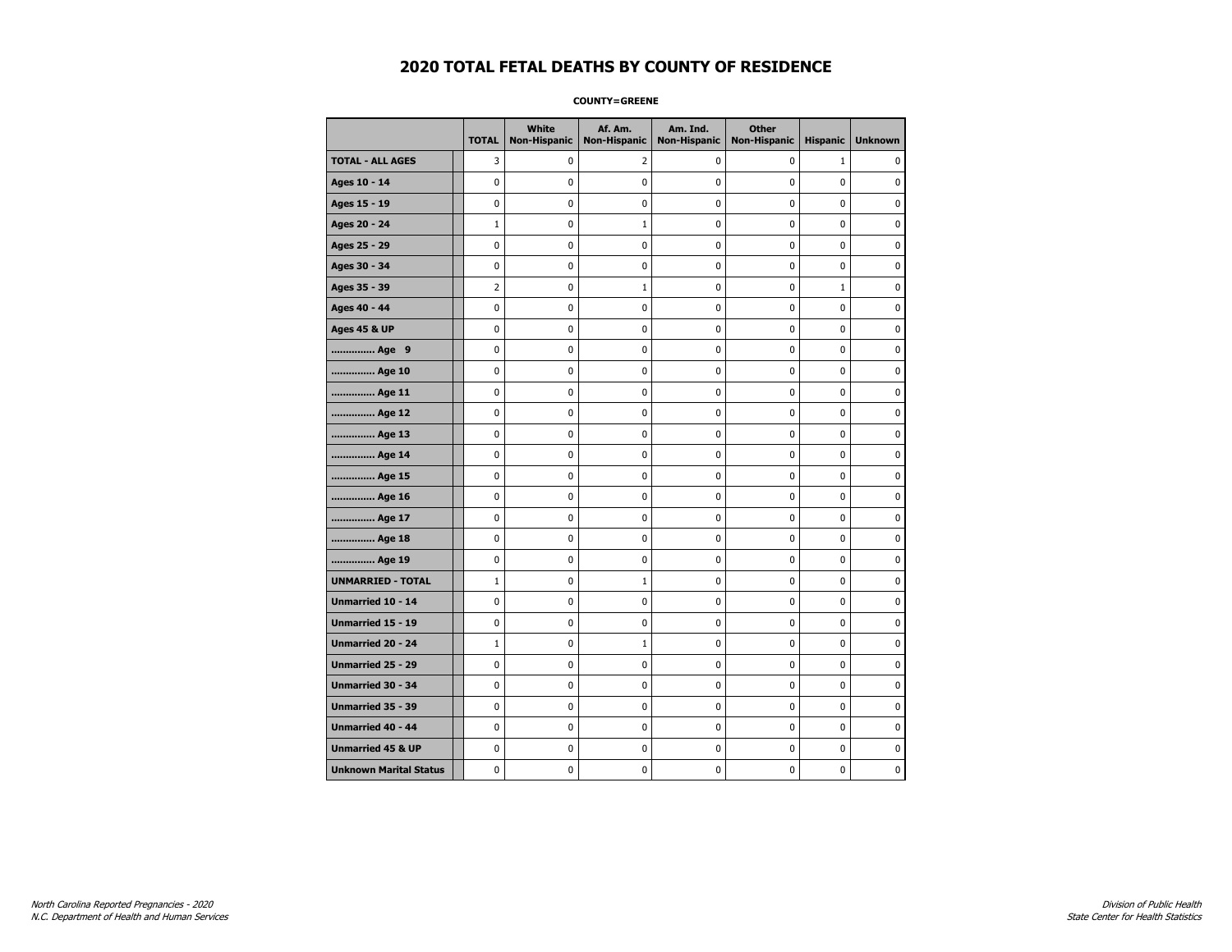**COUNTY=GREENE** 

|                               | <b>TOTAL</b> | White<br><b>Non-Hispanic</b> | Af. Am.<br><b>Non-Hispanic</b> | Am. Ind.<br><b>Non-Hispanic</b> | <b>Other</b><br><b>Non-Hispanic</b> | <b>Hispanic</b> | <b>Unknown</b> |
|-------------------------------|--------------|------------------------------|--------------------------------|---------------------------------|-------------------------------------|-----------------|----------------|
| <b>TOTAL - ALL AGES</b>       | 3            | 0                            | 2                              | 0                               | 0                                   | $\mathbf{1}$    | $\mathbf{0}$   |
| Ages 10 - 14                  | 0            | 0                            | 0                              | 0                               | 0                                   | 0               | 0              |
| Ages 15 - 19                  | 0            | 0                            | 0                              | 0                               | $\mathbf 0$                         | 0               | $\mathbf 0$    |
| Ages 20 - 24                  | $\mathbf{1}$ | 0                            | $1\,$                          | $\pmb{0}$                       | $\pmb{0}$                           | $\pmb{0}$       | $\pmb{0}$      |
| Ages 25 - 29                  | 0            | 0                            | 0                              | 0                               | 0                                   | 0               | 0              |
| Ages 30 - 34                  | 0            | 0                            | 0                              | 0                               | $\pmb{0}$                           | 0               | $\mathbf 0$    |
| Ages 35 - 39                  | 2            | 0                            | 1                              | 0                               | 0                                   | $\mathbf{1}$    | 0              |
| Ages 40 - 44                  | 0            | 0                            | 0                              | 0                               | $\mathbf 0$                         | 0               | $\mathbf 0$    |
| Ages 45 & UP                  | 0            | 0                            | 0                              | 0                               | $\pmb{0}$                           | 0               | $\pmb{0}$      |
| Age 9                         | 0            | 0                            | 0                              | 0                               | 0                                   | 0               | 0              |
| Age 10                        | 0            | 0                            | 0                              | 0                               | $\mathbf 0$                         | 0               | $\mathbf 0$    |
| Age 11                        | 0            | 0                            | 0                              | 0                               | $\mathbf 0$                         | 0               | $\mathbf 0$    |
| Age 12                        | 0            | 0                            | 0                              | 0                               | $\mathbf 0$                         | 0               | $\mathbf 0$    |
| Age 13                        | 0            | 0                            | $\pmb{0}$                      | 0                               | $\pmb{0}$                           | 0               | 0              |
| Age 14                        | 0            | 0                            | 0                              | 0                               | 0                                   | 0               | 0              |
| Age 15                        | 0            | 0                            | 0                              | 0                               | 0                                   | 0               | $\mathbf 0$    |
| Age 16                        | 0            | 0                            | 0                              | 0                               | $\mathbf 0$                         | 0               | $\mathbf 0$    |
| Age 17                        | 0            | 0                            | 0                              | 0                               | 0                                   | 0               | $\mathbf 0$    |
| Age 18                        | 0            | 0                            | 0                              | 0                               | $\mathbf 0$                         | 0               | $\mathbf 0$    |
| Age 19                        | 0            | 0                            | 0                              | 0                               | 0                                   | 0               | 0              |
| <b>UNMARRIED - TOTAL</b>      | $\mathbf{1}$ | 0                            | $\mathbf{1}$                   | 0                               | 0                                   | 0               | 0              |
| <b>Unmarried 10 - 14</b>      | 0            | 0                            | 0                              | 0                               | $\mathbf 0$                         | 0               | $\mathbf 0$    |
| Unmarried 15 - 19             | 0            | 0                            | 0                              | 0                               | $\pmb{0}$                           | 0               | $\pmb{0}$      |
| Unmarried 20 - 24             | $\mathbf{1}$ | 0                            | $1\,$                          | 0                               | 0                                   | 0               | 0              |
| <b>Unmarried 25 - 29</b>      | 0            | 0                            | 0                              | 0                               | 0                                   | 0               | 0              |
| Unmarried 30 - 34             | 0            | 0                            | 0                              | 0                               | 0                                   | 0               | $\mathbf 0$    |
| <b>Unmarried 35 - 39</b>      | 0            | 0                            | 0                              | 0                               | $\mathbf 0$                         | 0               | $\mathbf 0$    |
| Unmarried 40 - 44             | 0            | 0                            | 0                              | 0                               | $\pmb{0}$                           | 0               | 0              |
| <b>Unmarried 45 &amp; UP</b>  | 0            | 0                            | 0                              | 0                               | 0                                   | 0               | 0              |
| <b>Unknown Marital Status</b> | 0            | 0                            | 0                              | 0                               | 0                                   | 0               | 0              |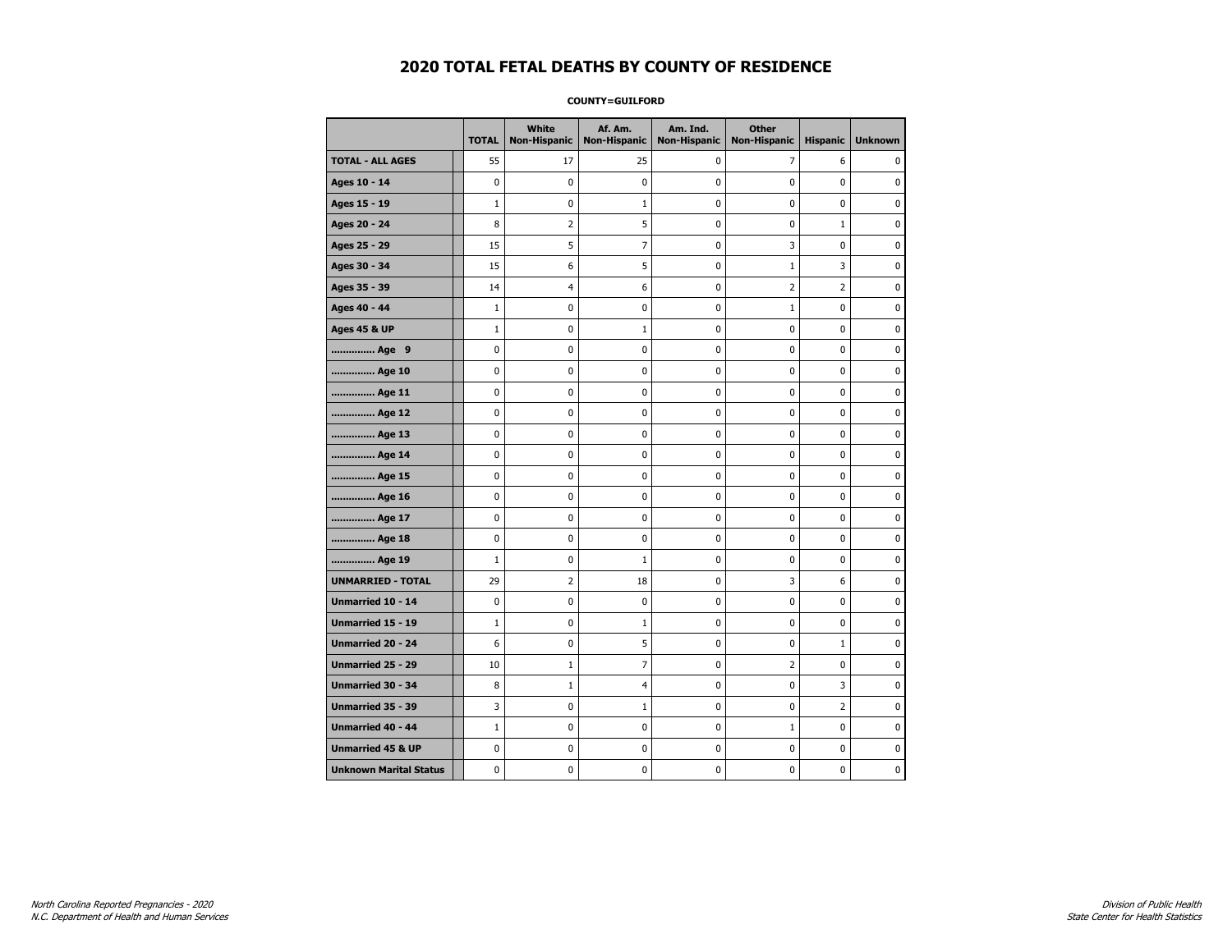**COUNTY=GUILFORD** 

|                               | <b>TOTAL</b> | White<br>Non-Hispanic | Af. Am.<br><b>Non-Hispanic</b> | Am. Ind.<br><b>Non-Hispanic</b> | <b>Other</b><br><b>Non-Hispanic</b> | <b>Hispanic</b> | <b>Unknown</b> |
|-------------------------------|--------------|-----------------------|--------------------------------|---------------------------------|-------------------------------------|-----------------|----------------|
| <b>TOTAL - ALL AGES</b>       | 55           | 17                    | 25                             | 0                               | 7                                   | 6               | 0              |
| Ages 10 - 14                  | 0            | $\mathbf 0$           | 0                              | 0                               | 0                                   | 0               | 0              |
| Ages 15 - 19                  | $\mathbf{1}$ | 0                     | $\mathbf{1}$                   | 0                               | 0                                   | 0               | $\mathbf 0$    |
| Ages 20 - 24                  | 8            | $\overline{2}$        | 5                              | 0                               | $\mathbf 0$                         | $\mathbf{1}$    | $\mathbf 0$    |
| Ages 25 - 29                  | 15           | 5                     | 7                              | 0                               | 3                                   | 0               | $\pmb{0}$      |
| Ages 30 - 34                  | 15           | 6                     | 5                              | 0                               | $\mathbf 1$                         | 3               | 0              |
| Ages 35 - 39                  | 14           | 4                     | 6                              | 0                               | $\overline{2}$                      | $\overline{2}$  | 0              |
| Ages 40 - 44                  | $\mathbf{1}$ | $\mathbf 0$           | 0                              | 0                               | $1\,$                               | 0               | $\pmb{0}$      |
| <b>Ages 45 &amp; UP</b>       | $\mathbf{1}$ | 0                     | $\mathbf{1}$                   | 0                               | 0                                   | 0               | $\mathbf 0$    |
| Age 9                         | 0            | 0                     | 0                              | 0                               | $\mathbf 0$                         | 0               | $\mathbf 0$    |
| Age 10                        | 0            | 0                     | 0                              | 0                               | $\pmb{0}$                           | $\pmb{0}$       | 0              |
| Age 11                        | 0            | 0                     | 0                              | 0                               | 0                                   | 0               | $\mathbf 0$    |
| Age 12                        | 0            | 0                     | 0                              | 0                               | 0                                   | 0               | 0              |
| Age 13                        | 0            | 0                     | 0                              | 0                               | 0                                   | 0               | $\mathbf 0$    |
| Age 14                        | $\mathbf 0$  | 0                     | 0                              | $\pmb{0}$                       | $\mathbf 0$                         | $\mathbf 0$     | $\mathbf 0$    |
| Age 15                        | $\pmb{0}$    | 0                     | 0                              | 0                               | $\pmb{0}$                           | $\pmb{0}$       | 0              |
| Age 16                        | 0            | $\mathbf 0$           | 0                              | $\pmb{0}$                       | $\pmb{0}$                           | $\pmb{0}$       | $\mathbf 0$    |
| Age 17                        | 0            | 0                     | 0                              | 0                               | 0                                   | 0               | 0              |
| Age 18                        | 0            | $\mathbf 0$           | 0                              | 0                               | $\pmb{0}$                           | 0               | $\pmb{0}$      |
| Age 19                        | $\mathbf{1}$ | 0                     | $\mathbf{1}$                   | 0                               | 0                                   | 0               | $\mathbf 0$    |
| <b>UNMARRIED - TOTAL</b>      | 29           | $\overline{2}$        | 18                             | 0                               | 3                                   | 6               | $\mathbf 0$    |
| Unmarried 10 - 14             | 0            | 0                     | 0                              | 0                               | $\pmb{0}$                           | $\pmb{0}$       | 0              |
| Unmarried 15 - 19             | $\mathbf{1}$ | 0                     | $\mathbf{1}$                   | $\pmb{0}$                       | $\pmb{0}$                           | $\pmb{0}$       | $\pmb{0}$      |
| <b>Unmarried 20 - 24</b>      | 6            | 0                     | 5                              | 0                               | 0                                   | $\mathbf{1}$    | 0              |
| Unmarried 25 - 29             | 10           | 1                     | 7                              | 0                               | $\overline{2}$                      | 0               | 0              |
| <b>Unmarried 30 - 34</b>      | 8            | 1                     | 4                              | 0                               | $\mathbf 0$                         | 3               | $\mathbf 0$    |
| <b>Unmarried 35 - 39</b>      | 3            | 0                     | $\mathbf{1}$                   | 0                               | $\mathbf 0$                         | $\overline{2}$  | $\mathbf 0$    |
| <b>Unmarried 40 - 44</b>      | $\mathbf{1}$ | $\pmb{0}$             | 0                              | 0                               | $\mathbf 1$                         | 0               | $\pmb{0}$      |
| <b>Unmarried 45 &amp; UP</b>  | 0            | 0                     | 0                              | 0                               | 0                                   | 0               | 0              |
| <b>Unknown Marital Status</b> | 0            | 0                     | 0                              | 0                               | 0                                   | 0               | $\mathbf 0$    |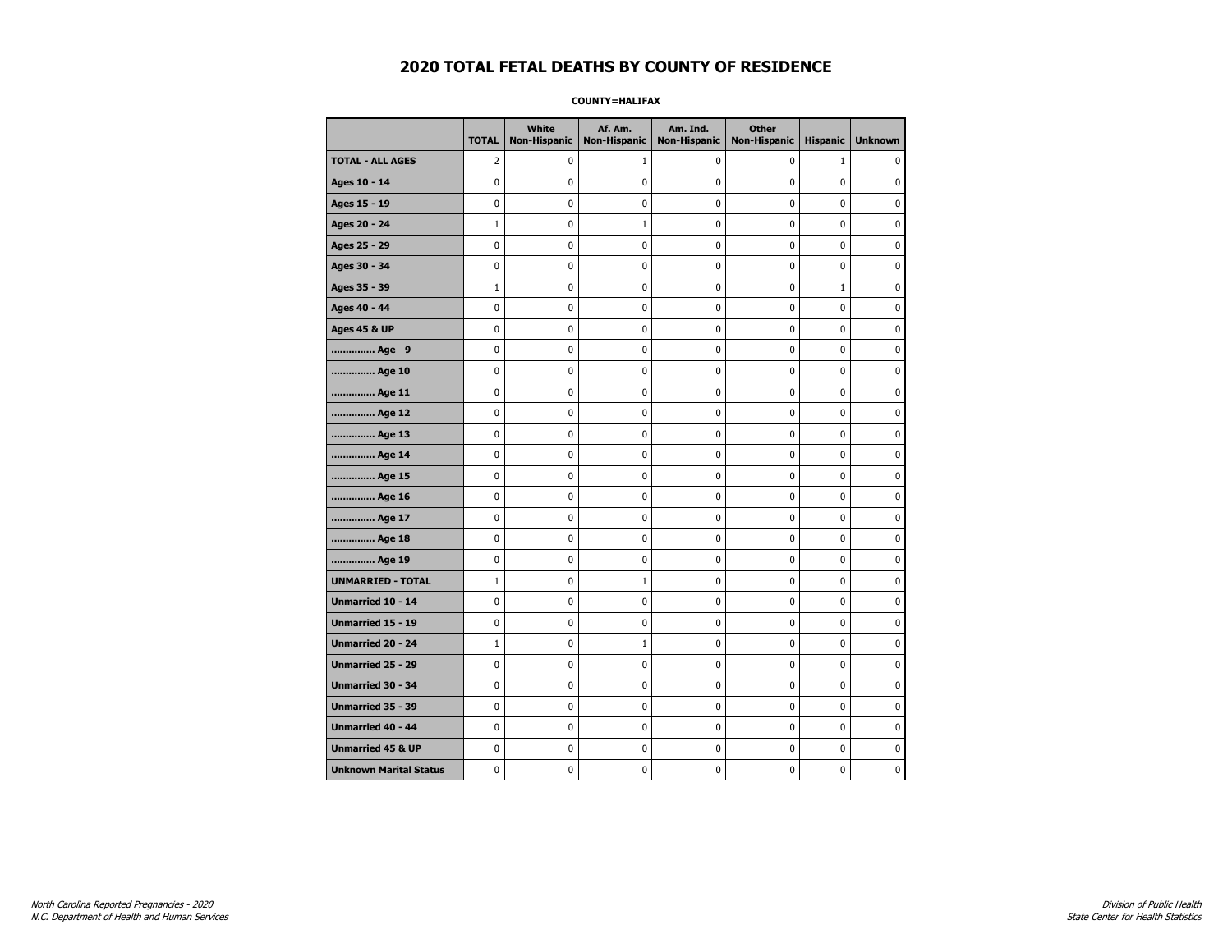### **COUNTY=HALIFAX**

|                               | <b>TOTAL</b>   | <b>White</b><br><b>Non-Hispanic</b> | Af. Am.<br><b>Non-Hispanic</b> | Am. Ind.<br><b>Non-Hispanic</b> | <b>Other</b><br><b>Non-Hispanic</b> | <b>Hispanic</b> | <b>Unknown</b> |
|-------------------------------|----------------|-------------------------------------|--------------------------------|---------------------------------|-------------------------------------|-----------------|----------------|
| <b>TOTAL - ALL AGES</b>       | $\overline{2}$ | 0                                   | 1                              | 0                               | 0                                   | $\mathbf{1}$    | 0              |
| Ages 10 - 14                  | 0              | 0                                   | 0                              | 0                               | $\mathbf 0$                         | 0               | 0              |
| Ages 15 - 19                  | 0              | 0                                   | 0                              | $\mathbf 0$                     | $\mathbf 0$                         | $\mathbf 0$     | 0              |
| Ages 20 - 24                  | $\mathbf 1$    | 0                                   | $1\,$                          | 0                               | $\mathbf 0$                         | 0               | 0              |
| Ages 25 - 29                  | $\pmb{0}$      | 0                                   | 0                              | 0                               | $\pmb{0}$                           | 0               | 0              |
| Ages 30 - 34                  | 0              | 0                                   | 0                              | 0                               | $\pmb{0}$                           | 0               | 0              |
| Ages 35 - 39                  | $\mathbf{1}$   | 0                                   | 0                              | 0                               | 0                                   | $\mathbf{1}$    | 0              |
| Ages 40 - 44                  | 0              | 0                                   | 0                              | 0                               | 0                                   | 0               | 0              |
| <b>Ages 45 &amp; UP</b>       | 0              | 0                                   | 0                              | $\pmb{0}$                       | 0                                   | $\mathbf 0$     | 0              |
| Age 9                         | 0              | 0                                   | 0                              | 0                               | $\mathbf 0$                         | $\mathbf 0$     | 0              |
| Age 10                        | $\mathbf 0$    | 0                                   | $\mathbf 0$                    | $\mathbf 0$                     | $\mathbf 0$                         | $\mathbf 0$     | 0              |
| Age 11                        | $\pmb{0}$      | 0                                   | $\bf{0}$                       | $\pmb{0}$                       | $\pmb{0}$                           | $\pmb{0}$       | 0              |
| Age 12                        | $\pmb{0}$      | 0                                   | 0                              | 0                               | $\pmb{0}$                           | 0               | 0              |
| Age 13                        | 0              | 0                                   | 0                              | 0                               | $\mathbf 0$                         | $\mathbf 0$     | 0              |
| Age 14                        | 0              | 0                                   | 0                              | 0                               | 0                                   | 0               | 0              |
| Age 15                        | $\mathbf 0$    | 0                                   | 0                              | 0                               | 0                                   | 0               | 0              |
| Age 16                        | $\mathbf 0$    | 0                                   | 0                              | $\mathbf 0$                     | $\mathbf 0$                         | $\mathbf 0$     | 0              |
| Age 17                        | 0              | 0                                   | 0                              | $\mathbf 0$                     | 0                                   | $\mathbf 0$     | 0              |
| Age 18                        | 0              | 0                                   | 0                              | $\mathbf 0$                     | $\mathbf 0$                         | $\mathbf 0$     | 0              |
| Age 19                        | $\pmb{0}$      | $\pmb{0}$                           | 0                              | $\pmb{0}$                       | $\pmb{0}$                           | 0               | 0              |
| <b>UNMARRIED - TOTAL</b>      | $\mathbf 1$    | 0                                   | $\mathbf{1}$                   | 0                               | 0                                   | 0               | 0              |
| Unmarried 10 - 14             | 0              | 0                                   | 0                              | 0                               | $\mathbf 0$                         | $\mathbf 0$     | 0              |
| Unmarried 15 - 19             | 0              | 0                                   | 0                              | 0                               | 0                                   | 0               | 0              |
| Unmarried 20 - 24             | $\mathbf{1}$   | 0                                   | $\mathbf{1}$                   | 0                               | 0                                   | 0               | 0              |
| <b>Unmarried 25 - 29</b>      | 0              | $\mathbf 0$                         | $\mathbf 0$                    | $\mathbf 0$                     | $\mathbf 0$                         | $\mathbf 0$     | 0              |
| Unmarried 30 - 34             | $\pmb{0}$      | 0                                   | 0                              | $\pmb{0}$                       | $\pmb{0}$                           | 0               | 0              |
| Unmarried 35 - 39             | $\pmb{0}$      | $\pmb{0}$                           | $\pmb{0}$                      | $\pmb{0}$                       | $\pmb{0}$                           | $\pmb{0}$       | $\pmb{0}$      |
| Unmarried 40 - 44             | 0              | 0                                   | 0                              | 0                               | 0                                   | 0               | 0              |
| <b>Unmarried 45 &amp; UP</b>  | 0              | 0                                   | 0                              | 0                               | 0                                   | $\mathbf 0$     | 0              |
| <b>Unknown Marital Status</b> | 0              | 0                                   | 0                              | 0                               | 0                                   | 0               | 0              |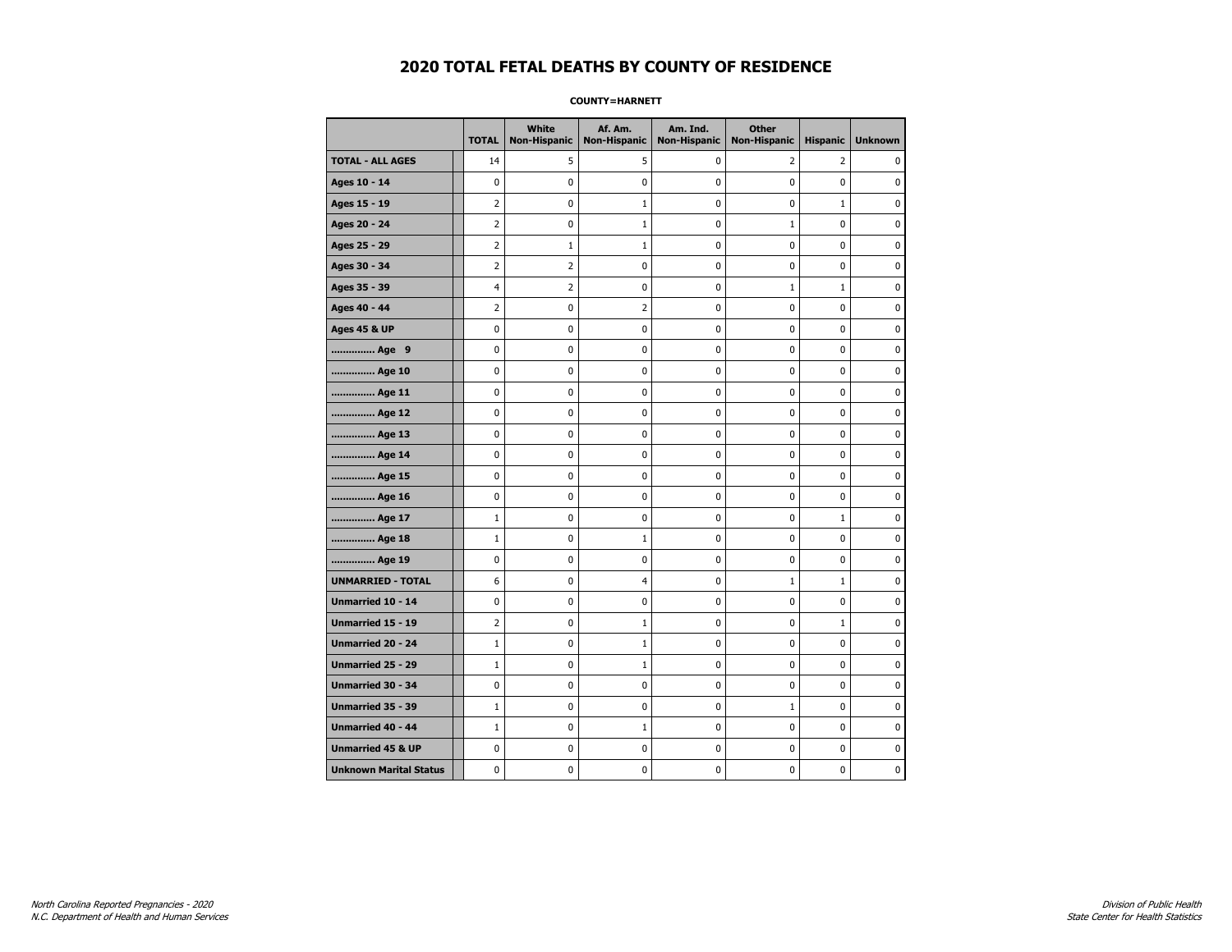**COUNTY=HARNETT** 

|                               | <b>TOTAL</b>   | White<br><b>Non-Hispanic</b> | Af. Am.<br><b>Non-Hispanic</b> | Am. Ind.<br><b>Non-Hispanic</b> | <b>Other</b><br><b>Non-Hispanic</b> | <b>Hispanic</b> | <b>Unknown</b> |
|-------------------------------|----------------|------------------------------|--------------------------------|---------------------------------|-------------------------------------|-----------------|----------------|
| <b>TOTAL - ALL AGES</b>       | 14             | 5                            | 5                              | 0                               | $\overline{2}$                      | $\overline{2}$  | 0              |
| Ages 10 - 14                  | 0              | 0                            | 0                              | $\mathbf 0$                     | 0                                   | 0               | 0              |
| Ages 15 - 19                  | 2              | 0                            | $\mathbf{1}$                   | 0                               | $\pmb{0}$                           | $\mathbf{1}$    | 0              |
| Ages 20 - 24                  | $\overline{2}$ | 0                            | $\mathbf{1}$                   | 0                               | $1\,$                               | 0               | 0              |
| Ages 25 - 29                  | $\overline{2}$ | 1                            | 1                              | 0                               | 0                                   | 0               | $\mathbf 0$    |
| Ages 30 - 34                  | $\overline{2}$ | $\overline{2}$               | 0                              | 0                               | $\pmb{0}$                           | 0               | $\mathbf 0$    |
| Ages 35 - 39                  | $\overline{4}$ | $\overline{2}$               | 0                              | 0                               | $\mathbf{1}$                        | $\mathbf{1}$    | $\mathbf 0$    |
| Ages 40 - 44                  | $\overline{2}$ | 0                            | $\overline{2}$                 | 0                               | $\pmb{0}$                           | 0               | $\pmb{0}$      |
| <b>Ages 45 &amp; UP</b>       | 0              | 0                            | 0                              | 0                               | 0                                   | 0               | $\mathbf 0$    |
| Age 9                         | 0              | 0                            | 0                              | 0                               | 0                                   | 0               | $\mathbf 0$    |
| Age 10                        | 0              | 0                            | 0                              | 0                               | $\mathbf 0$                         | 0               | $\mathbf 0$    |
| Age 11                        | 0              | 0                            | 0                              | 0                               | $\pmb{0}$                           | 0               | 0              |
| Age 12                        | 0              | 0                            | 0                              | 0                               | 0                                   | 0               | 0              |
| Age 13                        | 0              | 0                            | 0                              | 0                               | 0                                   | 0               | $\mathbf 0$    |
| Age 14                        | 0              | 0                            | 0                              | 0                               | $\pmb{0}$                           | 0               | $\mathbf 0$    |
| Age 15                        | 0              | 0                            | 0                              | 0                               | $\pmb{0}$                           | 0               | 0              |
| Age 16                        | 0              | 0                            | 0                              | 0                               | 0                                   | 0               | 0              |
| Age 17                        | $\mathbf{1}$   | 0                            | 0                              | 0                               | 0                                   | $\mathbf{1}$    | 0              |
| Age 18                        | $\mathbf{1}$   | 0                            | 1                              | 0                               | $\mathbf 0$                         | 0               | $\mathbf 0$    |
| Age 19                        | 0              | 0                            | 0                              | 0                               | $\pmb{0}$                           | 0               | 0              |
| <b>UNMARRIED - TOTAL</b>      | 6              | 0                            | 4                              | 0                               | $1\,$                               | $\mathbf{1}$    | 0              |
| Unmarried 10 - 14             | 0              | 0                            | 0                              | 0                               | $\pmb{0}$                           | 0               | $\mathbf 0$    |
| <b>Unmarried 15 - 19</b>      | $\overline{2}$ | 0                            | $\mathbf{1}$                   | 0                               | 0                                   | $\mathbf{1}$    | $\mathbf 0$    |
| Unmarried 20 - 24             | $\mathbf{1}$   | 0                            | 1                              | 0                               | $\pmb{0}$                           | 0               | 0              |
| Unmarried 25 - 29             | $\mathbf{1}$   | 0                            | $\mathbf 1$                    | 0                               | 0                                   | 0               | 0              |
| Unmarried 30 - 34             | 0              | 0                            | 0                              | 0                               | 0                                   | 0               | 0              |
| Unmarried 35 - 39             | $\mathbf{1}$   | 0                            | 0                              | 0                               | $1\,$                               | 0               | $\mathbf 0$    |
| Unmarried 40 - 44             | $1\,$          | 0                            | $\mathbf 1$                    | 0                               | $\pmb{0}$                           | 0               | 0              |
| <b>Unmarried 45 &amp; UP</b>  | 0              | 0                            | 0                              | 0                               | $\pmb{0}$                           | 0               | 0              |
| <b>Unknown Marital Status</b> | 0              | 0                            | 0                              | 0                               | 0                                   | 0               | 0              |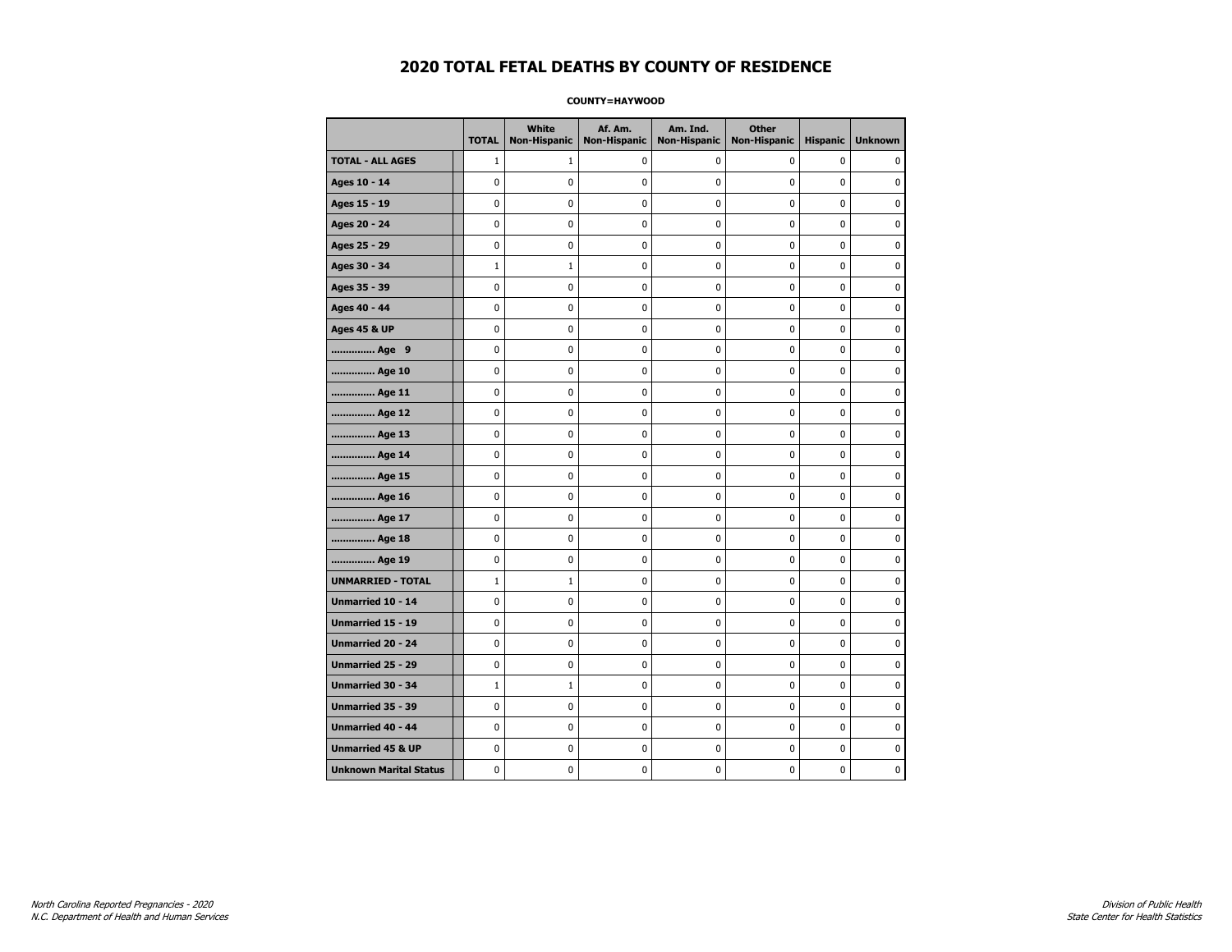### **COUNTY=HAYWOOD**

|                               | <b>TOTAL</b> | White<br><b>Non-Hispanic</b> | Af. Am.<br><b>Non-Hispanic</b> | Am. Ind.<br><b>Non-Hispanic</b> | <b>Other</b><br><b>Non-Hispanic</b> | <b>Hispanic</b> | <b>Unknown</b> |
|-------------------------------|--------------|------------------------------|--------------------------------|---------------------------------|-------------------------------------|-----------------|----------------|
| <b>TOTAL - ALL AGES</b>       | $\mathbf{1}$ | 1                            | $\mathbf 0$                    | 0                               | 0                                   | 0               | 0              |
| Ages 10 - 14                  | 0            | 0                            | $\mathbf 0$                    | 0                               | 0                                   | $\mathbf 0$     | 0              |
| Ages 15 - 19                  | 0            | 0                            | $\mathbf 0$                    | $\mathbf 0$                     | 0                                   | $\mathbf 0$     | $\mathbf 0$    |
| Ages 20 - 24                  | 0            | 0                            | 0                              | 0                               | $\pmb{0}$                           | $\pmb{0}$       | 0              |
| Ages 25 - 29                  | 0            | 0                            | $\pmb{0}$                      | 0                               | 0                                   | 0               | 0              |
| Ages 30 - 34                  | $\mathbf 1$  | $\mathbf{1}$                 | 0                              | 0                               | 0                                   | 0               | 0              |
| Ages 35 - 39                  | $\mathbf 0$  | 0                            | $\mathbf 0$                    | 0                               | 0                                   | $\mathbf 0$     | 0              |
| Ages 40 - 44                  | 0            | 0                            | $\mathbf 0$                    | 0                               | 0                                   | $\mathbf 0$     | $\mathbf 0$    |
| <b>Ages 45 &amp; UP</b>       | 0            | 0                            | $\mathbf 0$                    | $\mathbf 0$                     | 0                                   | $\mathbf 0$     | 0              |
| Age 9                         | 0            | $\pmb{0}$                    | $\mathbf 0$                    | $\pmb{0}$                       | 0                                   | 0               | $\pmb{0}$      |
| Age 10                        | 0            | 0                            | $\pmb{0}$                      | 0                               | 0                                   | 0               | 0              |
| Age 11                        | 0            | 0                            | 0                              | 0                               | 0                                   | $\mathbf 0$     | 0              |
| Age 12                        | 0            | 0                            | 0                              | 0                               | 0                                   | 0               | 0              |
| Age 13                        | 0            | 0                            | $\mathbf 0$                    | $\mathbf 0$                     | 0                                   | $\mathbf 0$     | $\mathbf 0$    |
| Age 14                        | 0            | 0                            | $\mathbf 0$                    | 0                               | $\mathbf 0$                         | $\mathbf 0$     | 0              |
| Age 15                        | 0            | 0                            | $\pmb{0}$                      | $\pmb{0}$                       | $\pmb{0}$                           | 0               | 0              |
| Age 16                        | 0            | 0                            | 0                              | 0                               | 0                                   | 0               | 0              |
| Age 17                        | 0            | 0                            | $\mathbf 0$                    | 0                               | 0                                   | $\mathbf 0$     | 0              |
| Age 18                        | 0            | 0                            | $\mathbf 0$                    | 0                               | 0                                   | 0               | 0              |
| Age 19                        | 0            | 0                            | $\mathbf 0$                    | $\mathbf 0$                     | 0                                   | $\mathbf 0$     | 0              |
| <b>UNMARRIED - TOTAL</b>      | $\mathbf 1$  | $1\,$                        | 0                              | $\pmb{0}$                       | 0                                   | 0               | 0              |
| Unmarried 10 - 14             | 0            | 0                            | $\pmb{0}$                      | $\pmb{0}$                       | 0                                   | $\pmb{0}$       | $\pmb{0}$      |
| Unmarried 15 - 19             | 0            | 0                            | 0                              | 0                               | 0                                   | 0               | 0              |
| Unmarried 20 - 24             | 0            | 0                            | 0                              | 0                               | 0                                   | 0               | 0              |
| Unmarried 25 - 29             | 0            | 0                            | $\mathbf 0$                    | $\mathbf 0$                     | 0                                   | $\mathbf 0$     | 0              |
| <b>Unmarried 30 - 34</b>      | $\mathbf 1$  | $1\,$                        | $\mathbf 0$                    | $\pmb{0}$                       | $\mathbf 0$                         | $\mathbf 0$     | 0              |
| Unmarried 35 - 39             | 0            | 0                            | 0                              | 0                               | 0                                   | 0               | 0              |
| Unmarried 40 - 44             | 0            | 0                            | 0                              | 0                               | 0                                   | 0               | $\mathbf 0$    |
| <b>Unmarried 45 &amp; UP</b>  | 0            | 0                            | 0                              | 0                               | 0                                   | 0               | 0              |
| <b>Unknown Marital Status</b> | 0            | $\mathbf 0$                  | $\mathbf 0$                    | $\mathbf 0$                     | 0                                   | $\mathbf 0$     | 0              |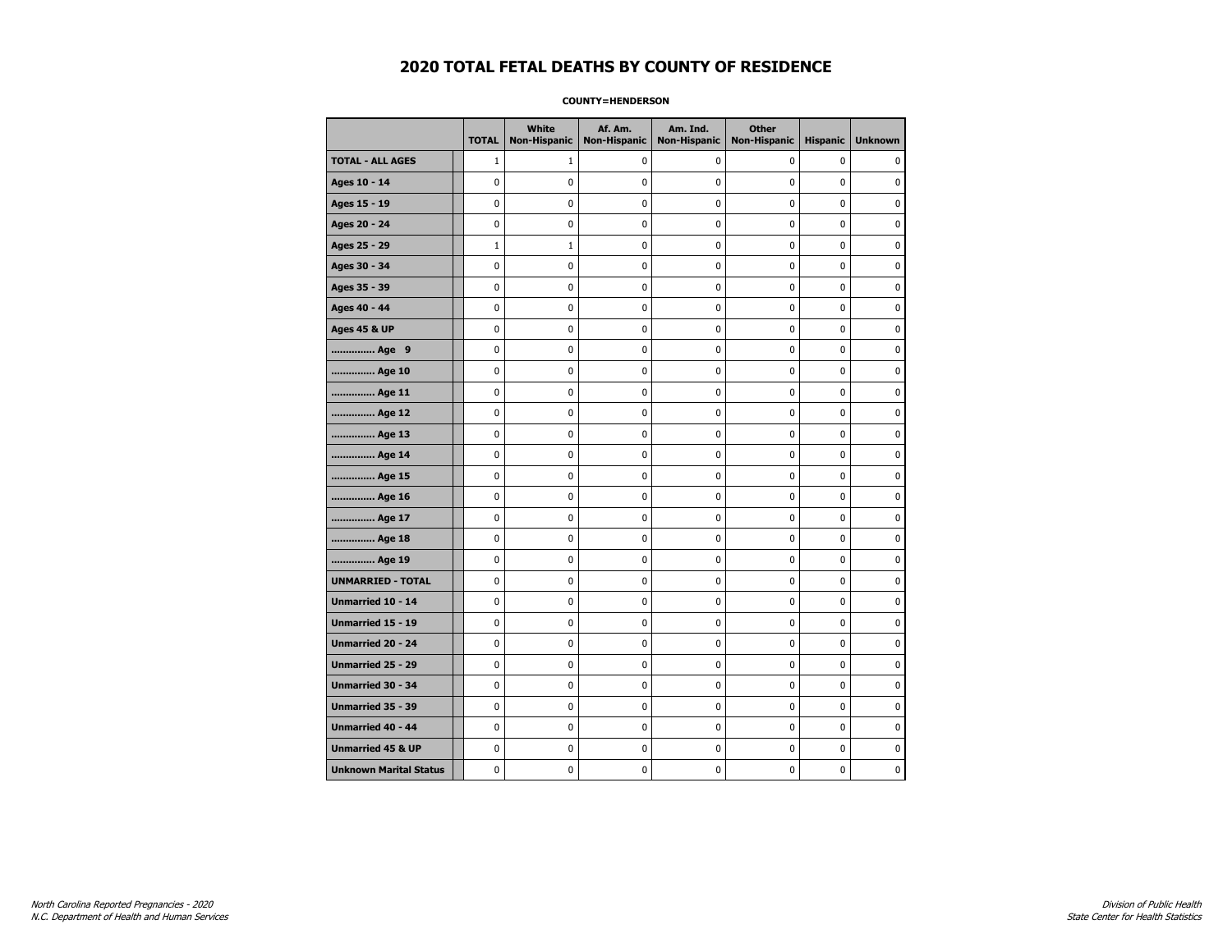### **COUNTY=HENDERSON**

|                               | <b>TOTAL</b> | White<br><b>Non-Hispanic</b> | Af. Am.<br><b>Non-Hispanic</b> | Am. Ind.<br><b>Non-Hispanic</b> | <b>Other</b><br><b>Non-Hispanic</b> | <b>Hispanic</b> | <b>Unknown</b> |
|-------------------------------|--------------|------------------------------|--------------------------------|---------------------------------|-------------------------------------|-----------------|----------------|
| <b>TOTAL - ALL AGES</b>       | $\mathbf{1}$ | 1                            | $\mathbf 0$                    | 0                               | 0                                   | 0               | 0              |
| Ages 10 - 14                  | 0            | 0                            | $\mathbf 0$                    | 0                               | 0                                   | $\mathbf 0$     | 0              |
| Ages 15 - 19                  | 0            | 0                            | $\mathbf 0$                    | $\mathbf 0$                     | 0                                   | $\mathbf 0$     | $\mathbf 0$    |
| Ages 20 - 24                  | 0            | 0                            | 0                              | 0                               | $\pmb{0}$                           | $\pmb{0}$       | 0              |
| Ages 25 - 29                  | $\mathbf 1$  | $\mathbf{1}$                 | $\pmb{0}$                      | 0                               | 0                                   | 0               | 0              |
| Ages 30 - 34                  | 0            | 0                            | 0                              | 0                               | 0                                   | 0               | 0              |
| Ages 35 - 39                  | $\mathbf 0$  | 0                            | $\mathbf 0$                    | 0                               | 0                                   | $\mathbf 0$     | 0              |
| Ages 40 - 44                  | 0            | 0                            | $\mathbf 0$                    | 0                               | 0                                   | $\mathbf 0$     | $\mathbf 0$    |
| <b>Ages 45 &amp; UP</b>       | 0            | 0                            | $\mathbf 0$                    | $\mathbf 0$                     | 0                                   | $\mathbf 0$     | 0              |
| Age 9                         | 0            | $\pmb{0}$                    | $\mathbf 0$                    | $\pmb{0}$                       | 0                                   | 0               | $\pmb{0}$      |
| Age 10                        | 0            | 0                            | $\pmb{0}$                      | 0                               | 0                                   | 0               | 0              |
| Age 11                        | 0            | 0                            | 0                              | 0                               | 0                                   | $\mathbf 0$     | 0              |
| Age 12                        | 0            | 0                            | 0                              | 0                               | 0                                   | 0               | 0              |
| Age 13                        | 0            | 0                            | $\mathbf 0$                    | $\mathbf 0$                     | 0                                   | $\mathbf 0$     | $\mathbf 0$    |
| Age 14                        | 0            | 0                            | $\mathbf 0$                    | 0                               | $\mathbf 0$                         | $\mathbf 0$     | 0              |
| Age 15                        | 0            | 0                            | $\pmb{0}$                      | $\pmb{0}$                       | $\pmb{0}$                           | 0               | 0              |
| Age 16                        | 0            | 0                            | 0                              | 0                               | 0                                   | 0               | 0              |
| Age 17                        | 0            | 0                            | $\mathbf 0$                    | 0                               | 0                                   | $\mathbf 0$     | 0              |
| Age 18                        | 0            | 0                            | $\mathbf 0$                    | 0                               | 0                                   | 0               | 0              |
| Age 19                        | 0            | 0                            | $\mathbf 0$                    | $\mathbf 0$                     | 0                                   | $\mathbf 0$     | 0              |
| <b>UNMARRIED - TOTAL</b>      | $\mathbf 0$  | 0                            | 0                              | $\pmb{0}$                       | 0                                   | 0               | 0              |
| Unmarried 10 - 14             | 0            | 0                            | $\pmb{0}$                      | $\pmb{0}$                       | 0                                   | $\pmb{0}$       | $\pmb{0}$      |
| Unmarried 15 - 19             | 0            | 0                            | 0                              | 0                               | 0                                   | 0               | 0              |
| Unmarried 20 - 24             | 0            | 0                            | 0                              | 0                               | 0                                   | 0               | 0              |
| Unmarried 25 - 29             | 0            | 0                            | $\mathbf 0$                    | $\mathbf 0$                     | 0                                   | $\mathbf 0$     | 0              |
| <b>Unmarried 30 - 34</b>      | 0            | $\mathbf 0$                  | $\mathbf 0$                    | $\pmb{0}$                       | $\mathbf 0$                         | $\mathbf 0$     | 0              |
| Unmarried 35 - 39             | 0            | 0                            | 0                              | 0                               | 0                                   | 0               | 0              |
| Unmarried 40 - 44             | 0            | 0                            | 0                              | 0                               | 0                                   | 0               | $\mathbf 0$    |
| <b>Unmarried 45 &amp; UP</b>  | 0            | 0                            | 0                              | 0                               | 0                                   | 0               | 0              |
| <b>Unknown Marital Status</b> | 0            | $\mathbf 0$                  | $\mathbf 0$                    | $\mathbf 0$                     | 0                                   | $\mathbf 0$     | 0              |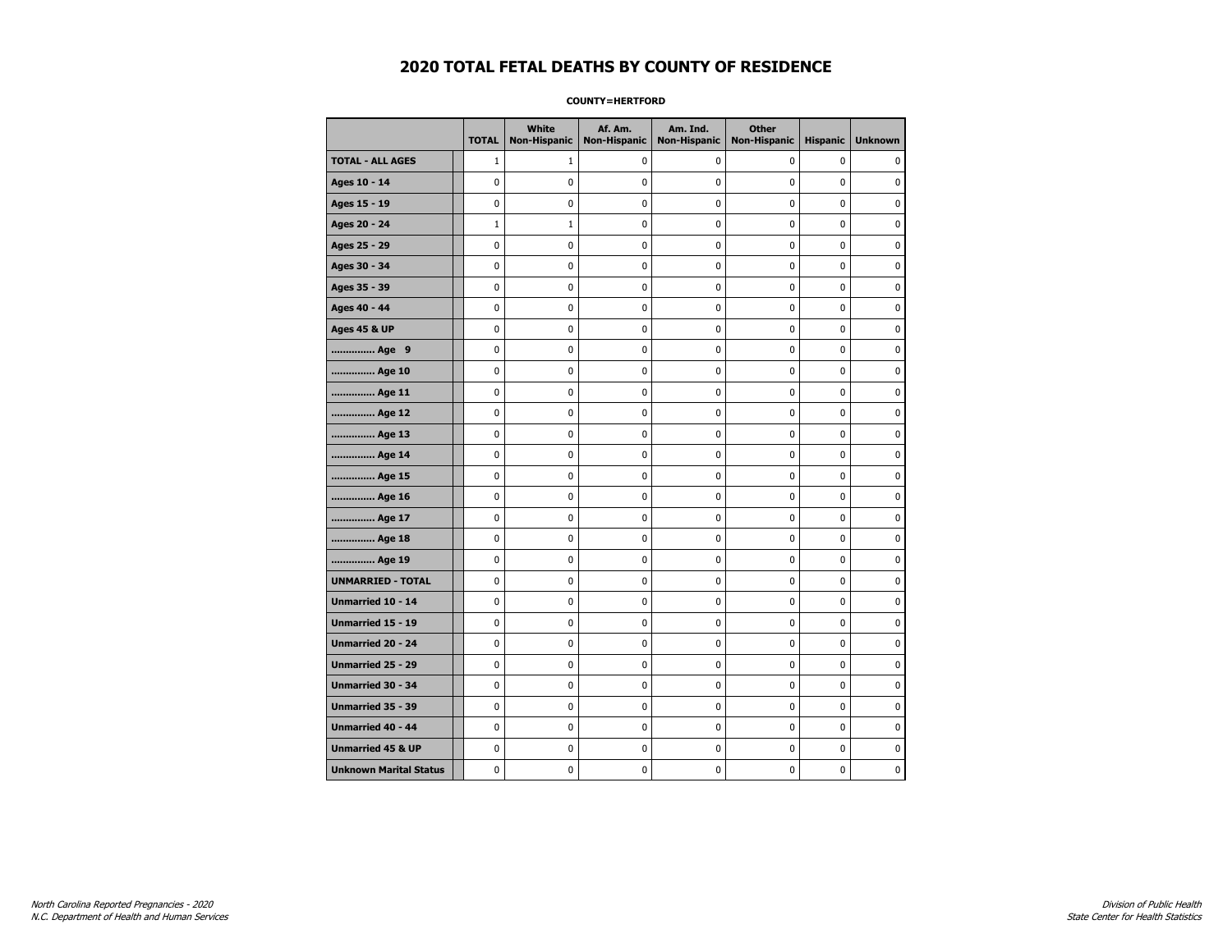### **COUNTY=HERTFORD**

|                               | <b>TOTAL</b> | White<br><b>Non-Hispanic</b> | Af. Am.<br><b>Non-Hispanic</b> | Am. Ind.<br><b>Non-Hispanic</b> | <b>Other</b><br><b>Non-Hispanic</b> | <b>Hispanic</b> | <b>Unknown</b> |
|-------------------------------|--------------|------------------------------|--------------------------------|---------------------------------|-------------------------------------|-----------------|----------------|
| <b>TOTAL - ALL AGES</b>       | $\mathbf{1}$ | 1                            | 0                              | 0                               | 0                                   | 0               | 0              |
| Ages 10 - 14                  | 0            | 0                            | $\pmb{0}$                      | 0                               | 0                                   | 0               | 0              |
| Ages 15 - 19                  | 0            | 0                            | $\mathbf 0$                    | $\mathbf 0$                     | 0                                   | $\mathbf 0$     | 0              |
| Ages 20 - 24                  | $\mathbf 1$  | $\mathbf{1}$                 | $\mathbf 0$                    | 0                               | 0                                   | 0               | 0              |
| Ages 25 - 29                  | 0            | 0                            | $\mathbf 0$                    | $\mathbf 0$                     | 0                                   | $\mathbf 0$     | $\mathbf 0$    |
| Ages 30 - 34                  | 0            | 0                            | $\mathbf 0$                    | $\mathbf 0$                     | 0                                   | $\mathbf 0$     | 0              |
| Ages 35 - 39                  | 0            | 0                            | 0                              | $\pmb{0}$                       | 0                                   | 0               | 0              |
| Ages 40 - 44                  | 0            | 0                            | 0                              | 0                               | $\pmb{0}$                           | $\pmb{0}$       | 0              |
| <b>Ages 45 &amp; UP</b>       | 0            | 0                            | 0                              | 0                               | 0                                   | 0               | 0              |
| Age 9                         | 0            | 0                            | 0                              | 0                               | 0                                   | 0               | 0              |
| Age 10                        | 0            | 0                            | $\mathbf 0$                    | $\mathbf 0$                     | 0                                   | $\mathbf 0$     | 0              |
| Age 11                        | 0            | 0                            | 0                              | 0                               | 0                                   | $\mathbf 0$     | 0              |
| Age 12                        | 0            | 0                            | 0                              | 0                               | 0                                   | 0               | 0              |
| Age 13                        | 0            | 0                            | $\mathbf 0$                    | $\mathbf 0$                     | 0                                   | $\mathbf 0$     | $\mathbf 0$    |
| Age 14                        | $\mathbf 0$  | $\mathbf 0$                  | $\mathbf 0$                    | $\mathbf 0$                     | 0                                   | $\mathbf 0$     | 0              |
| Age 15                        | 0            | 0                            | $\mathbf 0$                    | $\pmb{0}$                       | 0                                   | $\pmb{0}$       | $\pmb{0}$      |
| Age 16                        | 0            | 0                            | 0                              | $\pmb{0}$                       | 0                                   | 0               | 0              |
| Age 17                        | 0            | 0                            | $\mathbf 0$                    | 0                               | 0                                   | $\mathbf 0$     | 0              |
| Age 18                        | 0            | 0                            | 0                              | 0                               | 0                                   | 0               | 0              |
| Age 19                        | 0            | 0                            | 0                              | 0                               | 0                                   | $\pmb{0}$       | 0              |
| <b>UNMARRIED - TOTAL</b>      | 0            | 0                            | 0                              | 0                               | 0                                   | 0               | 0              |
| Unmarried 10 - 14             | 0            | 0                            | $\mathbf 0$                    | $\mathbf 0$                     | $\mathbf 0$                         | $\mathbf 0$     | 0              |
| Unmarried 15 - 19             | 0            | 0                            | $\mathbf 0$                    | 0                               | 0                                   | $\mathbf 0$     | 0              |
| <b>Unmarried 20 - 24</b>      | 0            | $\mathbf 0$                  | $\mathbf 0$                    | 0                               | 0                                   | $\mathbf 0$     | 0              |
| <b>Unmarried 25 - 29</b>      | 0            | $\bf{0}$                     | $\mathbf 0$                    | $\pmb{0}$                       | 0                                   | $\pmb{0}$       | $\bf{0}$       |
| Unmarried 30 - 34             | $\mathbf 0$  | 0                            | 0                              | $\pmb{0}$                       | 0                                   | 0               | 0              |
| Unmarried 35 - 39             | 0            | 0                            | 0                              | 0                               | 0                                   | 0               | 0              |
| Unmarried 40 - 44             | 0            | 0                            | 0                              | 0                               | 0                                   | 0               | 0              |
| <b>Unmarried 45 &amp; UP</b>  | 0            | 0                            | 0                              | 0                               | 0                                   | 0               | 0              |
| <b>Unknown Marital Status</b> | 0            | 0                            | $\pmb{0}$                      | 0                               | 0                                   | 0               | 0              |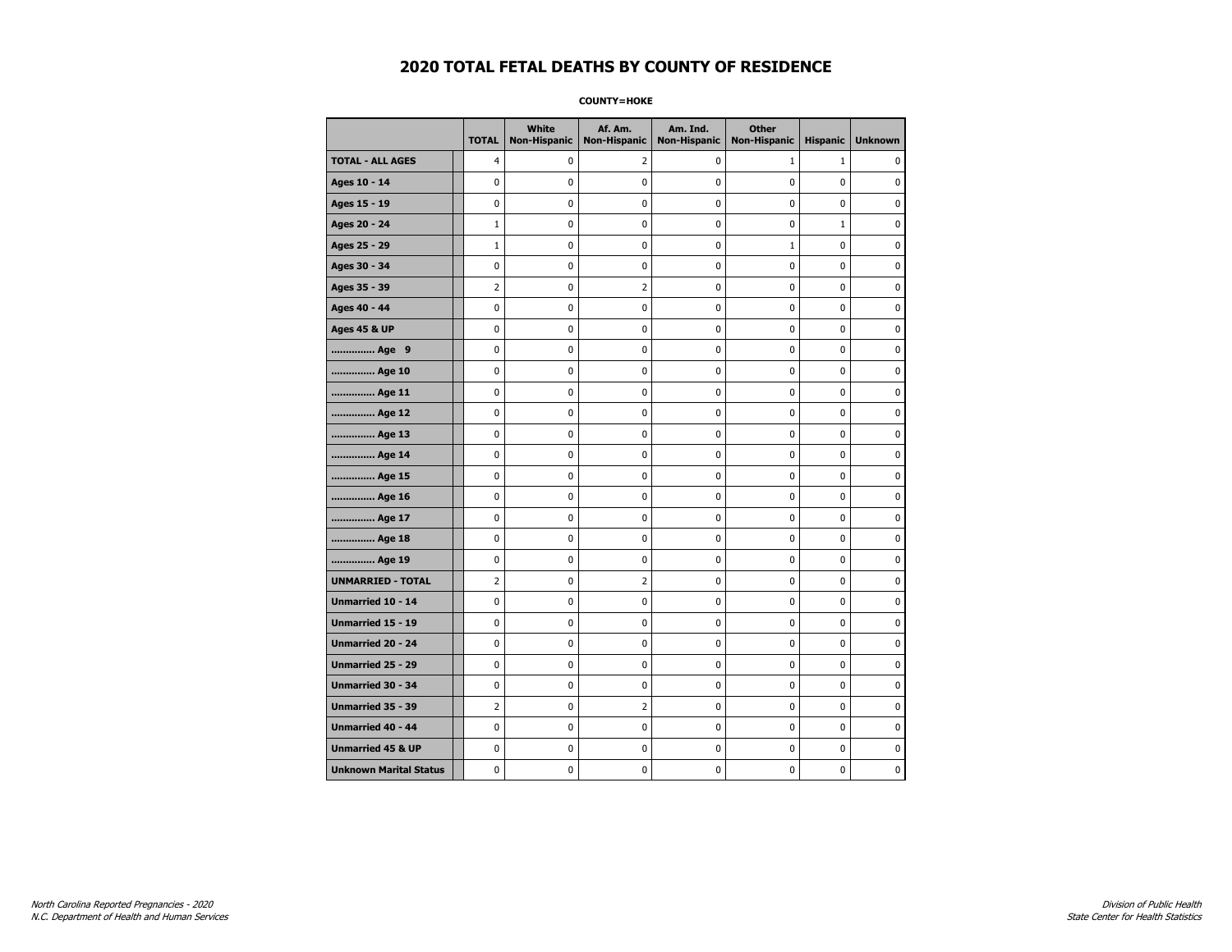**COUNTY=HOKE** 

|                               | <b>TOTAL</b>   | White<br>Non-Hispanic | Af. Am.<br><b>Non-Hispanic</b> | Am. Ind.<br><b>Non-Hispanic</b> | <b>Other</b><br><b>Non-Hispanic</b> | <b>Hispanic</b> | <b>Unknown</b> |
|-------------------------------|----------------|-----------------------|--------------------------------|---------------------------------|-------------------------------------|-----------------|----------------|
| <b>TOTAL - ALL AGES</b>       | 4              | 0                     | 2                              | 0                               | $\mathbf{1}$                        | $\mathbf{1}$    | $\mathbf{0}$   |
| Ages 10 - 14                  | 0              | 0                     | 0                              | 0                               | 0                                   | 0               | 0              |
| Ages 15 - 19                  | 0              | 0                     | 0                              | 0                               | $\pmb{0}$                           | 0               | $\mathbf 0$    |
| Ages 20 - 24                  | $\mathbf{1}$   | 0                     | $\pmb{0}$                      | 0                               | $\mathbf 0$                         | $\mathbf{1}$    | $\mathbf 0$    |
| Ages 25 - 29                  | $\mathbf{1}$   | 0                     | $\pmb{0}$                      | 0                               | $1\,$                               | 0               | $\pmb{0}$      |
| Ages 30 - 34                  | 0              | 0                     | 0                              | 0                               | 0                                   | 0               | 0              |
| Ages 35 - 39                  | 2              | 0                     | $\overline{2}$                 | 0                               | 0                                   | 0               | 0              |
| Ages 40 - 44                  | 0              | 0                     | 0                              | 0                               | $\mathbf 0$                         | 0               | $\pmb{0}$      |
| <b>Ages 45 &amp; UP</b>       | 0              | 0                     | 0                              | 0                               | 0                                   | 0               | $\mathbf 0$    |
| Age 9                         | 0              | 0                     | 0                              | 0                               | $\mathbf 0$                         | 0               | $\mathbf 0$    |
| Age 10                        | 0              | 0                     | $\pmb{0}$                      | 0                               | $\pmb{0}$                           | 0               | 0              |
| Age 11                        | 0              | 0                     | 0                              | 0                               | 0                                   | 0               | $\mathbf 0$    |
| Age 12                        | 0              | 0                     | 0                              | 0                               | 0                                   | 0               | 0              |
| Age 13                        | 0              | 0                     | 0                              | 0                               | 0                                   | 0               | $\mathbf 0$    |
| Age 14                        | 0              | 0                     | 0                              | 0                               | $\mathbf 0$                         | 0               | $\mathbf 0$    |
| Age 15                        | 0              | 0                     | $\pmb{0}$                      | 0                               | $\pmb{0}$                           | 0               | $\pmb{0}$      |
| Age 16                        | 0              | 0                     | $\pmb{0}$                      | 0                               | $\pmb{0}$                           | 0               | $\mathbf 0$    |
| Age 17                        | 0              | 0                     | 0                              | 0                               | 0                                   | 0               | 0              |
| Age 18                        | 0              | 0                     | $\pmb{0}$                      | 0                               | $\pmb{0}$                           | 0               | $\pmb{0}$      |
| Age 19                        | 0              | 0                     | 0                              | 0                               | 0                                   | 0               | $\mathbf 0$    |
| <b>UNMARRIED - TOTAL</b>      | $\overline{2}$ | 0                     | $\overline{2}$                 | 0                               | $\mathbf 0$                         | 0               | $\mathbf 0$    |
| Unmarried 10 - 14             | 0              | 0                     | $\pmb{0}$                      | 0                               | $\pmb{0}$                           | 0               | 0              |
| Unmarried 15 - 19             | 0              | 0                     | $\pmb{0}$                      | 0                               | $\pmb{0}$                           | 0               | $\mathbf 0$    |
| Unmarried 20 - 24             | 0              | 0                     | 0                              | 0                               | 0                                   | 0               | 0              |
| <b>Unmarried 25 - 29</b>      | 0              | 0                     | 0                              | 0                               | 0                                   | 0               | 0              |
| <b>Unmarried 30 - 34</b>      | 0              | 0                     | $\mathbf 0$                    | 0                               | $\mathbf 0$                         | 0               | $\mathbf 0$    |
| Unmarried 35 - 39             | $\overline{2}$ | 0                     | $\overline{2}$                 | 0                               | $\mathbf 0$                         | 0               | $\mathbf 0$    |
| Unmarried 40 - 44             | 0              | 0                     | $\pmb{0}$                      | 0                               | $\pmb{0}$                           | 0               | 0              |
| <b>Unmarried 45 &amp; UP</b>  | 0              | 0                     | 0                              | 0                               | 0                                   | 0               | 0              |
| <b>Unknown Marital Status</b> | 0              | 0                     | 0                              | 0                               | 0                                   | 0               | $\mathbf 0$    |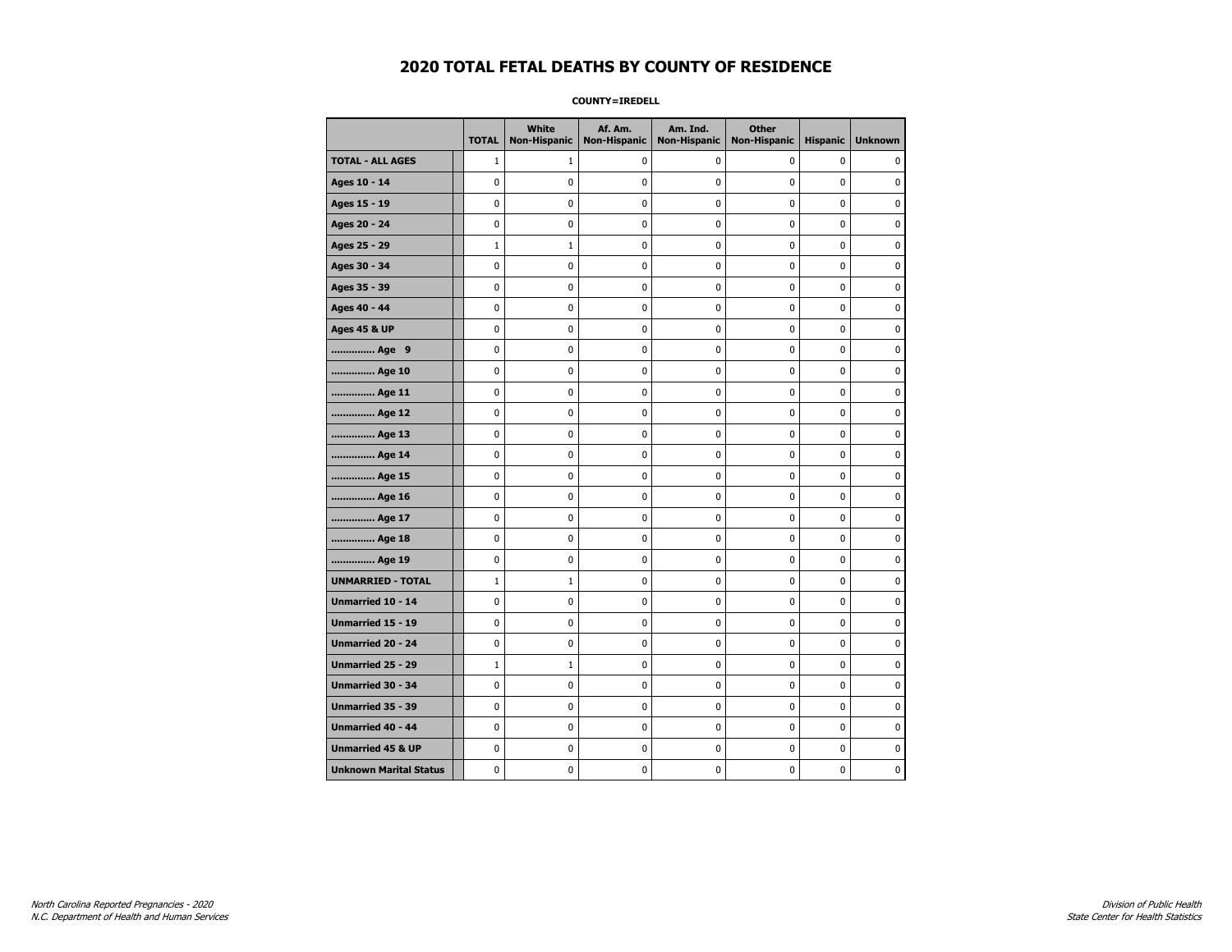**COUNTY=IREDELL** 

|                               | <b>TOTAL</b> | White<br><b>Non-Hispanic</b> | Af. Am.<br><b>Non-Hispanic</b> | Am. Ind.<br><b>Non-Hispanic</b> | <b>Other</b><br><b>Non-Hispanic</b> | <b>Hispanic</b> | <b>Unknown</b> |
|-------------------------------|--------------|------------------------------|--------------------------------|---------------------------------|-------------------------------------|-----------------|----------------|
| <b>TOTAL - ALL AGES</b>       | $\mathbf{1}$ | 1                            | 0                              | 0                               | 0                                   | 0               | $\Omega$       |
| Ages 10 - 14                  | 0            | $\mathbf 0$                  | 0                              | 0                               | 0                                   | 0               | 0              |
| Ages 15 - 19                  | 0            | $\mathbf 0$                  | 0                              | 0                               | 0                                   | 0               | $\mathbf 0$    |
| Ages 20 - 24                  | 0            | $\mathbf 0$                  | 0                              | 0                               | 0                                   | 0               | $\mathbf 0$    |
| Ages 25 - 29                  | $1\,$        | $\mathbf{1}$                 | $\pmb{0}$                      | 0                               | 0                                   | 0               | $\pmb{0}$      |
| Ages 30 - 34                  | 0            | 0                            | 0                              | 0                               | 0                                   | 0               | 0              |
| Ages 35 - 39                  | 0            | 0                            | 0                              | 0                               | 0                                   | 0               | 0              |
| Ages 40 - 44                  | 0            | $\mathbf 0$                  | 0                              | 0                               | 0                                   | 0               | $\pmb{0}$      |
| <b>Ages 45 &amp; UP</b>       | 0            | 0                            | 0                              | 0                               | 0                                   | 0               | $\mathbf 0$    |
| Age 9                         | 0            | $\mathbf 0$                  | 0                              | 0                               | 0                                   | 0               | $\mathbf 0$    |
| Age 10                        | 0            | 0                            | 0                              | 0                               | 0                                   | 0               | 0              |
| Age 11                        | 0            | $\mathbf 0$                  | 0                              | 0                               | 0                                   | 0               | $\mathbf 0$    |
| Age 12                        | 0            | 0                            | 0                              | 0                               | 0                                   | 0               | 0              |
| Age 13                        | 0            | $\mathbf 0$                  | 0                              | 0                               | 0                                   | 0               | $\mathbf 0$    |
| Age 14                        | 0            | $\mathbf 0$                  | 0                              | 0                               | 0                                   | 0               | $\mathbf 0$    |
| Age 15                        | 0            | 0                            | $\pmb{0}$                      | 0                               | 0                                   | 0               | 0              |
| Age 16                        | 0            | $\pmb{0}$                    | $\pmb{0}$                      | 0                               | 0                                   | 0               | 0              |
| Age 17                        | 0            | 0                            | 0                              | 0                               | 0                                   | 0               | 0              |
| Age 18                        | 0            | $\mathbf 0$                  | 0                              | 0                               | 0                                   | 0               | $\pmb{0}$      |
| Age 19                        | 0            | 0                            | 0                              | 0                               | 0                                   | 0               | $\mathbf 0$    |
| <b>UNMARRIED - TOTAL</b>      | $1\,$        | $\mathbf{1}$                 | 0                              | 0                               | 0                                   | 0               | $\mathbf 0$    |
| Unmarried 10 - 14             | 0            | 0                            | 0                              | 0                               | 0                                   | 0               | 0              |
| Unmarried 15 - 19             | 0            | $\mathbf 0$                  | $\pmb{0}$                      | 0                               | 0                                   | 0               | $\pmb{0}$      |
| Unmarried 20 - 24             | 0            | 0                            | 0                              | 0                               | 0                                   | 0               | 0              |
| Unmarried 25 - 29             | $1\,$        | $\mathbf{1}$                 | 0                              | 0                               | 0                                   | 0               | 0              |
| <b>Unmarried 30 - 34</b>      | 0            | $\mathbf 0$                  | $\mathbf 0$                    | 0                               | 0                                   | 0               | $\mathbf 0$    |
| Unmarried 35 - 39             | 0            | $\mathbf 0$                  | 0                              | 0                               | 0                                   | 0               | $\mathbf 0$    |
| Unmarried 40 - 44             | 0            | $\pmb{0}$                    | $\pmb{0}$                      | 0                               | 0                                   | 0               | $\pmb{0}$      |
| <b>Unmarried 45 &amp; UP</b>  | 0            | 0                            | 0                              | 0                               | 0                                   | 0               | 0              |
| <b>Unknown Marital Status</b> | 0            | 0                            | 0                              | 0                               | 0                                   | 0               | $\mathbf 0$    |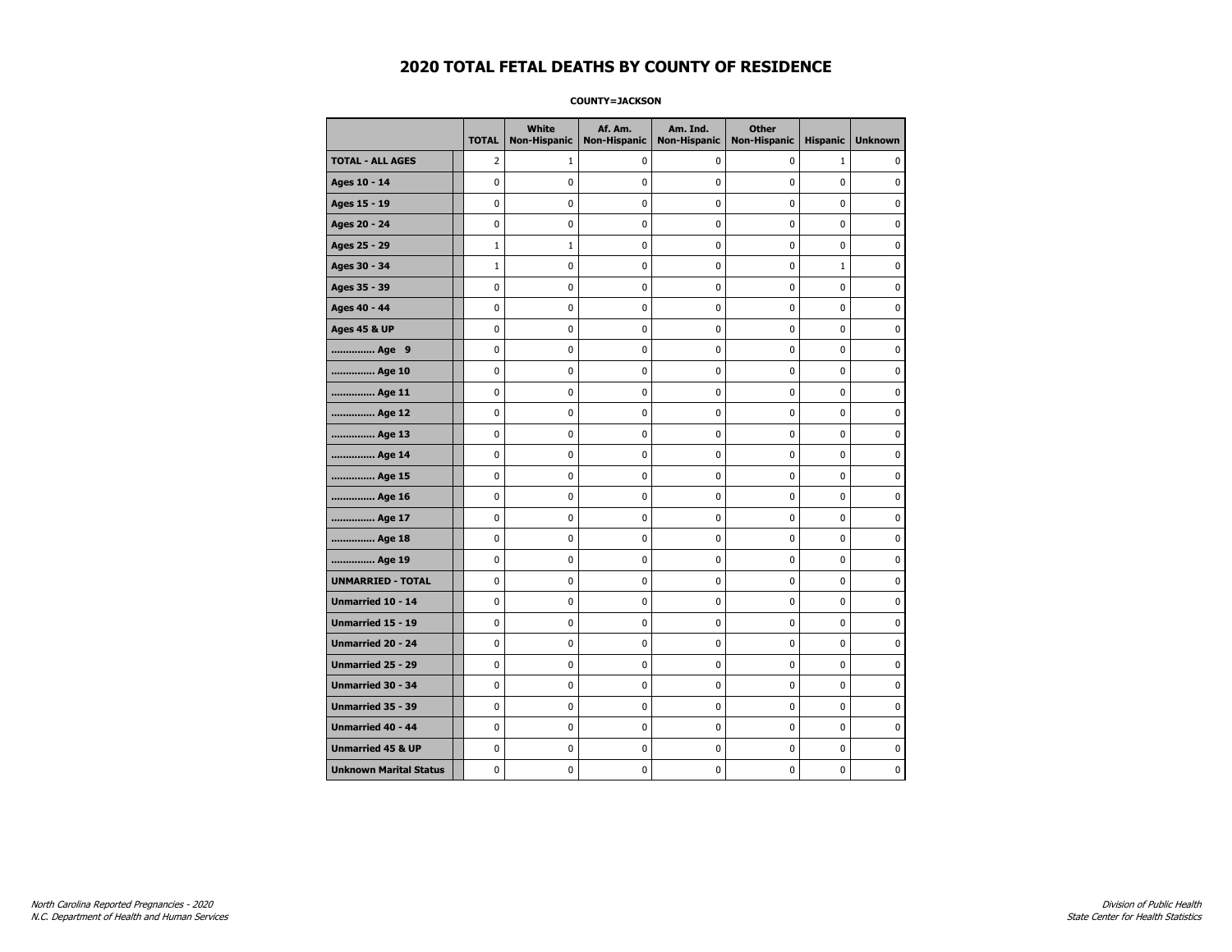#### **COUNTY=JACKSON**

|                               | <b>TOTAL</b> | White<br>Non-Hispanic | Af. Am.<br><b>Non-Hispanic</b> | Am. Ind.<br><b>Non-Hispanic</b> | <b>Other</b><br><b>Non-Hispanic</b> | <b>Hispanic</b> | <b>Unknown</b> |
|-------------------------------|--------------|-----------------------|--------------------------------|---------------------------------|-------------------------------------|-----------------|----------------|
| <b>TOTAL - ALL AGES</b>       | 2            | 1                     | 0                              | 0                               | 0                                   | $\mathbf{1}$    | 0              |
| Ages 10 - 14                  | 0            | $\mathbf 0$           | $\mathbf 0$                    | $\mathbf 0$                     | 0                                   | $\mathbf 0$     | $\mathbf 0$    |
| Ages 15 - 19                  | 0            | $\mathbf 0$           | $\mathbf 0$                    | $\pmb{0}$                       | 0                                   | 0               | $\pmb{0}$      |
| Ages 20 - 24                  | 0            | $\pmb{0}$             | $\mathbf 0$                    | $\pmb{0}$                       | 0                                   | $\pmb{0}$       | 0              |
| Ages 25 - 29                  | $\mathbf 1$  | 1                     | 0                              | 0                               | 0                                   | 0               | 0              |
| Ages 30 - 34                  | $\mathbf 1$  | 0                     | $\mathbf 0$                    | 0                               | 0                                   | $\mathbf{1}$    | 0              |
| Ages 35 - 39                  | 0            | 0                     | $\mathbf 0$                    | $\mathbf 0$                     | 0                                   | $\mathbf 0$     | 0              |
| Ages 40 - 44                  | 0            | 0                     | 0                              | 0                               | $\pmb{0}$                           | 0               | 0              |
| <b>Ages 45 &amp; UP</b>       | 0            | 0                     | 0                              | $\pmb{0}$                       | $\pmb{0}$                           | $\pmb{0}$       | 0              |
| Age 9                         | 0            | 0                     | 0                              | 0                               | 0                                   | 0               | 0              |
| Age 10                        | 0            | 0                     | $\mathbf 0$                    | $\mathbf 0$                     | 0                                   | $\mathbf 0$     | 0              |
| Age 11                        | 0            | 0                     | $\mathbf 0$                    | $\pmb{0}$                       | 0                                   | $\mathbf 0$     | 0              |
| Age 12                        | 0            | 0                     | $\pmb{0}$                      | 0                               | 0                                   | 0               | 0              |
| Age 13                        | 0            | 0                     | $\mathbf 0$                    | $\mathbf 0$                     | 0                                   | 0               | 0              |
| Age 14                        | 0            | 0                     | 0                              | 0                               | 0                                   | 0               | 0              |
| Age 15                        | 0            | 0                     | $\mathbf 0$                    | 0                               | 0                                   | $\mathbf 0$     | 0              |
| Age 16                        | 0            | 0                     | $\mathbf 0$                    | $\mathbf 0$                     | 0                                   | 0               | 0              |
| Age 17                        | $\mathbf 0$  | 0                     | 0                              | $\pmb{0}$                       | 0                                   | 0               | 0              |
| Age 18                        | 0            | 0                     | 0                              | 0                               | 0                                   | 0               | 0              |
| Age 19                        | 0            | 0                     | 0                              | 0                               | 0                                   | 0               | 0              |
| <b>UNMARRIED - TOTAL</b>      | $\mathbf 0$  | 0                     | $\mathbf 0$                    | $\pmb{0}$                       | 0                                   | 0               | 0              |
| Unmarried 10 - 14             | 0            | 0                     | $\mathbf 0$                    | $\mathbf 0$                     | 0                                   | $\mathbf 0$     | 0              |
| Unmarried 15 - 19             | 0            | $\pmb{0}$             | 0                              | $\pmb{0}$                       | 0                                   | $\pmb{0}$       | $\pmb{0}$      |
| Unmarried 20 - 24             | 0            | 0                     | 0                              | 0                               | 0                                   | 0               | 0              |
| Unmarried 25 - 29             | 0            | 0                     | $\mathbf 0$                    | 0                               | 0                                   | $\mathbf 0$     | 0              |
| Unmarried 30 - 34             | 0            | 0                     | 0                              | $\pmb{0}$                       | 0                                   | $\mathbf 0$     | 0              |
| <b>Unmarried 35 - 39</b>      | 0            | 0                     | $\mathbf 0$                    | 0                               | 0                                   | $\mathbf 0$     | 0              |
| <b>Unmarried 40 - 44</b>      | 0            | $\bf{0}$              | $\mathbf 0$                    | $\pmb{0}$                       | 0                                   | 0               | $\bf{0}$       |
| <b>Unmarried 45 &amp; UP</b>  | 0            | 0                     | 0                              | 0                               | 0                                   | 0               | 0              |
| <b>Unknown Marital Status</b> | 0            | $\mathbf 0$           | $\mathbf 0$                    | $\pmb{0}$                       | 0                                   | 0               | 0              |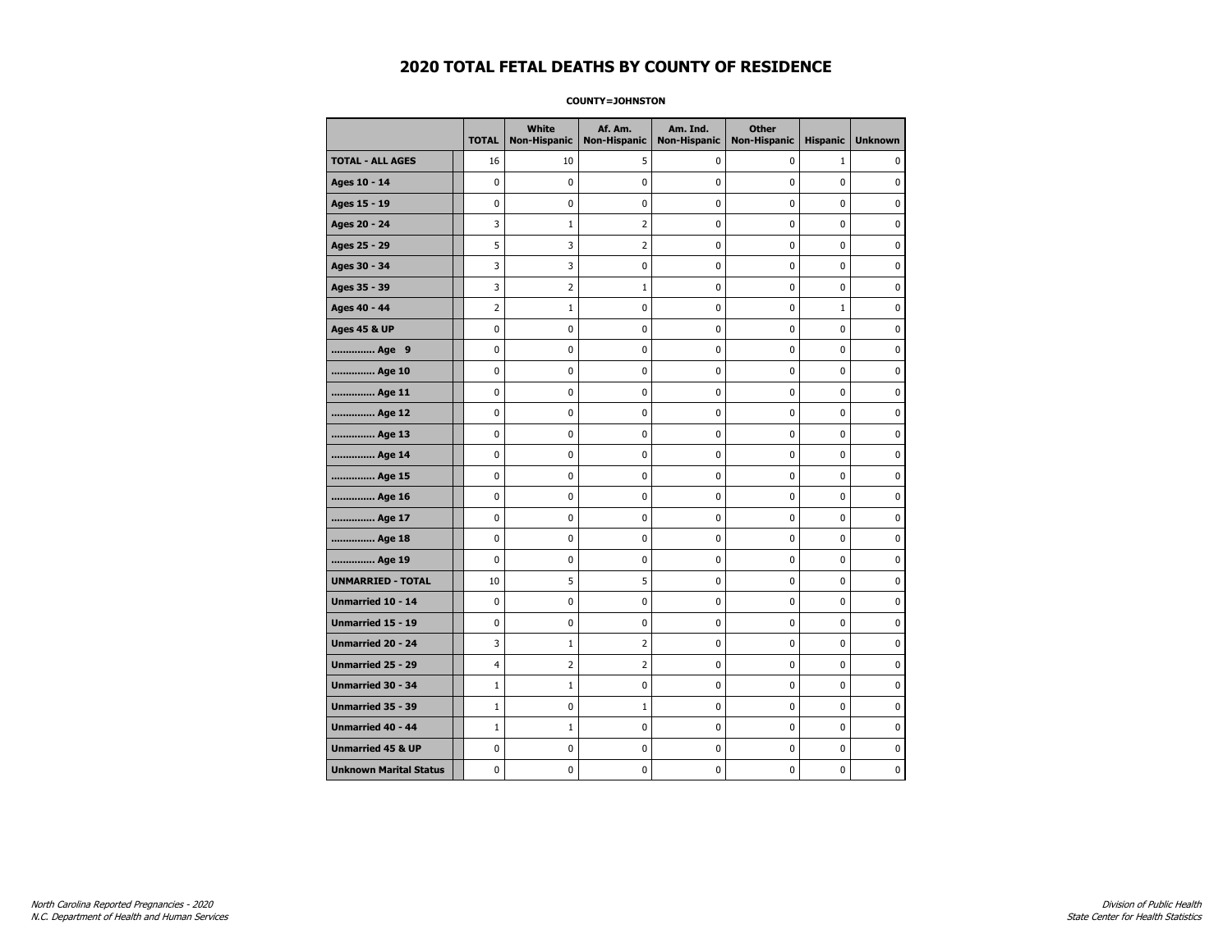**COUNTY=JOHNSTON** 

|                               | <b>TOTAL</b>   | White<br>Non-Hispanic | Af. Am.<br><b>Non-Hispanic</b> | Am. Ind.<br><b>Non-Hispanic</b> | <b>Other</b><br><b>Non-Hispanic</b> | <b>Hispanic</b> | <b>Unknown</b> |
|-------------------------------|----------------|-----------------------|--------------------------------|---------------------------------|-------------------------------------|-----------------|----------------|
| <b>TOTAL - ALL AGES</b>       | 16             | 10                    | 5                              | 0                               | 0                                   | $\mathbf{1}$    | $\Omega$       |
| Ages 10 - 14                  | 0              | $\mathbf{0}$          | 0                              | 0                               | 0                                   | 0               | 0              |
| Ages 15 - 19                  | 0              | 0                     | $\pmb{0}$                      | 0                               | $\pmb{0}$                           | 0               | 0              |
| Ages 20 - 24                  | 3              | 1                     | 2                              | 0                               | 0                                   | 0               | 0              |
| Ages 25 - 29                  | 5              | 3                     | $\overline{2}$                 | 0                               | 0                                   | 0               | $\mathbf 0$    |
| Ages 30 - 34                  | 3              | 3                     | $\pmb{0}$                      | 0                               | $\pmb{0}$                           | 0               | 0              |
| Ages 35 - 39                  | 3              | 2                     | $\mathbf{1}$                   | 0                               | 0                                   | 0               | 0              |
| Ages 40 - 44                  | $\overline{2}$ | $\mathbf{1}$          | 0                              | 0                               | 0                                   | $\mathbf{1}$    | $\mathbf 0$    |
| <b>Ages 45 &amp; UP</b>       | 0              | 0                     | $\pmb{0}$                      | 0                               | $\pmb{0}$                           | 0               | $\mathbf 0$    |
| Age 9                         | 0              | 0                     | 0                              | 0                               | $\pmb{0}$                           | 0               | 0              |
| Age 10                        | 0              | 0                     | 0                              | 0                               | $\mathbf 0$                         | 0               | 0              |
| Age 11                        | 0              | 0                     | 0                              | 0                               | 0                                   | 0               | $\mathbf 0$    |
| Age 12                        | 0              | 0                     | 0                              | 0                               | 0                                   | 0               | $\mathbf 0$    |
| Age 13                        | 0              | 0                     | $\pmb{0}$                      | 0                               | $\pmb{0}$                           | 0               | 0              |
| Age 14                        | 0              | 0                     | 0                              | 0                               | 0                                   | 0               | $\mathbf 0$    |
| Age 15                        | 0              | 0                     | 0                              | 0                               | $\mathbf 0$                         | 0               | 0              |
| Age 16                        | 0              | 0                     | $\pmb{0}$                      | $\pmb{0}$                       | $\pmb{0}$                           | $\pmb{0}$       | 0              |
| Age 17                        | 0              | 0                     | 0                              | 0                               | 0                                   | 0               | 0              |
| Age 18                        | 0              | 0                     | 0                              | 0                               | 0                                   | 0               | 0              |
| Age 19                        | 0              | 0                     | 0                              | $\pmb{0}$                       | $\pmb{0}$                           | 0               | $\mathbf 0$    |
| <b>UNMARRIED - TOTAL</b>      | 10             | 5                     | 5                              | 0                               | $\pmb{0}$                           | 0               | 0              |
| Unmarried 10 - 14             | 0              | 0                     | 0                              | 0                               | 0                                   | 0               | 0              |
| <b>Unmarried 15 - 19</b>      | 0              | 0                     | 0                              | 0                               | 0                                   | 0               | $\mathbf 0$    |
| <b>Unmarried 20 - 24</b>      | 3              | $\mathbf{1}$          | $\overline{2}$                 | 0                               | 0                                   | 0               | $\mathbf 0$    |
| Unmarried 25 - 29             | 4              | $\overline{2}$        | $\overline{2}$                 | $\pmb{0}$                       | $\mathbf 0$                         | $\mathbf 0$     | $\pmb{0}$      |
| Unmarried 30 - 34             | $\mathbf{1}$   | $\mathbf{1}$          | 0                              | 0                               | 0                                   | 0               | 0              |
| Unmarried 35 - 39             | $\mathbf{1}$   | 0                     | $\mathbf{1}$                   | 0                               | 0                                   | 0               | 0              |
| <b>Unmarried 40 - 44</b>      | $\mathbf{1}$   | $1\,$                 | $\pmb{0}$                      | $\pmb{0}$                       | $\pmb{0}$                           | $\pmb{0}$       | $\pmb{0}$      |
| <b>Unmarried 45 &amp; UP</b>  | 0              | 0                     | 0                              | 0                               | 0                                   | 0               | $\mathbf 0$    |
| <b>Unknown Marital Status</b> | 0              | 0                     | 0                              | 0                               | 0                                   | 0               | 0              |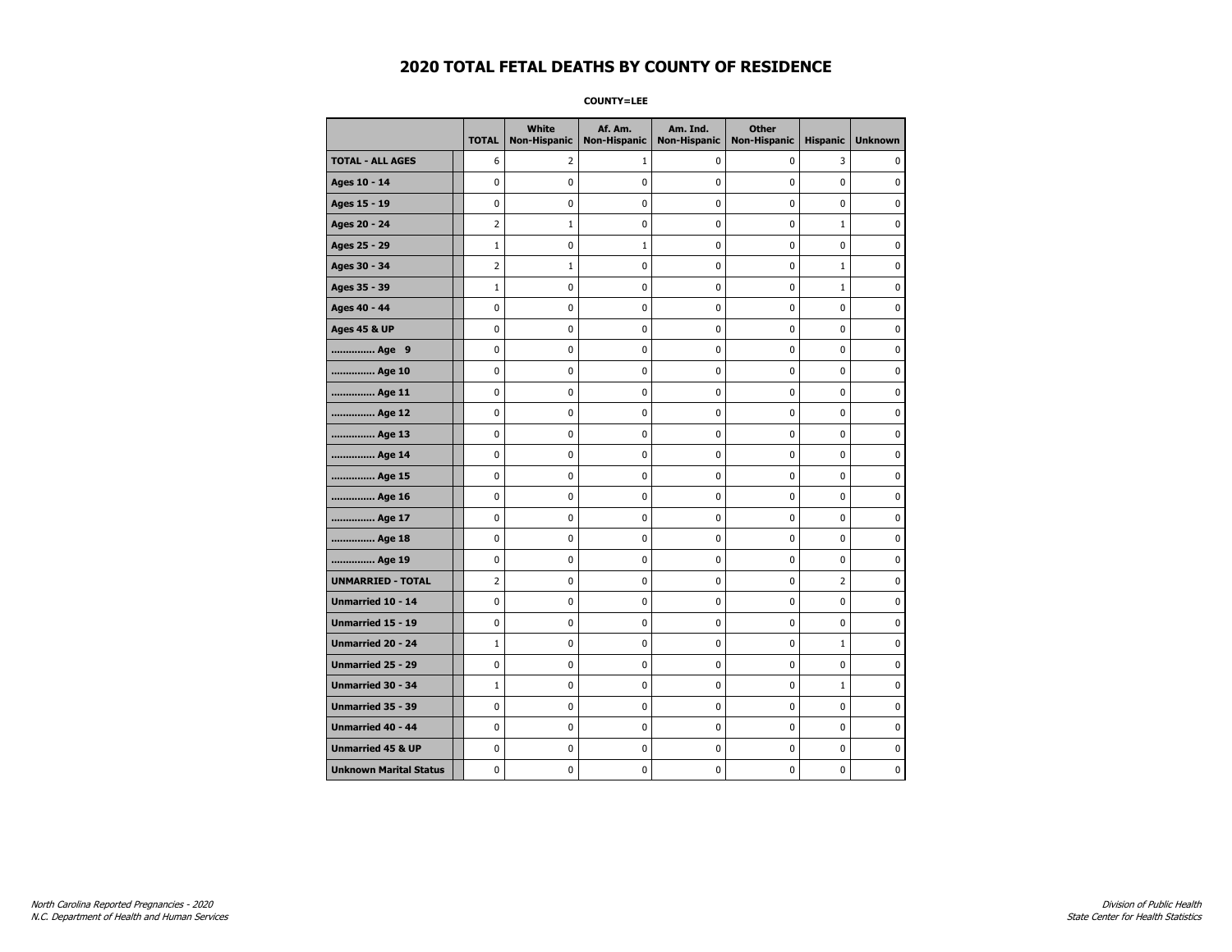**COUNTY=LEE** 

|                               | <b>TOTAL</b>   | White<br><b>Non-Hispanic</b> | Af. Am.<br><b>Non-Hispanic</b> | Am. Ind.<br><b>Non-Hispanic</b> | <b>Other</b><br><b>Non-Hispanic</b> | <b>Hispanic</b> | <b>Unknown</b> |
|-------------------------------|----------------|------------------------------|--------------------------------|---------------------------------|-------------------------------------|-----------------|----------------|
| <b>TOTAL - ALL AGES</b>       | 6              | $\overline{2}$               | 1                              | 0                               | 0                                   | 3               | 0              |
| Ages 10 - 14                  | 0              | $\mathbf 0$                  | 0                              | $\pmb{0}$                       | 0                                   | $\mathbf 0$     | 0              |
| Ages 15 - 19                  | 0              | $\mathbf 0$                  | 0                              | $\mathbf{0}$                    | 0                                   | $\mathbf 0$     | 0              |
| Ages 20 - 24                  | $\overline{2}$ | 1                            | 0                              | 0                               | 0                                   | $\mathbf{1}$    | 0              |
| Ages 25 - 29                  | $1\,$          | $\mathbf 0$                  | $\mathbf{1}$                   | 0                               | 0                                   | $\mathbf 0$     | 0              |
| Ages 30 - 34                  | 2              | $\mathbf{1}$                 | 0                              | 0                               | 0                                   | $\mathbf{1}$    | 0              |
| Ages 35 - 39                  | $1\,$          | $\mathbf 0$                  | 0                              | 0                               | 0                                   | $\mathbf{1}$    | 0              |
| Ages 40 - 44                  | 0              | 0                            | 0                              | $\mathbf 0$                     | 0                                   | 0               | 0              |
| <b>Ages 45 &amp; UP</b>       | 0              | 0                            | $\pmb{0}$                      | $\pmb{0}$                       | 0                                   | $\pmb{0}$       | 0              |
| Age 9                         | 0              | 0                            | 0                              | 0                               | 0                                   | 0               | 0              |
| Age 10                        | 0              | 0                            | 0                              | 0                               | 0                                   | $\mathbf 0$     | 0              |
| Age 11                        | 0              | $\mathbf 0$                  | 0                              | $\mathbf 0$                     | 0                                   | 0               | 0              |
| Age 12                        | 0              | $\mathbf 0$                  | 0                              | $\mathbf 0$                     | 0                                   | $\mathbf 0$     | 0              |
| Age 13                        | 0              | 0                            | 0                              | $\pmb{0}$                       | $\pmb{0}$                           | $\pmb{0}$       | 0              |
| Age 14                        | 0              | 0                            | 0                              | 0                               | 0                                   | 0               | 0              |
| Age 15                        | 0              | $\mathbf 0$                  | 0                              | $\mathbf 0$                     | 0                                   | $\mathbf 0$     | 0              |
| Age 16                        | 0              | $\mathbf 0$                  | 0                              | 0                               | 0                                   | $\mathbf 0$     | 0              |
| Age 17                        | 0              | $\mathbf 0$                  | 0                              | $\mathbf 0$                     | 0                                   | 0               | 0              |
| Age 18                        | 0              | 0                            | 0                              | 0                               | 0                                   | 0               | 0              |
| Age 19                        | 0              | 0                            | 0                              | 0                               | 0                                   | 0               | 0              |
| <b>UNMARRIED - TOTAL</b>      | $\overline{2}$ | 0                            | 0                              | 0                               | 0                                   | 2               | 0              |
| Unmarried 10 - 14             | 0              | $\mathbf 0$                  | 0                              | 0                               | 0                                   | 0               | 0              |
| <b>Unmarried 15 - 19</b>      | 0              | 0                            | 0                              | 0                               | 0                                   | 0               | 0              |
| Unmarried 20 - 24             | $1\,$          | $\pmb{0}$                    | $\pmb{0}$                      | 0                               | $\mathbf 0$                         | $\mathbf 1$     | $\pmb{0}$      |
| <b>Unmarried 25 - 29</b>      | 0              | 0                            | 0                              | 0                               | 0                                   | 0               | 0              |
| <b>Unmarried 30 - 34</b>      | $\mathbf 1$    | 0                            | 0                              | 0                               | 0                                   | $\mathbf{1}$    | 0              |
| Unmarried 35 - 39             | 0              | $\mathbf 0$                  | 0                              | 0                               | 0                                   | $\mathbf 0$     | 0              |
| <b>Unmarried 40 - 44</b>      | 0              | $\pmb{0}$                    | $\pmb{0}$                      | $\pmb{0}$                       | $\pmb{0}$                           | $\pmb{0}$       | 0              |
| <b>Unmarried 45 &amp; UP</b>  | 0              | 0                            | 0                              | 0                               | 0                                   | 0               | 0              |
| <b>Unknown Marital Status</b> | 0              | 0                            | 0                              | 0                               | 0                                   | 0               | 0              |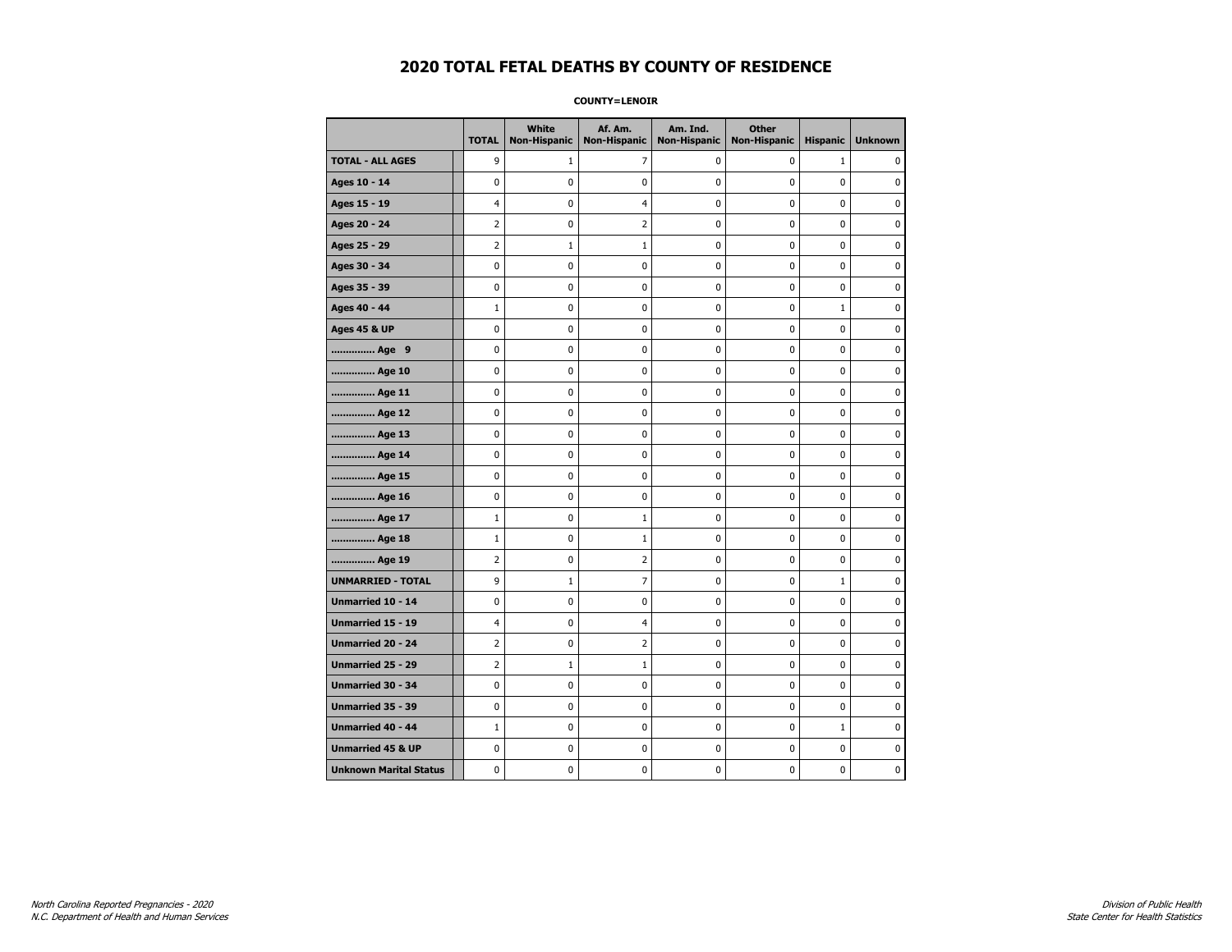**COUNTY=LENOIR** 

|                               | <b>TOTAL</b>   | White<br><b>Non-Hispanic</b> | Af. Am.<br><b>Non-Hispanic</b> | Am. Ind.<br><b>Non-Hispanic</b> | <b>Other</b><br><b>Non-Hispanic</b> | <b>Hispanic</b> | <b>Unknown</b> |
|-------------------------------|----------------|------------------------------|--------------------------------|---------------------------------|-------------------------------------|-----------------|----------------|
| <b>TOTAL - ALL AGES</b>       | 9              | $\mathbf{1}$                 | 7                              | 0                               | 0                                   | $\mathbf{1}$    | 0              |
| Ages 10 - 14                  | 0              | 0                            | 0                              | 0                               | 0                                   | 0               | 0              |
| Ages 15 - 19                  | 4              | 0                            | $\overline{4}$                 | 0                               | $\pmb{0}$                           | 0               | 0              |
| Ages 20 - 24                  | 2              | 0                            | $\overline{2}$                 | 0                               | $\pmb{0}$                           | 0               | 0              |
| Ages 25 - 29                  | $\overline{2}$ | $\mathbf{1}$                 | $1\,$                          | 0                               | 0                                   | 0               | $\mathbf 0$    |
| Ages 30 - 34                  | 0              | 0                            | 0                              | 0                               | $\pmb{0}$                           | 0               | $\mathbf 0$    |
| Ages 35 - 39                  | 0              | 0                            | 0                              | 0                               | 0                                   | 0               | $\mathbf 0$    |
| Ages 40 - 44                  | $\mathbf{1}$   | 0                            | $\pmb{0}$                      | 0                               | $\pmb{0}$                           | $\mathbf{1}$    | $\mathbf 0$    |
| <b>Ages 45 &amp; UP</b>       | 0              | 0                            | 0                              | 0                               | 0                                   | 0               | $\mathbf 0$    |
| Age 9                         | 0              | 0                            | 0                              | 0                               | 0                                   | 0               | $\mathbf 0$    |
| Age 10                        | 0              | 0                            | 0                              | 0                               | $\mathbf 0$                         | 0               | $\mathbf 0$    |
| Age 11                        | 0              | 0                            | $\pmb{0}$                      | 0                               | $\pmb{0}$                           | 0               | $\mathbf 0$    |
| Age 12                        | 0              | 0                            | 0                              | 0                               | 0                                   | 0               | 0              |
| Age 13                        | 0              | 0                            | 0                              | 0                               | 0                                   | 0               | $\mathbf 0$    |
| Age 14                        | 0              | 0                            | 0                              | 0                               | $\mathbf 0$                         | 0               | $\mathbf 0$    |
| Age 15                        | 0              | 0                            | $\pmb{0}$                      | 0                               | $\pmb{0}$                           | 0               | $\pmb{0}$      |
| Age 16                        | 0              | 0                            | 0                              | 0                               | 0                                   | 0               | 0              |
| Age 17                        | $\mathbf{1}$   | 0                            | $\mathbf{1}$                   | 0                               | 0                                   | 0               | 0              |
| Age 18                        | $\mathbf{1}$   | 0                            | $1\,$                          | 0                               | $\mathbf 0$                         | 0               | $\mathbf 0$    |
| Age 19                        | 2              | 0                            | $\mathbf 2$                    | 0                               | $\pmb{0}$                           | 0               | $\pmb{0}$      |
| <b>UNMARRIED - TOTAL</b>      | 9              | $\mathbf{1}$                 | 7                              | 0                               | 0                                   | $\mathbf 1$     | 0              |
| Unmarried 10 - 14             | 0              | 0                            | 0                              | 0                               | $\pmb{0}$                           | 0               | $\mathbf 0$    |
| <b>Unmarried 15 - 19</b>      | 4              | 0                            | 4                              | 0                               | 0                                   | 0               | $\mathbf 0$    |
| Unmarried 20 - 24             | $\overline{2}$ | 0                            | $\overline{2}$                 | 0                               | $\pmb{0}$                           | 0               | $\pmb{0}$      |
| Unmarried 25 - 29             | $\overline{2}$ | $1\,$                        | $1\,$                          | 0                               | 0                                   | 0               | 0              |
| Unmarried 30 - 34             | 0              | 0                            | 0                              | 0                               | 0                                   | 0               | $\mathbf 0$    |
| Unmarried 35 - 39             | 0              | 0                            | $\pmb{0}$                      | 0                               | $\pmb{0}$                           | 0               | $\mathbf 0$    |
| Unmarried 40 - 44             | $\mathbf{1}$   | 0                            | 0                              | 0                               | $\pmb{0}$                           | $\mathbf 1$     | 0              |
| <b>Unmarried 45 &amp; UP</b>  | 0              | 0                            | 0                              | 0                               | $\pmb{0}$                           | 0               | $\mathbf 0$    |
| <b>Unknown Marital Status</b> | 0              | 0                            | 0                              | 0                               | 0                                   | 0               | $\mathbf 0$    |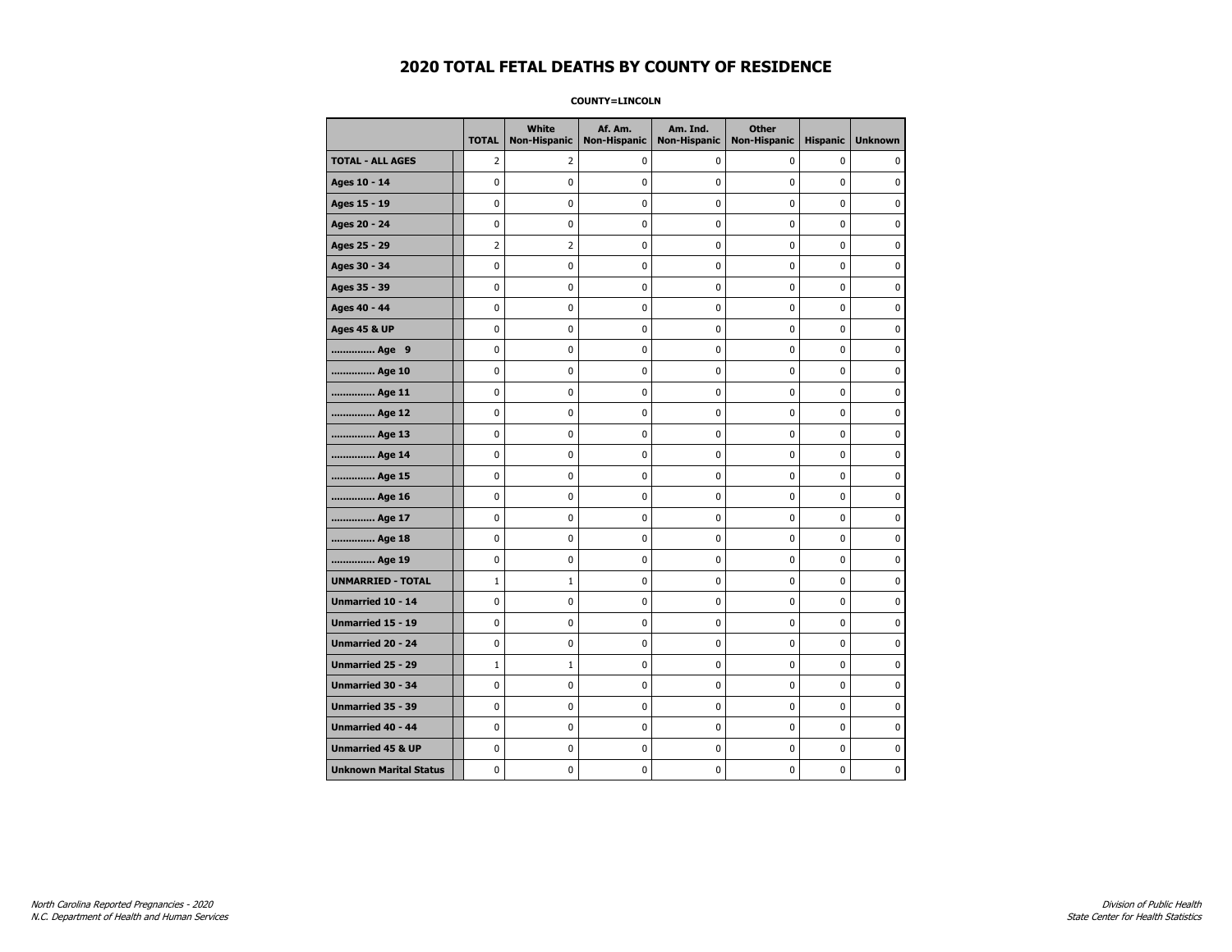#### **COUNTY=LINCOLN**

|                               | <b>TOTAL</b>   | <b>White</b><br>Non-Hispanic | Af. Am.<br><b>Non-Hispanic</b> | Am. Ind.<br><b>Non-Hispanic</b> | <b>Other</b><br><b>Non-Hispanic</b> | <b>Hispanic</b> | <b>Unknown</b> |
|-------------------------------|----------------|------------------------------|--------------------------------|---------------------------------|-------------------------------------|-----------------|----------------|
| <b>TOTAL - ALL AGES</b>       | $\overline{2}$ | 2                            | 0                              | 0                               | 0                                   | 0               | 0              |
| Ages 10 - 14                  | $\mathbf 0$    | $\mathbf 0$                  | $\mathbf 0$                    | $\mathbf 0$                     | $\mathbf 0$                         | $\mathbf 0$     | 0              |
| Ages 15 - 19                  | $\mathbf 0$    | $\mathbf 0$                  | $\mathbf 0$                    | $\mathbf 0$                     | $\mathbf 0$                         | $\mathbf 0$     | 0              |
| Ages 20 - 24                  | $\pmb{0}$      | $\pmb{0}$                    | $\pmb{0}$                      | $\pmb{0}$                       | $\pmb{0}$                           | $\pmb{0}$       | 0              |
| Ages 25 - 29                  | $\overline{2}$ | $\overline{2}$               | $\pmb{0}$                      | $\pmb{0}$                       | $\pmb{0}$                           | $\pmb{0}$       | 0              |
| Ages 30 - 34                  | 0              | 0                            | $\pmb{0}$                      | 0                               | 0                                   | $\mathbf 0$     | 0              |
| Ages 35 - 39                  | $\mathbf 0$    | 0                            | 0                              | 0                               | $\mathbf 0$                         | $\mathbf 0$     | 0              |
| Ages 40 - 44                  | $\mathbf 0$    | 0                            | $\mathbf 0$                    | 0                               | $\mathbf 0$                         | $\mathbf 0$     | 0              |
| <b>Ages 45 &amp; UP</b>       | $\mathbf 0$    | 0                            | $\mathbf 0$                    | $\mathbf 0$                     | $\mathbf 0$                         | $\mathbf 0$     | 0              |
| Age 9                         | $\pmb{0}$      | 0                            | $\pmb{0}$                      | 0                               | $\pmb{0}$                           | 0               | 0              |
| Age 10                        | $\mathbf 0$    | 0                            | $\mathbf 0$                    | 0                               | $\mathbf 0$                         | $\mathbf 0$     | 0              |
| Age 11                        | 0              | 0                            | 0                              | 0                               | 0                                   | 0               | 0              |
| Age 12                        | $\mathbf 0$    | 0                            | $\pmb{0}$                      | 0                               | 0                                   | 0               | 0              |
| Age 13                        | $\mathbf 0$    | 0                            | $\mathbf 0$                    | $\mathbf 0$                     | $\mathbf 0$                         | $\mathbf 0$     | 0              |
| Age 14                        | $\mathbf 0$    | $\mathbf 0$                  | $\mathbf 0$                    | $\mathbf 0$                     | $\mathbf 0$                         | $\mathbf 0$     | 0              |
| Age 15                        | $\pmb{0}$      | 0                            | $\pmb{0}$                      | $\pmb{0}$                       | $\pmb{0}$                           | $\pmb{0}$       | 0              |
| Age 16                        | 0              | 0                            | $\pmb{0}$                      | 0                               | 0                                   | 0               | 0              |
| Age 17                        | $\mathbf 0$    | 0                            | 0                              | 0                               | $\mathbf 0$                         | $\mathbf 0$     | 0              |
| Age 18                        | $\mathbf 0$    | 0                            | $\mathbf 0$                    | 0                               | 0                                   | $\mathbf 0$     | 0              |
| Age 19                        | $\mathbf 0$    | 0                            | $\mathbf 0$                    | $\mathbf 0$                     | $\mathbf 0$                         | $\mathbf 0$     | 0              |
| <b>UNMARRIED - TOTAL</b>      | $\mathbf{1}$   | $\mathbf{1}$                 | $\mathbf 0$                    | 0                               | $\mathbf 0$                         | $\mathbf 0$     | 0              |
| Unmarried 10 - 14             | $\mathbf 0$    | 0                            | $\pmb{0}$                      | $\pmb{0}$                       | $\mathbf 0$                         | $\mathbf 0$     | 0              |
| Unmarried 15 - 19             | 0              | 0                            | 0                              | 0                               | 0                                   | 0               | 0              |
| Unmarried 20 - 24             | 0              | 0                            | 0                              | 0                               | 0                                   | 0               | 0              |
| <b>Unmarried 25 - 29</b>      | $\mathbf{1}$   | $\mathbf{1}$                 | $\mathbf 0$                    | $\mathbf 0$                     | $\mathbf 0$                         | $\mathbf 0$     | 0              |
| <b>Unmarried 30 - 34</b>      | $\mathbf 0$    | $\mathbf 0$                  | $\mathbf 0$                    | 0                               | 0                                   | $\mathbf 0$     | 0              |
| Unmarried 35 - 39             | $\pmb{0}$      | 0                            | $\pmb{0}$                      | $\pmb{0}$                       | $\pmb{0}$                           | $\pmb{0}$       | 0              |
| Unmarried 40 - 44             | $\mathbf 0$    | 0                            | $\pmb{0}$                      | 0                               | $\pmb{0}$                           | 0               | 0              |
| <b>Unmarried 45 &amp; UP</b>  | $\mathbf 0$    | 0                            | $\pmb{0}$                      | 0                               | $\mathbf 0$                         | $\mathbf 0$     | 0              |
| <b>Unknown Marital Status</b> | $\mathbf 0$    | 0                            | $\pmb{0}$                      | 0                               | $\mathbf 0$                         | 0               | 0              |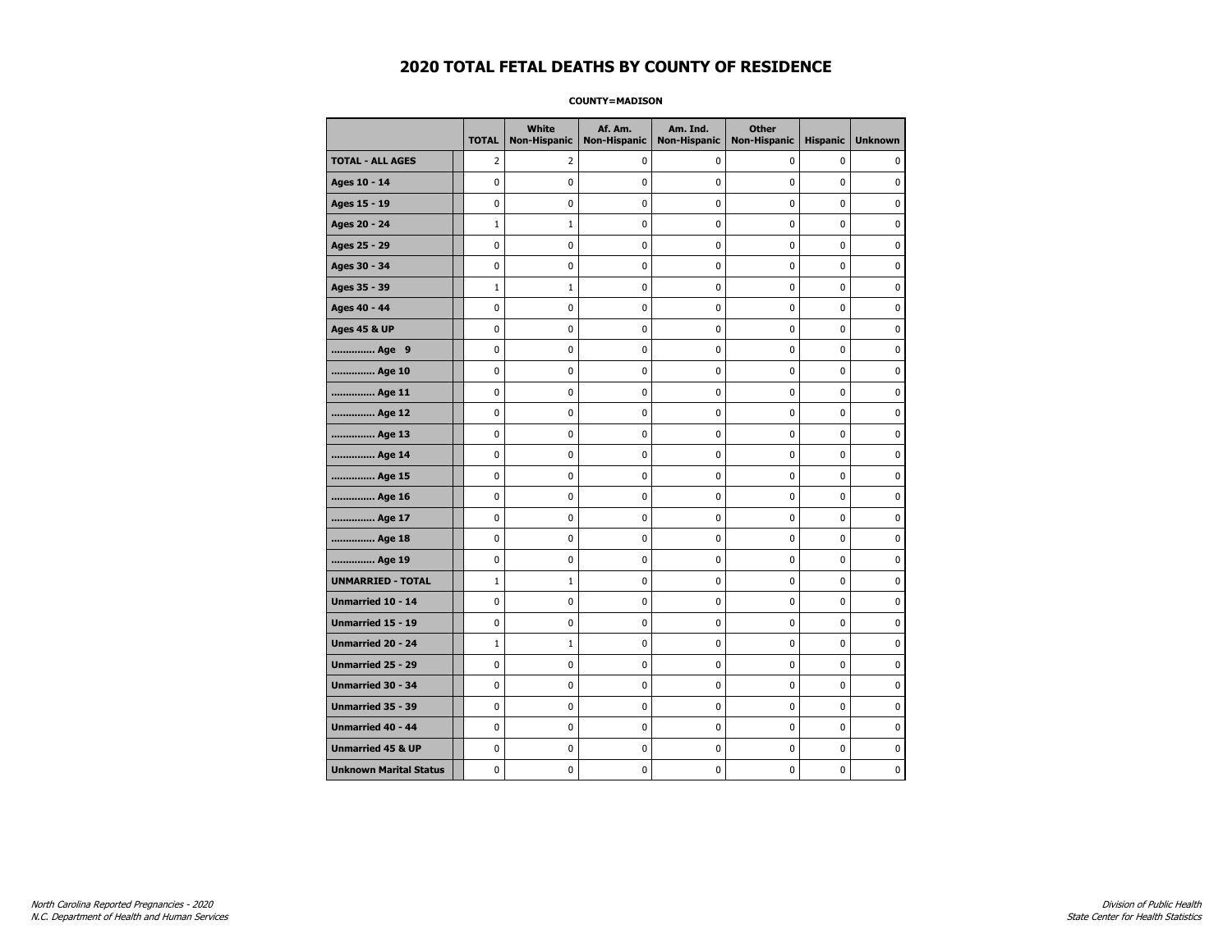#### **COUNTY=MADISON**

|                               | <b>TOTAL</b> | White<br>Non-Hispanic | Af. Am.<br><b>Non-Hispanic</b> | Am. Ind.<br><b>Non-Hispanic</b> | <b>Other</b><br><b>Non-Hispanic</b> | <b>Hispanic</b> | <b>Unknown</b> |
|-------------------------------|--------------|-----------------------|--------------------------------|---------------------------------|-------------------------------------|-----------------|----------------|
| <b>TOTAL - ALL AGES</b>       | 2            | 2                     | 0                              | 0                               | 0                                   | $\mathbf 0$     | 0              |
| Ages 10 - 14                  | 0            | $\mathbf 0$           | $\mathbf 0$                    | $\mathbf 0$                     | 0                                   | $\mathbf 0$     | $\mathbf 0$    |
| Ages 15 - 19                  | 0            | $\pmb{0}$             | $\mathbf 0$                    | $\pmb{0}$                       | 0                                   | 0               | $\pmb{0}$      |
| Ages 20 - 24                  | $\mathbf 1$  | $1\,$                 | $\mathbf 0$                    | $\pmb{0}$                       | 0                                   | $\pmb{0}$       | 0              |
| Ages 25 - 29                  | 0            | 0                     | 0                              | 0                               | 0                                   | 0               | 0              |
| Ages 30 - 34                  | 0            | 0                     | $\mathbf 0$                    | 0                               | 0                                   | $\mathbf 0$     | 0              |
| Ages 35 - 39                  | $\mathbf 1$  | $\mathbf{1}$          | $\mathbf 0$                    | $\mathbf 0$                     | 0                                   | $\mathbf 0$     | 0              |
| Ages 40 - 44                  | 0            | 0                     | 0                              | 0                               | $\pmb{0}$                           | 0               | 0              |
| <b>Ages 45 &amp; UP</b>       | 0            | 0                     | 0                              | $\pmb{0}$                       | $\pmb{0}$                           | $\pmb{0}$       | 0              |
| Age 9                         | 0            | 0                     | 0                              | 0                               | 0                                   | 0               | 0              |
| Age 10                        | 0            | 0                     | $\mathbf 0$                    | $\mathbf 0$                     | 0                                   | $\mathbf 0$     | 0              |
| Age 11                        | 0            | 0                     | $\mathbf 0$                    | $\pmb{0}$                       | 0                                   | $\mathbf 0$     | 0              |
| Age 12                        | 0            | 0                     | $\pmb{0}$                      | 0                               | 0                                   | 0               | 0              |
| Age 13                        | 0            | 0                     | $\mathbf 0$                    | $\mathbf 0$                     | 0                                   | 0               | 0              |
| Age 14                        | 0            | 0                     | 0                              | 0                               | 0                                   | 0               | 0              |
| Age 15                        | 0            | 0                     | $\mathbf 0$                    | 0                               | 0                                   | $\mathbf 0$     | 0              |
| Age 16                        | 0            | 0                     | $\mathbf 0$                    | $\mathbf 0$                     | 0                                   | 0               | 0              |
| Age 17                        | $\mathbf 0$  | 0                     | 0                              | $\pmb{0}$                       | 0                                   | 0               | 0              |
| Age 18                        | 0            | 0                     | 0                              | 0                               | 0                                   | 0               | 0              |
| Age 19                        | 0            | 0                     | 0                              | 0                               | 0                                   | 0               | 0              |
| <b>UNMARRIED - TOTAL</b>      | $\mathbf 1$  | $\mathbf{1}$          | $\mathbf 0$                    | $\pmb{0}$                       | 0                                   | 0               | 0              |
| Unmarried 10 - 14             | 0            | 0                     | $\mathbf 0$                    | $\mathbf 0$                     | 0                                   | $\mathbf 0$     | 0              |
| Unmarried 15 - 19             | $\mathbf 0$  | $\pmb{0}$             | 0                              | $\pmb{0}$                       | 0                                   | $\pmb{0}$       | $\pmb{0}$      |
| Unmarried 20 - 24             | $\mathbf{1}$ | $\mathbf{1}$          | 0                              | 0                               | 0                                   | 0               | 0              |
| Unmarried 25 - 29             | 0            | 0                     | $\mathbf 0$                    | 0                               | 0                                   | $\mathbf 0$     | 0              |
| Unmarried 30 - 34             | 0            | $\mathbf 0$           | 0                              | $\pmb{0}$                       | 0                                   | $\mathbf 0$     | 0              |
| <b>Unmarried 35 - 39</b>      | 0            | 0                     | $\mathbf 0$                    | 0                               | 0                                   | $\mathbf 0$     | 0              |
| Unmarried 40 - 44             | 0            | $\bf{0}$              | $\mathbf 0$                    | $\pmb{0}$                       | 0                                   | 0               | $\bf{0}$       |
| <b>Unmarried 45 &amp; UP</b>  | 0            | 0                     | 0                              | 0                               | 0                                   | 0               | 0              |
| <b>Unknown Marital Status</b> | 0            | $\mathbf 0$           | $\mathbf 0$                    | $\pmb{0}$                       | 0                                   | 0               | 0              |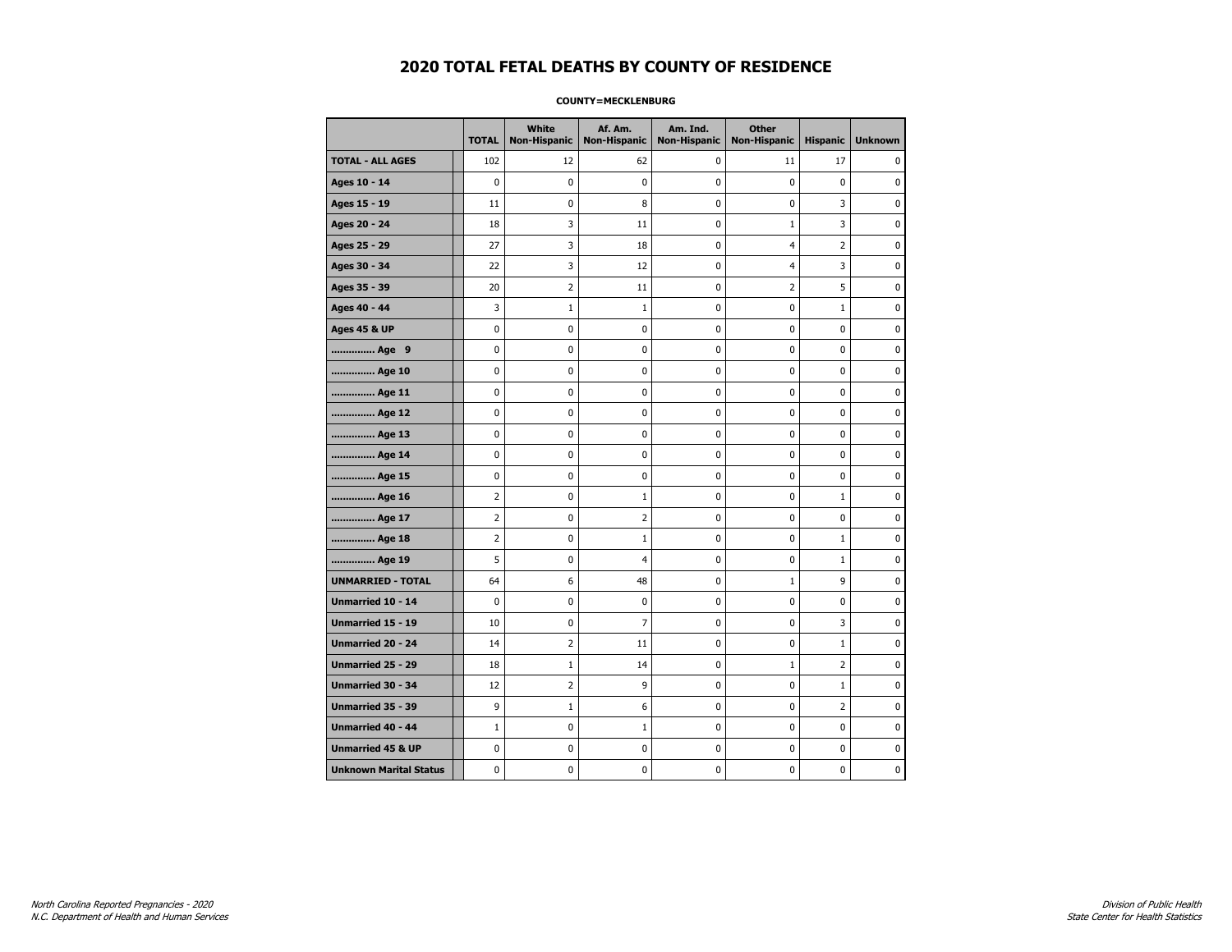#### **COUNTY=MECKLENBURG**

|                               | <b>TOTAL</b>   | <b>White</b><br>Non-Hispanic | Af. Am.<br><b>Non-Hispanic</b> | Am. Ind.<br><b>Non-Hispanic</b> | <b>Other</b><br>Non-Hispanic | <b>Hispanic</b> | <b>Unknown</b> |
|-------------------------------|----------------|------------------------------|--------------------------------|---------------------------------|------------------------------|-----------------|----------------|
| <b>TOTAL - ALL AGES</b>       | 102            | 12                           | 62                             | $\mathbf 0$                     | 11                           | 17              | 0              |
| Ages 10 - 14                  | $\mathbf 0$    | $\mathbf 0$                  | 0                              | $\mathbf 0$                     | 0                            | 0               | 0              |
| Ages 15 - 19                  | 11             | 0                            | 8                              | 0                               | $\mathbf 0$                  | 3               | $\mathbf 0$    |
| Ages 20 - 24                  | 18             | 3                            | 11                             | 0                               | $1\,$                        | 3               | $\pmb{0}$      |
| Ages 25 - 29                  | 27             | 3                            | 18                             | 0                               | 4                            | 2               | 0              |
| Ages 30 - 34                  | 22             | 3                            | 12                             | 0                               | $\overline{4}$               | 3               | $\mathbf 0$    |
| Ages 35 - 39                  | 20             | 2                            | 11                             | 0                               | $\overline{2}$               | 5               | $\mathbf 0$    |
| Ages 40 - 44                  | 3              | $\mathbf{1}$                 | $\mathbf{1}$                   | 0                               | $\mathbf 0$                  | $\mathbf{1}$    | $\mathbf 0$    |
| <b>Ages 45 &amp; UP</b>       | $\pmb{0}$      | $\pmb{0}$                    | 0                              | 0                               | $\pmb{0}$                    | 0               | $\pmb{0}$      |
| Age 9                         | 0              | 0                            | 0                              | 0                               | 0                            | 0               | 0              |
| Age 10                        | 0              | 0                            | 0                              | 0                               | $\pmb{0}$                    | 0               | 0              |
| Age 11                        | 0              | 0                            | 0                              | 0                               | 0                            | 0               | $\mathbf 0$    |
| Age 12                        | 0              | 0                            | 0                              | 0                               | 0                            | 0               | 0              |
| Age 13                        | 0              | 0                            | 0                              | 0                               | $\pmb{0}$                    | 0               | 0              |
| Age 14                        | 0              | 0                            | 0                              | 0                               | 0                            | 0               | $\mathbf 0$    |
| Age 15                        | 0              | 0                            | 0                              | 0                               | 0                            | 0               | 0              |
| Age 16                        | $\overline{2}$ | 0                            | $\mathbf{1}$                   | 0                               | $\mathbf 0$                  | $\mathbf{1}$    | $\mathbf 0$    |
| Age 17                        | $\overline{2}$ | 0                            | 2                              | 0                               | 0                            | 0               | 0              |
| Age 18                        | $\overline{2}$ | 0                            | $\mathbf{1}$                   | 0                               | $\pmb{0}$                    | $\mathbf 1$     | 0              |
| Age 19                        | 5              | 0                            | 4                              | 0                               | 0                            | $\mathbf{1}$    | 0              |
| <b>UNMARRIED - TOTAL</b>      | 64             | 6                            | 48                             | 0                               | $\mathbf{1}$                 | 9               | 0              |
| Unmarried 10 - 14             | 0              | 0                            | 0                              | 0                               | $\mathbf 0$                  | 0               | $\mathbf 0$    |
| Unmarried 15 - 19             | 10             | 0                            | 7                              | 0                               | $\pmb{0}$                    | 3               | 0              |
| Unmarried 20 - 24             | 14             | 2                            | 11                             | 0                               | 0                            | $\mathbf{1}$    | 0              |
| Unmarried 25 - 29             | 18             | 1                            | 14                             | 0                               | $1\,$                        | $\overline{2}$  | $\mathbf 0$    |
| Unmarried 30 - 34             | 12             | 2                            | 9                              | 0                               | 0                            | $\mathbf{1}$    | $\mathbf 0$    |
| <b>Unmarried 35 - 39</b>      | 9              | 1                            | 6                              | 0                               | $\mathbf 0$                  | $\overline{2}$  | $\mathbf 0$    |
| <b>Unmarried 40 - 44</b>      | $\mathbf{1}$   | 0                            | $\mathbf 1$                    | 0                               | $\pmb{0}$                    | 0               | 0              |
| <b>Unmarried 45 &amp; UP</b>  | 0              | 0                            | 0                              | 0                               | 0                            | 0               | 0              |
| <b>Unknown Marital Status</b> | 0              | 0                            | 0                              | 0                               | 0                            | 0               | 0              |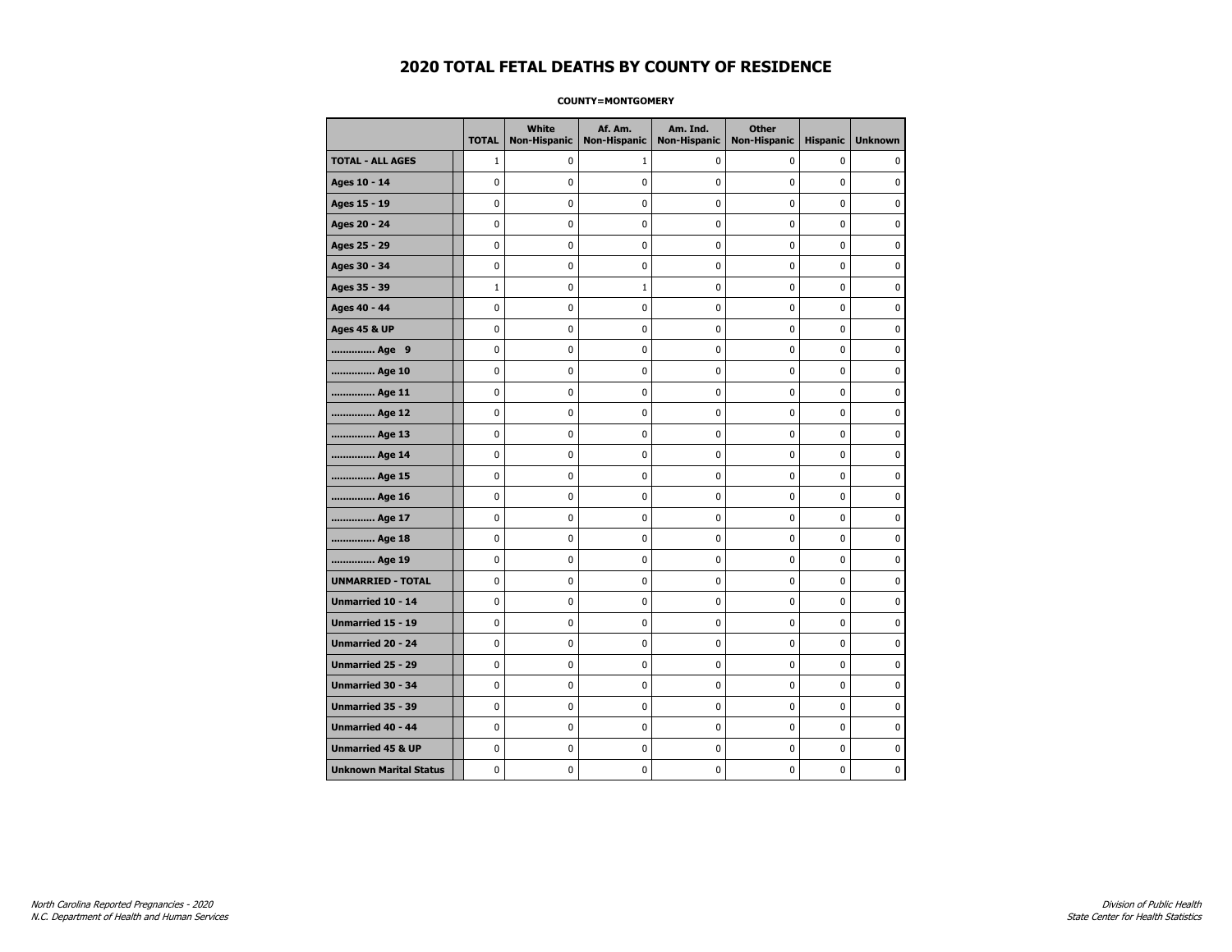#### **COUNTY=MONTGOMERY**

|                               | <b>TOTAL</b> | <b>White</b><br><b>Non-Hispanic</b> | Af. Am.<br><b>Non-Hispanic</b> | Am. Ind.<br><b>Non-Hispanic</b> | <b>Other</b><br><b>Non-Hispanic</b> | <b>Hispanic</b> | <b>Unknown</b> |
|-------------------------------|--------------|-------------------------------------|--------------------------------|---------------------------------|-------------------------------------|-----------------|----------------|
| <b>TOTAL - ALL AGES</b>       | $\mathbf{1}$ | 0                                   | 1                              | 0                               | 0                                   | 0               | $\Omega$       |
| Ages 10 - 14                  | 0            | $\mathbf 0$                         | 0                              | 0                               | 0                                   | 0               | $\mathbf 0$    |
| Ages 15 - 19                  | 0            | 0                                   | 0                              | 0                               | $\pmb{0}$                           | 0               | $\pmb{0}$      |
| Ages 20 - 24                  | 0            | $\pmb{0}$                           | 0                              | 0                               | $\pmb{0}$                           | 0               | $\pmb{0}$      |
| Ages 25 - 29                  | 0            | 0                                   | 0                              | 0                               | 0                                   | 0               | 0              |
| Ages 30 - 34                  | 0            | 0                                   | 0                              | 0                               | $\pmb{0}$                           | 0               | 0              |
| Ages 35 - 39                  | $\mathbf{1}$ | 0                                   | 1                              | 0                               | 0                                   | 0               | $\mathbf 0$    |
| Ages 40 - 44                  | 0            | 0                                   | 0                              | 0                               | $\pmb{0}$                           | 0               | 0              |
| <b>Ages 45 &amp; UP</b>       | 0            | 0                                   | 0                              | 0                               | $\pmb{0}$                           | 0               | 0              |
| Age 9                         | 0            | 0                                   | 0                              | 0                               | 0                                   | 0               | 0              |
| Age 10                        | 0            | 0                                   | 0                              | 0                               | $\mathbf 0$                         | 0               | $\mathbf 0$    |
| Age 11                        | 0            | $\mathbf 0$                         | 0                              | 0                               | $\mathbf 0$                         | 0               | $\mathbf 0$    |
| Age 12                        | 0            | 0                                   | 0                              | 0                               | 0                                   | 0               | 0              |
| Age 13                        | 0            | 0                                   | 0                              | 0                               | 0                                   | 0               | 0              |
| Age 14                        | 0            | 0                                   | 0                              | 0                               | 0                                   | 0               | 0              |
| Age 15                        | 0            | 0                                   | 0                              | 0                               | 0                                   | 0               | 0              |
| Age 16                        | 0            | 0                                   | 0                              | 0                               | $\mathbf 0$                         | 0               | $\mathbf 0$    |
| Age 17                        | 0            | 0                                   | 0                              | 0                               | $\pmb{0}$                           | 0               | 0              |
| Age 18                        | 0            | 0                                   | 0                              | 0                               | 0                                   | 0               | 0              |
| Age 19                        | 0            | 0                                   | 0                              | 0                               | 0                                   | 0               | 0              |
| <b>UNMARRIED - TOTAL</b>      | 0            | 0                                   | 0                              | 0                               | $\pmb{0}$                           | 0               | 0              |
| Unmarried 10 - 14             | 0            | 0                                   | 0                              | 0                               | $\mathbf 0$                         | 0               | $\mathbf 0$    |
| Unmarried 15 - 19             | 0            | $\mathbf 0$                         | 0                              | 0                               | $\pmb{0}$                           | 0               | 0              |
| Unmarried 20 - 24             | 0            | 0                                   | 0                              | 0                               | 0                                   | 0               | 0              |
| Unmarried 25 - 29             | 0            | $\mathbf 0$                         | 0                              | 0                               | 0                                   | 0               | 0              |
| <b>Unmarried 30 - 34</b>      | 0            | $\mathbf 0$                         | 0                              | 0                               | $\pmb{0}$                           | 0               | $\mathbf 0$    |
| <b>Unmarried 35 - 39</b>      | 0            | 0                                   | 0                              | 0                               | 0                                   | 0               | $\mathbf 0$    |
| <b>Unmarried 40 - 44</b>      | 0            | 0                                   | 0                              | 0                               | $\pmb{0}$                           | 0               | $\pmb{0}$      |
| <b>Unmarried 45 &amp; UP</b>  | 0            | 0                                   | 0                              | 0                               | 0                                   | 0               | 0              |
| <b>Unknown Marital Status</b> | 0            | 0                                   | 0                              | 0                               | $\mathbf 0$                         | 0               | 0              |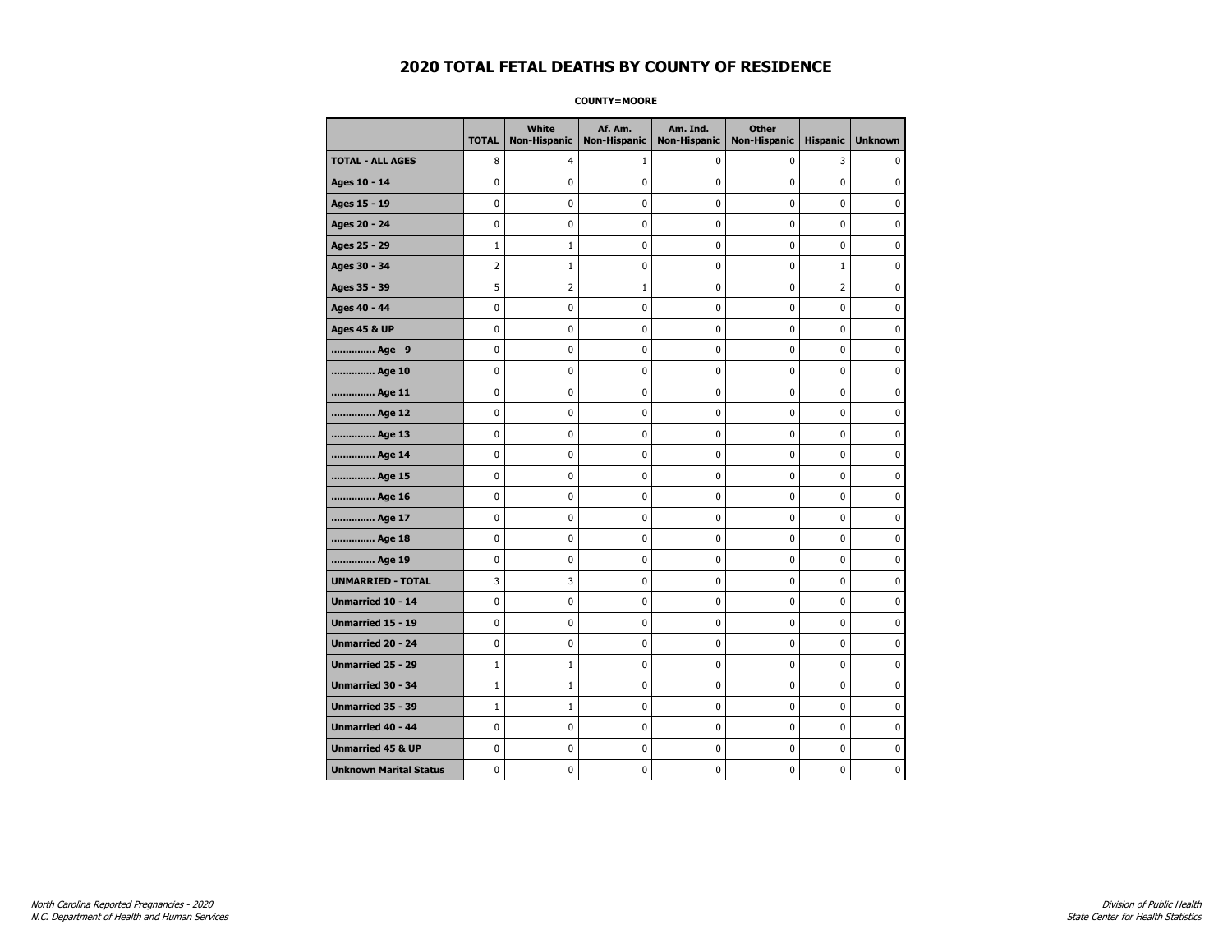**COUNTY=MOORE** 

|                               | <b>TOTAL</b> | White<br>Non-Hispanic | Af. Am.<br><b>Non-Hispanic</b> | Am. Ind.<br><b>Non-Hispanic</b> | <b>Other</b><br><b>Non-Hispanic</b> | <b>Hispanic</b> | <b>Unknown</b> |
|-------------------------------|--------------|-----------------------|--------------------------------|---------------------------------|-------------------------------------|-----------------|----------------|
| <b>TOTAL - ALL AGES</b>       | 8            | 4                     | 1                              | 0                               | 0                                   | 3               | $\mathbf{0}$   |
| Ages 10 - 14                  | 0            | 0                     | 0                              | 0                               | 0                                   | 0               | 0              |
| Ages 15 - 19                  | 0            | 0                     | 0                              | 0                               | $\pmb{0}$                           | 0               | $\mathbf 0$    |
| Ages 20 - 24                  | 0            | 0                     | 0                              | $\mathbf 0$                     | $\mathbf 0$                         | $\mathbf 0$     | $\mathbf 0$    |
| Ages 25 - 29                  | $\mathbf{1}$ | $1\,$                 | $\pmb{0}$                      | $\pmb{0}$                       | $\pmb{0}$                           | $\mathbf 0$     | $\pmb{0}$      |
| Ages 30 - 34                  | 2            | $\mathbf 1$           | 0                              | 0                               | 0                                   | $\mathbf 1$     | 0              |
| Ages 35 - 39                  | 5            | 2                     | $\mathbf{1}$                   | 0                               | 0                                   | 2               | 0              |
| Ages 40 - 44                  | 0            | 0                     | 0                              | 0                               | $\mathbf 0$                         | 0               | $\mathbf 0$    |
| <b>Ages 45 &amp; UP</b>       | 0            | 0                     | 0                              | 0                               | 0                                   | 0               | $\mathbf 0$    |
| Age 9                         | 0            | 0                     | 0                              | 0                               | $\mathbf 0$                         | $\mathbf 0$     | $\mathbf 0$    |
| Age 10                        | 0            | 0                     | $\pmb{0}$                      | $\pmb{0}$                       | $\pmb{0}$                           | $\pmb{0}$       | 0              |
| Age 11                        | 0            | 0                     | 0                              | 0                               | 0                                   | 0               | $\mathbf 0$    |
| Age 12                        | 0            | 0                     | 0                              | 0                               | 0                                   | 0               | 0              |
| Age 13                        | 0            | 0                     | 0                              | 0                               | 0                                   | 0               | $\mathbf 0$    |
| Age 14                        | 0            | 0                     | 0                              | 0                               | $\mathbf 0$                         | 0               | $\mathbf 0$    |
| Age 15                        | 0            | 0                     | $\pmb{0}$                      | 0                               | $\pmb{0}$                           | 0               | $\pmb{0}$      |
| Age 16                        | 0            | 0                     | $\pmb{0}$                      | 0                               | $\pmb{0}$                           | 0               | $\mathbf 0$    |
| Age 17                        | 0            | 0                     | 0                              | 0                               | 0                                   | 0               | 0              |
| Age 18                        | 0            | 0                     | $\pmb{0}$                      | 0                               | $\pmb{0}$                           | 0               | $\pmb{0}$      |
| Age 19                        | 0            | 0                     | 0                              | 0                               | 0                                   | 0               | $\mathbf 0$    |
| <b>UNMARRIED - TOTAL</b>      | 3            | 3                     | 0                              | 0                               | $\mathbf 0$                         | 0               | $\mathbf 0$    |
| Unmarried 10 - 14             | 0            | 0                     | $\pmb{0}$                      | 0                               | $\pmb{0}$                           | 0               | 0              |
| Unmarried 15 - 19             | 0            | 0                     | $\pmb{0}$                      | 0                               | $\pmb{0}$                           | 0               | $\mathbf 0$    |
| Unmarried 20 - 24             | 0            | 0                     | 0                              | 0                               | 0                                   | 0               | 0              |
| Unmarried 25 - 29             | $\mathbf{1}$ | $\mathbf{1}$          | 0                              | 0                               | 0                                   | 0               | 0              |
| <b>Unmarried 30 - 34</b>      | $\mathbf{1}$ | $1\,$                 | 0                              | 0                               | $\mathbf 0$                         | 0               | $\mathbf 0$    |
| Unmarried 35 - 39             | $\mathbf{1}$ | $1\,$                 | 0                              | 0                               | $\mathbf 0$                         | 0               | $\mathbf 0$    |
| Unmarried 40 - 44             | 0            | 0                     | $\pmb{0}$                      | 0                               | $\pmb{0}$                           | 0               | 0              |
| <b>Unmarried 45 &amp; UP</b>  | 0            | 0                     | 0                              | 0                               | 0                                   | 0               | 0              |
| <b>Unknown Marital Status</b> | 0            | 0                     | 0                              | 0                               | 0                                   | 0               | $\mathbf 0$    |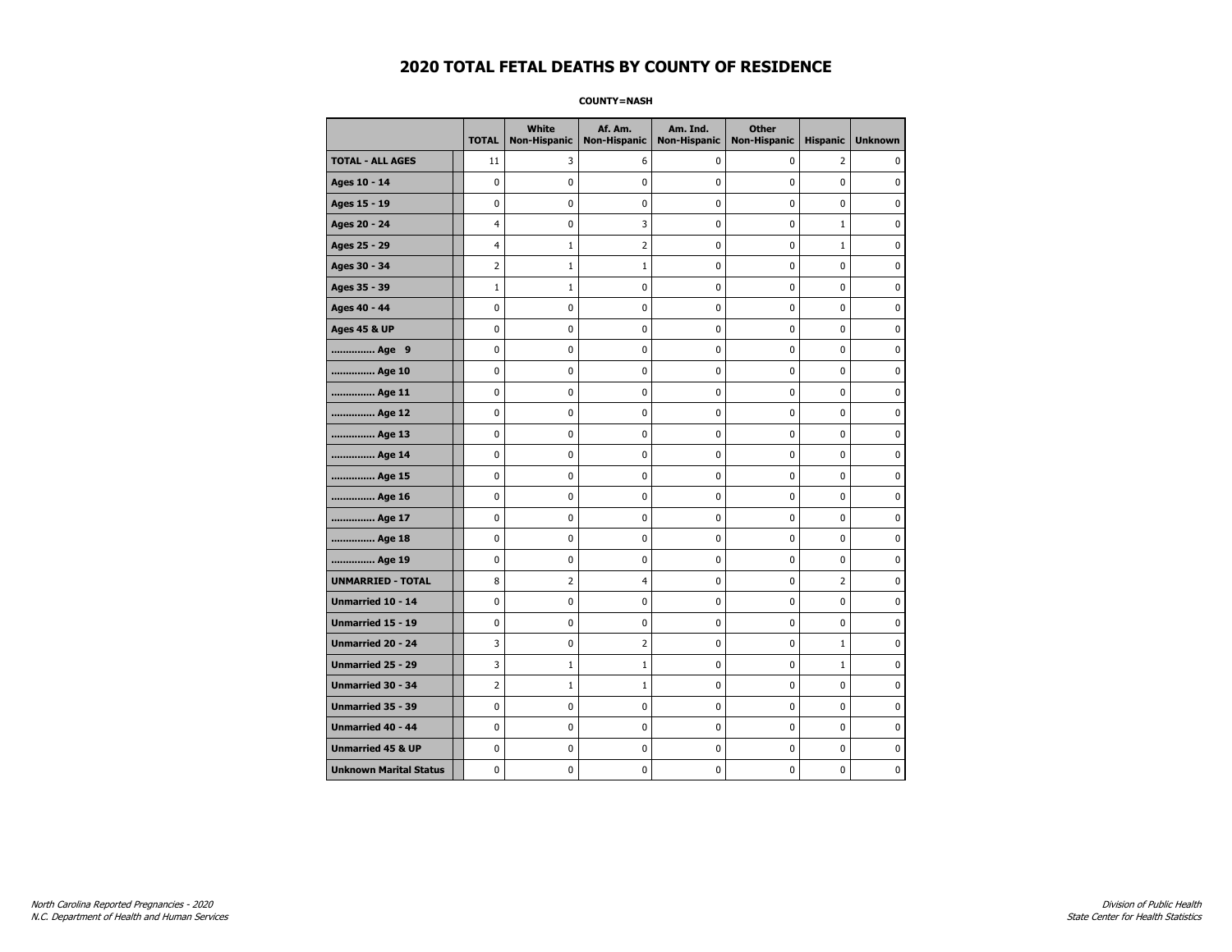**COUNTY=NASH** 

|                               | <b>TOTAL</b>   | <b>White</b><br>Non-Hispanic | Af. Am.<br><b>Non-Hispanic</b> | Am. Ind.<br><b>Non-Hispanic</b> | <b>Other</b><br>Non-Hispanic | <b>Hispanic</b> | <b>Unknown</b> |
|-------------------------------|----------------|------------------------------|--------------------------------|---------------------------------|------------------------------|-----------------|----------------|
| <b>TOTAL - ALL AGES</b>       | 11             | 3                            | 6                              | 0                               | 0                            | 2               | 0              |
| Ages 10 - 14                  | $\mathbf 0$    | 0                            | 0                              | 0                               | $\mathbf 0$                  | 0               | 0              |
| Ages 15 - 19                  | 0              | 0                            | 0                              | $\mathbf 0$                     | $\mathbf 0$                  | 0               | 0              |
| Ages 20 - 24                  | 4              | $\mathbf 0$                  | 3                              | 0                               | 0                            | $\mathbf{1}$    | 0              |
| Ages 25 - 29                  | 4              | $1\,$                        | $\overline{2}$                 | 0                               | $\pmb{0}$                    | $\mathbf{1}$    | 0              |
| Ages 30 - 34                  | 2              | $\mathbf{1}$                 | $\mathbf{1}$                   | 0                               | 0                            | $\mathbf 0$     | 0              |
| Ages 35 - 39                  | $\mathbf{1}$   | $\mathbf{1}$                 | 0                              | 0                               | 0                            | 0               | 0              |
| Ages 40 - 44                  | $\mathbf 0$    | 0                            | 0                              | $\mathbf 0$                     | 0                            | 0               | 0              |
| <b>Ages 45 &amp; UP</b>       | $\mathbf 0$    | 0                            | $\mathbf 0$                    | $\pmb{0}$                       | $\mathbf 0$                  | 0               | 0              |
| Age 9                         | $\pmb{0}$      | 0                            | 0                              | 0                               | 0                            | 0               | 0              |
| Age 10                        | 0              | $\mathbf 0$                  | 0                              | 0                               | 0                            | 0               | $\mathbf 0$    |
| Age 11                        | 0              | 0                            | 0                              | 0                               | 0                            | 0               | 0              |
| Age 12                        | $\mathbf 0$    | 0                            | 0                              | 0                               | 0                            | 0               | 0              |
| Age 13                        | 0              | 0                            | 0                              | 0                               | 0                            | 0               | 0              |
| Age 14                        | 0              | 0                            | 0                              | $\mathbf 0$                     | 0                            | 0               | 0              |
| Age 15                        | 0              | 0                            | 0                              | 0                               | $\pmb{0}$                    | 0               | 0              |
| Age 16                        | $\pmb{0}$      | 0                            | $\pmb{0}$                      | $\pmb{0}$                       | $\pmb{0}$                    | 0               | 0              |
| Age 17                        | 0              | 0                            | 0                              | 0                               | 0                            | 0               | 0              |
| Age 18                        | $\mathbf 0$    | 0                            | 0                              | $\mathbf 0$                     | $\mathbf 0$                  | 0               | 0              |
| Age 19                        | $\mathbf 0$    | 0                            | 0                              | 0                               | $\pmb{0}$                    | 0               | 0              |
| <b>UNMARRIED - TOTAL</b>      | 8              | $\overline{2}$               | 4                              | 0                               | 0                            | 2               | 0              |
| Unmarried 10 - 14             | 0              | $\pmb{0}$                    | 0                              | 0                               | 0                            | 0               | $\pmb{0}$      |
| Unmarried 15 - 19             | 0              | 0                            | 0                              | 0                               | 0                            | 0               | 0              |
| <b>Unmarried 20 - 24</b>      | 3              | 0                            | 2                              | 0                               | 0                            | $\mathbf{1}$    | 0              |
| Unmarried 25 - 29             | 3              | $\mathbf{1}$                 | 1                              | 0                               | 0                            | $\mathbf{1}$    | 0              |
| <b>Unmarried 30 - 34</b>      | $\overline{2}$ | $\mathbf{1}$                 | $\mathbf{1}$                   | 0                               | 0                            | 0               | $\mathbf 0$    |
| <b>Unmarried 35 - 39</b>      | $\mathbf 0$    | 0                            | $\mathbf 0$                    | $\mathbf 0$                     | $\mathbf 0$                  | 0               | $\mathbf 0$    |
| Unmarried 40 - 44             | $\pmb{0}$      | 0                            | 0                              | 0                               | $\pmb{0}$                    | 0               | 0              |
| <b>Unmarried 45 &amp; UP</b>  | $\mathbf 0$    | 0                            | 0                              | 0                               | 0                            | 0               | 0              |
| <b>Unknown Marital Status</b> | 0              | 0                            | 0                              | 0                               | 0                            | 0               | 0              |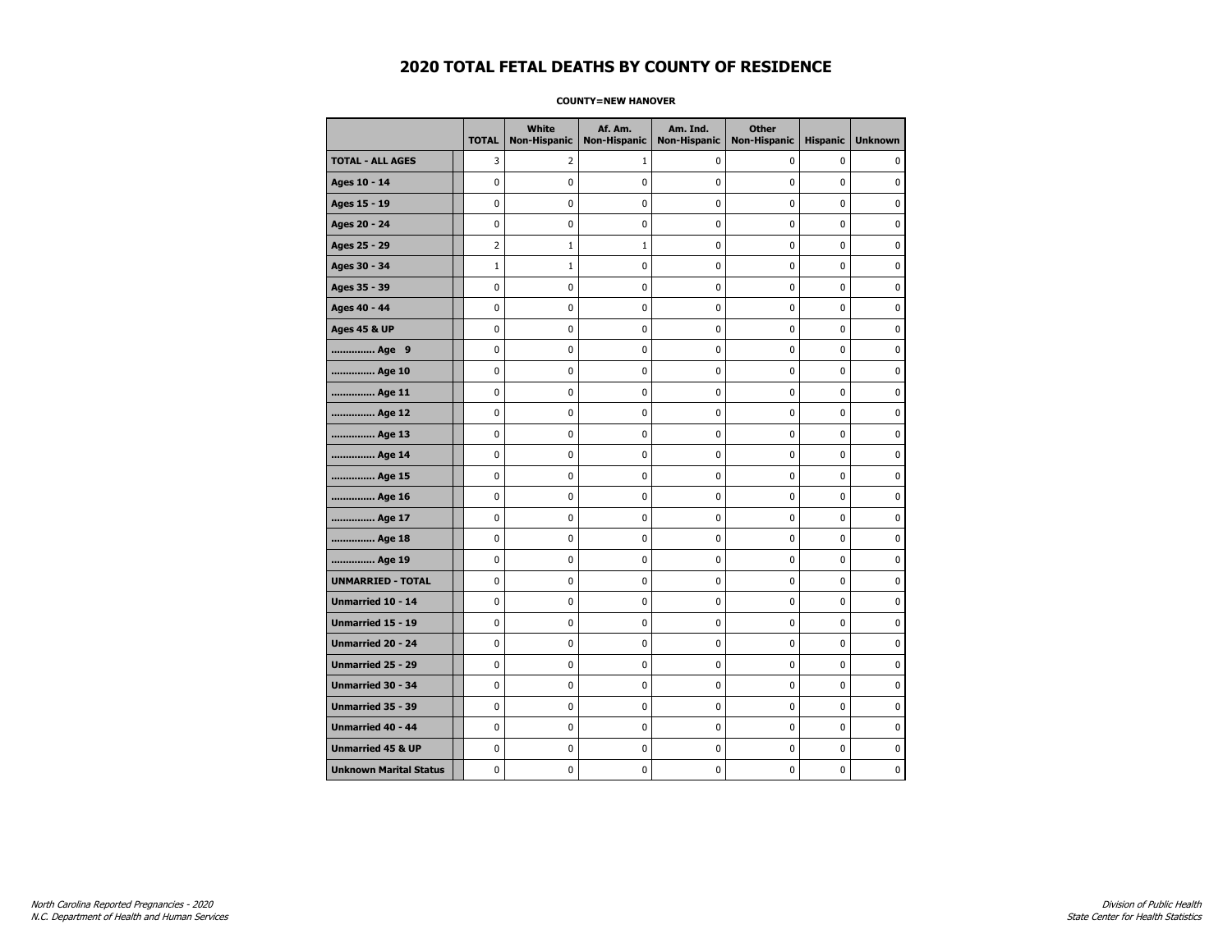#### **COUNTY=NEW HANOVER**

|                               | <b>TOTAL</b> | <b>White</b><br><b>Non-Hispanic</b> | Af. Am.<br><b>Non-Hispanic</b> | Am. Ind.<br><b>Non-Hispanic</b> | <b>Other</b><br><b>Non-Hispanic</b> | <b>Hispanic</b> | <b>Unknown</b> |
|-------------------------------|--------------|-------------------------------------|--------------------------------|---------------------------------|-------------------------------------|-----------------|----------------|
| <b>TOTAL - ALL AGES</b>       | 3            | 2                                   | 1                              | 0                               | 0                                   | 0               | 0              |
| Ages 10 - 14                  | 0            | 0                                   | 0                              | 0                               | 0                                   | 0               | 0              |
| Ages 15 - 19                  | 0            | 0                                   | 0                              | 0                               | $\mathbf 0$                         | 0               | $\mathbf 0$    |
| Ages 20 - 24                  | 0            | 0                                   | 0                              | 0                               | $\pmb{0}$                           | 0               | 0              |
| Ages 25 - 29                  | 2            | 1                                   | 1                              | 0                               | 0                                   | 0               | 0              |
| Ages 30 - 34                  | $\mathbf{1}$ | 1                                   | 0                              | 0                               | $\pmb{0}$                           | 0               | 0              |
| Ages 35 - 39                  | 0            | 0                                   | 0                              | 0                               | 0                                   | 0               | $\mathbf 0$    |
| Ages 40 - 44                  | 0            | 0                                   | 0                              | 0                               | 0                                   | 0               | $\mathbf 0$    |
| <b>Ages 45 &amp; UP</b>       | 0            | 0                                   | 0                              | 0                               | $\mathbf 0$                         | 0               | $\mathbf 0$    |
| Age 9                         | 0            | 0                                   | 0                              | 0                               | $\pmb{0}$                           | 0               | $\pmb{0}$      |
| Age 10                        | 0            | 0                                   | 0                              | 0                               | 0                                   | 0               | 0              |
| Age 11                        | 0            | 0                                   | 0                              | 0                               | 0                                   | 0               | 0              |
| Age 12                        | 0            | 0                                   | 0                              | 0                               | 0                                   | 0               | 0              |
| Age 13                        | 0            | 0                                   | 0                              | 0                               | $\mathbf 0$                         | 0               | $\mathbf 0$    |
| Age 14                        | 0            | 0                                   | 0                              | 0                               | $\pmb{0}$                           | 0               | $\mathbf 0$    |
| Age 15                        | 0            | 0                                   | 0                              | 0                               | $\pmb{0}$                           | 0               | 0              |
| Age 16                        | 0            | 0                                   | 0                              | 0                               | 0                                   | 0               | 0              |
| Age 17                        | 0            | 0                                   | 0                              | 0                               | 0                                   | 0               | $\mathbf 0$    |
| Age 18                        | 0            | 0                                   | 0                              | 0                               | 0                                   | 0               | 0              |
| Age 19                        | 0            | 0                                   | 0                              | 0                               | $\pmb{0}$                           | 0               | $\mathbf 0$    |
| <b>UNMARRIED - TOTAL</b>      | 0            | 0                                   | 0                              | 0                               | $\pmb{0}$                           | 0               | $\pmb{0}$      |
| Unmarried 10 - 14             | 0            | 0                                   | 0                              | 0                               | $\pmb{0}$                           | 0               | $\pmb{0}$      |
| Unmarried 15 - 19             | 0            | 0                                   | 0                              | 0                               | 0                                   | 0               | 0              |
| Unmarried 20 - 24             | 0            | 0                                   | 0                              | 0                               | 0                                   | 0               | 0              |
| <b>Unmarried 25 - 29</b>      | 0            | 0                                   | 0                              | 0                               | 0                                   | 0               | $\mathbf 0$    |
| <b>Unmarried 30 - 34</b>      | $\mathbf 0$  | $\mathbf 0$                         | 0                              | 0                               | $\pmb{0}$                           | 0               | $\mathbf 0$    |
| Unmarried 35 - 39             | 0            | 0                                   | 0                              | 0                               | 0                                   | 0               | 0              |
| <b>Unmarried 40 - 44</b>      | 0            | 0                                   | 0                              | 0                               | $\pmb{0}$                           | 0               | $\mathbf 0$    |
| <b>Unmarried 45 &amp; UP</b>  | 0            | 0                                   | 0                              | 0                               | 0                                   | 0               | 0              |
| <b>Unknown Marital Status</b> | 0            | 0                                   | 0                              | 0                               | $\mathbf 0$                         | 0               | 0              |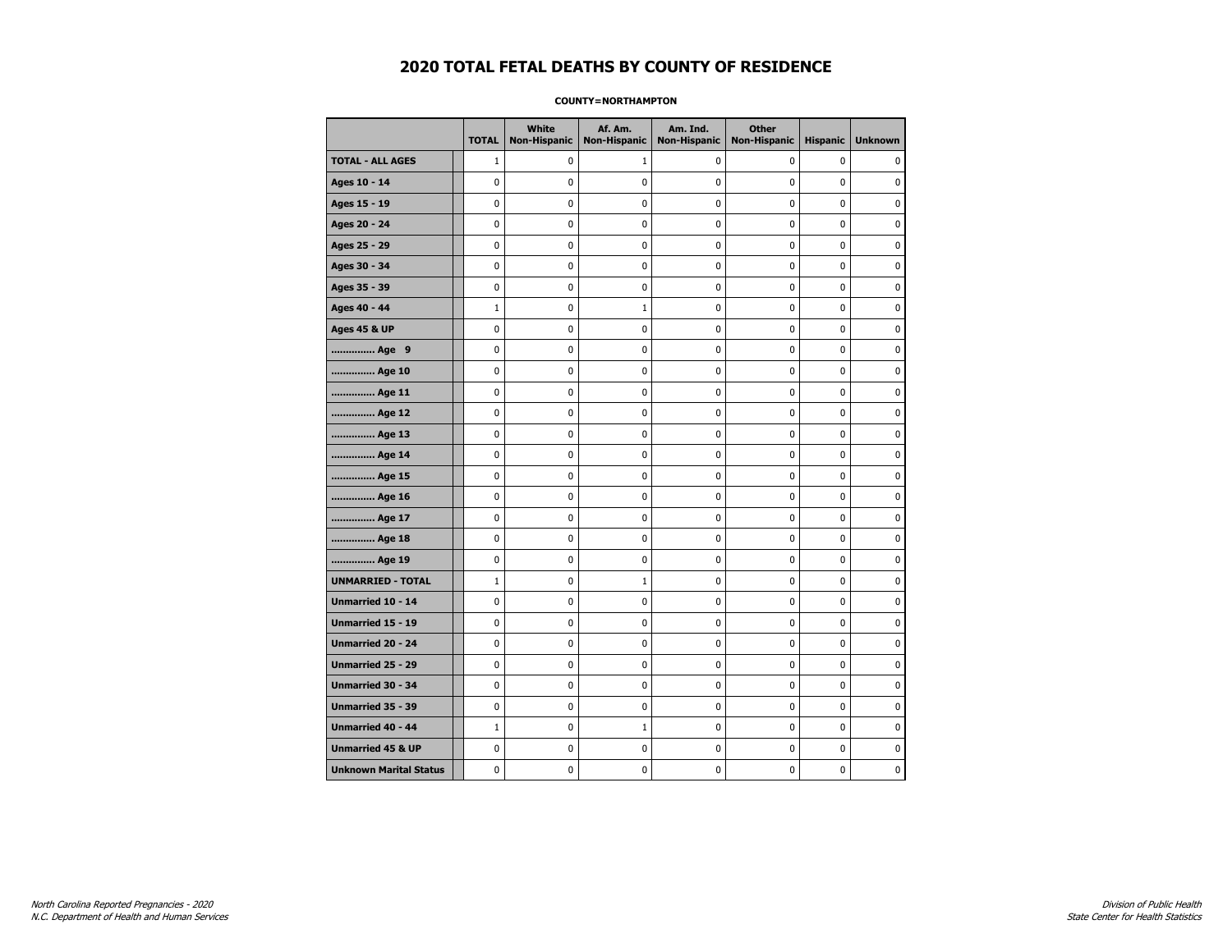#### **COUNTY=NORTHAMPTON**

|                               | <b>TOTAL</b> | <b>White</b><br><b>Non-Hispanic</b> | Af. Am.<br><b>Non-Hispanic</b> | Am. Ind.<br><b>Non-Hispanic</b> | <b>Other</b><br><b>Non-Hispanic</b> | <b>Hispanic</b> | <b>Unknown</b> |
|-------------------------------|--------------|-------------------------------------|--------------------------------|---------------------------------|-------------------------------------|-----------------|----------------|
| <b>TOTAL - ALL AGES</b>       | $\mathbf{1}$ | 0                                   | 1                              | 0                               | 0                                   | 0               | $\Omega$       |
| Ages 10 - 14                  | 0            | $\mathbf 0$                         | 0                              | 0                               | 0                                   | 0               | $\mathbf 0$    |
| Ages 15 - 19                  | 0            | $\mathbf 0$                         | 0                              | 0                               | 0                                   | 0               | $\pmb{0}$      |
| Ages 20 - 24                  | 0            | 0                                   | 0                              | 0                               | 0                                   | 0               | 0              |
| Ages 25 - 29                  | 0            | 0                                   | 0                              | 0                               | 0                                   | 0               | 0              |
| Ages 30 - 34                  | 0            | $\mathbf 0$                         | 0                              | 0                               | 0                                   | 0               | $\mathbf 0$    |
| Ages 35 - 39                  | 0            | $\pmb{0}$                           | $\pmb{0}$                      | 0                               | 0                                   | 0               | 0              |
| Ages 40 - 44                  | $\mathbf{1}$ | 0                                   | 1                              | 0                               | 0                                   | 0               | 0              |
| <b>Ages 45 &amp; UP</b>       | 0            | $\mathbf 0$                         | 0                              | 0                               | 0                                   | 0               | 0              |
| Age 9                         | 0            | $\mathbf 0$                         | 0                              | 0                               | 0                                   | 0               | $\mathbf 0$    |
| Age 10                        | 0            | 0                                   | $\pmb{0}$                      | 0                               | 0                                   | 0               | 0              |
| Age 11                        | 0            | 0                                   | 0                              | 0                               | 0                                   | 0               | 0              |
| Age 12                        | 0            | 0                                   | 0                              | 0                               | 0                                   | 0               | 0              |
| Age 13                        | 0            | $\mathbf 0$                         | 0                              | 0                               | 0                                   | 0               | $\mathbf 0$    |
| Age 14                        | 0            | 0                                   | 0                              | 0                               | 0                                   | 0               | 0              |
| Age 15                        | 0            | 0                                   | $\pmb{0}$                      | 0                               | 0                                   | 0               | $\pmb{0}$      |
| Age 16                        | 0            | $\mathbf 0$                         | 0                              | 0                               | 0                                   | 0               | 0              |
| Age 17                        | 0            | 0                                   | 0                              | 0                               | 0                                   | 0               | $\mathbf 0$    |
| Age 18                        | 0            | $\mathbf 0$                         | 0                              | 0                               | 0                                   | 0               | $\mathbf 0$    |
| Age 19                        | 0            | 0                                   | 0                              | 0                               | 0                                   | 0               | 0              |
| <b>UNMARRIED - TOTAL</b>      | $\mathbf{1}$ | 0                                   | 1                              | 0                               | 0                                   | 0               | 0              |
| Unmarried 10 - 14             | 0            | $\mathbf 0$                         | 0                              | 0                               | 0                                   | 0               | $\mathbf 0$    |
| Unmarried 15 - 19             | 0            | $\mathbf 0$                         | 0                              | 0                               | 0                                   | 0               | $\mathbf 0$    |
| Unmarried 20 - 24             | 0            | 0                                   | $\bf{0}$                       | 0                               | 0                                   | 0               | $\mathbf 0$    |
| Unmarried 25 - 29             | 0            | 0                                   | 0                              | 0                               | 0                                   | 0               | 0              |
| <b>Unmarried 30 - 34</b>      | 0            | $\mathbf 0$                         | 0                              | 0                               | 0                                   | 0               | $\mathbf 0$    |
| Unmarried 35 - 39             | 0            | 0                                   | 0                              | 0                               | 0                                   | 0               | $\mathbf 0$    |
| Unmarried 40 - 44             | $1\,$        | $\mathbf 0$                         | $\mathbf{1}$                   | 0                               | 0                                   | 0               | $\pmb{0}$      |
| <b>Unmarried 45 &amp; UP</b>  | 0            | 0                                   | 0                              | 0                               | 0                                   | 0               | 0              |
| <b>Unknown Marital Status</b> | 0            | 0                                   | 0                              | 0                               | 0                                   | 0               | 0              |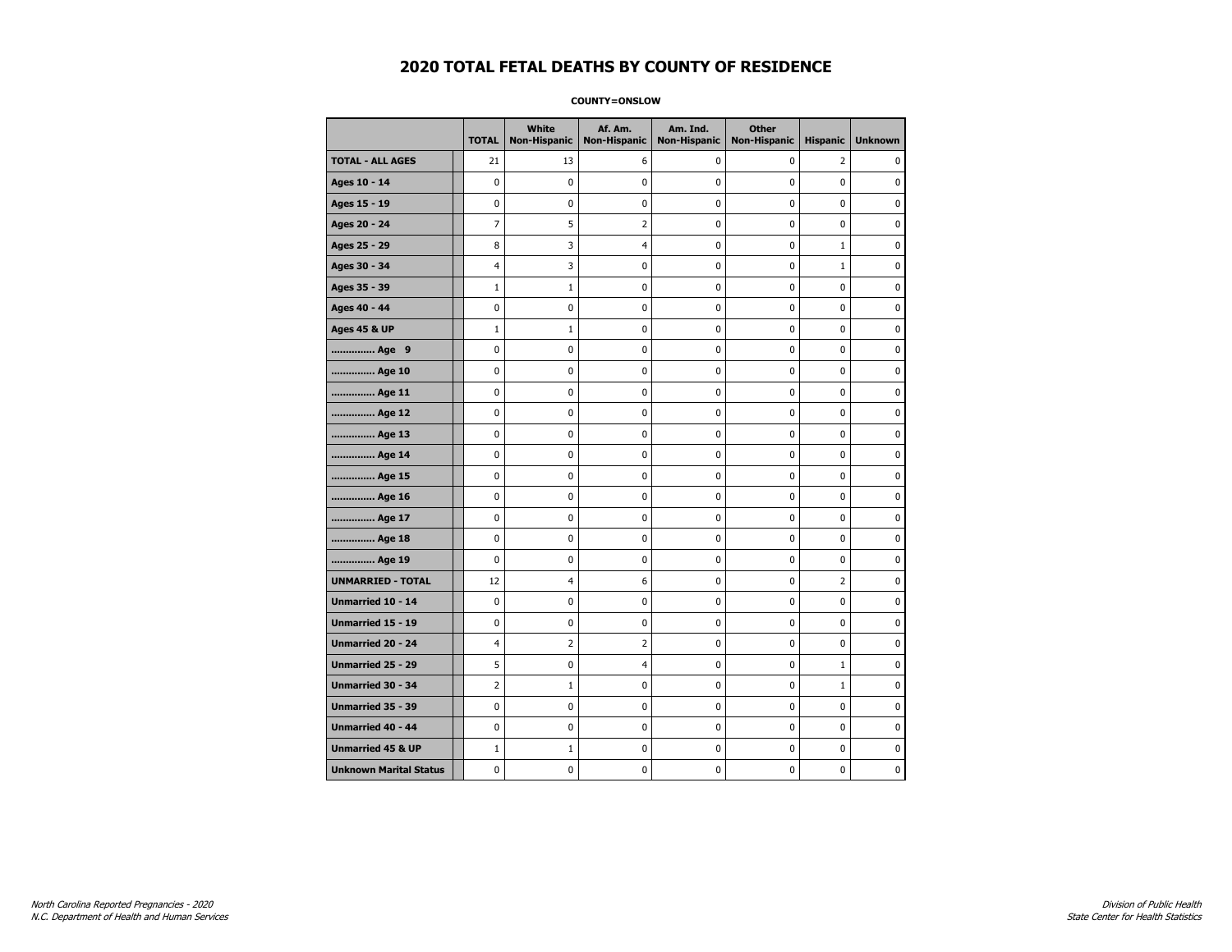**COUNTY=ONSLOW** 

|                               | <b>TOTAL</b>   | <b>White</b><br>Non-Hispanic | Af. Am.<br><b>Non-Hispanic</b> | Am. Ind.<br><b>Non-Hispanic</b> | <b>Other</b><br>Non-Hispanic | <b>Hispanic</b> | <b>Unknown</b> |
|-------------------------------|----------------|------------------------------|--------------------------------|---------------------------------|------------------------------|-----------------|----------------|
| <b>TOTAL - ALL AGES</b>       | 21             | 13                           | 6                              | 0                               | 0                            | $\overline{2}$  | $\Omega$       |
| Ages 10 - 14                  | 0              | $\mathbf 0$                  | 0                              | 0                               | 0                            | 0               | 0              |
| Ages 15 - 19                  | 0              | 0                            | 0                              | 0                               | $\mathbf 0$                  | 0               | $\mathbf 0$    |
| Ages 20 - 24                  | $\overline{7}$ | 5                            | $\overline{2}$                 | 0                               | $\mathbf 0$                  | 0               | $\mathbf 0$    |
| Ages 25 - 29                  | 8              | 3                            | 4                              | 0                               | $\pmb{0}$                    | $\mathbf 1$     | 0              |
| Ages 30 - 34                  | 4              | 3                            | 0                              | 0                               | 0                            | $\mathbf{1}$    | 0              |
| Ages 35 - 39                  | $\mathbf{1}$   | 1                            | 0                              | 0                               | 0                            | 0               | 0              |
| Ages 40 - 44                  | 0              | 0                            | 0                              | 0                               | 0                            | 0               | $\mathbf 0$    |
| <b>Ages 45 &amp; UP</b>       | $1\,$          | $\mathbf{1}$                 | 0                              | 0                               | $\pmb{0}$                    | 0               | $\mathbf 0$    |
| Age 9                         | 0              | 0                            | 0                              | 0                               | $\pmb{0}$                    | 0               | 0              |
| Age 10                        | 0              | 0                            | 0                              | 0                               | $\mathbf 0$                  | 0               | $\pmb{0}$      |
| Age 11                        | 0              | 0                            | 0                              | 0                               | 0                            | 0               | 0              |
| Age 12                        | 0              | 0                            | 0                              | 0                               | 0                            | 0               | 0              |
| Age 13                        | 0              | 0                            | 0                              | 0                               | 0                            | 0               | 0              |
| Age 14                        | 0              | 0                            | 0                              | 0                               | 0                            | 0               | $\mathbf 0$    |
| Age 15                        | 0              | 0                            | 0                              | 0                               | $\pmb{0}$                    | 0               | 0              |
| Age 16                        | 0              | 0                            | 0                              | 0                               | $\pmb{0}$                    | 0               | 0              |
| Age 17                        | 0              | 0                            | 0                              | 0                               | 0                            | 0               | 0              |
| Age 18                        | 0              | 0                            | 0                              | 0                               | 0                            | 0               | $\mathbf 0$    |
| Age 19                        | $\mathbf 0$    | 0                            | 0                              | 0                               | $\pmb{0}$                    | 0               | $\mathbf 0$    |
| <b>UNMARRIED - TOTAL</b>      | 12             | 4                            | 6                              | 0                               | $\mathbf 0$                  | $\overline{2}$  | $\mathbf 0$    |
| Unmarried 10 - 14             | 0              | 0                            | 0                              | 0                               | $\pmb{0}$                    | 0               | $\pmb{0}$      |
| Unmarried 15 - 19             | 0              | 0                            | 0                              | 0                               | 0                            | 0               | 0              |
| Unmarried 20 - 24             | 4              | 2                            | 2                              | 0                               | 0                            | 0               | 0              |
| Unmarried 25 - 29             | 5              | 0                            | 4                              | 0                               | $\pmb{0}$                    | $\mathbf 1$     | 0              |
| <b>Unmarried 30 - 34</b>      | $\overline{2}$ | 1                            | 0                              | 0                               | 0                            | $\mathbf{1}$    | $\mathbf 0$    |
| <b>Unmarried 35 - 39</b>      | 0              | 0                            | 0                              | 0                               | $\mathbf 0$                  | 0               | $\mathbf 0$    |
| Unmarried 40 - 44             | 0              | 0                            | 0                              | 0                               | $\pmb{0}$                    | 0               | 0              |
| <b>Unmarried 45 &amp; UP</b>  | $\mathbf{1}$   | 1                            | 0                              | 0                               | 0                            | 0               | 0              |
| <b>Unknown Marital Status</b> | 0              | 0                            | 0                              | 0                               | 0                            | 0               | 0              |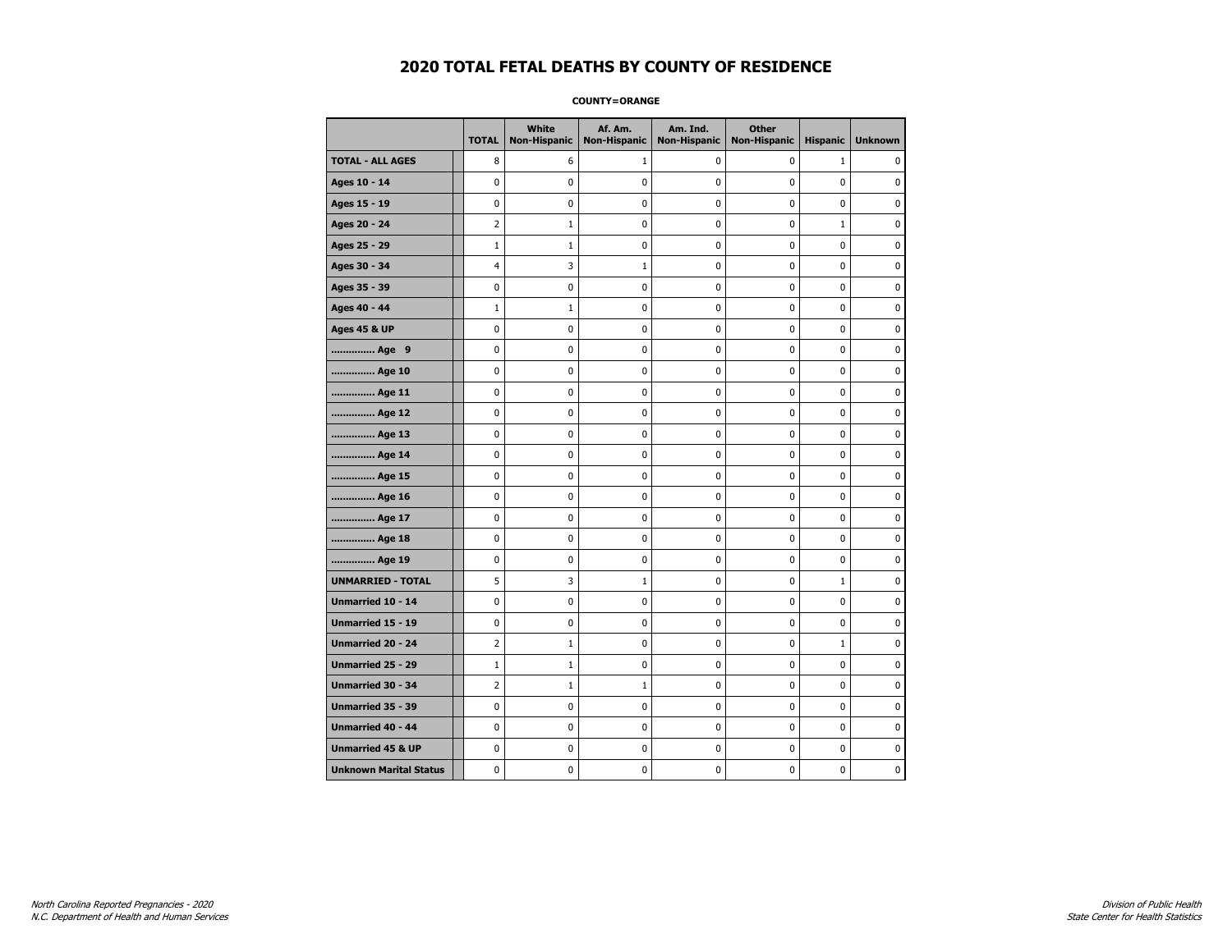**COUNTY=ORANGE** 

|                               | <b>TOTAL</b>   | <b>White</b><br>Non-Hispanic | Af. Am.<br><b>Non-Hispanic</b> | Am. Ind.<br><b>Non-Hispanic</b> | <b>Other</b><br><b>Non-Hispanic</b> | <b>Hispanic</b> | <b>Unknown</b> |
|-------------------------------|----------------|------------------------------|--------------------------------|---------------------------------|-------------------------------------|-----------------|----------------|
| <b>TOTAL - ALL AGES</b>       | 8              | 6                            | 1                              | 0                               | $\mathbf 0$                         | $\mathbf{1}$    | 0              |
| Ages 10 - 14                  | $\mathbf 0$    | $\mathbf 0$                  | $\mathbf 0$                    | 0                               | $\mathbf 0$                         | $\mathbf 0$     | 0              |
| Ages 15 - 19                  | $\mathbf 0$    | 0                            | $\mathbf 0$                    | $\mathbf 0$                     | $\mathbf 0$                         | $\mathbf 0$     | 0              |
| Ages 20 - 24                  | $\overline{2}$ | $1\,$                        | $\pmb{0}$                      | $\pmb{0}$                       | $\mathbf 0$                         | $\mathbf 1$     | 0              |
| Ages 25 - 29                  | $1\,$          | $\mathbf{1}$                 | $\pmb{0}$                      | 0                               | 0                                   | 0               | 0              |
| Ages 30 - 34                  | 4              | 3                            | 1                              | 0                               | 0                                   | 0               | 0              |
| Ages 35 - 39                  | $\mathbf 0$    | 0                            | $\mathbf 0$                    | 0                               | $\mathbf 0$                         | 0               | 0              |
| Ages 40 - 44                  | $\mathbf{1}$   | $\mathbf{1}$                 | $\mathbf 0$                    | $\mathbf 0$                     | $\mathbf 0$                         | $\mathbf 0$     | 0              |
| <b>Ages 45 &amp; UP</b>       | $\pmb{0}$      | 0                            | $\pmb{0}$                      | $\pmb{0}$                       | $\pmb{0}$                           | 0               | 0              |
| Age 9                         | 0              | 0                            | $\pmb{0}$                      | 0                               | 0                                   | 0               | 0              |
| Age 10                        | $\mathbf 0$    | 0                            | $\pmb{0}$                      | 0                               | $\mathbf 0$                         | $\mathbf 0$     | 0              |
| Age 11                        | $\mathbf 0$    | $\mathbf 0$                  | $\mathbf 0$                    | $\mathbf 0$                     | $\mathbf 0$                         | $\mathbf 0$     | 0              |
| Age 12                        | $\mathbf 0$    | 0                            | $\mathbf 0$                    | $\mathbf 0$                     | $\mathbf 0$                         | $\mathbf 0$     | 0              |
| Age 13                        | $\pmb{0}$      | 0                            | $\pmb{0}$                      | $\pmb{0}$                       | $\pmb{0}$                           | 0               | 0              |
| Age 14                        | $\mathbf 0$    | 0                            | $\pmb{0}$                      | 0                               | $\mathbf 0$                         | $\mathbf 0$     | 0              |
| Age 15                        | $\mathbf 0$    | 0                            | $\mathbf 0$                    | 0                               | $\mathbf 0$                         | $\mathbf 0$     | 0              |
| Age 16                        | $\mathbf 0$    | 0                            | $\mathbf 0$                    | $\mathbf 0$                     | $\mathbf 0$                         | $\mathbf 0$     | 0              |
| Age 17                        | $\mathbf 0$    | 0                            | $\mathbf 0$                    | $\mathbf 0$                     | $\mathbf 0$                         | $\mathbf 0$     | 0              |
| Age 18                        | $\mathbf 0$    | $\mathbf 0$                  | $\mathbf 0$                    | $\pmb{0}$                       | $\mathbf 0$                         | $\mathbf 0$     | 0              |
| Age 19                        | 0              | 0                            | 0                              | 0                               | 0                                   | 0               | 0              |
| <b>UNMARRIED - TOTAL</b>      | 5              | 3                            | 1                              | 0                               | 0                                   | $\mathbf{1}$    | 0              |
| Unmarried 10 - 14             | $\mathbf 0$    | $\mathbf 0$                  | $\mathbf 0$                    | $\mathbf 0$                     | $\mathbf 0$                         | $\mathbf 0$     | 0              |
| Unmarried 15 - 19             | $\pmb{0}$      | $\pmb{0}$                    | $\pmb{0}$                      | $\pmb{0}$                       | $\pmb{0}$                           | $\pmb{0}$       | 0              |
| <b>Unmarried 20 - 24</b>      | $\overline{2}$ | $1\,$                        | $\pmb{0}$                      | 0                               | 0                                   | $1\,$           | 0              |
| Unmarried 25 - 29             | $1\,$          | $\mathbf{1}$                 | $\pmb{0}$                      | 0                               | 0                                   | 0               | 0              |
| <b>Unmarried 30 - 34</b>      | $\overline{2}$ | $\mathbf{1}$                 | 1                              | 0                               | $\mathbf 0$                         | $\mathbf 0$     | 0              |
| <b>Unmarried 35 - 39</b>      | $\mathbf 0$    | 0                            | $\mathbf 0$                    | 0                               | $\mathbf 0$                         | $\mathbf 0$     | 0              |
| Unmarried 40 - 44             | 0              | 0                            | $\pmb{0}$                      | 0                               | 0                                   | 0               | 0              |
| <b>Unmarried 45 &amp; UP</b>  | $\mathbf 0$    | 0                            | $\pmb{0}$                      | $\mathbf 0$                     | 0                                   | $\mathbf 0$     | 0              |
| <b>Unknown Marital Status</b> | $\mathbf 0$    | 0                            | $\pmb{0}$                      | 0                               | $\mathbf 0$                         | 0               | 0              |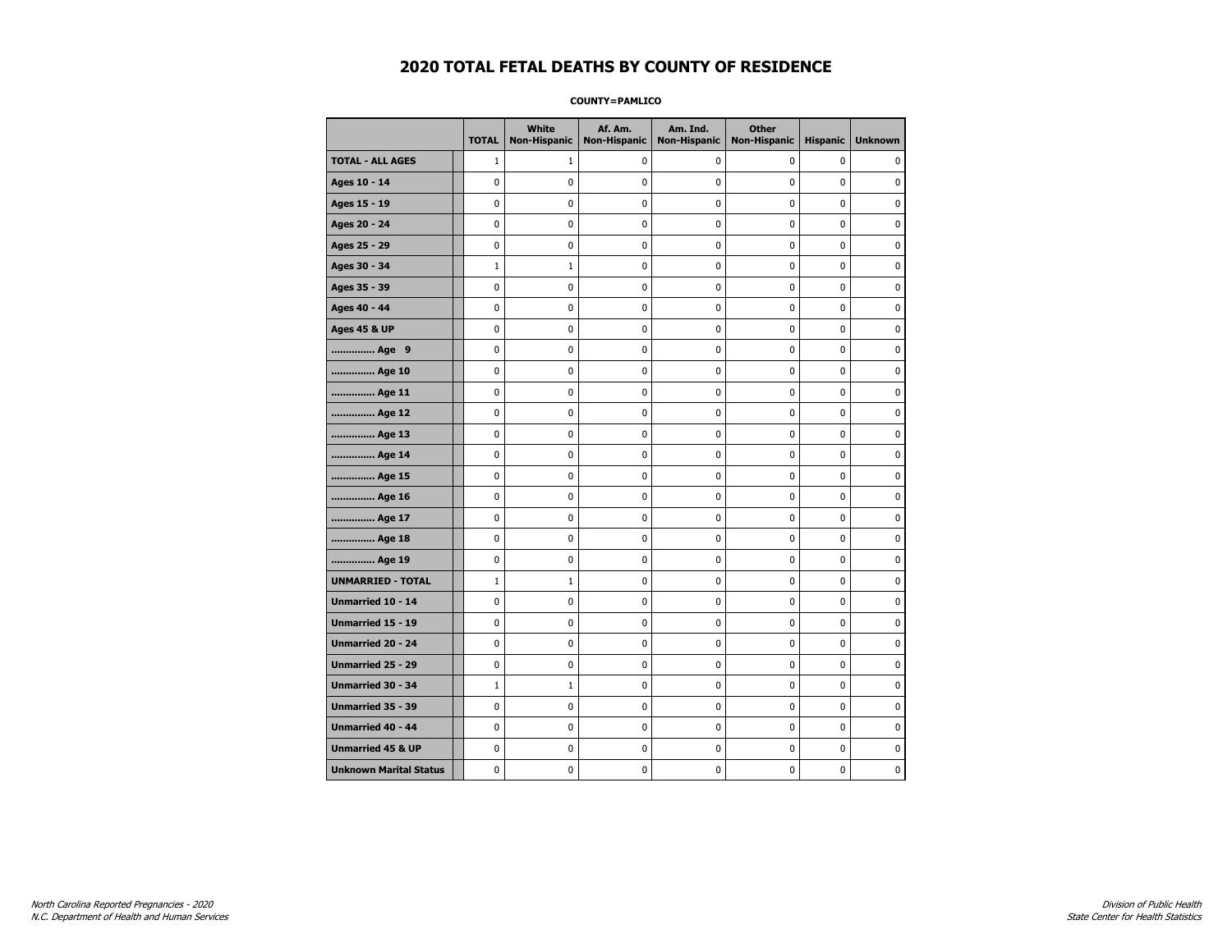**COUNTY=PAMLICO** 

|                               | <b>TOTAL</b> | White<br><b>Non-Hispanic</b> | Af. Am.<br><b>Non-Hispanic</b> | Am. Ind.<br><b>Non-Hispanic</b> | <b>Other</b><br><b>Non-Hispanic</b> | <b>Hispanic</b> | <b>Unknown</b> |
|-------------------------------|--------------|------------------------------|--------------------------------|---------------------------------|-------------------------------------|-----------------|----------------|
| <b>TOTAL - ALL AGES</b>       | $\mathbf{1}$ | $\mathbf{1}$                 | 0                              | 0                               | 0                                   | 0               | 0              |
| Ages 10 - 14                  | 0            | 0                            | 0                              | 0                               | 0                                   | 0               | 0              |
| Ages 15 - 19                  | 0            | 0                            | $\pmb{0}$                      | 0                               | $\pmb{0}$                           | 0               | 0              |
| Ages 20 - 24                  | 0            | 0                            | 0                              | 0                               | $\pmb{0}$                           | 0               | 0              |
| Ages 25 - 29                  | 0            | 0                            | 0                              | 0                               | 0                                   | 0               | $\mathbf 0$    |
| Ages 30 - 34                  | $\mathbf{1}$ | $\mathbf{1}$                 | 0                              | 0                               | $\pmb{0}$                           | 0               | $\mathbf 0$    |
| Ages 35 - 39                  | 0            | 0                            | 0                              | 0                               | 0                                   | 0               | $\mathbf 0$    |
| Ages 40 - 44                  | 0            | 0                            | $\pmb{0}$                      | 0                               | $\pmb{0}$                           | 0               | $\pmb{0}$      |
| <b>Ages 45 &amp; UP</b>       | 0            | 0                            | 0                              | 0                               | 0                                   | 0               | $\mathbf 0$    |
| Age 9                         | 0            | 0                            | 0                              | 0                               | 0                                   | 0               | 0              |
| Age 10                        | 0            | 0                            | 0                              | 0                               | $\mathbf 0$                         | 0               | $\mathbf 0$    |
| Age 11                        | 0            | 0                            | $\pmb{0}$                      | 0                               | $\pmb{0}$                           | 0               | $\mathbf 0$    |
| Age 12                        | 0            | 0                            | 0                              | 0                               | 0                                   | 0               | 0              |
| Age 13                        | 0            | 0                            | 0                              | 0                               | 0                                   | 0               | $\mathbf 0$    |
| Age 14                        | 0            | 0                            | 0                              | 0                               | $\mathbf 0$                         | 0               | $\mathbf 0$    |
| Age 15                        | 0            | 0                            | $\pmb{0}$                      | 0                               | $\pmb{0}$                           | 0               | $\pmb{0}$      |
| Age 16                        | 0            | 0                            | 0                              | 0                               | 0                                   | 0               | 0              |
| Age 17                        | 0            | 0                            | 0                              | 0                               | 0                                   | 0               | 0              |
| Age 18                        | 0            | 0                            | 0                              | 0                               | $\mathbf 0$                         | 0               | $\mathbf 0$    |
| Age 19                        | 0            | 0                            | $\pmb{0}$                      | 0                               | $\pmb{0}$                           | 0               | $\pmb{0}$      |
| <b>UNMARRIED - TOTAL</b>      | $\mathbf{1}$ | $\mathbf{1}$                 | 0                              | 0                               | 0                                   | 0               | 0              |
| Unmarried 10 - 14             | 0            | 0                            | 0                              | 0                               | $\pmb{0}$                           | 0               | $\mathbf 0$    |
| <b>Unmarried 15 - 19</b>      | 0            | 0                            | 0                              | 0                               | 0                                   | 0               | $\mathbf 0$    |
| Unmarried 20 - 24             | 0            | 0                            | $\pmb{0}$                      | 0                               | $\pmb{0}$                           | 0               | $\pmb{0}$      |
| <b>Unmarried 25 - 29</b>      | 0            | 0                            | 0                              | 0                               | 0                                   | 0               | 0              |
| Unmarried 30 - 34             | $\mathbf{1}$ | $\mathbf 1$                  | 0                              | 0                               | 0                                   | 0               | 0              |
| Unmarried 35 - 39             | 0            | 0                            | $\pmb{0}$                      | 0                               | $\pmb{0}$                           | 0               | $\mathbf 0$    |
| Unmarried 40 - 44             | 0            | 0                            | 0                              | 0                               | $\pmb{0}$                           | 0               | 0              |
| <b>Unmarried 45 &amp; UP</b>  | 0            | 0                            | 0                              | 0                               | $\pmb{0}$                           | 0               | $\pmb{0}$      |
| <b>Unknown Marital Status</b> | 0            | 0                            | 0                              | 0                               | 0                                   | 0               | $\mathbf 0$    |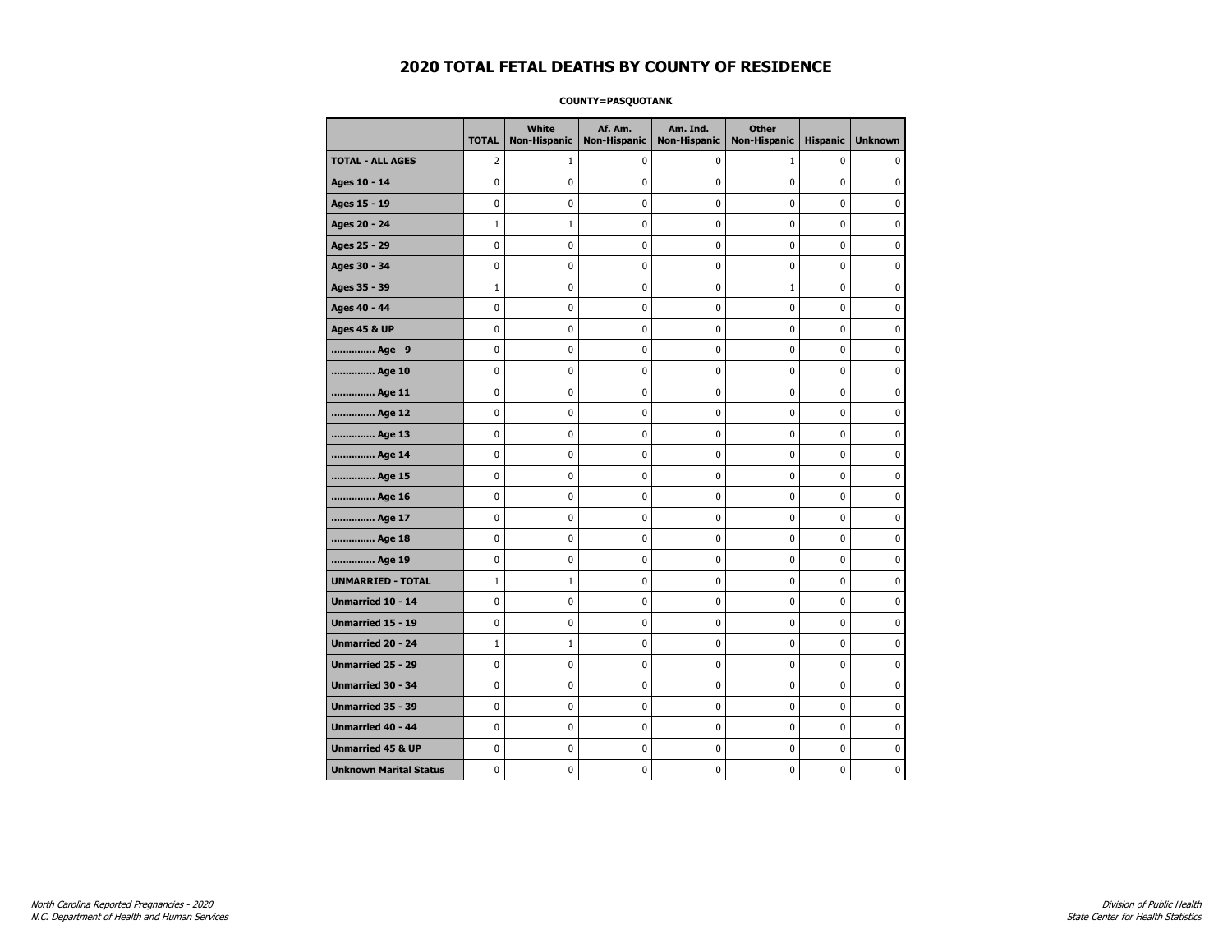#### **COUNTY=PASQUOTANK**

|                               | <b>TOTAL</b> | <b>White</b><br><b>Non-Hispanic</b> | Af. Am.<br><b>Non-Hispanic</b> | Am. Ind.<br><b>Non-Hispanic</b> | <b>Other</b><br><b>Non-Hispanic</b> | <b>Hispanic</b> | <b>Unknown</b> |
|-------------------------------|--------------|-------------------------------------|--------------------------------|---------------------------------|-------------------------------------|-----------------|----------------|
| <b>TOTAL - ALL AGES</b>       | 2            | 1                                   | 0                              | 0                               | 1                                   | 0               | 0              |
| Ages 10 - 14                  | $\mathbf 0$  | $\mathbf 0$                         | 0                              | 0                               | 0                                   | 0               | $\mathbf 0$    |
| Ages 15 - 19                  | 0            | 0                                   | $\mathbf{0}$                   | $\mathbf 0$                     | 0                                   | 0               | $\mathbf 0$    |
| Ages 20 - 24                  | $\mathbf 1$  | $\mathbf 1$                         | 0                              | 0                               | 0                                   | 0               | 0              |
| Ages 25 - 29                  | 0            | $\pmb{0}$                           | $\pmb{0}$                      | 0                               | 0                                   | 0               | 0              |
| Ages 30 - 34                  | 0            | 0                                   | 0                              | 0                               | 0                                   | 0               | 0              |
| Ages 35 - 39                  | $\mathbf 1$  | 0                                   | 0                              | 0                               | $1\,$                               | 0               | $\mathbf 0$    |
| Ages 40 - 44                  | $\mathbf 0$  | 0                                   | $\mathbf 0$                    | 0                               | 0                                   | 0               | 0              |
| <b>Ages 45 &amp; UP</b>       | $\mathbf 0$  | 0                                   | $\mathbf 0$                    | $\mathbf 0$                     | 0                                   | 0               | $\mathbf 0$    |
| Age 9                         | 0            | 0                                   | $\bf{0}$                       | 0                               | 0                                   | 0               | $\pmb{0}$      |
| Age 10                        | 0            | 0                                   | $\mathbf 0$                    | 0                               | 0                                   | 0               | 0              |
| Age 11                        | $\mathbf 0$  | 0                                   | 0                              | 0                               | 0                                   | 0               | 0              |
| Age 12                        | 0            | 0                                   | 0                              | 0                               | 0                                   | 0               | 0              |
| Age 13                        | 0            | 0                                   | 0                              | $\mathbf 0$                     | 0                                   | 0               | $\mathbf 0$    |
| Age 14                        | $\mathbf 0$  | 0                                   | $\mathbf 0$                    | 0                               | 0                                   | 0               | $\mathbf 0$    |
| Age 15                        | $\pmb{0}$    | 0                                   | $\pmb{0}$                      | $\pmb{0}$                       | 0                                   | 0               | 0              |
| Age 16                        | 0            | 0                                   | 0                              | 0                               | 0                                   | 0               | 0              |
| Age 17                        | 0            | 0                                   | 0                              | 0                               | 0                                   | 0               | $\mathbf 0$    |
| Age 18                        | 0            | 0                                   | $\mathbf 0$                    | 0                               | 0                                   | 0               | 0              |
| Age 19                        | $\mathbf 0$  | 0                                   | $\mathbf 0$                    | $\mathbf 0$                     | 0                                   | 0               | $\mathbf 0$    |
| <b>UNMARRIED - TOTAL</b>      | $\mathbf 1$  | $1\,$                               | $\bf{0}$                       | 0                               | 0                                   | 0               | $\pmb{0}$      |
| Unmarried 10 - 14             | $\pmb{0}$    | 0                                   | $\pmb{0}$                      | 0                               | 0                                   | 0               | $\pmb{0}$      |
| Unmarried 15 - 19             | 0            | 0                                   | 0                              | 0                               | 0                                   | 0               | 0              |
| Unmarried 20 - 24             | $\mathbf{1}$ | $\mathbf{1}$                        | 0                              | 0                               | 0                                   | 0               | 0              |
| <b>Unmarried 25 - 29</b>      | $\mathbf 0$  | 0                                   | 0                              | $\mathbf 0$                     | 0                                   | 0               | $\mathbf 0$    |
| <b>Unmarried 30 - 34</b>      | $\mathbf 0$  | 0                                   | $\mathbf 0$                    | $\pmb{0}$                       | 0                                   | 0               | $\mathbf 0$    |
| Unmarried 35 - 39             | 0            | 0                                   | 0                              | $\pmb{0}$                       | 0                                   | 0               | 0              |
| <b>Unmarried 40 - 44</b>      | 0            | 0                                   | 0                              | 0                               | 0                                   | 0               | 0              |
| <b>Unmarried 45 &amp; UP</b>  | 0            | 0                                   | 0                              | 0                               | 0                                   | 0               | 0              |
| <b>Unknown Marital Status</b> | $\mathbf 0$  | 0                                   | 0                              | 0                               | 0                                   | 0               | 0              |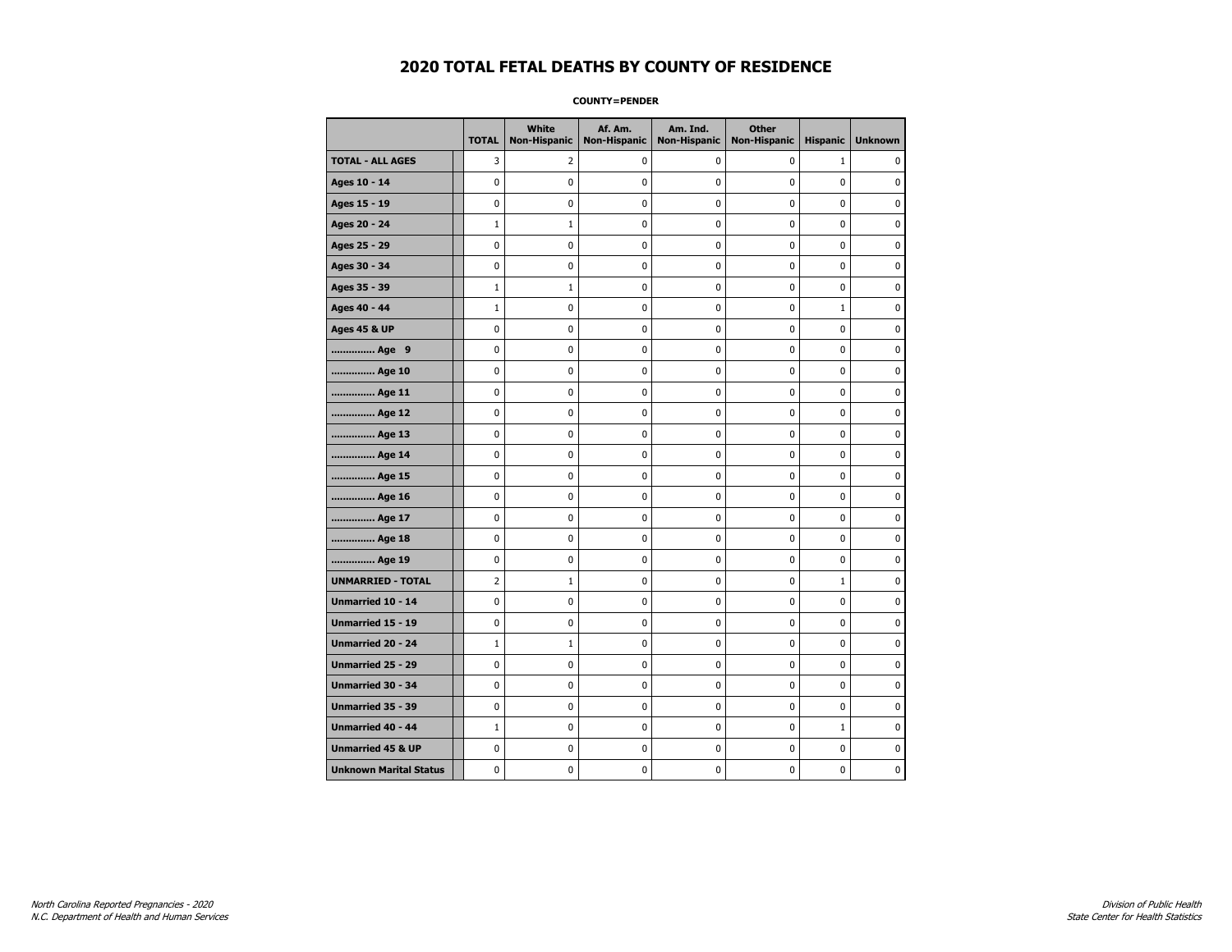**COUNTY=PENDER** 

|                               | <b>TOTAL</b>   | <b>White</b><br>Non-Hispanic | Af. Am.<br><b>Non-Hispanic</b> | Am. Ind.<br><b>Non-Hispanic</b> | <b>Other</b><br><b>Non-Hispanic</b> | <b>Hispanic</b> | <b>Unknown</b> |
|-------------------------------|----------------|------------------------------|--------------------------------|---------------------------------|-------------------------------------|-----------------|----------------|
| <b>TOTAL - ALL AGES</b>       | 3              | 2                            | 0                              | 0                               | $\mathbf 0$                         | $\mathbf{1}$    | 0              |
| Ages 10 - 14                  | $\mathbf 0$    | $\mathbf 0$                  | $\mathbf 0$                    | 0                               | $\mathbf 0$                         | $\mathbf 0$     | 0              |
| Ages 15 - 19                  | $\mathbf 0$    | 0                            | $\mathbf 0$                    | $\mathbf 0$                     | $\mathbf 0$                         | $\mathbf 0$     | 0              |
| Ages 20 - 24                  | $\mathbf{1}$   | $1\,$                        | $\pmb{0}$                      | $\pmb{0}$                       | $\mathbf 0$                         | $\mathbf 0$     | 0              |
| Ages 25 - 29                  | $\mathbf 0$    | 0                            | $\pmb{0}$                      | 0                               | 0                                   | $\mathbf 0$     | 0              |
| Ages 30 - 34                  | $\mathbf 0$    | 0                            | $\pmb{0}$                      | 0                               | 0                                   | 0               | 0              |
| Ages 35 - 39                  | $1\,$          | $\mathbf{1}$                 | $\mathbf 0$                    | 0                               | $\mathbf 0$                         | 0               | 0              |
| Ages 40 - 44                  | $\mathbf{1}$   | 0                            | $\mathbf 0$                    | $\mathbf 0$                     | $\mathbf 0$                         | $\mathbf{1}$    | 0              |
| <b>Ages 45 &amp; UP</b>       | $\pmb{0}$      | 0                            | $\pmb{0}$                      | $\pmb{0}$                       | $\pmb{0}$                           | 0               | 0              |
| Age 9                         | 0              | 0                            | $\pmb{0}$                      | 0                               | 0                                   | 0               | 0              |
| Age 10                        | $\mathbf 0$    | 0                            | $\pmb{0}$                      | 0                               | $\mathbf 0$                         | $\mathbf 0$     | 0              |
| Age 11                        | $\mathbf 0$    | $\mathbf 0$                  | $\mathbf 0$                    | $\mathbf 0$                     | $\mathbf 0$                         | $\mathbf 0$     | 0              |
| Age 12                        | $\mathbf 0$    | 0                            | $\mathbf 0$                    | 0                               | $\mathbf 0$                         | $\mathbf 0$     | 0              |
| Age 13                        | $\pmb{0}$      | 0                            | $\pmb{0}$                      | $\pmb{0}$                       | $\pmb{0}$                           | 0               | 0              |
| Age 14                        | $\mathbf 0$    | 0                            | $\pmb{0}$                      | 0                               | $\mathbf 0$                         | $\mathbf 0$     | 0              |
| Age 15                        | $\mathbf 0$    | 0                            | $\mathbf 0$                    | 0                               | $\mathbf 0$                         | $\mathbf 0$     | 0              |
| Age 16                        | $\mathbf 0$    | 0                            | $\mathbf 0$                    | $\mathbf 0$                     | $\mathbf 0$                         | $\mathbf 0$     | 0              |
| Age 17                        | $\mathbf 0$    | 0                            | $\mathbf 0$                    | $\mathbf 0$                     | $\mathbf 0$                         | $\mathbf 0$     | 0              |
| Age 18                        | $\mathbf 0$    | $\mathbf 0$                  | $\mathbf 0$                    | $\pmb{0}$                       | $\mathbf 0$                         | $\mathbf 0$     | 0              |
| Age 19                        | 0              | 0                            | 0                              | 0                               | 0                                   | 0               | 0              |
| <b>UNMARRIED - TOTAL</b>      | $\overline{2}$ | $\mathbf{1}$                 | $\pmb{0}$                      | 0                               | 0                                   | $\mathbf{1}$    | 0              |
| Unmarried 10 - 14             | $\mathbf 0$    | $\mathbf 0$                  | $\mathbf 0$                    | $\mathbf 0$                     | $\mathbf 0$                         | $\mathbf 0$     | 0              |
| Unmarried 15 - 19             | $\pmb{0}$      | $\pmb{0}$                    | $\pmb{0}$                      | $\pmb{0}$                       | $\pmb{0}$                           | $\pmb{0}$       | 0              |
| <b>Unmarried 20 - 24</b>      | $1\,$          | $\mathbf{1}$                 | $\pmb{0}$                      | 0                               | 0                                   | 0               | 0              |
| Unmarried 25 - 29             | 0              | 0                            | $\pmb{0}$                      | 0                               | 0                                   | 0               | 0              |
| Unmarried 30 - 34             | $\mathbf 0$    | 0                            | $\mathbf 0$                    | 0                               | $\mathbf 0$                         | $\mathbf 0$     | 0              |
| <b>Unmarried 35 - 39</b>      | $\mathbf 0$    | 0                            | $\mathbf 0$                    | 0                               | $\mathbf 0$                         | $\mathbf 0$     | 0              |
| Unmarried 40 - 44             | $1\,$          | 0                            | $\pmb{0}$                      | 0                               | 0                                   | $\mathbf 1$     | 0              |
| <b>Unmarried 45 &amp; UP</b>  | $\mathbf 0$    | 0                            | $\pmb{0}$                      | 0                               | 0                                   | 0               | 0              |
| <b>Unknown Marital Status</b> | $\mathbf 0$    | 0                            | $\pmb{0}$                      | 0                               | $\mathbf 0$                         | 0               | 0              |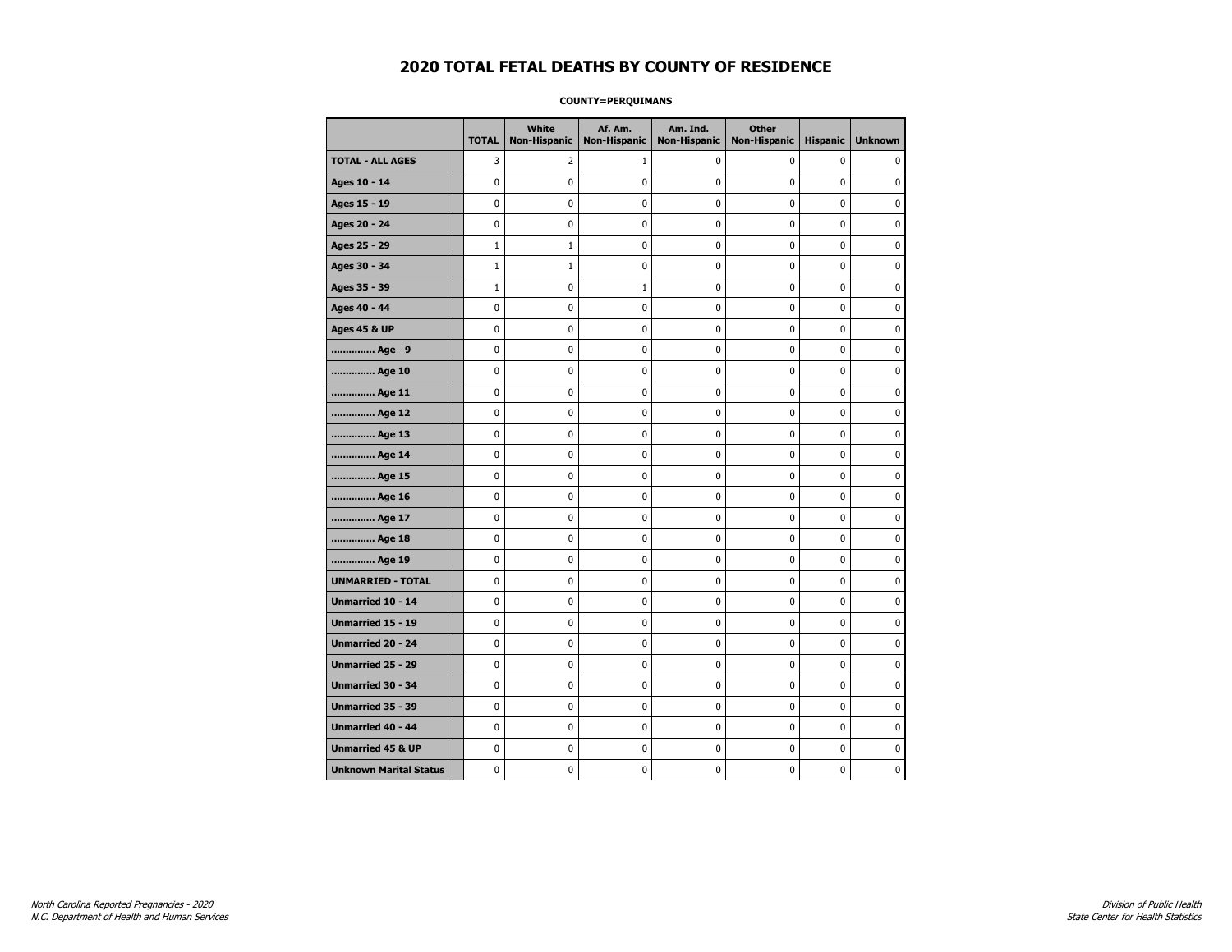#### **COUNTY=PERQUIMANS**

|                               | <b>TOTAL</b> | <b>White</b><br><b>Non-Hispanic</b> | Af. Am.<br><b>Non-Hispanic</b> | Am. Ind.<br><b>Non-Hispanic</b> | <b>Other</b><br><b>Non-Hispanic</b> | <b>Hispanic</b> | <b>Unknown</b> |
|-------------------------------|--------------|-------------------------------------|--------------------------------|---------------------------------|-------------------------------------|-----------------|----------------|
| <b>TOTAL - ALL AGES</b>       | 3            | 2                                   | 1                              | 0                               | 0                                   | 0               | 0              |
| Ages 10 - 14                  | $\mathbf 0$  | $\mathbf 0$                         | $\mathbf 0$                    | 0                               | 0                                   | 0               | $\mathbf 0$    |
| Ages 15 - 19                  | 0            | 0                                   | $\mathbf{0}$                   | $\mathbf 0$                     | 0                                   | 0               | $\mathbf 0$    |
| Ages 20 - 24                  | 0            | 0                                   | 0                              | 0                               | 0                                   | 0               | 0              |
| Ages 25 - 29                  | $\mathbf 1$  | $\mathbf{1}$                        | $\pmb{0}$                      | 0                               | 0                                   | 0               | 0              |
| Ages 30 - 34                  | $\mathbf 1$  | $\mathbf{1}$                        | 0                              | 0                               | 0                                   | 0               | 0              |
| Ages 35 - 39                  | $\mathbf 1$  | 0                                   | 1                              | 0                               | 0                                   | 0               | $\mathbf 0$    |
| Ages 40 - 44                  | $\mathbf 0$  | 0                                   | $\mathbf 0$                    | 0                               | 0                                   | 0               | $\mathbf 0$    |
| <b>Ages 45 &amp; UP</b>       | $\mathbf 0$  | 0                                   | $\mathbf 0$                    | $\mathbf 0$                     | 0                                   | 0               | $\mathbf 0$    |
| Age 9                         | 0            | 0                                   | $\bf{0}$                       | 0                               | 0                                   | 0               | $\pmb{0}$      |
| Age 10                        | 0            | 0                                   | $\mathbf 0$                    | 0                               | 0                                   | 0               | 0              |
| Age 11                        | $\mathbf 0$  | 0                                   | 0                              | 0                               | 0                                   | 0               | 0              |
| Age 12                        | 0            | 0                                   | 0                              | 0                               | 0                                   | 0               | 0              |
| Age 13                        | 0            | 0                                   | 0                              | $\mathbf 0$                     | 0                                   | 0               | $\mathbf 0$    |
| Age 14                        | $\mathbf 0$  | 0                                   | $\mathbf 0$                    | 0                               | 0                                   | 0               | $\mathbf 0$    |
| Age 15                        | $\pmb{0}$    | 0                                   | $\pmb{0}$                      | $\pmb{0}$                       | 0                                   | 0               | 0              |
| Age 16                        | 0            | 0                                   | 0                              | 0                               | 0                                   | 0               | 0              |
| Age 17                        | 0            | 0                                   | 0                              | 0                               | 0                                   | 0               | $\mathbf 0$    |
| Age 18                        | 0            | 0                                   | $\mathbf 0$                    | 0                               | 0                                   | 0               | 0              |
| Age 19                        | $\mathbf 0$  | 0                                   | $\mathbf 0$                    | $\mathbf 0$                     | 0                                   | 0               | $\mathbf 0$    |
| <b>UNMARRIED - TOTAL</b>      | 0            | 0                                   | $\bf{0}$                       | 0                               | 0                                   | 0               | $\pmb{0}$      |
| Unmarried 10 - 14             | $\pmb{0}$    | 0                                   | $\pmb{0}$                      | 0                               | 0                                   | 0               | $\pmb{0}$      |
| Unmarried 15 - 19             | $\mathbf 0$  | 0                                   | 0                              | 0                               | 0                                   | 0               | 0              |
| Unmarried 20 - 24             | 0            | 0                                   | 0                              | 0                               | 0                                   | 0               | 0              |
| <b>Unmarried 25 - 29</b>      | $\mathbf 0$  | 0                                   | 0                              | $\mathbf 0$                     | 0                                   | 0               | $\mathbf 0$    |
| <b>Unmarried 30 - 34</b>      | $\mathbf 0$  | 0                                   | $\mathbf 0$                    | $\pmb{0}$                       | 0                                   | 0               | $\mathbf 0$    |
| Unmarried 35 - 39             | 0            | 0                                   | 0                              | $\pmb{0}$                       | 0                                   | 0               | 0              |
| <b>Unmarried 40 - 44</b>      | 0            | 0                                   | 0                              | 0                               | 0                                   | 0               | 0              |
| <b>Unmarried 45 &amp; UP</b>  | 0            | 0                                   | 0                              | 0                               | 0                                   | 0               | 0              |
| <b>Unknown Marital Status</b> | $\mathbf 0$  | 0                                   | 0                              | 0                               | 0                                   | 0               | 0              |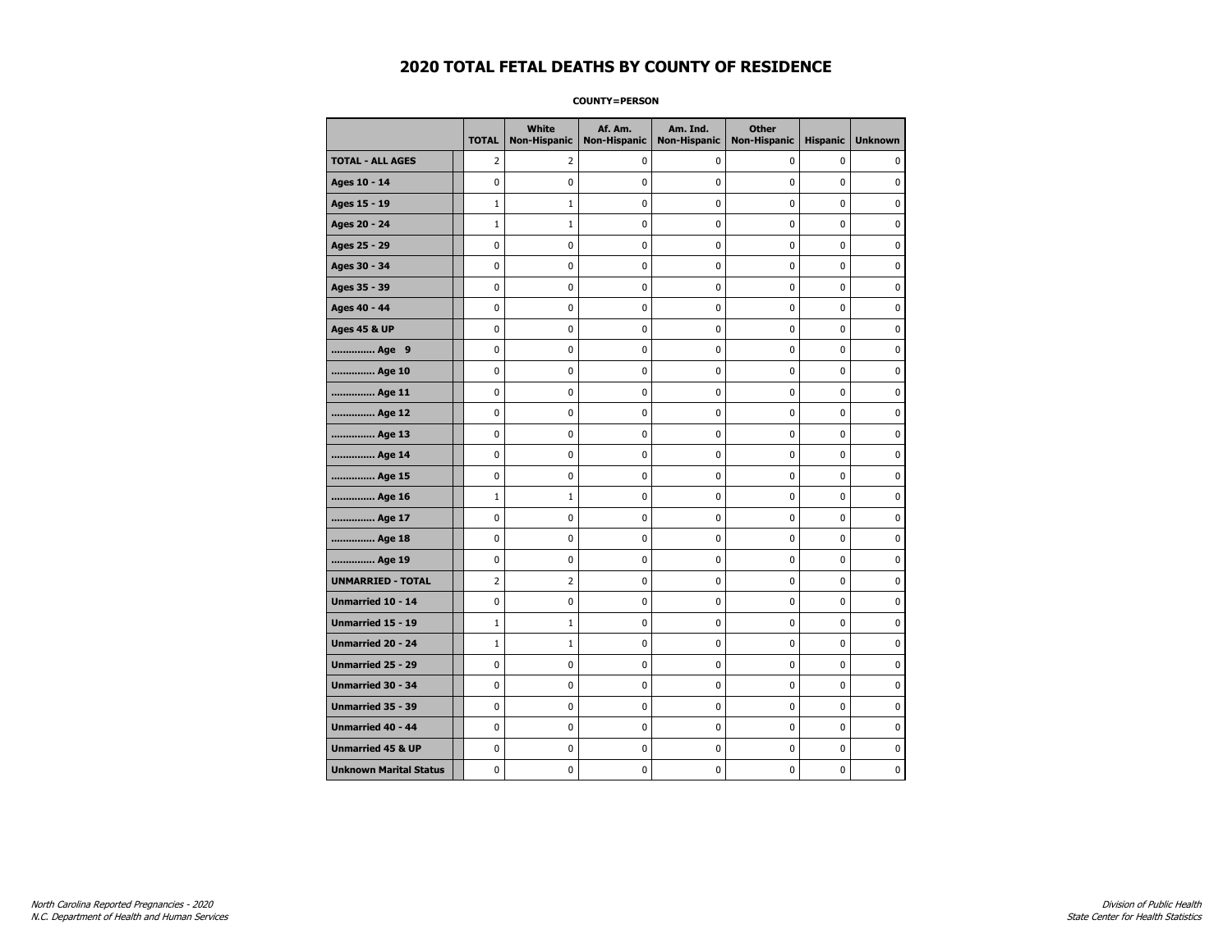**COUNTY=PERSON** 

|                               | <b>TOTAL</b>   | White<br>Non-Hispanic | Af. Am.<br><b>Non-Hispanic</b> | Am. Ind.<br><b>Non-Hispanic</b> | <b>Other</b><br>Non-Hispanic | <b>Hispanic</b> | <b>Unknown</b> |
|-------------------------------|----------------|-----------------------|--------------------------------|---------------------------------|------------------------------|-----------------|----------------|
| <b>TOTAL - ALL AGES</b>       | $\overline{2}$ | 2                     | 0                              | 0                               | 0                            | $\mathbf 0$     | 0              |
| Ages 10 - 14                  | $\mathbf 0$    | 0                     | 0                              | $\pmb{0}$                       | $\mathbf 0$                  | $\mathbf 0$     | $\mathbf 0$    |
| Ages 15 - 19                  | $\mathbf{1}$   | $\mathbf{1}$          | 0                              | $\mathbf 0$                     | $\mathbf 0$                  | 0               | 0              |
| Ages 20 - 24                  | $\mathbf{1}$   | $\mathbf{1}$          | 0                              | 0                               | 0                            | 0               | $\pmb{0}$      |
| Ages 25 - 29                  | $\mathbf 0$    | 0                     | 0                              | 0                               | $\mathbf 0$                  | 0               | 0              |
| Ages 30 - 34                  | $\mathbf 0$    | 0                     | 0                              | 0                               | $\mathbf 0$                  | 0               | 0              |
| Ages 35 - 39                  | 0              | 0                     | 0                              | 0                               | 0                            | 0               | 0              |
| Ages 40 - 44                  | 0              | $\mathbf{0}$          | 0                              | $\mathbf 0$                     | 0                            | $\mathbf{0}$    | $\mathbf 0$    |
| <b>Ages 45 &amp; UP</b>       | $\pmb{0}$      | 0                     | 0                              | 0                               | $\pmb{0}$                    | 0               | 0              |
| Age 9                         | $\mathbf 0$    | 0                     | 0                              | 0                               | 0                            | 0               | 0              |
| Age 10                        | 0              | 0                     | 0                              | 0                               | 0                            | 0               | 0              |
| Age 11                        | 0              | 0                     | 0                              | 0                               | 0                            | 0               | 0              |
| Age 12                        | $\mathbf 0$    | 0                     | $\mathbf 0$                    | $\mathbf 0$                     | $\mathbf 0$                  | 0               | $\mathbf 0$    |
| Age 13                        | 0              | 0                     | $\pmb{0}$                      | 0                               | 0                            | 0               | 0              |
| Age 14                        | 0              | 0                     | 0                              | 0                               | 0                            | 0               | 0              |
| Age 15                        | $\mathbf 0$    | 0                     | 0                              | 0                               | $\mathbf 0$                  | 0               | $\mathbf 0$    |
| Age 16                        | $\mathbf{1}$   | $1\,$                 | 0                              | $\mathbf 0$                     | $\mathbf 0$                  | $\mathbf 0$     | $\mathbf 0$    |
| Age 17                        | 0              | 0                     | 0                              | 0                               | $\mathbf 0$                  | 0               | 0              |
| Age 18                        | 0              | $\mathbf 0$           | 0                              | $\pmb{0}$                       | $\mathbf 0$                  | 0               | $\mathbf 0$    |
| Age 19                        | 0              | 0                     | 0                              | 0                               | 0                            | 0               | 0              |
| <b>UNMARRIED - TOTAL</b>      | 2              | 2                     | 0                              | 0                               | 0                            | 0               | 0              |
| Unmarried 10 - 14             | 0              | $\mathbf 0$           | 0                              | 0                               | 0                            | 0               | $\mathbf 0$    |
| Unmarried 15 - 19             | $\mathbf{1}$   | $\mathbf{1}$          | 0                              | 0                               | 0                            | 0               | 0              |
| Unmarried 20 - 24             | $\mathbf{1}$   | $1\,$                 | 0                              | 0                               | 0                            | 0               | 0              |
| Unmarried 25 - 29             | 0              | 0                     | 0                              | 0                               | 0                            | 0               | 0              |
| <b>Unmarried 30 - 34</b>      | 0              | 0                     | 0                              | 0                               | 0                            | 0               | 0              |
| <b>Unmarried 35 - 39</b>      | $\mathbf 0$    | 0                     | $\mathbf 0$                    | 0                               | $\mathbf 0$                  | 0               | $\mathbf 0$    |
| Unmarried 40 - 44             | $\pmb{0}$      | 0                     | 0                              | 0                               | $\pmb{0}$                    | 0               | 0              |
| <b>Unmarried 45 &amp; UP</b>  | 0              | 0                     | 0                              | 0                               | 0                            | 0               | 0              |
| <b>Unknown Marital Status</b> | 0              | 0                     | 0                              | 0                               | 0                            | 0               | 0              |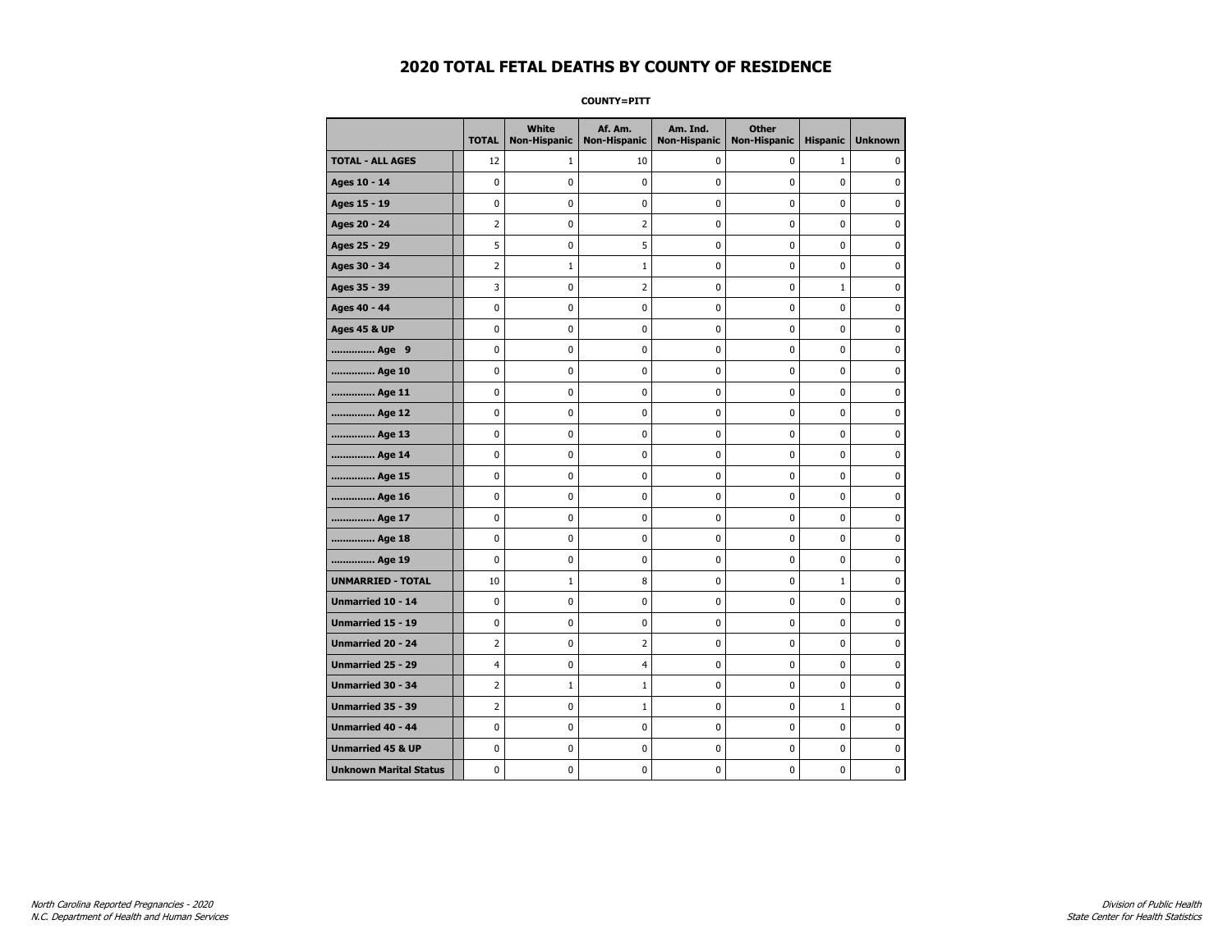**COUNTY=PITT** 

|                               | <b>TOTAL</b>   | White<br>Non-Hispanic | Af. Am.<br><b>Non-Hispanic</b> | Am. Ind.<br><b>Non-Hispanic</b> | <b>Other</b><br>Non-Hispanic | <b>Hispanic</b> | <b>Unknown</b> |
|-------------------------------|----------------|-----------------------|--------------------------------|---------------------------------|------------------------------|-----------------|----------------|
| <b>TOTAL - ALL AGES</b>       | 12             | 1                     | 10                             | 0                               | 0                            | $\mathbf{1}$    | 0              |
| Ages 10 - 14                  | $\mathbf 0$    | $\mathbf 0$           | 0                              | 0                               | 0                            | 0               | 0              |
| Ages 15 - 19                  | 0              | 0                     | 0                              | 0                               | 0                            | 0               | 0              |
| Ages 20 - 24                  | $\overline{2}$ | 0                     | $\overline{2}$                 | 0                               | 0                            | 0               | 0              |
| Ages 25 - 29                  | 5              | 0                     | 5                              | 0                               | 0                            | 0               | $\pmb{0}$      |
| Ages 30 - 34                  | 2              | $\mathbf 1$           | $\mathbf 1$                    | 0                               | 0                            | 0               | 0              |
| Ages 35 - 39                  | 3              | 0                     | 2                              | 0                               | 0                            | $\mathbf{1}$    | 0              |
| Ages 40 - 44                  | 0              | $\mathbf 0$           | 0                              | 0                               | 0                            | 0               | $\mathbf 0$    |
| <b>Ages 45 &amp; UP</b>       | 0              | 0                     | 0                              | 0                               | 0                            | 0               | 0              |
| Age 9                         | $\mathbf 0$    | $\mathbf 0$           | 0                              | 0                               | 0                            | 0               | $\mathbf 0$    |
| Age 10                        | 0              | 0                     | 0                              | 0                               | 0                            | 0               | 0              |
| Age 11                        | 0              | 0                     | 0                              | 0                               | 0                            | 0               | 0              |
| Age 12                        | 0              | 0                     | 0                              | 0                               | 0                            | 0               | 0              |
| Age 13                        | 0              | 0                     | 0                              | 0                               | 0                            | 0               | 0              |
| Age 14                        | 0              | 0                     | 0                              | 0                               | 0                            | 0               | 0              |
| Age 15                        | 0              | 0                     | 0                              | 0                               | 0                            | 0               | $\pmb{0}$      |
| Age 16                        | 0              | 0                     | $\bf{0}$                       | 0                               | 0                            | 0               | $\pmb{0}$      |
| Age 17                        | 0              | 0                     | 0                              | 0                               | 0                            | 0               | 0              |
| Age 18                        | 0              | $\mathbf 0$           | 0                              | 0                               | 0                            | 0               | $\pmb{0}$      |
| Age 19                        | $\mathbf 0$    | 0                     | 0                              | 0                               | 0                            | 0               | 0              |
| <b>UNMARRIED - TOTAL</b>      | 10             | $\mathbf{1}$          | 8                              | 0                               | 0                            | $\mathbf{1}$    | 0              |
| Unmarried 10 - 14             | 0              | 0                     | 0                              | 0                               | 0                            | 0               | 0              |
| Unmarried 15 - 19             | $\pmb{0}$      | 0                     | 0                              | $\pmb{0}$                       | 0                            | $\mathbf 0$     | $\mathbf 0$    |
| Unmarried 20 - 24             | 2              | $\mathbf 0$           | 2                              | 0                               | 0                            | 0               | 0              |
| <b>Unmarried 25 - 29</b>      | 4              | 0                     | 4                              | 0                               | 0                            | 0               | 0              |
| <b>Unmarried 30 - 34</b>      | 2              | $1\,$                 | $\mathbf{1}$                   | $\mathbf 0$                     | 0                            | 0               | $\mathbf 0$    |
| Unmarried 35 - 39             | 2              | 0                     | $\mathbf{1}$                   | 0                               | 0                            | $\mathbf{1}$    | $\mathbf 0$    |
| Unmarried 40 - 44             | $\pmb{0}$      | $\pmb{0}$             | $\pmb{0}$                      | 0                               | 0                            | 0               | $\pmb{0}$      |
| <b>Unmarried 45 &amp; UP</b>  | 0              | 0                     | 0                              | 0                               | 0                            | 0               | 0              |
| <b>Unknown Marital Status</b> | 0              | 0                     | 0                              | 0                               | 0                            | 0               | 0              |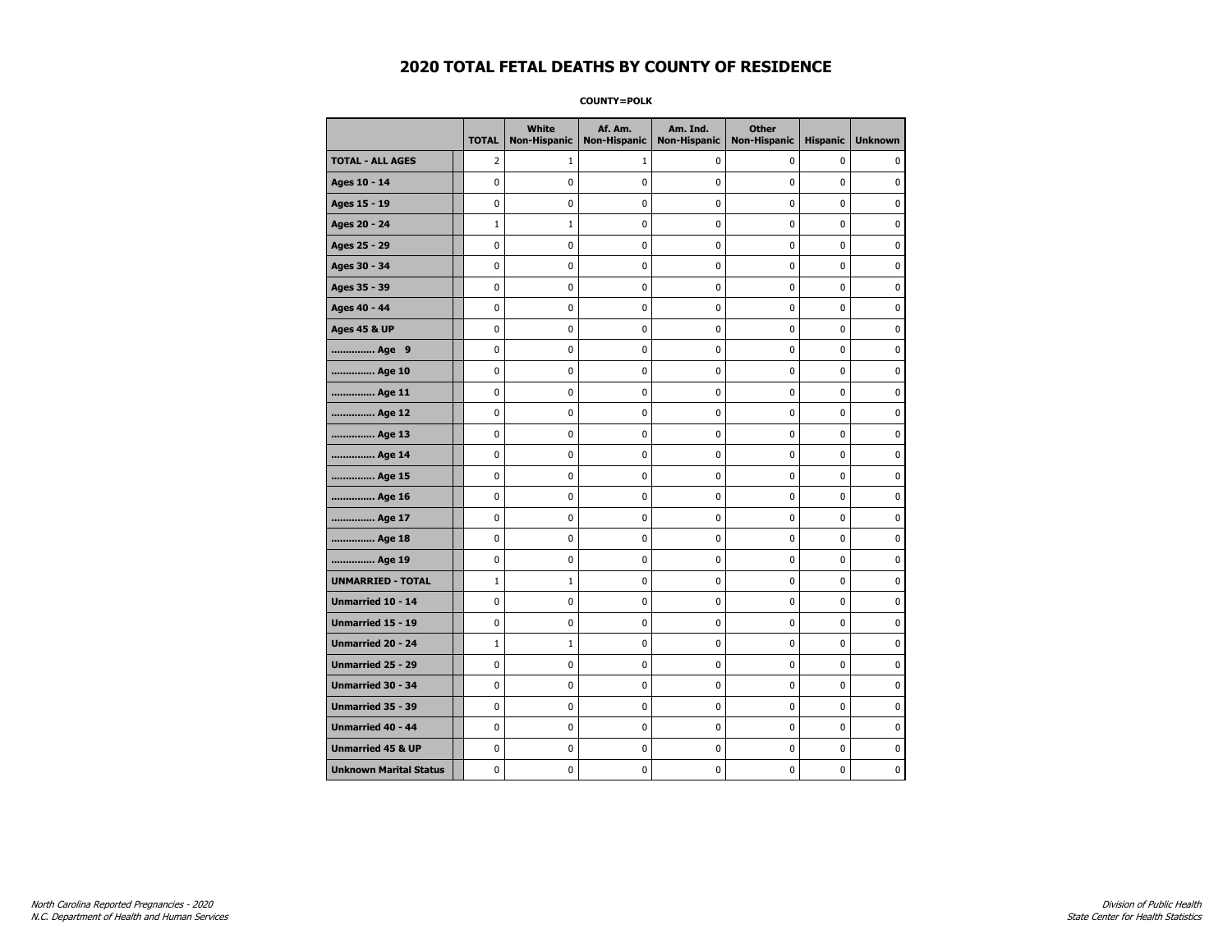**COUNTY=POLK** 

|                               | <b>TOTAL</b> | <b>White</b><br>Non-Hispanic | Af. Am.<br><b>Non-Hispanic</b> | Am. Ind.<br><b>Non-Hispanic</b> | <b>Other</b><br>Non-Hispanic | <b>Hispanic</b> | <b>Unknown</b> |
|-------------------------------|--------------|------------------------------|--------------------------------|---------------------------------|------------------------------|-----------------|----------------|
| <b>TOTAL - ALL AGES</b>       | 2            | $\mathbf{1}$                 | 1                              | 0                               | 0                            | 0               | 0              |
| Ages 10 - 14                  | $\mathbf 0$  | 0                            | 0                              | 0                               | $\mathbf 0$                  | 0               | 0              |
| Ages 15 - 19                  | 0            | 0                            | 0                              | 0                               | $\mathbf 0$                  | 0               | 0              |
| Ages 20 - 24                  | 1            | $\mathbf{1}$                 | 0                              | $\mathbf 0$                     | 0                            | 0               | 0              |
| Ages 25 - 29                  | $\mathbf 0$  | 0                            | 0                              | $\mathbf 0$                     | 0                            | 0               | $\mathbf 0$    |
| Ages 30 - 34                  | $\pmb{0}$    | 0                            | 0                              | 0                               | $\pmb{0}$                    | 0               | 0              |
| Ages 35 - 39                  | 0            | 0                            | 0                              | 0                               | 0                            | 0               | 0              |
| Ages 40 - 44                  | $\mathbf 0$  | 0                            | 0                              | 0                               | $\mathbf 0$                  | $\mathbf 0$     | 0              |
| <b>Ages 45 &amp; UP</b>       | 0            | 0                            | 0                              | 0                               | 0                            | 0               | 0              |
| Age 9                         | 0            | 0                            | 0                              | 0                               | 0                            | 0               | 0              |
| Age 10                        | $\mathbf 0$  | $\mathbf 0$                  | 0                              | 0                               | 0                            | 0               | $\mathbf 0$    |
| Age 11                        | $\mathbf 0$  | 0                            | 0                              | 0                               | 0                            | 0               | 0              |
| Age 12                        | $\pmb{0}$    | 0                            | $\bf{0}$                       | 0                               | $\pmb{0}$                    | 0               | $\pmb{0}$      |
| Age 13                        | $\pmb{0}$    | 0                            | $\pmb{0}$                      | 0                               | $\pmb{0}$                    | 0               | 0              |
| Age 14                        | 0            | 0                            | 0                              | 0                               | 0                            | 0               | 0              |
| Age 15                        | $\mathbf 0$  | 0                            | 0                              | 0                               | 0                            | 0               | $\mathbf 0$    |
| Age 16                        | $\mathbf 0$  | 0                            | 0                              | 0                               | $\mathbf 0$                  | 0               | $\mathbf 0$    |
| Age 17                        | 0            | 0                            | 0                              | 0                               | 0                            | 0               | 0              |
| Age 18                        | 0            | 0                            | 0                              | $\mathbf 0$                     | $\mathbf 0$                  | 0               | $\mathbf 0$    |
| Age 19                        | $\pmb{0}$    | 0                            | 0                              | 0                               | $\pmb{0}$                    | 0               | 0              |
| <b>UNMARRIED - TOTAL</b>      | $\mathbf{1}$ | 1                            | $\pmb{0}$                      | 0                               | $\pmb{0}$                    | 0               | 0              |
| Unmarried 10 - 14             | 0            | 0                            | 0                              | 0                               | 0                            | 0               | 0              |
| <b>Unmarried 15 - 19</b>      | 0            | 0                            | 0                              | 0                               | 0                            | 0               | 0              |
| <b>Unmarried 20 - 24</b>      | $\mathbf{1}$ | $\mathbf{1}$                 | 0                              | 0                               | $\mathbf 0$                  | $\mathbf 0$     | $\mathbf 0$    |
| Unmarried 25 - 29             | 0            | 0                            | 0                              | 0                               | 0                            | 0               | 0              |
| <b>Unmarried 30 - 34</b>      | 0            | $\mathbf{0}$                 | 0                              | 0                               | 0                            | 0               | $\mathbf 0$    |
| Unmarried 35 - 39             | $\pmb{0}$    | 0                            | $\pmb{0}$                      | 0                               | $\pmb{0}$                    | 0               | 0              |
| <b>Unmarried 40 - 44</b>      | $\mathbf 0$  | $\pmb{0}$                    | $\pmb{0}$                      | $\pmb{0}$                       | $\pmb{0}$                    | $\pmb{0}$       | $\pmb{0}$      |
| <b>Unmarried 45 &amp; UP</b>  | 0            | 0                            | 0                              | 0                               | 0                            | 0               | 0              |
| <b>Unknown Marital Status</b> | 0            | 0                            | 0                              | 0                               | 0                            | 0               | 0              |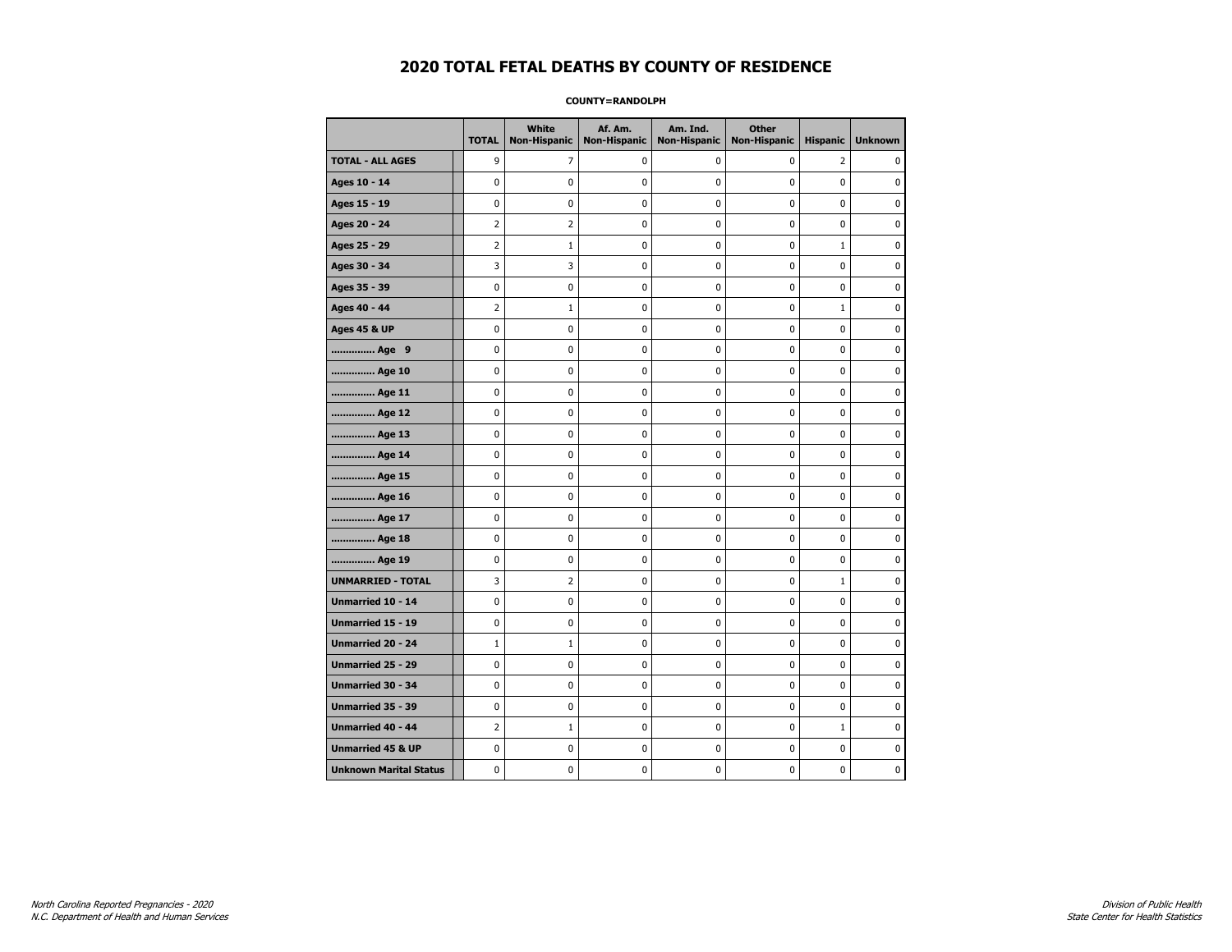#### **COUNTY=RANDOLPH**

|                               | <b>TOTAL</b>   | <b>White</b><br>Non-Hispanic | Af. Am.<br><b>Non-Hispanic</b> | Am. Ind.<br><b>Non-Hispanic</b> | <b>Other</b><br><b>Non-Hispanic</b> | <b>Hispanic</b> | <b>Unknown</b> |
|-------------------------------|----------------|------------------------------|--------------------------------|---------------------------------|-------------------------------------|-----------------|----------------|
| <b>TOTAL - ALL AGES</b>       | 9              | 7                            | 0                              | 0                               | 0                                   | $\overline{2}$  | 0              |
| Ages 10 - 14                  | 0              | 0                            | 0                              | 0                               | 0                                   | 0               | 0              |
| Ages 15 - 19                  | 0              | 0                            | 0                              | $\mathbf 0$                     | 0                                   | 0               | 0              |
| Ages 20 - 24                  | $\overline{2}$ | $\overline{2}$               | $\mathbf 0$                    | 0                               | $\mathbf 0$                         | 0               | 0              |
| Ages 25 - 29                  | $\overline{2}$ | $\mathbf{1}$                 | 0                              | 0                               | $\mathbf 0$                         | $\mathbf{1}$    | 0              |
| Ages 30 - 34                  | 3              | 3                            | 0                              | 0                               | 0                                   | 0               | $\pmb{0}$      |
| Ages 35 - 39                  | $\pmb{0}$      | $\pmb{0}$                    | $\pmb{0}$                      | $\pmb{0}$                       | 0                                   | 0               | 0              |
| Ages 40 - 44                  | 2              | $\mathbf{1}$                 | 0                              | 0                               | $\mathbf 0$                         | $\mathbf{1}$    | 0              |
| <b>Ages 45 &amp; UP</b>       | 0              | 0                            | 0                              | 0                               | 0                                   | 0               | 0              |
| Age 9                         | 0              | 0                            | 0                              | 0                               | 0                                   | 0               | 0              |
| Age 10                        | $\mathbf 0$    | 0                            | 0                              | 0                               | 0                                   | 0               | $\mathbf 0$    |
| Age 11                        | $\mathbf 0$    | 0                            | 0                              | $\mathbf 0$                     | $\mathbf 0$                         | 0               | $\mathbf 0$    |
| Age 12                        | 0              | 0                            | 0                              | 0                               | 0                                   | 0               | 0              |
| Age 13                        | 0              | 0                            | 0                              | $\mathbf 0$                     | $\mathbf 0$                         | $\mathbf{0}$    | $\mathbf 0$    |
| Age 14                        | $\mathbf 0$    | 0                            | 0                              | $\mathbf 0$                     | $\mathbf 0$                         | 0               | 0              |
| Age 15                        | $\mathbf 0$    | 0                            | $\pmb{0}$                      | 0                               | $\pmb{0}$                           | 0               | 0              |
| Age 16                        | 0              | 0                            | 0                              | 0                               | 0                                   | 0               | 0              |
| Age 17                        | $\mathbf 0$    | 0                            | 0                              | 0                               | 0                                   | 0               | 0              |
| Age 18                        | $\mathbf 0$    | 0                            | 0                              | 0                               | 0                                   | 0               | 0              |
| Age 19                        | $\mathbf 0$    | 0                            | 0                              | 0                               | 0                                   | 0               | 0              |
| <b>UNMARRIED - TOTAL</b>      | 3              | 2                            | 0                              | 0                               | 0                                   | $\mathbf{1}$    | 0              |
| <b>Unmarried 10 - 14</b>      | 0              | 0                            | 0                              | 0                               | 0                                   | 0               | 0              |
| Unmarried 15 - 19             | $\mathbf 0$    | 0                            | $\mathbf 0$                    | $\mathbf 0$                     | $\mathbf 0$                         | 0               | 0              |
| <b>Unmarried 20 - 24</b>      | $\mathbf{1}$   | $\mathbf{1}$                 | 0                              | 0                               | 0                                   | 0               | 0              |
| Unmarried 25 - 29             | 0              | $\mathbf 0$                  | 0                              | 0                               | 0                                   | 0               | $\mathbf 0$    |
| Unmarried 30 - 34             | $\pmb{0}$      | 0                            | $\pmb{0}$                      | 0                               | $\pmb{0}$                           | 0               | 0              |
| Unmarried 35 - 39             | $\mathbf 0$    | 0                            | 0                              | 0                               | 0                                   | 0               | 0              |
| <b>Unmarried 40 - 44</b>      | $\overline{2}$ | $\mathbf{1}$                 | 0                              | 0                               | 0                                   | $\mathbf{1}$    | 0              |
| <b>Unmarried 45 &amp; UP</b>  | 0              | 0                            | 0                              | 0                               | 0                                   | 0               | 0              |
| <b>Unknown Marital Status</b> | 0              | 0                            | 0                              | 0                               | 0                                   | 0               | 0              |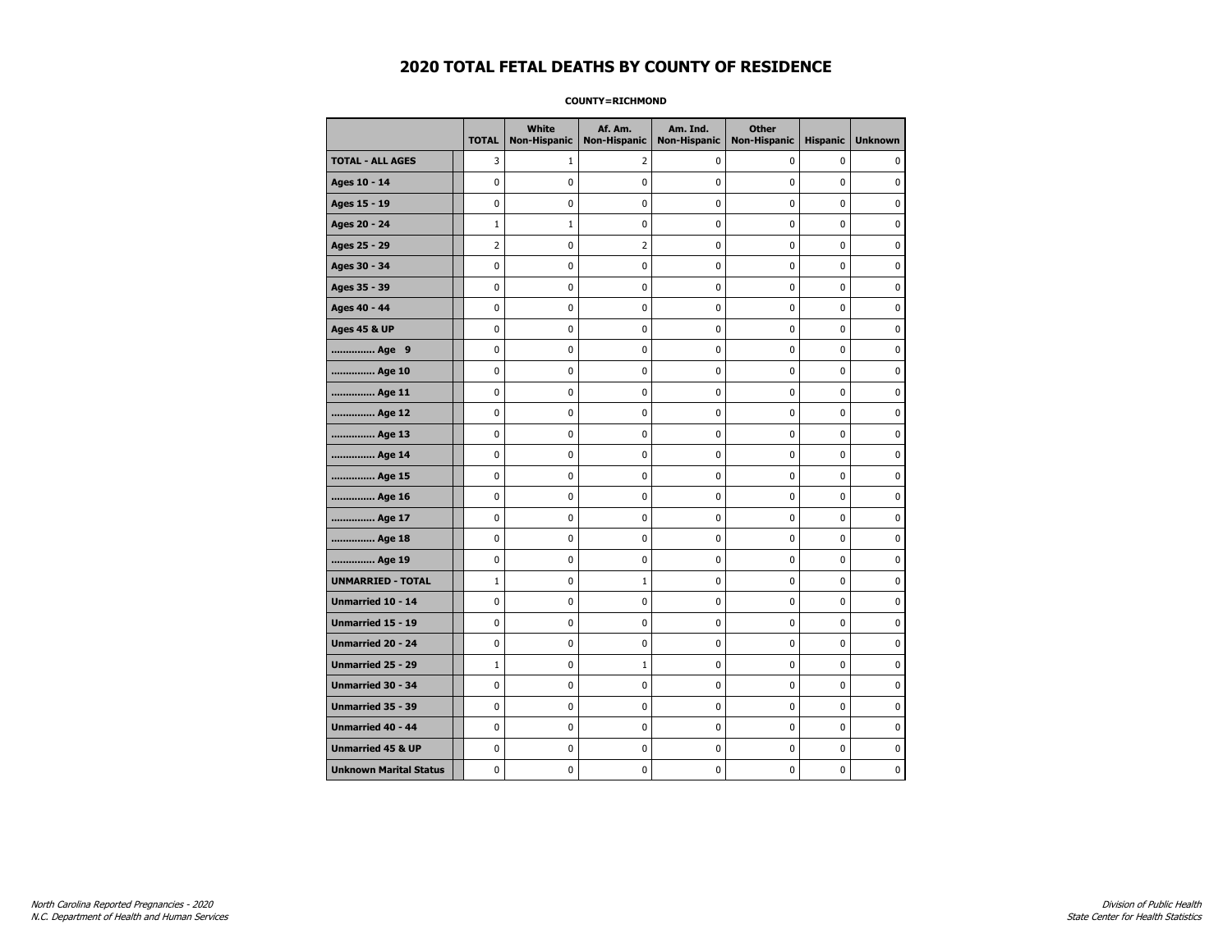**COUNTY=RICHMOND** 

|                               | <b>TOTAL</b>   | White<br>Non-Hispanic | Af. Am.<br><b>Non-Hispanic</b> | Am. Ind.<br><b>Non-Hispanic</b> | <b>Other</b><br><b>Non-Hispanic</b> | <b>Hispanic</b> | <b>Unknown</b> |
|-------------------------------|----------------|-----------------------|--------------------------------|---------------------------------|-------------------------------------|-----------------|----------------|
| <b>TOTAL - ALL AGES</b>       | 3              | $\mathbf{1}$          | 2                              | 0                               | 0                                   | 0               | $\mathbf{0}$   |
| Ages 10 - 14                  | 0              | 0                     | 0                              | 0                               | 0                                   | 0               | 0              |
| Ages 15 - 19                  | 0              | 0                     | 0                              | 0                               | $\pmb{0}$                           | 0               | $\mathbf 0$    |
| Ages 20 - 24                  | $\mathbf{1}$   | $\mathbf{1}$          | 0                              | 0                               | $\mathbf 0$                         | 0               | $\mathbf 0$    |
| Ages 25 - 29                  | $\overline{2}$ | 0                     | $\overline{2}$                 | 0                               | $\pmb{0}$                           | 0               | $\pmb{0}$      |
| Ages 30 - 34                  | 0              | 0                     | 0                              | 0                               | 0                                   | 0               | 0              |
| Ages 35 - 39                  | 0              | 0                     | 0                              | 0                               | 0                                   | 0               | 0              |
| Ages 40 - 44                  | 0              | 0                     | 0                              | 0                               | $\mathbf 0$                         | 0               | $\pmb{0}$      |
| <b>Ages 45 &amp; UP</b>       | 0              | 0                     | 0                              | 0                               | 0                                   | 0               | $\mathbf 0$    |
| Age 9                         | 0              | 0                     | 0                              | 0                               | $\mathbf 0$                         | 0               | $\mathbf 0$    |
| Age 10                        | 0              | 0                     | $\pmb{0}$                      | 0                               | $\pmb{0}$                           | 0               | 0              |
| Age 11                        | 0              | 0                     | 0                              | 0                               | 0                                   | 0               | $\mathbf 0$    |
| Age 12                        | 0              | 0                     | 0                              | 0                               | 0                                   | 0               | 0              |
| Age 13                        | 0              | 0                     | 0                              | 0                               | 0                                   | 0               | $\mathbf 0$    |
| Age 14                        | 0              | 0                     | 0                              | 0                               | $\mathbf 0$                         | 0               | $\mathbf 0$    |
| Age 15                        | 0              | 0                     | $\pmb{0}$                      | 0                               | $\pmb{0}$                           | 0               | $\pmb{0}$      |
| Age 16                        | 0              | 0                     | $\pmb{0}$                      | 0                               | $\pmb{0}$                           | 0               | $\mathbf 0$    |
| Age 17                        | 0              | 0                     | 0                              | 0                               | 0                                   | 0               | 0              |
| Age 18                        | 0              | 0                     | $\pmb{0}$                      | 0                               | $\pmb{0}$                           | 0               | $\pmb{0}$      |
| Age 19                        | 0              | 0                     | 0                              | 0                               | 0                                   | 0               | $\mathbf 0$    |
| <b>UNMARRIED - TOTAL</b>      | $\mathbf{1}$   | 0                     | $\mathbf{1}$                   | 0                               | $\mathbf 0$                         | 0               | $\mathbf 0$    |
| Unmarried 10 - 14             | 0              | 0                     | $\pmb{0}$                      | 0                               | $\pmb{0}$                           | 0               | 0              |
| Unmarried 15 - 19             | 0              | 0                     | $\pmb{0}$                      | 0                               | $\pmb{0}$                           | 0               | $\mathbf 0$    |
| Unmarried 20 - 24             | 0              | 0                     | 0                              | 0                               | 0                                   | 0               | 0              |
| Unmarried 25 - 29             | $\mathbf{1}$   | 0                     | $1\,$                          | 0                               | 0                                   | 0               | 0              |
| <b>Unmarried 30 - 34</b>      | 0              | 0                     | 0                              | 0                               | $\mathbf 0$                         | 0               | $\mathbf 0$    |
| Unmarried 35 - 39             | 0              | 0                     | 0                              | 0                               | $\mathbf 0$                         | 0               | $\mathbf 0$    |
| Unmarried 40 - 44             | 0              | 0                     | $\pmb{0}$                      | 0                               | $\pmb{0}$                           | 0               | 0              |
| <b>Unmarried 45 &amp; UP</b>  | 0              | 0                     | 0                              | 0                               | 0                                   | 0               | 0              |
| <b>Unknown Marital Status</b> | 0              | 0                     | 0                              | 0                               | 0                                   | 0               | $\mathbf 0$    |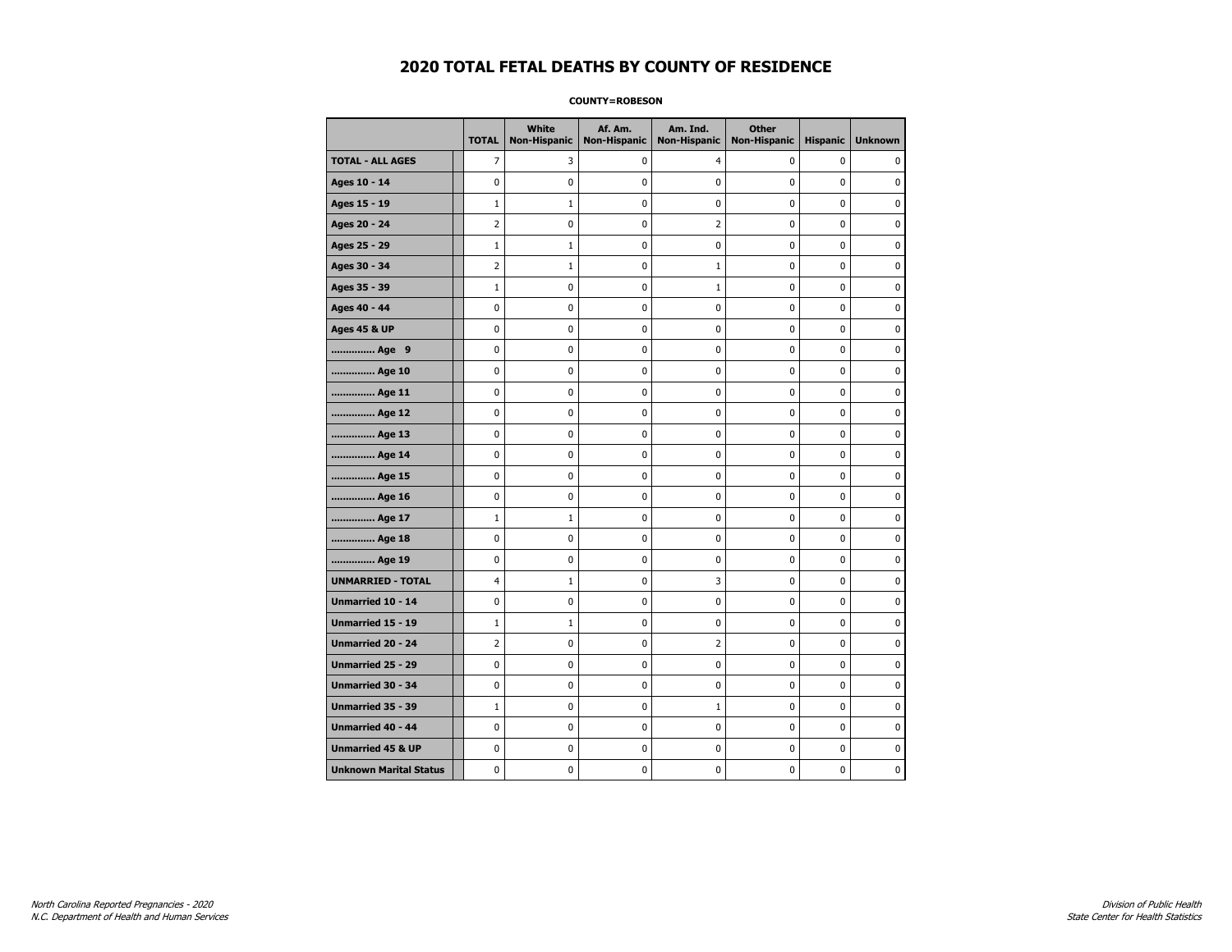#### **COUNTY=ROBESON**

|                               | <b>TOTAL</b>   | White<br>Non-Hispanic | Af. Am.<br><b>Non-Hispanic</b> | Am. Ind.<br><b>Non-Hispanic</b> | <b>Other</b><br><b>Non-Hispanic</b> | <b>Hispanic</b> | <b>Unknown</b> |
|-------------------------------|----------------|-----------------------|--------------------------------|---------------------------------|-------------------------------------|-----------------|----------------|
| <b>TOTAL - ALL AGES</b>       | 7              | 3                     | $\mathbf 0$                    | $\overline{4}$                  | 0                                   | $\mathbf 0$     | 0              |
| Ages 10 - 14                  | 0              | $\mathbf 0$           | $\mathbf 0$                    | $\mathbf 0$                     | 0                                   | $\mathbf 0$     | $\mathbf 0$    |
| Ages 15 - 19                  | $\mathbf 1$    | $\mathbf 1$           | $\mathbf 0$                    | $\pmb{0}$                       | 0                                   | 0               | $\pmb{0}$      |
| Ages 20 - 24                  | $\overline{2}$ | $\pmb{0}$             | $\mathbf 0$                    | $\overline{2}$                  | 0                                   | $\pmb{0}$       | 0              |
| Ages 25 - 29                  | $\mathbf 1$    | 1                     | 0                              | 0                               | 0                                   | 0               | 0              |
| Ages 30 - 34                  | $\overline{2}$ | $\mathbf{1}$          | $\mathbf 0$                    | $\mathbf{1}$                    | 0                                   | $\mathbf 0$     | 0              |
| Ages 35 - 39                  | $\mathbf 1$    | 0                     | $\mathbf 0$                    | 1                               | 0                                   | $\mathbf 0$     | 0              |
| Ages 40 - 44                  | 0              | 0                     | 0                              | 0                               | $\pmb{0}$                           | 0               | 0              |
| <b>Ages 45 &amp; UP</b>       | 0              | 0                     | 0                              | $\pmb{0}$                       | $\pmb{0}$                           | $\pmb{0}$       | 0              |
| Age 9                         | 0              | 0                     | 0                              | 0                               | 0                                   | 0               | 0              |
| Age 10                        | $\mathbf 0$    | 0                     | $\mathbf 0$                    | $\mathbf 0$                     | 0                                   | $\mathbf 0$     | 0              |
| Age 11                        | $\mathbf 0$    | 0                     | $\mathbf 0$                    | $\pmb{0}$                       | 0                                   | $\mathbf 0$     | 0              |
| Age 12                        | $\pmb{0}$      | 0                     | $\pmb{0}$                      | 0                               | 0                                   | 0               | 0              |
| Age 13                        | 0              | 0                     | $\mathbf 0$                    | $\mathbf 0$                     | 0                                   | 0               | 0              |
| Age 14                        | 0              | 0                     | 0                              | 0                               | 0                                   | 0               | 0              |
| Age 15                        | 0              | 0                     | $\mathbf 0$                    | 0                               | 0                                   | $\mathbf 0$     | 0              |
| Age 16                        | $\mathbf 0$    | 0                     | $\mathbf 0$                    | $\mathbf 0$                     | 0                                   | 0               | 0              |
| Age 17                        | $\mathbf 1$    | $1\,$                 | 0                              | $\pmb{0}$                       | 0                                   | 0               | 0              |
| Age 18                        | 0              | 0                     | 0                              | 0                               | 0                                   | 0               | 0              |
| Age 19                        | 0              | 0                     | 0                              | 0                               | 0                                   | 0               | 0              |
| <b>UNMARRIED - TOTAL</b>      | $\overline{4}$ | $\mathbf{1}$          | $\mathbf 0$                    | 3                               | 0                                   | 0               | 0              |
| Unmarried 10 - 14             | $\mathbf 0$    | 0                     | $\mathbf 0$                    | $\mathbf 0$                     | 0                                   | $\mathbf 0$     | 0              |
| Unmarried 15 - 19             | $1\,$          | $1\,$                 | 0                              | $\pmb{0}$                       | 0                                   | $\pmb{0}$       | $\pmb{0}$      |
| Unmarried 20 - 24             | 2              | 0                     | 0                              | 2                               | 0                                   | 0               | 0              |
| Unmarried 25 - 29             | 0              | 0                     | $\mathbf 0$                    | 0                               | 0                                   | $\mathbf 0$     | 0              |
| Unmarried 30 - 34             | $\pmb{0}$      | 0                     | 0                              | $\pmb{0}$                       | 0                                   | $\mathbf 0$     | 0              |
| <b>Unmarried 35 - 39</b>      | $\mathbf{1}$   | 0                     | $\mathbf 0$                    | $\mathbf{1}$                    | 0                                   | $\mathbf 0$     | 0              |
| Unmarried 40 - 44             | $\mathbf 0$    | $\mathbf 0$           | $\mathbf 0$                    | $\pmb{0}$                       | 0                                   | $\mathbf 0$     | $\mathbf 0$    |
| <b>Unmarried 45 &amp; UP</b>  | 0              | 0                     | 0                              | 0                               | 0                                   | 0               | 0              |
| <b>Unknown Marital Status</b> | 0              | $\mathbf 0$           | $\mathbf 0$                    | $\pmb{0}$                       | 0                                   | 0               | 0              |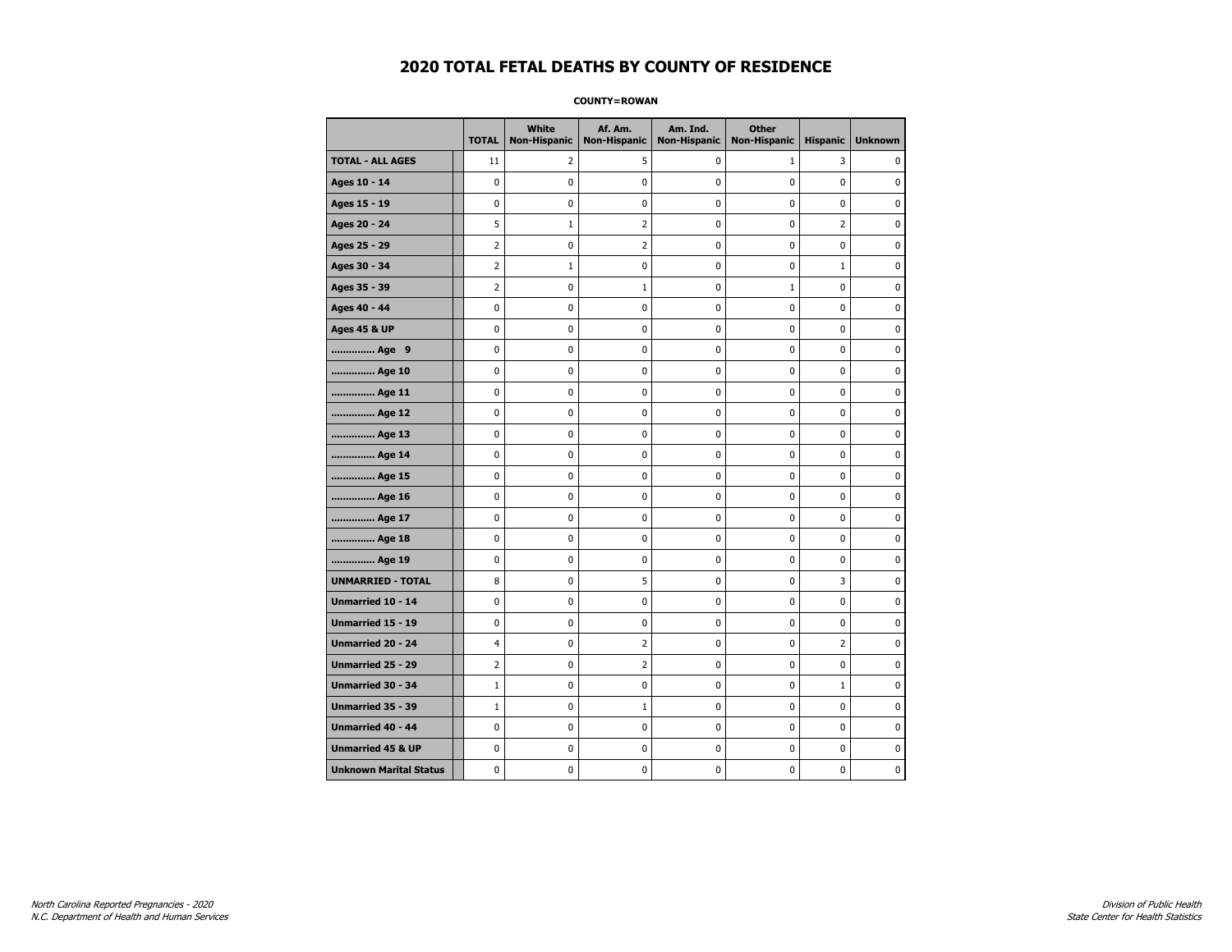**COUNTY=ROWAN** 

|                               | <b>TOTAL</b>   | <b>White</b><br><b>Non-Hispanic</b> | Af. Am.<br><b>Non-Hispanic</b> | Am. Ind.<br><b>Non-Hispanic</b> | <b>Other</b><br><b>Non-Hispanic</b> | <b>Hispanic</b> | <b>Unknown</b> |
|-------------------------------|----------------|-------------------------------------|--------------------------------|---------------------------------|-------------------------------------|-----------------|----------------|
| <b>TOTAL - ALL AGES</b>       | 11             | 2                                   | 5                              | 0                               | $\mathbf{1}$                        | 3               | $\mathbf{0}$   |
| Ages 10 - 14                  | 0              | $\mathbf 0$                         | 0                              | $\mathbf 0$                     | 0                                   | 0               | 0              |
| Ages 15 - 19                  | 0              | 0                                   | 0                              | 0                               | $\mathbf 0$                         | 0               | $\mathbf 0$    |
| Ages 20 - 24                  | 5              | 1                                   | 2                              | 0                               | $\pmb{0}$                           | $\overline{2}$  | $\pmb{0}$      |
| Ages 25 - 29                  | 2              | 0                                   | 2                              | 0                               | 0                                   | 0               | 0              |
| Ages 30 - 34                  | $\overline{2}$ | 1                                   | 0                              | 0                               | $\pmb{0}$                           | $\mathbf{1}$    | 0              |
| Ages 35 - 39                  | 2              | 0                                   | 1                              | 0                               | $\mathbf{1}$                        | 0               | 0              |
| Ages 40 - 44                  | 0              | 0                                   | 0                              | 0                               | $\mathbf 0$                         | 0               | $\mathbf 0$    |
| <b>Ages 45 &amp; UP</b>       | 0              | 0                                   | 0                              | 0                               | $\pmb{0}$                           | 0               | 0              |
| Age 9                         | 0              | 0                                   | 0                              | 0                               | 0                                   | 0               | 0              |
| Age 10                        | 0              | 0                                   | 0                              | 0                               | $\pmb{0}$                           | 0               | $\mathbf 0$    |
| Age 11                        | 0              | 0                                   | 0                              | 0                               | $\mathbf 0$                         | 0               | $\mathbf 0$    |
| Age 12                        | 0              | 0                                   | 0                              | 0                               | $\mathbf 0$                         | 0               | $\mathbf 0$    |
| Age 13                        | 0              | 0                                   | 0                              | 0                               | $\pmb{0}$                           | 0               | 0              |
| Age 14                        | 0              | 0                                   | 0                              | 0                               | 0                                   | 0               | 0              |
| Age 15                        | 0              | 0                                   | 0                              | 0                               | 0                                   | 0               | $\mathbf 0$    |
| Age 16                        | 0              | 0                                   | 0                              | 0                               | $\mathbf 0$                         | 0               | $\mathbf 0$    |
| Age 17                        | 0              | 0                                   | 0                              | 0                               | 0                                   | 0               | $\mathbf 0$    |
| Age 18                        | 0              | $\mathbf 0$                         | 0                              | 0                               | $\mathbf 0$                         | 0               | $\pmb{0}$      |
| Age 19                        | 0              | 0                                   | 0                              | 0                               | 0                                   | 0               | 0              |
| <b>UNMARRIED - TOTAL</b>      | 8              | 0                                   | 5                              | 0                               | 0                                   | 3               | 0              |
| Unmarried 10 - 14             | 0              | 0                                   | 0                              | 0                               | $\mathbf 0$                         | 0               | $\mathbf 0$    |
| Unmarried 15 - 19             | 0              | 0                                   | 0                              | 0                               | $\pmb{0}$                           | 0               | 0              |
| Unmarried 20 - 24             | 4              | 0                                   | 2                              | 0                               | 0                                   | 2               | 0              |
| Unmarried 25 - 29             | 2              | 0                                   | 2                              | 0                               | 0                                   | 0               | 0              |
| <b>Unmarried 30 - 34</b>      | $\mathbf{1}$   | 0                                   | 0                              | 0                               | 0                                   | $\mathbf{1}$    | $\mathbf 0$    |
| <b>Unmarried 35 - 39</b>      | $1\,$          | 0                                   | 1                              | 0                               | $\mathbf 0$                         | 0               | $\mathbf 0$    |
| Unmarried 40 - 44             | 0              | 0                                   | 0                              | 0                               | $\pmb{0}$                           | 0               | 0              |
| <b>Unmarried 45 &amp; UP</b>  | 0              | 0                                   | 0                              | 0                               | 0                                   | 0               | 0              |
| <b>Unknown Marital Status</b> | 0              | 0                                   | 0                              | 0                               | 0                                   | 0               | 0              |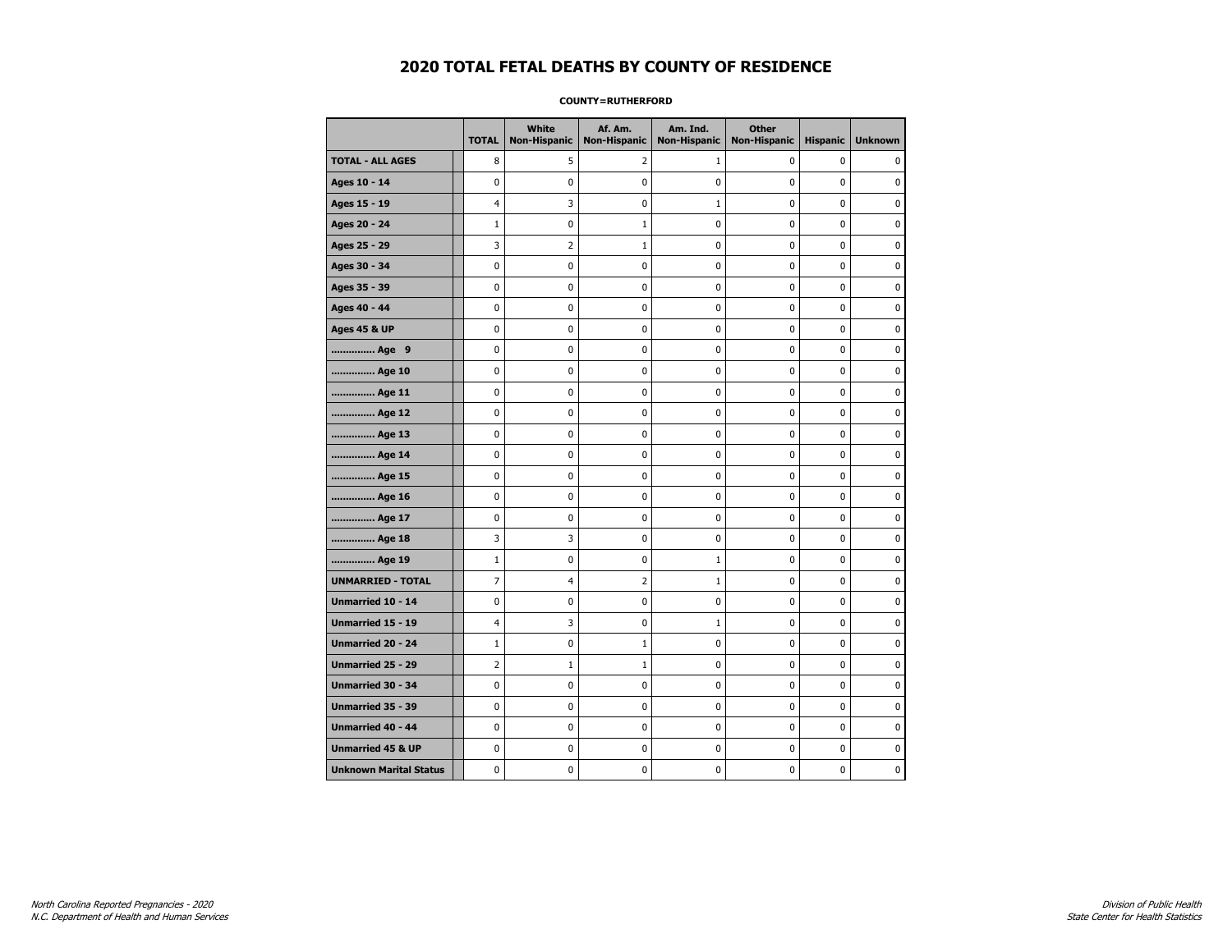#### **COUNTY=RUTHERFORD**

|                               | <b>TOTAL</b>   | <b>White</b><br>Non-Hispanic | Af. Am.<br><b>Non-Hispanic</b> | Am. Ind.<br><b>Non-Hispanic</b> | <b>Other</b><br><b>Non-Hispanic</b> | <b>Hispanic</b> | <b>Unknown</b> |
|-------------------------------|----------------|------------------------------|--------------------------------|---------------------------------|-------------------------------------|-----------------|----------------|
| <b>TOTAL - ALL AGES</b>       | 8              | 5                            | 2                              | 1                               | 0                                   | 0               | 0              |
| Ages 10 - 14                  | 0              | 0                            | 0                              | 0                               | 0                                   | 0               | 0              |
| Ages 15 - 19                  | 4              | 3                            | 0                              | $\mathbf{1}$                    | $\mathbf 0$                         | $\mathbf 0$     | 0              |
| Ages 20 - 24                  | $\mathbf{1}$   | 0                            | $\mathbf 1$                    | 0                               | 0                                   | $\mathbf{0}$    | 0              |
| Ages 25 - 29                  | 3              | 2                            | 1                              | 0                               | $\pmb{0}$                           | 0               | 0              |
| Ages 30 - 34                  | 0              | 0                            | 0                              | 0                               | 0                                   | 0               | 0              |
| Ages 35 - 39                  | 0              | 0                            | 0                              | 0                               | 0                                   | 0               | 0              |
| Ages 40 - 44                  | 0              | 0                            | 0                              | 0                               | 0                                   | 0               | 0              |
| <b>Ages 45 &amp; UP</b>       | 0              | 0                            | 0                              | 0                               | 0                                   | $\mathbf 0$     | 0              |
| Age 9                         | 0              | 0                            | 0                              | $\pmb{0}$                       | 0                                   | $\mathbf 0$     | 0              |
| Age 10                        | 0              | $\mathbf 0$                  | $\mathbf 0$                    | $\mathbf 0$                     | 0                                   | $\mathbf 0$     | 0              |
| Age 11                        | 0              | $\pmb{0}$                    | $\bf{0}$                       | $\pmb{0}$                       | $\mathbf 0$                         | $\pmb{0}$       | 0              |
| Age 12                        | 0              | 0                            | 0                              | 0                               | 0                                   | 0               | 0              |
| Age 13                        | 0              | 0                            | 0                              | 0                               | 0                                   | $\mathbf 0$     | $\mathbf 0$    |
| Age 14                        | 0              | 0                            | 0                              | 0                               | 0                                   | 0               | 0              |
| Age 15                        | 0              | 0                            | 0                              | 0                               | 0                                   | 0               | 0              |
| Age 16                        | 0              | 0                            | 0                              | $\mathbf 0$                     | 0                                   | $\mathbf 0$     | 0              |
| Age 17                        | 0              | 0                            | 0                              | $\mathbf 0$                     | 0                                   | $\mathbf 0$     | $\mathbf 0$    |
| Age 18                        | 3              | 3                            | 0                              | $\mathbf 0$                     | 0                                   | $\mathbf{0}$    | 0              |
| Age 19                        | $\mathbf{1}$   | 0                            | 0                              | $\mathbf 1$                     | $\pmb{0}$                           | $\pmb{0}$       | 0              |
| <b>UNMARRIED - TOTAL</b>      | 7              | 4                            | $\overline{2}$                 | $\mathbf 1$                     | 0                                   | 0               | 0              |
| Unmarried 10 - 14             | 0              | 0                            | 0                              | 0                               | 0                                   | $\mathbf 0$     | 0              |
| Unmarried 15 - 19             | 4              | 3                            | 0                              | $\mathbf 1$                     | 0                                   | $\mathbf 0$     | 0              |
| <b>Unmarried 20 - 24</b>      | $\mathbf{1}$   | 0                            | $\mathbf{1}$                   | 0                               | 0                                   | 0               | 0              |
| <b>Unmarried 25 - 29</b>      | $\overline{2}$ | $\mathbf{1}$                 | $\mathbf 1$                    | $\mathbf 0$                     | 0                                   | $\mathbf 0$     | $\mathbf{0}$   |
| Unmarried 30 - 34             | 0              | 0                            | 0                              | $\pmb{0}$                       | $\pmb{0}$                           | $\pmb{0}$       | 0              |
| Unmarried 35 - 39             | 0              | $\pmb{0}$                    | $\pmb{0}$                      | $\pmb{0}$                       | $\pmb{0}$                           | $\mathbf 0$     | $\pmb{0}$      |
| Unmarried 40 - 44             | 0              | 0                            | 0                              | 0                               | 0                                   | 0               | 0              |
| <b>Unmarried 45 &amp; UP</b>  | 0              | 0                            | 0                              | 0                               | 0                                   | 0               | 0              |
| <b>Unknown Marital Status</b> | 0              | 0                            | 0                              | 0                               | 0                                   | $\mathbf 0$     | 0              |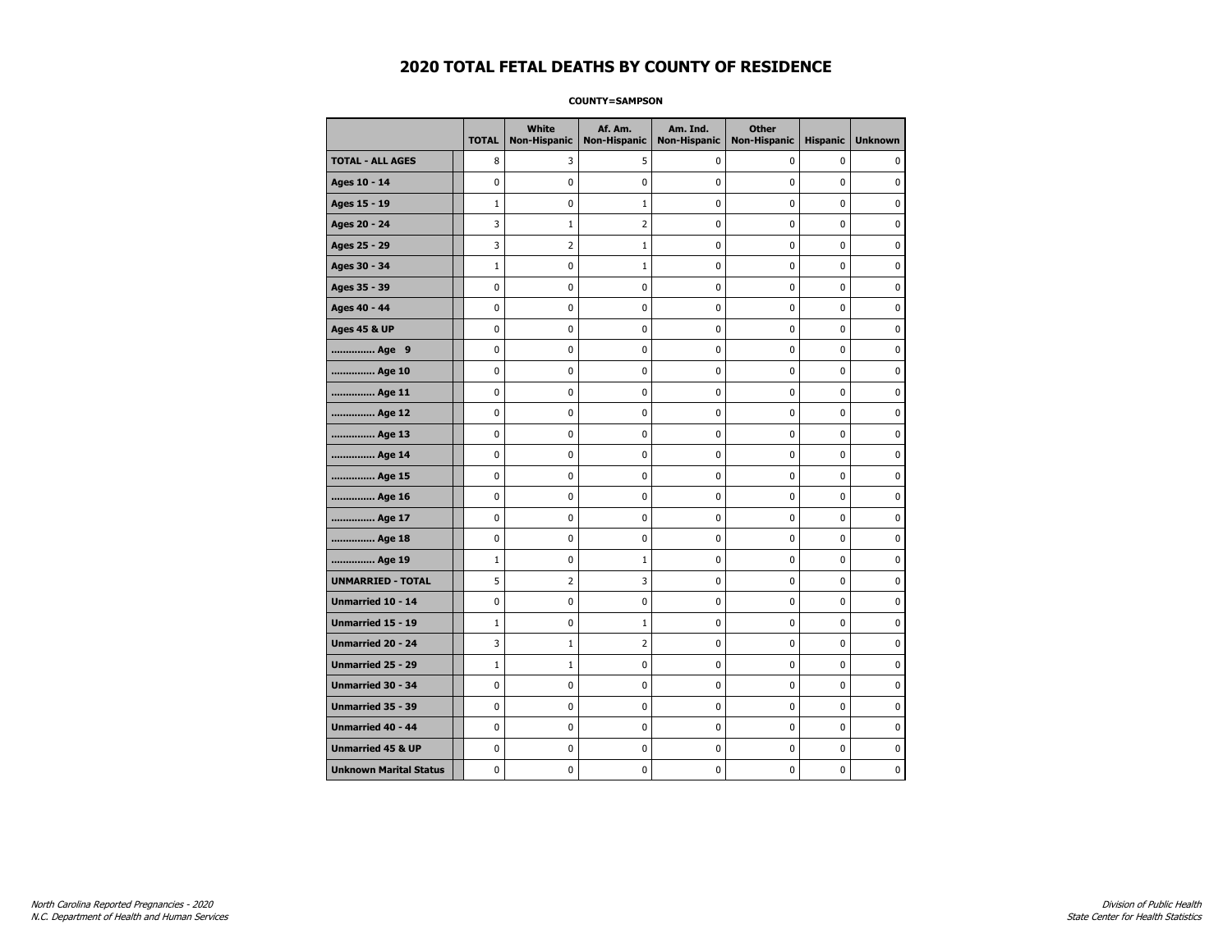#### **COUNTY=SAMPSON**

|                               | <b>TOTAL</b> | <b>White</b><br>Non-Hispanic | Af. Am.<br><b>Non-Hispanic</b> | Am. Ind.<br><b>Non-Hispanic</b> | <b>Other</b><br><b>Non-Hispanic</b> | <b>Hispanic</b> | <b>Unknown</b> |
|-------------------------------|--------------|------------------------------|--------------------------------|---------------------------------|-------------------------------------|-----------------|----------------|
| <b>TOTAL - ALL AGES</b>       | 8            | 3                            | 5                              | 0                               | $\mathbf 0$                         | 0               | 0              |
| Ages 10 - 14                  | $\mathbf 0$  | $\mathbf 0$                  | $\mathbf 0$                    | $\mathbf 0$                     | $\mathbf 0$                         | $\mathbf 0$     | 0              |
| Ages 15 - 19                  | $1\,$        | $\pmb{0}$                    | $\mathbf{1}$                   | $\pmb{0}$                       | $\pmb{0}$                           | $\mathbf 0$     | 0              |
| Ages 20 - 24                  | 3            | $\mathbf 1$                  | $\overline{2}$                 | $\pmb{0}$                       | $\pmb{0}$                           | $\pmb{0}$       | 0              |
| Ages 25 - 29                  | 3            | 2                            | 1                              | 0                               | 0                                   | 0               | 0              |
| Ages 30 - 34                  | $1\,$        | 0                            | $1\,$                          | $\mathbf 0$                     | $\mathbf 0$                         | $\mathbf 0$     | 0              |
| Ages 35 - 39                  | $\mathbf 0$  | 0                            | $\mathbf 0$                    | $\mathbf 0$                     | $\mathbf 0$                         | $\mathbf 0$     | 0              |
| Ages 40 - 44                  | $\pmb{0}$    | 0                            | $\pmb{0}$                      | 0                               | $\pmb{0}$                           | 0               | 0              |
| <b>Ages 45 &amp; UP</b>       | $\pmb{0}$    | 0                            | $\pmb{0}$                      | $\pmb{0}$                       | $\pmb{0}$                           | $\pmb{0}$       | 0              |
| Age 9                         | $\mathbf 0$  | 0                            | 0                              | 0                               | $\mathbf 0$                         | 0               | 0              |
| Age 10                        | $\mathbf 0$  | 0                            | $\mathbf 0$                    | $\mathbf 0$                     | $\mathbf 0$                         | $\mathbf 0$     | 0              |
| Age 11                        | $\mathbf 0$  | 0                            | $\mathbf 0$                    | $\pmb{0}$                       | $\mathbf 0$                         | $\mathbf 0$     | 0              |
| Age 12                        | $\pmb{0}$    | 0                            | $\pmb{0}$                      | 0                               | 0                                   | 0               | 0              |
| Age 13                        | $\mathbf 0$  | 0                            | $\mathbf 0$                    | 0                               | $\mathbf 0$                         | $\mathbf 0$     | 0              |
| Age 14                        | 0            | 0                            | $\pmb{0}$                      | 0                               | 0                                   | 0               | 0              |
| Age 15                        | $\mathbf 0$  | 0                            | $\pmb{0}$                      | 0                               | $\mathbf 0$                         | $\mathbf 0$     | 0              |
| Age 16                        | $\mathbf 0$  | 0                            | $\mathbf 0$                    | $\mathbf 0$                     | $\mathbf 0$                         | $\mathbf 0$     | 0              |
| Age 17                        | $\mathbf 0$  | 0                            | $\pmb{0}$                      | $\pmb{0}$                       | $\mathbf 0$                         | $\mathbf 0$     | 0              |
| Age 18                        | 0            | 0                            | $\pmb{0}$                      | 0                               | 0                                   | 0               | 0              |
| Age 19                        | $1\,$        | 0                            | 1                              | 0                               | $\mathbf 0$                         | $\mathbf 0$     | 0              |
| <b>UNMARRIED - TOTAL</b>      | 5            | $\overline{2}$               | 3                              | $\pmb{0}$                       | $\mathbf 0$                         | $\mathbf 0$     | 0              |
| Unmarried 10 - 14             | $\mathbf 0$  | 0                            | $\mathbf 0$                    | $\mathbf 0$                     | $\mathbf 0$                         | $\mathbf 0$     | 0              |
| Unmarried 15 - 19             | $\mathbf 1$  | $\pmb{0}$                    | $\mathbf 1$                    | $\pmb{0}$                       | $\pmb{0}$                           | $\pmb{0}$       | 0              |
| <b>Unmarried 20 - 24</b>      | 3            | $\mathbf{1}$                 | 2                              | 0                               | 0                                   | 0               | 0              |
| Unmarried 25 - 29             | $1\,$        | $1\,$                        | $\mathbf 0$                    | $\mathbf 0$                     | $\mathbf 0$                         | $\mathbf 0$     | 0              |
| <b>Unmarried 30 - 34</b>      | $\mathbf 0$  | 0                            | 0                              | $\pmb{0}$                       | $\pmb{0}$                           | $\pmb{0}$       | 0              |
| <b>Unmarried 35 - 39</b>      | $\mathbf 0$  | $\mathbf 0$                  | $\mathbf 0$                    | $\mathbf 0$                     | $\mathbf 0$                         | $\mathbf 0$     | $\mathbf 0$    |
| <b>Unmarried 40 - 44</b>      | $\mathbf 0$  | $\mathbf 0$                  | $\pmb{0}$                      | $\pmb{0}$                       | $\pmb{0}$                           | $\mathbf 0$     | 0              |
| <b>Unmarried 45 &amp; UP</b>  | 0            | 0                            | 0                              | 0                               | 0                                   | 0               | 0              |
| <b>Unknown Marital Status</b> | $\mathbf 0$  | 0                            | $\mathbf 0$                    | 0                               | $\mathbf 0$                         | $\mathbf 0$     | 0              |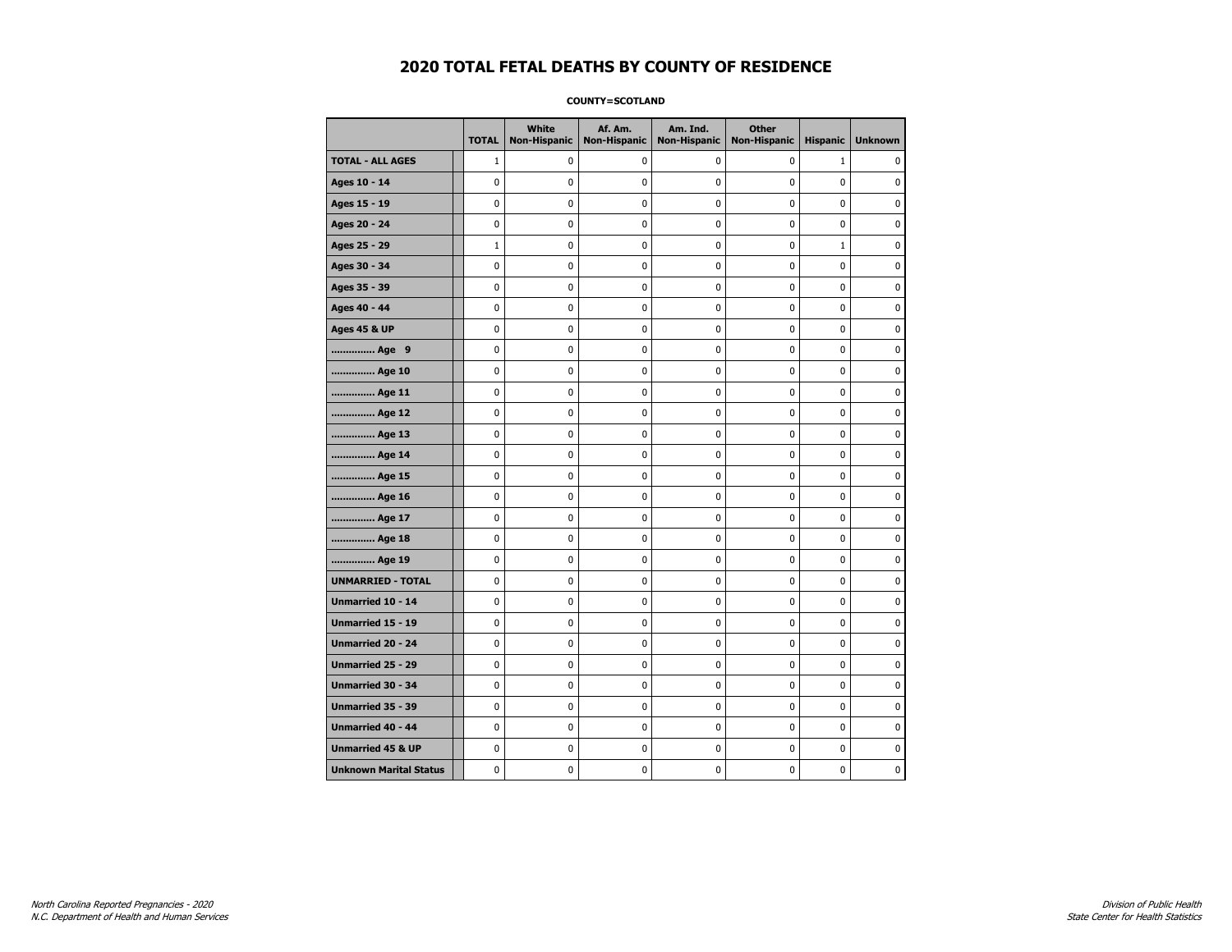**COUNTY=SCOTLAND** 

|                               | <b>TOTAL</b> | White<br><b>Non-Hispanic</b> | Af. Am.<br><b>Non-Hispanic</b> | Am. Ind.<br><b>Non-Hispanic</b> | <b>Other</b><br><b>Non-Hispanic</b> | <b>Hispanic</b> | <b>Unknown</b> |
|-------------------------------|--------------|------------------------------|--------------------------------|---------------------------------|-------------------------------------|-----------------|----------------|
| <b>TOTAL - ALL AGES</b>       | $\mathbf{1}$ | 0                            | 0                              | 0                               | 0                                   | $\mathbf{1}$    | $\mathbf{0}$   |
| Ages 10 - 14                  | 0            | 0                            | 0                              | 0                               | 0                                   | 0               | 0              |
| Ages 15 - 19                  | 0            | 0                            | 0                              | 0                               | $\mathbf 0$                         | 0               | $\mathbf 0$    |
| Ages 20 - 24                  | 0            | 0                            | $\pmb{0}$                      | 0                               | $\pmb{0}$                           | 0               | $\pmb{0}$      |
| Ages 25 - 29                  | $\mathbf{1}$ | 0                            | 0                              | 0                               | 0                                   | $\mathbf{1}$    | 0              |
| Ages 30 - 34                  | 0            | 0                            | 0                              | 0                               | $\pmb{0}$                           | 0               | $\mathbf 0$    |
| Ages 35 - 39                  | 0            | 0                            | 0                              | 0                               | 0                                   | 0               | 0              |
| Ages 40 - 44                  | 0            | 0                            | 0                              | 0                               | $\mathbf 0$                         | 0               | $\mathbf 0$    |
| Ages 45 & UP                  | 0            | 0                            | $\pmb{0}$                      | 0                               | $\pmb{0}$                           | 0               | $\pmb{0}$      |
| Age 9                         | 0            | 0                            | 0                              | 0                               | 0                                   | 0               | 0              |
| Age 10                        | 0            | 0                            | 0                              | 0                               | $\mathbf 0$                         | 0               | $\mathbf 0$    |
| Age 11                        | 0            | 0                            | 0                              | 0                               | $\mathbf 0$                         | 0               | $\mathbf 0$    |
| Age 12                        | 0            | 0                            | 0                              | 0                               | $\mathbf 0$                         | 0               | $\mathbf 0$    |
| Age 13                        | 0            | 0                            | $\pmb{0}$                      | 0                               | $\pmb{0}$                           | 0               | 0              |
| Age 14                        | 0            | 0                            | 0                              | 0                               | 0                                   | 0               | 0              |
| Age 15                        | 0            | 0                            | 0                              | 0                               | 0                                   | 0               | $\mathbf 0$    |
| Age 16                        | 0            | 0                            | 0                              | 0                               | $\mathbf 0$                         | 0               | $\mathbf 0$    |
| Age 17                        | 0            | 0                            | 0                              | 0                               | 0                                   | 0               | $\mathbf 0$    |
| Age 18                        | 0            | 0                            | 0                              | 0                               | $\mathbf 0$                         | 0               | $\mathbf 0$    |
| Age 19                        | 0            | 0                            | 0                              | 0                               | 0                                   | 0               | 0              |
| <b>UNMARRIED - TOTAL</b>      | 0            | 0                            | 0                              | 0                               | 0                                   | 0               | 0              |
| Unmarried 10 - 14             | 0            | 0                            | 0                              | 0                               | $\mathbf 0$                         | 0               | $\mathbf 0$    |
| Unmarried 15 - 19             | 0            | 0                            | $\pmb{0}$                      | 0                               | $\pmb{0}$                           | 0               | $\pmb{0}$      |
| Unmarried 20 - 24             | 0            | 0                            | 0                              | 0                               | 0                                   | 0               | 0              |
| Unmarried 25 - 29             | 0            | 0                            | 0                              | 0                               | 0                                   | 0               | 0              |
| Unmarried 30 - 34             | 0            | 0                            | 0                              | 0                               | 0                                   | 0               | $\mathbf 0$    |
| <b>Unmarried 35 - 39</b>      | 0            | 0                            | 0                              | 0                               | $\mathbf 0$                         | 0               | $\mathbf 0$    |
| Unmarried 40 - 44             | 0            | 0                            | 0                              | 0                               | $\pmb{0}$                           | 0               | 0              |
| <b>Unmarried 45 &amp; UP</b>  | 0            | 0                            | 0                              | 0                               | 0                                   | 0               | 0              |
| <b>Unknown Marital Status</b> | 0            | 0                            | 0                              | 0                               | 0                                   | 0               | 0              |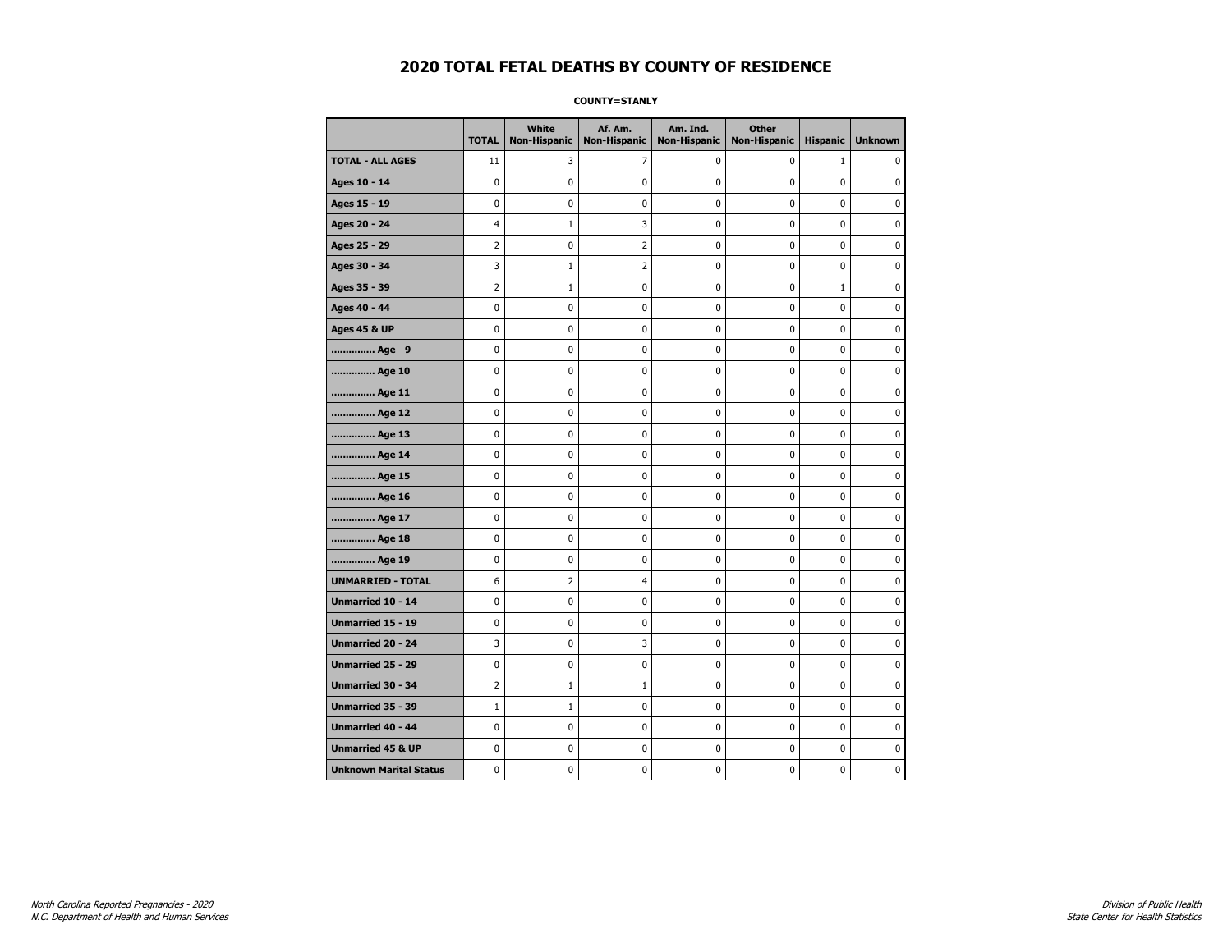**COUNTY=STANLY** 

|                               | <b>TOTAL</b>   | White<br>Non-Hispanic | Af. Am.<br><b>Non-Hispanic</b> | Am. Ind.<br><b>Non-Hispanic</b> | <b>Other</b><br>Non-Hispanic | <b>Hispanic</b> | <b>Unknown</b> |
|-------------------------------|----------------|-----------------------|--------------------------------|---------------------------------|------------------------------|-----------------|----------------|
| <b>TOTAL - ALL AGES</b>       | 11             | 3                     | 7                              | 0                               | 0                            | $\mathbf{1}$    | 0              |
| Ages 10 - 14                  | $\mathbf 0$    | 0                     | 0                              | $\mathbf{0}$                    | $\mathbf 0$                  | $\mathbf 0$     | $\mathbf 0$    |
| Ages 15 - 19                  | 0              | 0                     | $\pmb{0}$                      | 0                               | $\pmb{0}$                    | 0               | 0              |
| Ages 20 - 24                  | 4              | 1                     | 3                              | 0                               | 0                            | 0               | 0              |
| Ages 25 - 29                  | 2              | 0                     | 2                              | 0                               | $\mathbf 0$                  | 0               | $\mathbf 0$    |
| Ages 30 - 34                  | 3              | $1\,$                 | 2                              | $\mathbf 0$                     | $\mathbf 0$                  | 0               | $\mathbf 0$    |
| Ages 35 - 39                  | $\overline{2}$ | $\mathbf{1}$          | 0                              | 0                               | 0                            | $\mathbf{1}$    | 0              |
| Ages 40 - 44                  | $\mathbf 0$    | $\mathbf 0$           | 0                              | $\pmb{0}$                       | $\mathbf 0$                  | 0               | $\mathbf 0$    |
| <b>Ages 45 &amp; UP</b>       | 0              | 0                     | 0                              | 0                               | 0                            | 0               | 0              |
| Age 9                         | 0              | 0                     | 0                              | 0                               | 0                            | 0               | 0              |
| Age 10                        | 0              | 0                     | 0                              | 0                               | 0                            | 0               | $\mathbf 0$    |
| Age 11                        | $\mathbf 0$    | $\pmb{0}$             | $\pmb{0}$                      | $\pmb{0}$                       | 0                            | 0               | 0              |
| Age 12                        | $\mathbf 0$    | 0                     | 0                              | 0                               | 0                            | 0               | 0              |
| Age 13                        | 0              | 0                     | 0                              | 0                               | 0                            | 0               | 0              |
| Age 14                        | 0              | 0                     | 0                              | 0                               | 0                            | 0               | 0              |
| Age 15                        | 0              | 0                     | 0                              | 0                               | $\pmb{0}$                    | 0               | 0              |
| Age 16                        | $\mathbf 0$    | 0                     | 0                              | 0                               | 0                            | $\mathbf 0$     | 0              |
| Age 17                        | 0              | 0                     | 0                              | 0                               | 0                            | 0               | 0              |
| Age 18                        | $\mathbf 0$    | 0                     | 0                              | $\mathbf 0$                     | 0                            | 0               | 0              |
| Age 19                        | $\pmb{0}$      | $\pmb{0}$             | $\bf{0}$                       | $\pmb{0}$                       | $\pmb{0}$                    | 0               | $\pmb{0}$      |
| <b>UNMARRIED - TOTAL</b>      | 6              | 2                     | 4                              | 0                               | 0                            | 0               | 0              |
| Unmarried 10 - 14             | $\mathbf 0$    | 0                     | 0                              | 0                               | $\mathbf 0$                  | 0               | $\pmb{0}$      |
| Unmarried 15 - 19             | 0              | 0                     | 0                              | 0                               | 0                            | 0               | 0              |
| Unmarried 20 - 24             | 3              | 0                     | 3                              | 0                               | 0                            | 0               | 0              |
| Unmarried 25 - 29             | 0              | 0                     | 0                              | 0                               | 0                            | 0               | $\mathbf 0$    |
| Unmarried 30 - 34             | 2              | $\mathbf{1}$          | $\mathbf{1}$                   | 0                               | 0                            | 0               | 0              |
| <b>Unmarried 35 - 39</b>      | $\mathbf{1}$   | $\mathbf{1}$          | 0                              | 0                               | $\mathbf 0$                  | 0               | $\pmb{0}$      |
| Unmarried 40 - 44             | $\pmb{0}$      | 0                     | 0                              | 0                               | 0                            | 0               | 0              |
| <b>Unmarried 45 &amp; UP</b>  | 0              | 0                     | 0                              | 0                               | 0                            | 0               | 0              |
| <b>Unknown Marital Status</b> | 0              | 0                     | 0                              | 0                               | 0                            | 0               | 0              |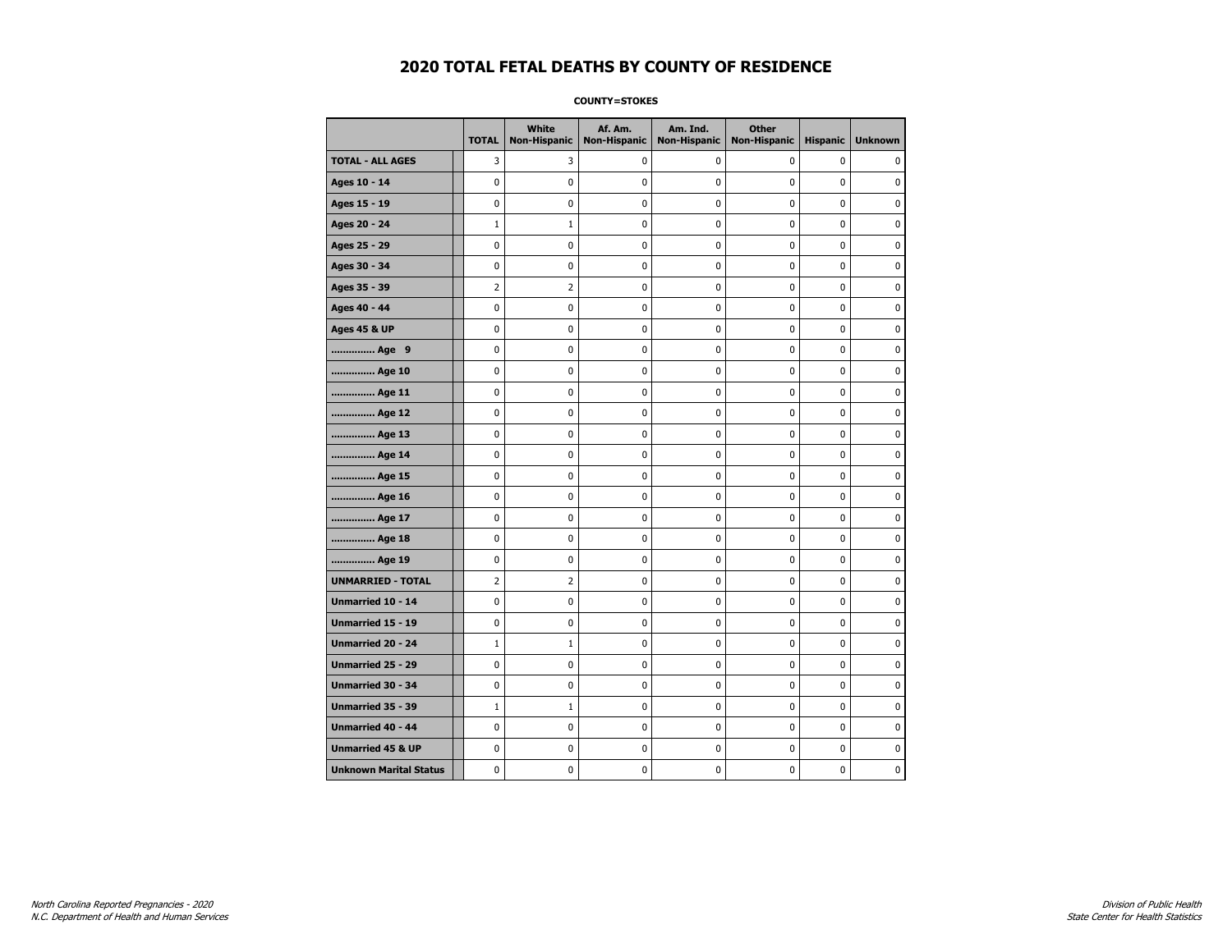**COUNTY=STOKES** 

|                               | <b>TOTAL</b>   | <b>White</b><br>Non-Hispanic | Af. Am.<br><b>Non-Hispanic</b> | Am. Ind.<br><b>Non-Hispanic</b> | <b>Other</b><br><b>Non-Hispanic</b> | <b>Hispanic</b> | <b>Unknown</b> |
|-------------------------------|----------------|------------------------------|--------------------------------|---------------------------------|-------------------------------------|-----------------|----------------|
| <b>TOTAL - ALL AGES</b>       | 3              | 3                            | 0                              | 0                               | $\mathbf 0$                         | $\mathbf 0$     | 0              |
| Ages 10 - 14                  | $\mathbf 0$    | $\mathbf 0$                  | $\mathbf 0$                    | 0                               | $\mathbf 0$                         | $\mathbf 0$     | 0              |
| Ages 15 - 19                  | $\mathbf 0$    | 0                            | $\mathbf 0$                    | $\mathbf 0$                     | $\mathbf 0$                         | $\mathbf 0$     | 0              |
| Ages 20 - 24                  | $\mathbf{1}$   | $1\,$                        | $\pmb{0}$                      | $\pmb{0}$                       | $\mathbf 0$                         | $\mathbf 0$     | 0              |
| Ages 25 - 29                  | $\mathbf 0$    | 0                            | $\pmb{0}$                      | 0                               | 0                                   | 0               | 0              |
| Ages 30 - 34                  | $\mathbf 0$    | 0                            | $\pmb{0}$                      | 0                               | 0                                   | 0               | 0              |
| Ages 35 - 39                  | $\overline{2}$ | $\overline{2}$               | $\mathbf 0$                    | 0                               | $\mathbf 0$                         | 0               | 0              |
| Ages 40 - 44                  | $\mathbf 0$    | 0                            | $\mathbf 0$                    | $\mathbf 0$                     | $\mathbf 0$                         | $\mathbf 0$     | 0              |
| <b>Ages 45 &amp; UP</b>       | $\pmb{0}$      | 0                            | $\pmb{0}$                      | $\pmb{0}$                       | $\pmb{0}$                           | 0               | 0              |
| Age 9                         | 0              | 0                            | $\pmb{0}$                      | 0                               | 0                                   | 0               | 0              |
| Age 10                        | $\mathbf 0$    | 0                            | $\pmb{0}$                      | 0                               | $\mathbf 0$                         | $\mathbf 0$     | 0              |
| Age 11                        | $\mathbf 0$    | $\mathbf 0$                  | $\mathbf 0$                    | $\mathbf 0$                     | $\mathbf 0$                         | $\mathbf 0$     | 0              |
| Age 12                        | $\mathbf 0$    | 0                            | $\mathbf 0$                    | 0                               | $\mathbf 0$                         | $\mathbf 0$     | 0              |
| Age 13                        | $\pmb{0}$      | 0                            | $\pmb{0}$                      | $\pmb{0}$                       | $\pmb{0}$                           | 0               | 0              |
| Age 14                        | $\mathbf 0$    | 0                            | $\pmb{0}$                      | 0                               | $\mathbf 0$                         | $\mathbf 0$     | 0              |
| Age 15                        | $\mathbf 0$    | 0                            | $\mathbf 0$                    | 0                               | $\mathbf 0$                         | $\mathbf 0$     | 0              |
| Age 16                        | $\mathbf 0$    | 0                            | $\mathbf 0$                    | $\mathbf 0$                     | $\mathbf 0$                         | $\mathbf 0$     | 0              |
| Age 17                        | $\mathbf 0$    | 0                            | $\mathbf 0$                    | $\mathbf 0$                     | $\mathbf 0$                         | $\mathbf 0$     | 0              |
| Age 18                        | $\mathbf 0$    | 0                            | $\mathbf 0$                    | $\pmb{0}$                       | $\mathbf 0$                         | $\mathbf 0$     | 0              |
| Age 19                        | 0              | 0                            | 0                              | 0                               | 0                                   | 0               | 0              |
| <b>UNMARRIED - TOTAL</b>      | $\overline{2}$ | 2                            | $\pmb{0}$                      | 0                               | 0                                   | 0               | 0              |
| Unmarried 10 - 14             | $\mathbf 0$    | $\mathbf 0$                  | $\mathbf 0$                    | $\mathbf 0$                     | $\mathbf 0$                         | $\mathbf 0$     | 0              |
| Unmarried 15 - 19             | $\pmb{0}$      | $\pmb{0}$                    | $\pmb{0}$                      | $\pmb{0}$                       | $\pmb{0}$                           | $\pmb{0}$       | 0              |
| <b>Unmarried 20 - 24</b>      | $1\,$          | $1\,$                        | $\pmb{0}$                      | 0                               | 0                                   | 0               | 0              |
| Unmarried 25 - 29             | 0              | 0                            | $\pmb{0}$                      | 0                               | 0                                   | 0               | 0              |
| <b>Unmarried 30 - 34</b>      | $\mathbf 0$    | $\mathbf 0$                  | $\mathbf 0$                    | 0                               | $\mathbf 0$                         | $\mathbf 0$     | 0              |
| <b>Unmarried 35 - 39</b>      | $1\,$          | $\mathbf{1}$                 | $\mathbf 0$                    | 0                               | $\mathbf 0$                         | $\mathbf 0$     | 0              |
| Unmarried 40 - 44             | 0              | 0                            | $\pmb{0}$                      | 0                               | 0                                   | 0               | 0              |
| <b>Unmarried 45 &amp; UP</b>  | $\mathbf 0$    | 0                            | $\pmb{0}$                      | $\mathbf 0$                     | 0                                   | $\mathbf 0$     | 0              |
| <b>Unknown Marital Status</b> | $\mathbf 0$    | 0                            | $\pmb{0}$                      | 0                               | $\mathbf 0$                         | 0               | 0              |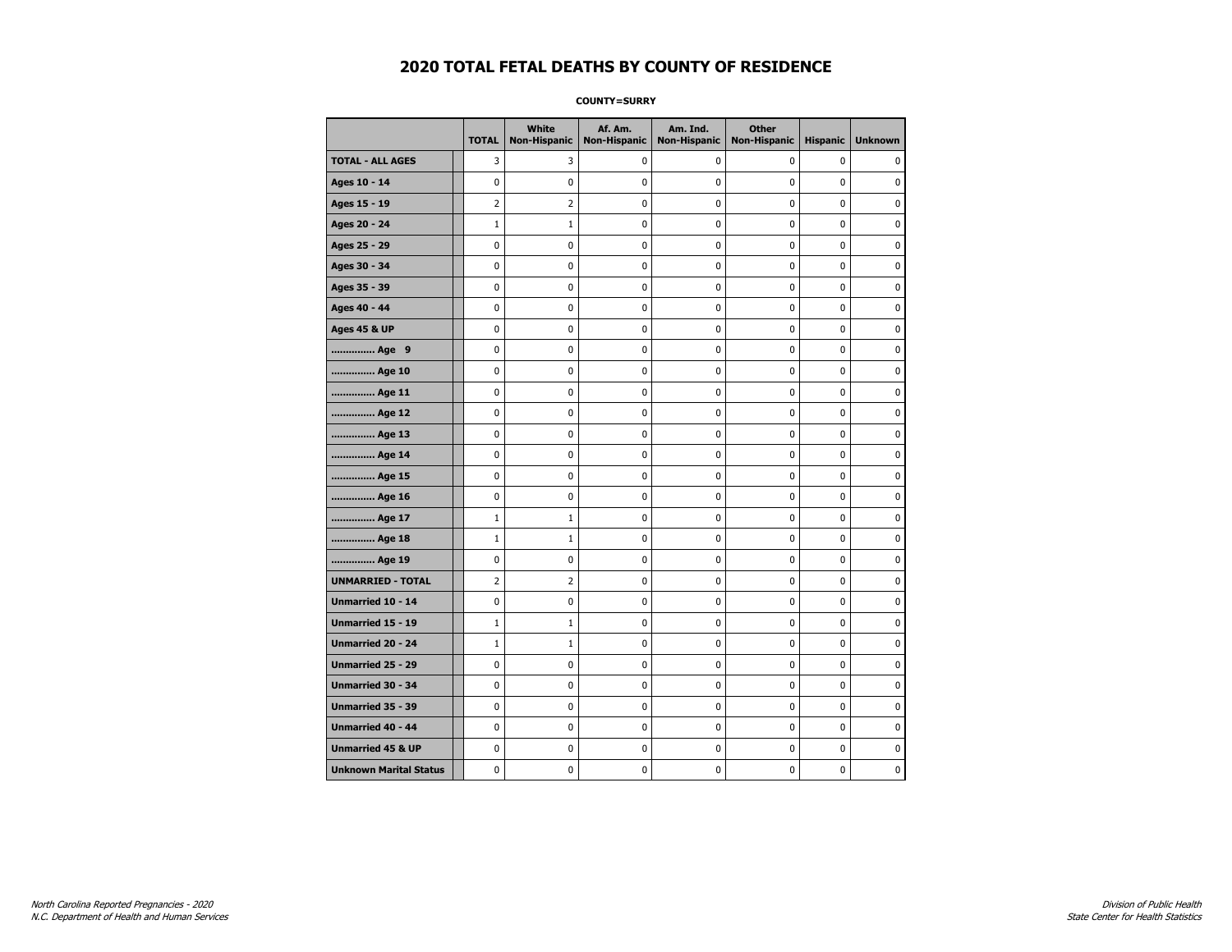**COUNTY=SURRY** 

|                               | <b>TOTAL</b>   | White<br>Non-Hispanic | Af. Am.<br><b>Non-Hispanic</b> | Am. Ind.<br><b>Non-Hispanic</b> | <b>Other</b><br><b>Non-Hispanic</b> | <b>Hispanic</b> | <b>Unknown</b> |
|-------------------------------|----------------|-----------------------|--------------------------------|---------------------------------|-------------------------------------|-----------------|----------------|
| <b>TOTAL - ALL AGES</b>       | 3              | 3                     | 0                              | 0                               | 0                                   | 0               | $\mathbf{0}$   |
| Ages 10 - 14                  | 0              | 0                     | 0                              | 0                               | 0                                   | 0               | 0              |
| Ages 15 - 19                  | $\overline{2}$ | $\overline{2}$        | 0                              | 0                               | $\pmb{0}$                           | 0               | $\mathbf 0$    |
| Ages 20 - 24                  | $\mathbf{1}$   | $\mathbf{1}$          | $\pmb{0}$                      | $\mathbf 0$                     | $\mathbf 0$                         | $\mathbf 0$     | $\mathbf 0$    |
| Ages 25 - 29                  | 0              | 0                     | $\pmb{0}$                      | $\pmb{0}$                       | $\pmb{0}$                           | $\mathbf 0$     | $\pmb{0}$      |
| Ages 30 - 34                  | 0              | 0                     | 0                              | 0                               | 0                                   | 0               | 0              |
| Ages 35 - 39                  | 0              | 0                     | 0                              | 0                               | 0                                   | 0               | 0              |
| Ages 40 - 44                  | 0              | 0                     | 0                              | 0                               | $\mathbf 0$                         | 0               | $\pmb{0}$      |
| <b>Ages 45 &amp; UP</b>       | 0              | 0                     | 0                              | 0                               | 0                                   | 0               | $\mathbf 0$    |
| Age 9                         | 0              | 0                     | 0                              | 0                               | $\mathbf 0$                         | 0               | $\mathbf 0$    |
| Age 10                        | 0              | 0                     | $\pmb{0}$                      | 0                               | $\pmb{0}$                           | 0               | 0              |
| Age 11                        | 0              | 0                     | 0                              | 0                               | 0                                   | 0               | $\mathbf 0$    |
| Age 12                        | 0              | 0                     | 0                              | 0                               | 0                                   | 0               | 0              |
| Age 13                        | 0              | 0                     | 0                              | 0                               | 0                                   | 0               | $\mathbf 0$    |
| Age 14                        | 0              | 0                     | 0                              | 0                               | $\mathbf 0$                         | 0               | $\mathbf 0$    |
| Age 15                        | 0              | 0                     | $\pmb{0}$                      | 0                               | $\pmb{0}$                           | 0               | $\pmb{0}$      |
| Age 16                        | 0              | 0                     | $\pmb{0}$                      | 0                               | $\pmb{0}$                           | 0               | $\mathbf 0$    |
| Age 17                        | $\mathbf{1}$   | $\mathbf{1}$          | 0                              | 0                               | 0                                   | 0               | 0              |
| Age 18                        | $\mathbf 1$    | $1\,$                 | $\pmb{0}$                      | 0                               | $\pmb{0}$                           | 0               | $\pmb{0}$      |
| Age 19                        | 0              | 0                     | 0                              | 0                               | 0                                   | 0               | $\mathbf 0$    |
| <b>UNMARRIED - TOTAL</b>      | $\overline{2}$ | 2                     | 0                              | 0                               | $\mathbf 0$                         | 0               | $\mathbf 0$    |
| Unmarried 10 - 14             | 0              | 0                     | $\pmb{0}$                      | 0                               | $\pmb{0}$                           | 0               | 0              |
| Unmarried 15 - 19             | $\mathbf{1}$   | $\mathbf{1}$          | $\pmb{0}$                      | 0                               | $\pmb{0}$                           | 0               | $\mathbf 0$    |
| <b>Unmarried 20 - 24</b>      | $\mathbf{1}$   | 1                     | 0                              | 0                               | 0                                   | 0               | 0              |
| Unmarried 25 - 29             | 0              | 0                     | 0                              | 0                               | 0                                   | 0               | 0              |
| <b>Unmarried 30 - 34</b>      | 0              | 0                     | 0                              | 0                               | $\mathbf 0$                         | 0               | $\mathbf 0$    |
| Unmarried 35 - 39             | 0              | 0                     | 0                              | 0                               | $\mathbf 0$                         | 0               | $\mathbf 0$    |
| Unmarried 40 - 44             | 0              | 0                     | $\pmb{0}$                      | 0                               | $\pmb{0}$                           | 0               | 0              |
| <b>Unmarried 45 &amp; UP</b>  | 0              | 0                     | 0                              | 0                               | 0                                   | 0               | 0              |
| <b>Unknown Marital Status</b> | 0              | 0                     | 0                              | 0                               | 0                                   | 0               | $\mathbf 0$    |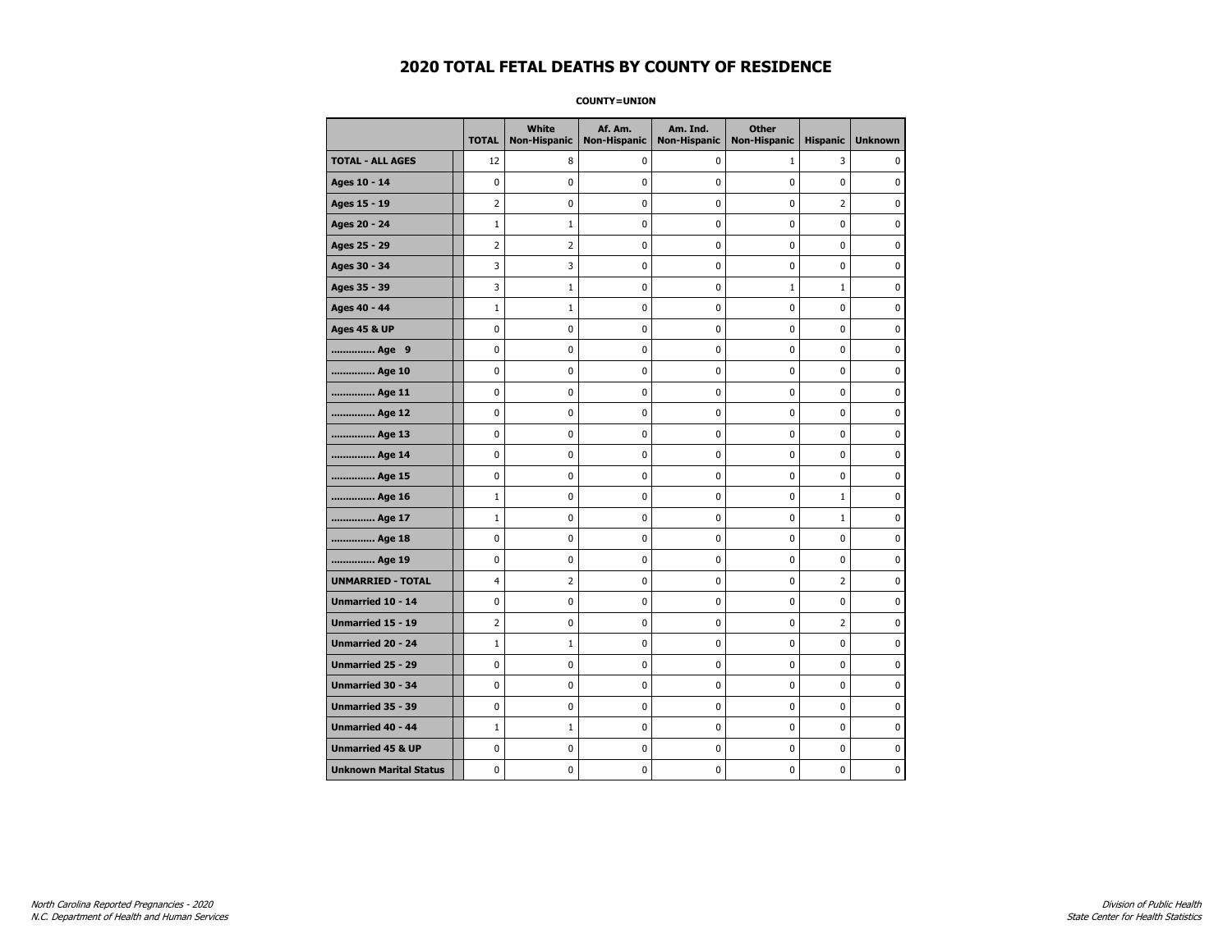**COUNTY=UNION** 

|                               | <b>TOTAL</b>   | White<br><b>Non-Hispanic</b> | Af. Am.<br><b>Non-Hispanic</b> | Am. Ind.<br><b>Non-Hispanic</b> | <b>Other</b><br><b>Non-Hispanic</b> | <b>Hispanic</b> | <b>Unknown</b> |
|-------------------------------|----------------|------------------------------|--------------------------------|---------------------------------|-------------------------------------|-----------------|----------------|
| <b>TOTAL - ALL AGES</b>       | 12             | 8                            | 0                              | 0                               | $\mathbf{1}$                        | 3               | $\Omega$       |
| Ages 10 - 14                  | 0              | 0                            | 0                              | 0                               | 0                                   | 0               | 0              |
| Ages 15 - 19                  | $\overline{2}$ | 0                            | $\pmb{0}$                      | 0                               | $\pmb{0}$                           | $\overline{2}$  | $\pmb{0}$      |
| Ages 20 - 24                  | $\mathbf{1}$   | $\mathbf{1}$                 | 0                              | 0                               | 0                                   | 0               | 0              |
| Ages 25 - 29                  | $\overline{2}$ | 2                            | 0                              | 0                               | $\mathbf 0$                         | 0               | $\mathbf 0$    |
| Ages 30 - 34                  | 3              | 3                            | 0                              | 0                               | $\mathbf 0$                         | 0               | $\mathbf 0$    |
| Ages 35 - 39                  | 3              | 1                            | 0                              | 0                               | $\mathbf{1}$                        | $\mathbf{1}$    | 0              |
| Ages 40 - 44                  | $\mathbf{1}$   | $\mathbf{1}$                 | 0                              | 0                               | 0                                   | 0               | 0              |
| <b>Ages 45 &amp; UP</b>       | 0              | 0                            | 0                              | 0                               | 0                                   | 0               | $\mathbf 0$    |
| Age 9                         | 0              | 0                            | $\pmb{0}$                      | 0                               | $\pmb{0}$                           | 0               | $\pmb{0}$      |
| Age 10                        | 0              | 0                            | 0                              | 0                               | 0                                   | 0               | 0              |
| Age 11                        | 0              | 0                            | 0                              | 0                               | 0                                   | 0               | 0              |
| Age 12                        | 0              | 0                            | 0                              | 0                               | 0                                   | 0               | $\mathbf 0$    |
| Age 13                        | 0              | 0                            | $\pmb{0}$                      | 0                               | $\pmb{0}$                           | 0               | 0              |
| Age 14                        | 0              | 0                            | 0                              | 0                               | 0                                   | 0               | 0              |
| Age 15                        | 0              | 0                            | 0                              | 0                               | 0                                   | 0               | $\mathbf 0$    |
| Age 16                        | $\mathbf{1}$   | 0                            | 0                              | 0                               | $\mathbf 0$                         | $\mathbf 1$     | $\mathbf 0$    |
| Age 17                        | $\mathbf{1}$   | 0                            | 0                              | 0                               | $\pmb{0}$                           | $\mathbf 1$     | 0              |
| Age 18                        | 0              | 0                            | 0                              | 0                               | 0                                   | 0               | 0              |
| Age 19                        | 0              | 0                            | 0                              | 0                               | 0                                   | 0               | $\mathbf 0$    |
| <b>UNMARRIED - TOTAL</b>      | 4              | $\overline{2}$               | 0                              | 0                               | $\mathbf 0$                         | $\overline{2}$  | $\mathbf 0$    |
| Unmarried 10 - 14             | 0              | 0                            | $\pmb{0}$                      | 0                               | $\pmb{0}$                           | 0               | 0              |
| <b>Unmarried 15 - 19</b>      | 2              | 0                            | 0                              | 0                               | 0                                   | $\overline{2}$  | $\mathbf 0$    |
| <b>Unmarried 20 - 24</b>      | $\mathbf{1}$   | $\mathbf{1}$                 | 0                              | 0                               | 0                                   | 0               | $\mathbf 0$    |
| Unmarried 25 - 29             | 0              | 0                            | $\pmb{0}$                      | 0                               | $\pmb{0}$                           | 0               | 0              |
| Unmarried 30 - 34             | 0              | 0                            | 0                              | 0                               | 0                                   | 0               | $\mathbf 0$    |
| Unmarried 35 - 39             | 0              | 0                            | 0                              | 0                               | 0                                   | 0               | $\mathbf 0$    |
| <b>Unmarried 40 - 44</b>      | $\mathbf{1}$   | $\mathbf{1}$                 | 0                              | 0                               | $\mathbf 0$                         | 0               | $\mathbf 0$    |
| <b>Unmarried 45 &amp; UP</b>  | 0              | 0                            | 0                              | 0                               | $\pmb{0}$                           | 0               | 0              |
| <b>Unknown Marital Status</b> | 0              | 0                            | 0                              | 0                               | 0                                   | 0               | 0              |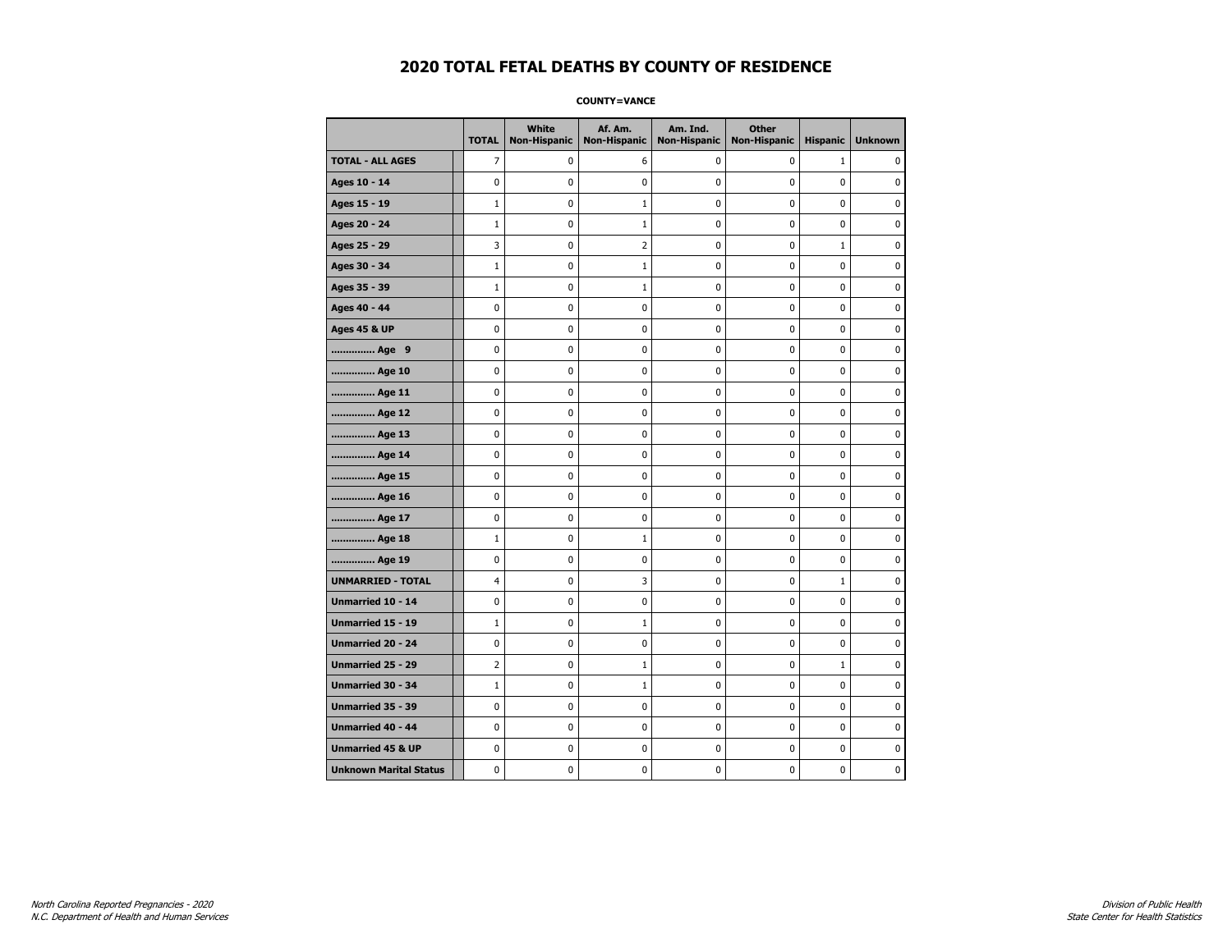**COUNTY=VANCE** 

|                               | <b>TOTAL</b>   | <b>White</b><br><b>Non-Hispanic</b> | Af. Am.<br><b>Non-Hispanic</b> | Am. Ind.<br><b>Non-Hispanic</b> | <b>Other</b><br><b>Non-Hispanic</b> | <b>Hispanic</b> | <b>Unknown</b> |
|-------------------------------|----------------|-------------------------------------|--------------------------------|---------------------------------|-------------------------------------|-----------------|----------------|
| <b>TOTAL - ALL AGES</b>       | $\overline{7}$ | 0                                   | 6                              | 0                               | 0                                   | $\mathbf{1}$    | $\mathbf{0}$   |
| Ages 10 - 14                  | 0              | 0                                   | 0                              | $\mathbf 0$                     | 0                                   | 0               | 0              |
| Ages 15 - 19                  | $\mathbf{1}$   | 0                                   | $\mathbf 1$                    | 0                               | $\pmb{0}$                           | 0               | 0              |
| Ages 20 - 24                  | $\mathbf{1}$   | 0                                   | $\mathbf 1$                    | 0                               | 0                                   | 0               | 0              |
| Ages 25 - 29                  | 3              | 0                                   | 2                              | 0                               | 0                                   | $\mathbf{1}$    | $\mathbf 0$    |
| Ages 30 - 34                  | $\mathbf{1}$   | 0                                   | $\mathbf{1}$                   | 0                               | $\mathbf 0$                         | 0               | $\mathbf 0$    |
| Ages 35 - 39                  | $\mathbf{1}$   | 0                                   | 1                              | 0                               | 0                                   | 0               | 0              |
| Ages 40 - 44                  | 0              | $\mathbf 0$                         | 0                              | 0                               | $\mathbf 0$                         | 0               | $\pmb{0}$      |
| <b>Ages 45 &amp; UP</b>       | 0              | 0                                   | 0                              | 0                               | 0                                   | 0               | 0              |
| Age 9                         | 0              | 0                                   | 0                              | 0                               | 0                                   | 0               | 0              |
| Age 10                        | 0              | 0                                   | 0                              | 0                               | $\mathbf 0$                         | 0               | $\mathbf 0$    |
| Age 11                        | 0              | $\pmb{0}$                           | 0                              | 0                               | $\pmb{0}$                           | 0               | 0              |
| Age 12                        | 0              | 0                                   | 0                              | 0                               | 0                                   | 0               | 0              |
| Age 13                        | 0              | 0                                   | 0                              | 0                               | 0                                   | 0               | 0              |
| Age 14                        | 0              | 0                                   | 0                              | 0                               | $\mathbf 0$                         | 0               | $\mathbf 0$    |
| Age 15                        | 0              | 0                                   | 0                              | 0                               | $\pmb{0}$                           | 0               | 0              |
| Age 16                        | 0              | 0                                   | 0                              | 0                               | 0                                   | 0               | 0              |
| Age 17                        | 0              | 0                                   | 0                              | 0                               | 0                                   | 0               | $\mathbf 0$    |
| Age 18                        | $\mathbf{1}$   | 0                                   | $\mathbf{1}$                   | 0                               | $\mathbf 0$                         | 0               | $\mathbf 0$    |
| Age 19                        | 0              | $\pmb{0}$                           | 0                              | 0                               | $\pmb{0}$                           | 0               | $\pmb{0}$      |
| <b>UNMARRIED - TOTAL</b>      | 4              | 0                                   | 3                              | 0                               | 0                                   | $\mathbf{1}$    | 0              |
| Unmarried 10 - 14             | 0              | $\mathbf 0$                         | 0                              | 0                               | $\pmb{0}$                           | 0               | 0              |
| Unmarried 15 - 19             | $\mathbf{1}$   | 0                                   | $\mathbf{1}$                   | 0                               | 0                                   | 0               | $\mathbf 0$    |
| Unmarried 20 - 24             | 0              | 0                                   | 0                              | 0                               | 0                                   | 0               | 0              |
| Unmarried 25 - 29             | $\overline{2}$ | 0                                   | $\mathbf{1}$                   | 0                               | 0                                   | $\mathbf 1$     | 0              |
| Unmarried 30 - 34             | $\mathbf{1}$   | 0                                   | $\mathbf{1}$                   | 0                               | 0                                   | 0               | $\mathbf 0$    |
| <b>Unmarried 35 - 39</b>      | 0              | 0                                   | 0                              | 0                               | $\mathbf 0$                         | 0               | $\mathbf 0$    |
| Unmarried 40 - 44             | 0              | 0                                   | 0                              | 0                               | $\pmb{0}$                           | 0               | 0              |
| <b>Unmarried 45 &amp; UP</b>  | 0              | 0                                   | 0                              | 0                               | 0                                   | 0               | 0              |
| <b>Unknown Marital Status</b> | 0              | 0                                   | 0                              | 0                               | 0                                   | 0               | 0              |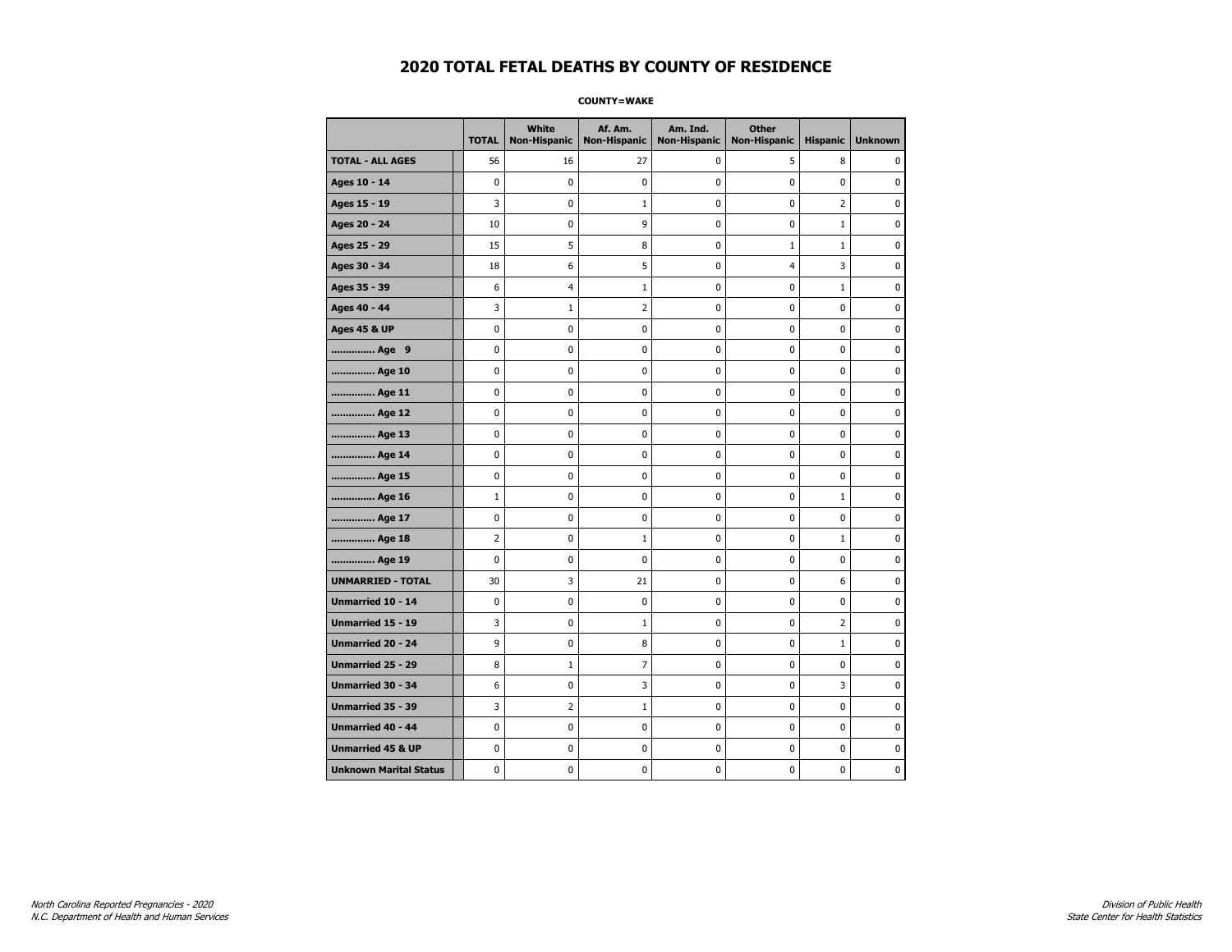**COUNTY=WAKE** 

|                               | <b>TOTAL</b>   | White<br><b>Non-Hispanic</b> | Af. Am.<br><b>Non-Hispanic</b> | Am. Ind.<br><b>Non-Hispanic</b> | <b>Other</b><br><b>Non-Hispanic</b> | <b>Hispanic</b> | <b>Unknown</b> |
|-------------------------------|----------------|------------------------------|--------------------------------|---------------------------------|-------------------------------------|-----------------|----------------|
| <b>TOTAL - ALL AGES</b>       | 56             | 16                           | 27                             | 0                               | 5                                   | 8               | 0              |
| Ages 10 - 14                  | 0              | $\mathbf 0$                  | 0                              | $\mathbf 0$                     | 0                                   | $\mathbf 0$     | 0              |
| Ages 15 - 19                  | 3              | $\mathbf 0$                  | 1                              | $\mathbf 0$                     | $\mathbf 0$                         | $\overline{2}$  | 0              |
| Ages 20 - 24                  | 10             | 0                            | 9                              | 0                               | 0                                   | $\mathbf{1}$    | 0              |
| Ages 25 - 29                  | 15             | 5                            | 8                              | 0                               | $\mathbf{1}$                        | $\mathbf 1$     | 0              |
| Ages 30 - 34                  | 18             | 6                            | 5                              | 0                               | 4                                   | 3               | 0              |
| Ages 35 - 39                  | 6              | $\overline{4}$               | 1                              | 0                               | 0                                   | $\mathbf{1}$    | 0              |
| Ages 40 - 44                  | 3              | $\mathbf{1}$                 | $\overline{2}$                 | $\mathbf 0$                     | $\mathbf 0$                         | $\mathbf 0$     | 0              |
| <b>Ages 45 &amp; UP</b>       | 0              | $\pmb{0}$                    | $\pmb{0}$                      | $\pmb{0}$                       | $\pmb{0}$                           | $\pmb{0}$       | 0              |
| Age 9                         | 0              | 0                            | 0                              | 0                               | $\mathbf 0$                         | 0               | 0              |
| Age 10                        | 0              | $\pmb{0}$                    | 0                              | 0                               | 0                                   | $\mathbf 0$     | 0              |
| Age 11                        | 0              | 0                            | 0                              | 0                               | 0                                   | $\mathbf 0$     | 0              |
| Age 12                        | 0              | $\mathbf 0$                  | 0                              | $\mathbf 0$                     | $\mathbf 0$                         | $\mathbf 0$     | 0              |
| Age 13                        | 0              | $\pmb{0}$                    | $\pmb{0}$                      | $\pmb{0}$                       | $\pmb{0}$                           | $\pmb{0}$       | 0              |
| Age 14                        | 0              | 0                            | 0                              | 0                               | 0                                   | 0               | 0              |
| Age 15                        | 0              | $\mathbf 0$                  | 0                              | $\mathbf 0$                     | 0                                   | $\mathbf 0$     | 0              |
| Age 16                        | $\mathbf{1}$   | $\mathbf 0$                  | 0                              | $\pmb{0}$                       | $\mathbf{0}$                        | $1\,$           | 0              |
| Age 17                        | 0              | $\mathbf 0$                  | 0                              | $\mathbf 0$                     | 0                                   | $\mathbf 0$     | 0              |
| Age 18                        | $\overline{2}$ | $\mathbf 0$                  | $\mathbf 1$                    | $\pmb{0}$                       | $\pmb{0}$                           | $\mathbf{1}$    | 0              |
| Age 19                        | 0              | 0                            | 0                              | 0                               | $\pmb{0}$                           | 0               | 0              |
| <b>UNMARRIED - TOTAL</b>      | 30             | 3                            | 21                             | 0                               | 0                                   | 6               | 0              |
| Unmarried 10 - 14             | 0              | 0                            | 0                              | $\mathbf 0$                     | 0                                   | $\mathbf 0$     | 0              |
| <b>Unmarried 15 - 19</b>      | 3              | 0                            | 1                              | 0                               | $\mathbf 0$                         | $\overline{2}$  | 0              |
| Unmarried 20 - 24             | 9              | $\pmb{0}$                    | 8                              | 0                               | $\mathbf{0}$                        | $\mathbf 1$     | $\pmb{0}$      |
| <b>Unmarried 25 - 29</b>      | 8              | $\mathbf{1}$                 | 7                              | 0                               | 0                                   | 0               | 0              |
| <b>Unmarried 30 - 34</b>      | 6              | 0                            | 3                              | 0                               | $\mathbf 0$                         | 3               | $\mathbf 0$    |
| Unmarried 35 - 39             | 3              | $\overline{2}$               | $\mathbf{1}$                   | 0                               | 0                                   | $\mathbf 0$     | 0              |
| <b>Unmarried 40 - 44</b>      | 0              | $\pmb{0}$                    | $\pmb{0}$                      | $\pmb{0}$                       | $\pmb{0}$                           | $\pmb{0}$       | 0              |
| <b>Unmarried 45 &amp; UP</b>  | 0              | 0                            | 0                              | 0                               | 0                                   | 0               | 0              |
| <b>Unknown Marital Status</b> | 0              | 0                            | 0                              | 0                               | 0                                   | 0               | 0              |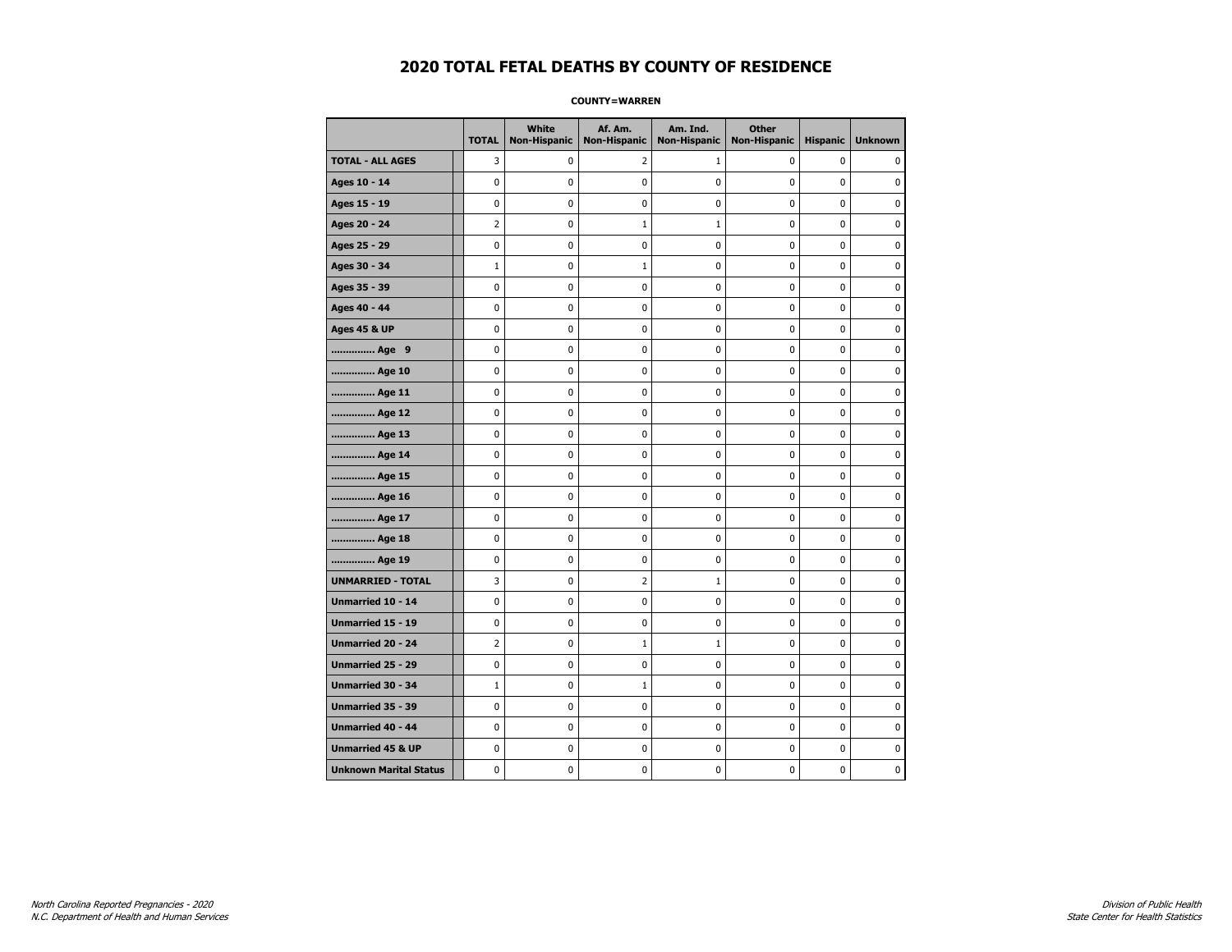### **COUNTY=WARREN**

|                               | <b>TOTAL</b>   | <b>White</b><br><b>Non-Hispanic</b> | Af. Am.<br><b>Non-Hispanic</b> | Am. Ind.<br><b>Non-Hispanic</b> | <b>Other</b><br><b>Non-Hispanic</b> | <b>Hispanic</b> | <b>Unknown</b> |
|-------------------------------|----------------|-------------------------------------|--------------------------------|---------------------------------|-------------------------------------|-----------------|----------------|
| <b>TOTAL - ALL AGES</b>       | 3              | 0                                   | 2                              | $\mathbf{1}$                    | $\mathbf 0$                         | 0               | 0              |
| Ages 10 - 14                  | $\mathbf 0$    | $\mathbf 0$                         | $\mathbf 0$                    | $\mathbf 0$                     | $\mathbf 0$                         | $\mathbf 0$     | 0              |
| Ages 15 - 19                  | $\mathbf 0$    | 0                                   | $\mathbf 0$                    | $\pmb{0}$                       | $\mathbf 0$                         | $\mathbf 0$     | 0              |
| Ages 20 - 24                  | $\overline{2}$ | 0                                   | $1\,$                          | $\mathbf 1$                     | 0                                   | 0               | 0              |
| Ages 25 - 29                  | 0              | 0                                   | $\pmb{0}$                      | 0                               | $\mathbf 0$                         | 0               | 0              |
| Ages 30 - 34                  | $1\,$          | $\mathbf 0$                         | 1                              | $\mathbf 0$                     | $\mathbf 0$                         | $\mathbf 0$     | 0              |
| Ages 35 - 39                  | $\mathbf 0$    | $\mathbf 0$                         | $\mathbf 0$                    | $\mathbf 0$                     | $\mathbf 0$                         | $\mathbf 0$     | 0              |
| Ages 40 - 44                  | $\pmb{0}$      | 0                                   | $\pmb{0}$                      | 0                               | $\pmb{0}$                           | 0               | 0              |
| <b>Ages 45 &amp; UP</b>       | 0              | 0                                   | $\pmb{0}$                      | 0                               | 0                                   | 0               | 0              |
| Age 9                         | $\mathbf 0$    | 0                                   | $\pmb{0}$                      | 0                               | $\mathbf 0$                         | $\mathbf 0$     | 0              |
| Age 10                        | $\mathbf 0$    | 0                                   | $\mathbf 0$                    | $\mathbf 0$                     | $\mathbf 0$                         | $\mathbf 0$     | 0              |
| Age 11                        | $\mathbf 0$    | 0                                   | $\mathbf 0$                    | $\mathbf 0$                     | $\mathbf 0$                         | $\mathbf 0$     | 0              |
| Age 12                        | $\pmb{0}$      | 0                                   | $\pmb{0}$                      | 0                               | 0                                   | 0               | 0              |
| Age 13                        | $\mathbf 0$    | 0                                   | 0                              | $\mathbf 0$                     | $\mathbf 0$                         | $\mathbf 0$     | 0              |
| Age 14                        | 0              | 0                                   | 0                              | 0                               | 0                                   | 0               | 0              |
| Age 15                        | $\mathbf 0$    | 0                                   | $\mathbf 0$                    | 0                               | $\mathbf 0$                         | $\mathbf 0$     | 0              |
| Age 16                        | $\mathbf{0}$   | $\mathbf 0$                         | $\mathbf 0$                    | $\mathbf 0$                     | $\mathbf 0$                         | $\mathbf 0$     | 0              |
| Age 17                        | $\pmb{0}$      | $\pmb{0}$                           | $\pmb{0}$                      | $\pmb{0}$                       | $\pmb{0}$                           | $\pmb{0}$       | 0              |
| Age 18                        | $\mathbf 0$    | 0                                   | 0                              | 0                               | 0                                   | 0               | 0              |
| Age 19                        | 0              | 0                                   | $\mathbf 0$                    | 0                               | 0                                   | $\mathbf 0$     | 0              |
| <b>UNMARRIED - TOTAL</b>      | 3              | 0                                   | $\overline{2}$                 | $\mathbf{1}$                    | $\mathbf 0$                         | $\mathbf 0$     | 0              |
| Unmarried 10 - 14             | $\mathbf 0$    | 0                                   | $\mathbf 0$                    | $\mathbf 0$                     | $\mathbf 0$                         | $\mathbf 0$     | 0              |
| Unmarried 15 - 19             | $\pmb{0}$      | 0                                   | $\pmb{0}$                      | $\pmb{0}$                       | $\pmb{0}$                           | 0               | 0              |
| <b>Unmarried 20 - 24</b>      | $\overline{2}$ | 0                                   | 1                              | $\mathbf{1}$                    | 0                                   | $\mathbf 0$     | 0              |
| Unmarried 25 - 29             | 0              | 0                                   | $\pmb{0}$                      | 0                               | 0                                   | $\mathbf 0$     | 0              |
| <b>Unmarried 30 - 34</b>      | $\mathbf 1$    | 0                                   | $\mathbf{1}$                   | $\pmb{0}$                       | $\mathbf 0$                         | $\mathbf 0$     | 0              |
| Unmarried 35 - 39             | 0              | 0                                   | $\pmb{0}$                      | 0                               | 0                                   | 0               | 0              |
| Unmarried 40 - 44             | $\mathbf 0$    | $\mathbf 0$                         | $\mathbf 0$                    | $\pmb{0}$                       | $\mathbf 0$                         | $\mathbf 0$     | $\pmb{0}$      |
| <b>Unmarried 45 &amp; UP</b>  | 0              | 0                                   | 0                              | 0                               | 0                                   | 0               | 0              |
| <b>Unknown Marital Status</b> | $\mathbf 0$    | 0                                   | $\pmb{0}$                      | 0                               | $\mathbf 0$                         | $\mathbf 0$     | 0              |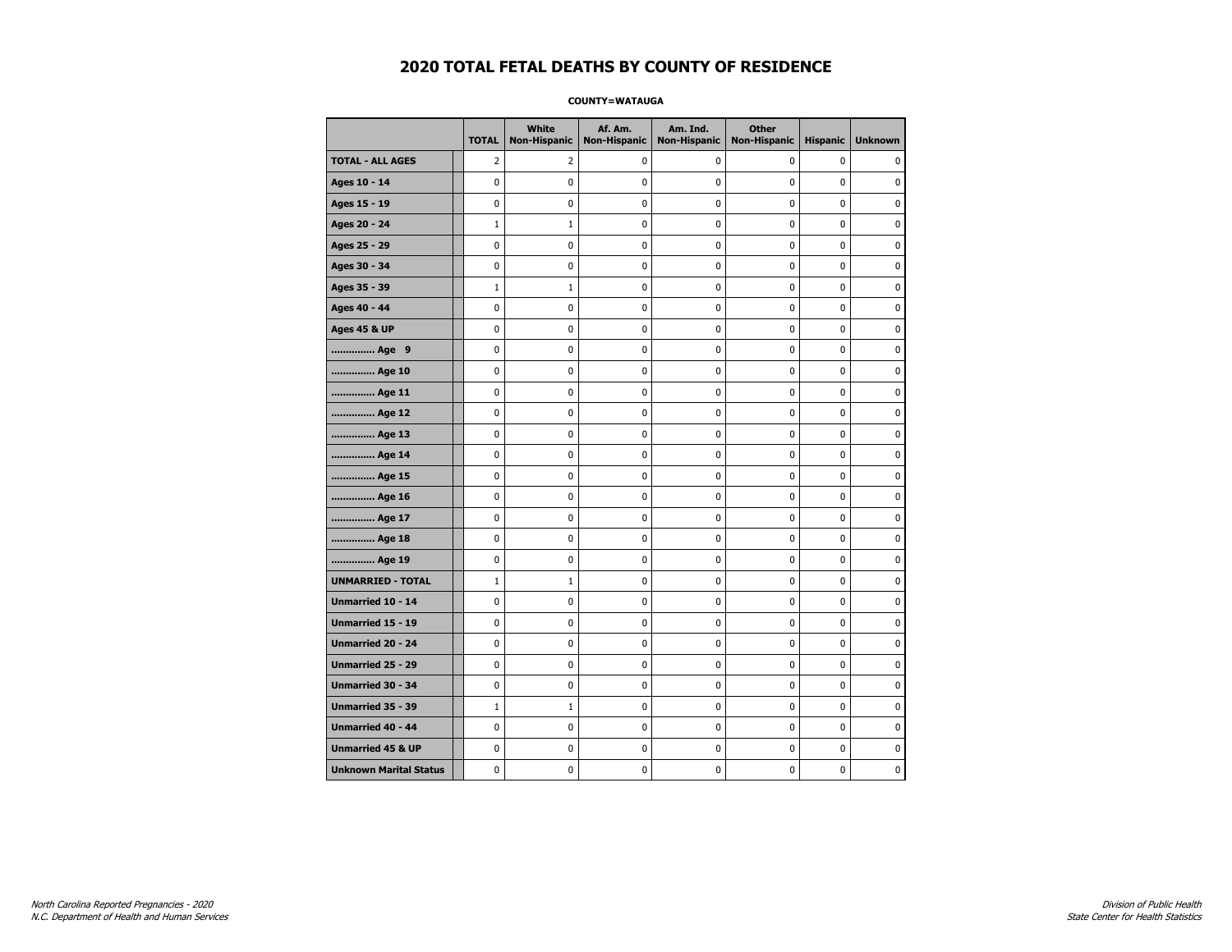### **COUNTY=WATAUGA**

|                               | <b>TOTAL</b>   | <b>White</b><br><b>Non-Hispanic</b> | Af. Am.<br><b>Non-Hispanic</b> | Am. Ind.<br><b>Non-Hispanic</b> | <b>Other</b><br><b>Non-Hispanic</b> | <b>Hispanic</b> | <b>Unknown</b> |
|-------------------------------|----------------|-------------------------------------|--------------------------------|---------------------------------|-------------------------------------|-----------------|----------------|
| <b>TOTAL - ALL AGES</b>       | $\overline{2}$ | 2                                   | 0                              | 0                               | $\mathbf 0$                         | $\mathbf 0$     | 0              |
| Ages 10 - 14                  | $\mathbf{0}$   | 0                                   | $\mathbf 0$                    | $\mathbf 0$                     | $\mathbf{0}$                        | $\mathbf 0$     | 0              |
| Ages 15 - 19                  | $\mathbf 0$    | 0                                   | $\mathbf 0$                    | $\mathbf 0$                     | $\mathbf 0$                         | $\mathbf 0$     | 0              |
| Ages 20 - 24                  | $\mathbf{1}$   | $1\,$                               | $\mathbf 0$                    | $\pmb{0}$                       | $\mathbf 0$                         | $\mathbf 0$     | 0              |
| Ages 25 - 29                  | $\mathbf 0$    | 0                                   | $\pmb{0}$                      | $\pmb{0}$                       | $\pmb{0}$                           | $\pmb{0}$       | 0              |
| Ages 30 - 34                  | $\mathbf 0$    | 0                                   | $\mathbf 0$                    | $\mathbf 0$                     | $\mathbf 0$                         | $\mathbf 0$     | 0              |
| Ages 35 - 39                  | $1\,$          | $\mathbf{1}$                        | $\pmb{0}$                      | 0                               | 0                                   | 0               | 0              |
| Ages 40 - 44                  | $\mathbf 0$    | 0                                   | 0                              | 0                               | 0                                   | 0               | 0              |
| <b>Ages 45 &amp; UP</b>       | $\mathbf 0$    | 0                                   | $\mathbf 0$                    | $\mathbf 0$                     | $\mathbf 0$                         | $\mathbf 0$     | 0              |
| Age 9                         | $\mathbf 0$    | 0                                   | $\mathbf 0$                    | $\mathbf 0$                     | $\mathbf 0$                         | $\mathbf 0$     | 0              |
| Age 10                        | $\mathbf 0$    | 0                                   | $\mathbf 0$                    | $\mathbf 0$                     | $\mathbf 0$                         | $\mathbf 0$     | 0              |
| Age 11                        | $\pmb{0}$      | 0                                   | $\pmb{0}$                      | $\pmb{0}$                       | $\pmb{0}$                           | 0               | 0              |
| Age 12                        | $\mathbf 0$    | 0                                   | $\pmb{0}$                      | 0                               | $\mathbf 0$                         | 0               | 0              |
| Age 13                        | $\mathbf 0$    | 0                                   | $\mathbf 0$                    | $\mathbf 0$                     | $\mathbf 0$                         | $\mathbf 0$     | 0              |
| Age 14                        | 0              | 0                                   | 0                              | 0                               | 0                                   | 0               | 0              |
| Age 15                        | $\mathbf 0$    | 0                                   | $\pmb{0}$                      | 0                               | $\mathbf 0$                         | $\mathbf 0$     | 0              |
| Age 16                        | $\mathbf 0$    | 0                                   | $\mathbf 0$                    | $\mathbf 0$                     | $\mathbf 0$                         | $\mathbf 0$     | 0              |
| Age 17                        | $\mathbf 0$    | $\mathbf 0$                         | $\mathbf 0$                    | $\mathbf 0$                     | $\mathbf 0$                         | $\mathbf 0$     | 0              |
| Age 18                        | $\pmb{0}$      | 0                                   | $\pmb{0}$                      | 0                               | $\pmb{0}$                           | 0               | 0              |
| Age 19                        | $\pmb{0}$      | 0                                   | $\pmb{0}$                      | $\pmb{0}$                       | $\pmb{0}$                           | 0               | 0              |
| <b>UNMARRIED - TOTAL</b>      | $\mathbf{1}$   | $\mathbf{1}$                        | $\mathbf 0$                    | 0                               | $\mathbf 0$                         | $\mathbf 0$     | 0              |
| Unmarried 10 - 14             | $\mathbf 0$    | 0                                   | $\pmb{0}$                      | 0                               | $\mathbf 0$                         | $\mathbf 0$     | 0              |
| Unmarried 15 - 19             | $\mathbf 0$    | 0                                   | $\pmb{0}$                      | 0                               | 0                                   | $\mathbf 0$     | 0              |
| Unmarried 20 - 24             | $\mathbf 0$    | 0                                   | $\mathbf 0$                    | 0                               | 0                                   | $\mathbf 0$     | 0              |
| <b>Unmarried 25 - 29</b>      | $\mathbf 0$    | 0                                   | $\mathbf 0$                    | $\mathbf 0$                     | $\mathbf 0$                         | $\mathbf 0$     | 0              |
| Unmarried 30 - 34             | $\pmb{0}$      | $\mathbf 0$                         | $\mathbf 0$                    | $\mathbf 0$                     | $\pmb{0}$                           | $\pmb{0}$       | 0              |
| Unmarried 35 - 39             | $1\,$          | $1\,$                               | $\pmb{0}$                      | 0                               | 0                                   | 0               | 0              |
| <b>Unmarried 40 - 44</b>      | $\mathbf 0$    | 0                                   | $\mathbf 0$                    | 0                               | $\mathbf 0$                         | $\mathbf 0$     | 0              |
| <b>Unmarried 45 &amp; UP</b>  | $\mathbf 0$    | 0                                   | 0                              | 0                               | 0                                   | 0               | 0              |
| <b>Unknown Marital Status</b> | $\mathbf 0$    | 0                                   | $\mathbf 0$                    | 0                               | $\mathbf 0$                         | $\mathbf 0$     | 0              |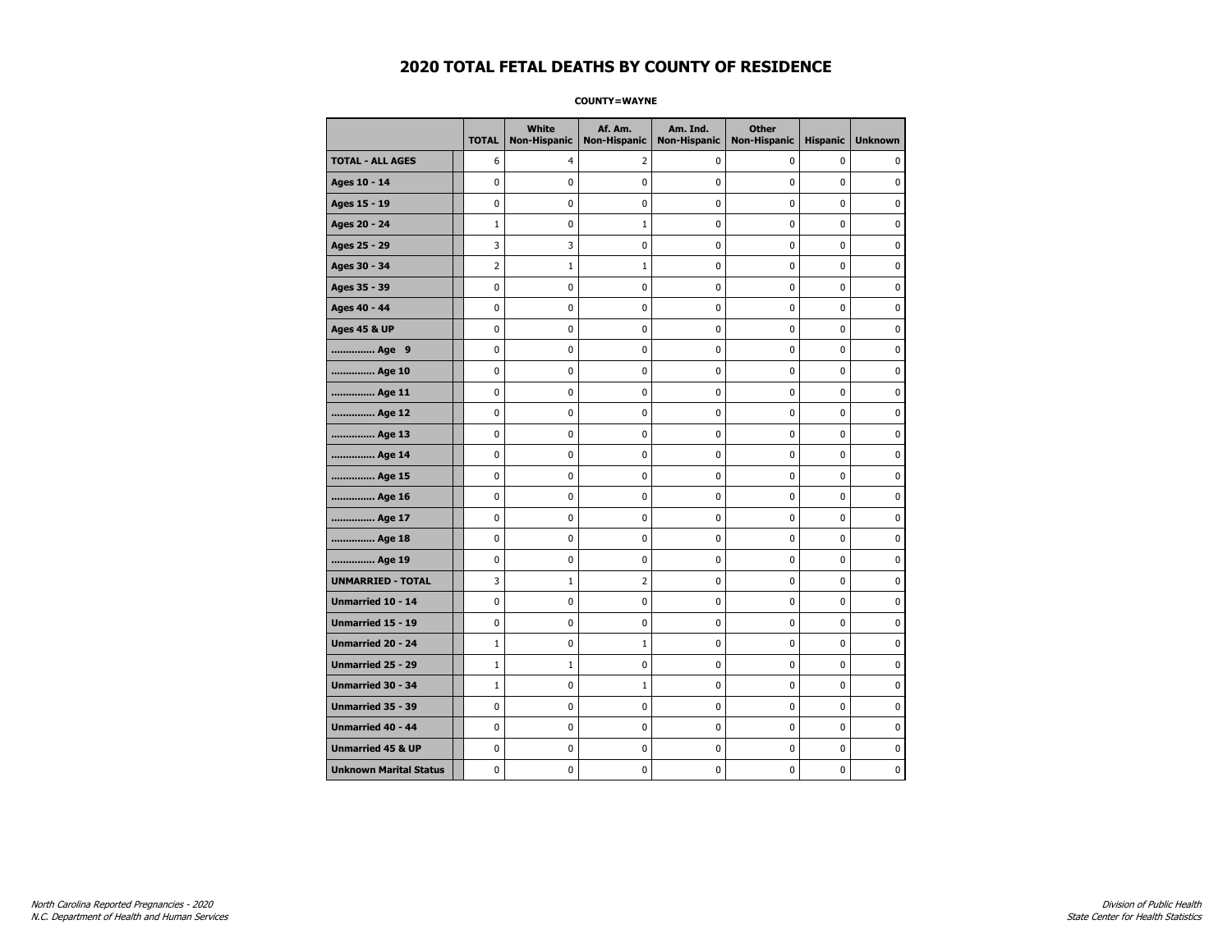**COUNTY=WAYNE** 

|                               | <b>TOTAL</b>   | <b>White</b><br><b>Non-Hispanic</b> | Af. Am.<br><b>Non-Hispanic</b> | Am. Ind.<br><b>Non-Hispanic</b> | <b>Other</b><br><b>Non-Hispanic</b> | <b>Hispanic</b> | <b>Unknown</b> |
|-------------------------------|----------------|-------------------------------------|--------------------------------|---------------------------------|-------------------------------------|-----------------|----------------|
| <b>TOTAL - ALL AGES</b>       | 6              | 4                                   | 2                              | 0                               | 0                                   | 0               | $\mathbf{0}$   |
| Ages 10 - 14                  | 0              | 0                                   | 0                              | $\mathbf 0$                     | 0                                   | 0               | 0              |
| Ages 15 - 19                  | 0              | 0                                   | 0                              | 0                               | $\mathbf 0$                         | 0               | $\mathbf 0$    |
| Ages 20 - 24                  | $\mathbf{1}$   | 0                                   | 1                              | 0                               | $\pmb{0}$                           | 0               | $\pmb{0}$      |
| Ages 25 - 29                  | 3              | 3                                   | 0                              | 0                               | 0                                   | 0               | 0              |
| Ages 30 - 34                  | $\overline{2}$ | 1                                   | $\mathbf{1}$                   | 0                               | $\pmb{0}$                           | 0               | 0              |
| Ages 35 - 39                  | 0              | 0                                   | 0                              | 0                               | 0                                   | 0               | 0              |
| Ages 40 - 44                  | 0              | 0                                   | 0                              | 0                               | $\mathbf 0$                         | 0               | $\mathbf 0$    |
| <b>Ages 45 &amp; UP</b>       | 0              | 0                                   | 0                              | 0                               | $\pmb{0}$                           | 0               | 0              |
| Age 9                         | 0              | 0                                   | 0                              | 0                               | 0                                   | 0               | 0              |
| Age 10                        | 0              | 0                                   | 0                              | 0                               | $\pmb{0}$                           | 0               | $\mathbf 0$    |
| Age 11                        | 0              | 0                                   | 0                              | 0                               | $\mathbf 0$                         | 0               | $\mathbf 0$    |
| Age 12                        | 0              | 0                                   | 0                              | 0                               | $\mathbf 0$                         | 0               | $\mathbf 0$    |
| Age 13                        | 0              | 0                                   | 0                              | 0                               | $\pmb{0}$                           | 0               | 0              |
| Age 14                        | 0              | 0                                   | 0                              | 0                               | 0                                   | 0               | 0              |
| Age 15                        | 0              | 0                                   | 0                              | 0                               | 0                                   | 0               | $\mathbf 0$    |
| Age 16                        | 0              | 0                                   | 0                              | 0                               | $\mathbf 0$                         | 0               | $\mathbf 0$    |
| Age 17                        | 0              | 0                                   | 0                              | 0                               | 0                                   | 0               | $\mathbf 0$    |
| Age 18                        | 0              | $\mathbf 0$                         | 0                              | 0                               | $\mathbf 0$                         | 0               | $\pmb{0}$      |
| Age 19                        | 0              | 0                                   | 0                              | 0                               | 0                                   | 0               | 0              |
| <b>UNMARRIED - TOTAL</b>      | 3              | 1                                   | 2                              | 0                               | 0                                   | 0               | 0              |
| <b>Unmarried 10 - 14</b>      | 0              | 0                                   | 0                              | 0                               | $\mathbf 0$                         | 0               | $\mathbf 0$    |
| Unmarried 15 - 19             | 0              | 0                                   | 0                              | 0                               | $\pmb{0}$                           | 0               | 0              |
| Unmarried 20 - 24             | $1\,$          | 0                                   | $\mathbf{1}$                   | 0                               | 0                                   | 0               | 0              |
| Unmarried 25 - 29             | $\mathbf{1}$   | 1                                   | 0                              | 0                               | 0                                   | 0               | 0              |
| <b>Unmarried 30 - 34</b>      | $\mathbf{1}$   | 0                                   | $\mathbf{1}$                   | 0                               | 0                                   | 0               | $\mathbf 0$    |
| <b>Unmarried 35 - 39</b>      | 0              | 0                                   | 0                              | 0                               | $\mathbf 0$                         | 0               | $\mathbf 0$    |
| <b>Unmarried 40 - 44</b>      | 0              | 0                                   | 0                              | 0                               | $\pmb{0}$                           | 0               | 0              |
| <b>Unmarried 45 &amp; UP</b>  | 0              | 0                                   | 0                              | 0                               | 0                                   | 0               | 0              |
| <b>Unknown Marital Status</b> | 0              | 0                                   | 0                              | 0                               | 0                                   | 0               | 0              |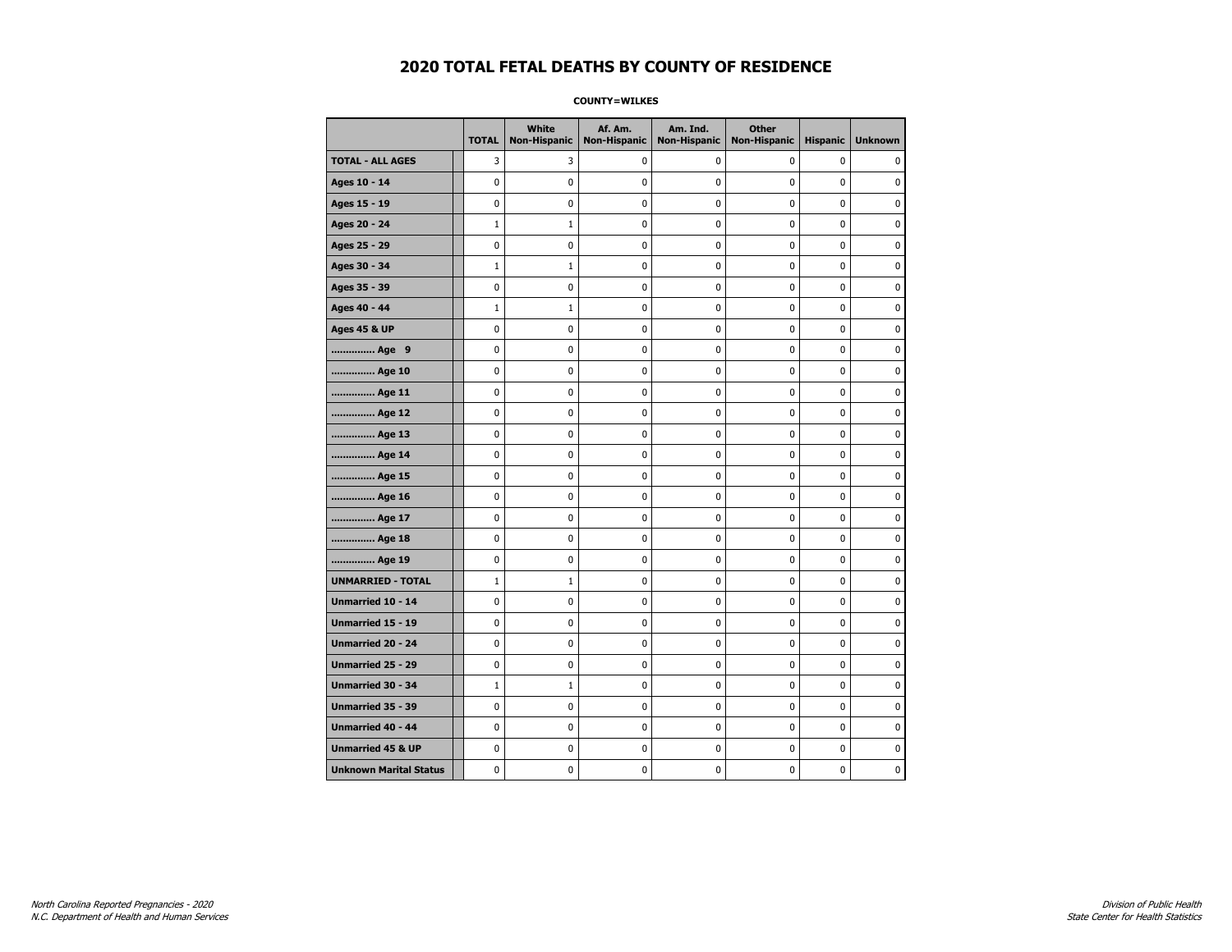**COUNTY=WILKES** 

|                               | <b>TOTAL</b> | <b>White</b><br>Non-Hispanic | Af. Am.<br><b>Non-Hispanic</b> | Am. Ind.<br><b>Non-Hispanic</b> | <b>Other</b><br>Non-Hispanic | <b>Hispanic</b> | <b>Unknown</b> |
|-------------------------------|--------------|------------------------------|--------------------------------|---------------------------------|------------------------------|-----------------|----------------|
| <b>TOTAL - ALL AGES</b>       | 3            | 3                            | 0                              | 0                               | 0                            | $\mathbf 0$     | 0              |
| Ages 10 - 14                  | $\mathbf 0$  | 0                            | 0                              | 0                               | $\mathbf 0$                  | 0               | 0              |
| Ages 15 - 19                  | 0            | 0                            | 0                              | $\mathbf 0$                     | $\mathbf 0$                  | 0               | 0              |
| Ages 20 - 24                  | $\mathbf{1}$ | $\mathbf{1}$                 | 0                              | 0                               | 0                            | 0               | 0              |
| Ages 25 - 29                  | $\pmb{0}$    | 0                            | $\pmb{0}$                      | 0                               | $\pmb{0}$                    | 0               | 0              |
| Ages 30 - 34                  | $\mathbf{1}$ | $\mathbf{1}$                 | 0                              | 0                               | 0                            | $\mathbf 0$     | 0              |
| Ages 35 - 39                  | 0            | 0                            | 0                              | 0                               | 0                            | 0               | 0              |
| Ages 40 - 44                  | $\mathbf{1}$ | $\mathbf{1}$                 | 0                              | $\mathbf 0$                     | 0                            | 0               | 0              |
| <b>Ages 45 &amp; UP</b>       | $\mathbf 0$  | 0                            | $\mathbf 0$                    | $\pmb{0}$                       | $\mathbf 0$                  | 0               | 0              |
| Age 9                         | $\pmb{0}$    | 0                            | 0                              | 0                               | 0                            | 0               | 0              |
| Age 10                        | 0            | $\mathbf 0$                  | 0                              | 0                               | 0                            | 0               | $\mathbf 0$    |
| Age 11                        | 0            | 0                            | 0                              | 0                               | 0                            | 0               | 0              |
| Age 12                        | $\mathbf 0$  | 0                            | 0                              | 0                               | 0                            | 0               | 0              |
| Age 13                        | 0            | 0                            | 0                              | 0                               | 0                            | 0               | 0              |
| Age 14                        | 0            | 0                            | 0                              | $\mathbf 0$                     | 0                            | 0               | 0              |
| Age 15                        | 0            | 0                            | 0                              | 0                               | $\pmb{0}$                    | 0               | 0              |
| Age 16                        | $\pmb{0}$    | 0                            | $\pmb{0}$                      | $\pmb{0}$                       | $\pmb{0}$                    | 0               | 0              |
| Age 17                        | 0            | 0                            | 0                              | 0                               | 0                            | 0               | 0              |
| Age 18                        | $\mathbf 0$  | 0                            | 0                              | $\mathbf 0$                     | $\mathbf 0$                  | 0               | 0              |
| Age 19                        | $\mathbf 0$  | 0                            | 0                              | 0                               | $\pmb{0}$                    | 0               | 0              |
| <b>UNMARRIED - TOTAL</b>      | $\mathbf{1}$ | $\mathbf{1}$                 | 0                              | 0                               | 0                            | 0               | 0              |
| Unmarried 10 - 14             | $\mathbf 0$  | $\mathbf 0$                  | 0                              | 0                               | 0                            | 0               | $\pmb{0}$      |
| Unmarried 15 - 19             | 0            | 0                            | 0                              | 0                               | 0                            | 0               | 0              |
| Unmarried 20 - 24             | $\mathbf 0$  | 0                            | 0                              | 0                               | 0                            | 0               | 0              |
| Unmarried 25 - 29             | 0            | 0                            | 0                              | 0                               | 0                            | 0               | 0              |
| <b>Unmarried 30 - 34</b>      | $\mathbf{1}$ | $\mathbf{1}$                 | 0                              | 0                               | 0                            | 0               | 0              |
| <b>Unmarried 35 - 39</b>      | $\mathbf 0$  | 0                            | $\mathbf 0$                    | $\mathbf 0$                     | $\mathbf 0$                  | 0               | $\mathbf 0$    |
| <b>Unmarried 40 - 44</b>      | $\pmb{0}$    | 0                            | 0                              | 0                               | $\pmb{0}$                    | 0               | 0              |
| <b>Unmarried 45 &amp; UP</b>  | $\mathbf 0$  | 0                            | 0                              | 0                               | 0                            | 0               | 0              |
| <b>Unknown Marital Status</b> | 0            | 0                            | 0                              | 0                               | 0                            | 0               | 0              |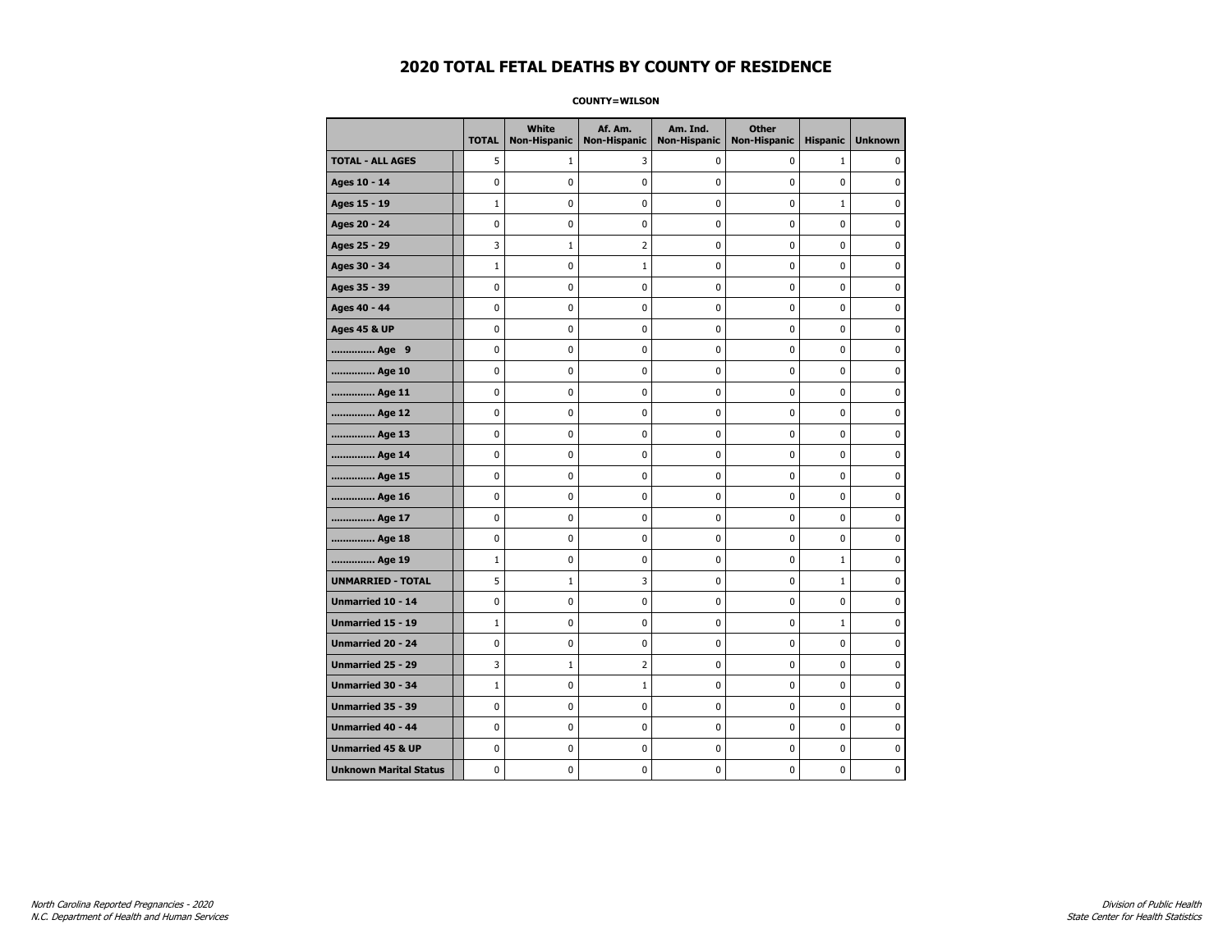**COUNTY=WILSON** 

|                               | <b>TOTAL</b> | White<br>Non-Hispanic | Af. Am.<br><b>Non-Hispanic</b> | Am. Ind.<br><b>Non-Hispanic</b> | <b>Other</b><br><b>Non-Hispanic</b> | <b>Hispanic</b> | <b>Unknown</b> |
|-------------------------------|--------------|-----------------------|--------------------------------|---------------------------------|-------------------------------------|-----------------|----------------|
| <b>TOTAL - ALL AGES</b>       | 5            | 1                     | 3                              | 0                               | 0                                   | $\mathbf{1}$    | 0              |
| Ages 10 - 14                  | 0            | 0                     | $\mathbf 0$                    | 0                               | 0                                   | $\mathbf 0$     | 0              |
| Ages 15 - 19                  | $\mathbf{1}$ | 0                     | $\mathbf 0$                    | $\mathbf 0$                     | 0                                   | $\mathbf 1$     | 0              |
| Ages 20 - 24                  | 0            | 0                     | 0                              | $\mathbf 0$                     | 0                                   | 0               | 0              |
| Ages 25 - 29                  | 3            | $1\,$                 | $\overline{2}$                 | $\pmb{0}$                       | 0                                   | 0               | $\pmb{0}$      |
| Ages 30 - 34                  | $\mathbf 1$  | 0                     | $\mathbf 1$                    | 0                               | 0                                   | $\mathbf 0$     | 0              |
| Ages 35 - 39                  | 0            | 0                     | $\pmb{0}$                      | 0                               | 0                                   | 0               | 0              |
| Ages 40 - 44                  | 0            | $\mathbf 0$           | $\mathbf 0$                    | $\mathbf 0$                     | $\mathbf 0$                         | $\mathbf 0$     | $\mathbf 0$    |
| <b>Ages 45 &amp; UP</b>       | 0            | 0                     | $\mathbf 0$                    | 0                               | 0                                   | 0               | 0              |
| Age 9                         | 0            | $\mathbf 0$           | $\mathbf 0$                    | $\mathbf 0$                     | $\mathbf 0$                         | $\mathbf 0$     | $\mathbf 0$    |
| Age 10                        | 0            | 0                     | 0                              | 0                               | 0                                   | 0               | 0              |
| Age 11                        | 0            | 0                     | $\mathbf 0$                    | 0                               | 0                                   | $\mathbf 0$     | 0              |
| Age 12                        | 0            | 0                     | 0                              | 0                               | 0                                   | 0               | 0              |
| Age 13                        | 0            | 0                     | $\mathbf 0$                    | 0                               | 0                                   | $\mathbf 0$     | 0              |
| Age 14                        | 0            | 0                     | 0                              | $\pmb{0}$                       | 0                                   | 0               | 0              |
| Age 15                        | 0            | 0                     | $\mathbf 0$                    | $\pmb{0}$                       | 0                                   | 0               | $\pmb{0}$      |
| Age 16                        | 0            | $\pmb{0}$             | $\mathbf 0$                    | $\pmb{0}$                       | $\mathbf 0$                         | $\mathbf 0$     | $\pmb{0}$      |
| Age 17                        | 0            | 0                     | 0                              | 0                               | 0                                   | 0               | 0              |
| Age 18                        | 0            | $\mathbf 0$           | $\mathbf 0$                    | 0                               | 0                                   | $\mathbf 0$     | $\pmb{0}$      |
| Age 19                        | $\mathbf 1$  | 0                     | 0                              | 0                               | 0                                   | $\mathbf{1}$    | 0              |
| <b>UNMARRIED - TOTAL</b>      | 5            | $\mathbf{1}$          | 3                              | $\mathbf 0$                     | $\mathbf 0$                         | $\mathbf{1}$    | 0              |
| Unmarried 10 - 14             | 0            | 0                     | 0                              | 0                               | 0                                   | 0               | 0              |
| Unmarried 15 - 19             | $\mathbf 1$  | 0                     | $\mathbf 0$                    | $\pmb{0}$                       | 0                                   | $\mathbf{1}$    | $\pmb{0}$      |
| Unmarried 20 - 24             | 0            | 0                     | 0                              | 0                               | 0                                   | $\mathbf 0$     | 0              |
| Unmarried 25 - 29             | 3            | $\mathbf{1}$          | $\overline{2}$                 | 0                               | 0                                   | 0               | 0              |
| <b>Unmarried 30 - 34</b>      | $\mathbf{1}$ | 0                     | $\mathbf 1$                    | $\mathbf 0$                     | 0                                   | 0               | $\mathbf 0$    |
| Unmarried 35 - 39             | 0            | 0                     | $\mathbf 0$                    | $\mathbf 0$                     | 0                                   | $\mathbf 0$     | 0              |
| Unmarried 40 - 44             | 0            | $\pmb{0}$             | $\pmb{0}$                      | $\pmb{0}$                       | $\mathbf 0$                         | $\pmb{0}$       | $\pmb{0}$      |
| <b>Unmarried 45 &amp; UP</b>  | 0            | 0                     | $\pmb{0}$                      | 0                               | 0                                   | 0               | 0              |
| <b>Unknown Marital Status</b> | 0            | 0                     | 0                              | 0                               | 0                                   | 0               | 0              |